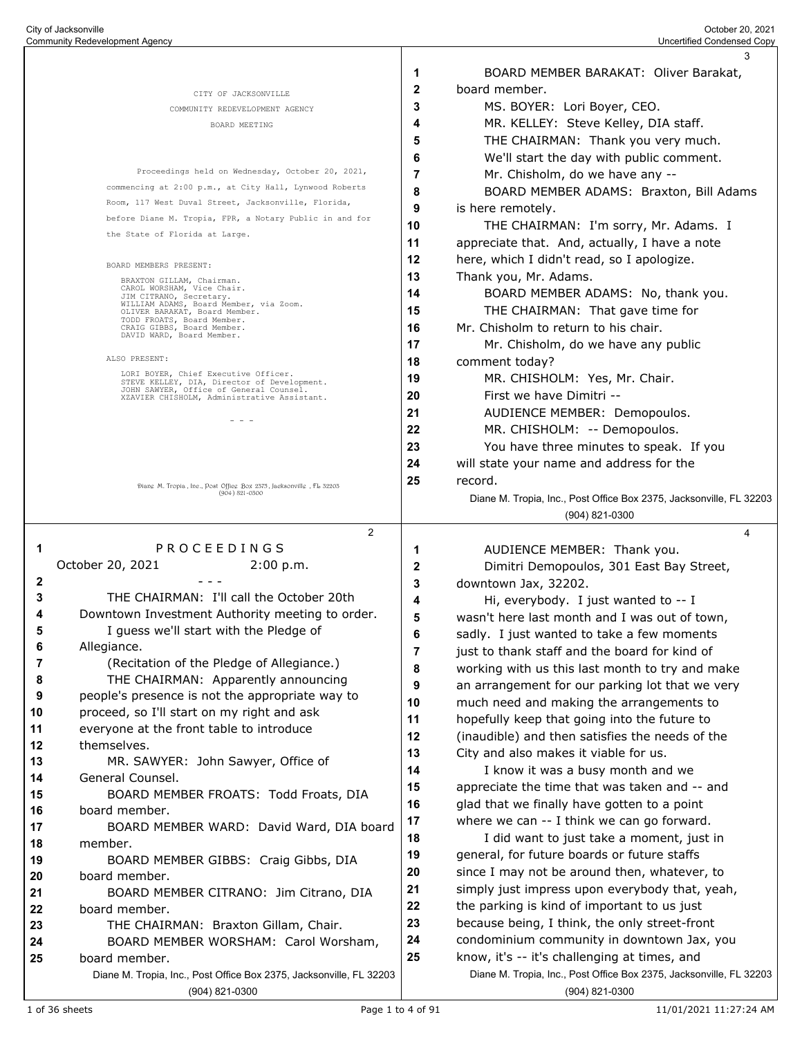|              |                                                                                           |                | 3                                                                   |
|--------------|-------------------------------------------------------------------------------------------|----------------|---------------------------------------------------------------------|
|              |                                                                                           | 1              | BOARD MEMBER BARAKAT: Oliver Barakat,                               |
|              | CITY OF JACKSONVILLE                                                                      | $\mathbf{2}$   | board member.                                                       |
|              | COMMUNITY REDEVELOPMENT AGENCY                                                            | 3              | MS. BOYER: Lori Boyer, CEO.                                         |
|              | BOARD MEETING                                                                             | 4              | MR. KELLEY: Steve Kelley, DIA staff.                                |
|              |                                                                                           | 5              | THE CHAIRMAN: Thank you very much.                                  |
|              |                                                                                           | 6              | We'll start the day with public comment.                            |
|              | Proceedings held on Wednesday, October 20, 2021,                                          | 7              | Mr. Chisholm, do we have any --                                     |
|              | commencing at 2:00 p.m., at City Hall, Lynwood Roberts                                    | 8              | BOARD MEMBER ADAMS: Braxton, Bill Adams                             |
|              | Room, 117 West Duval Street, Jacksonville, Florida,                                       | 9              |                                                                     |
|              | before Diane M. Tropia, FPR, a Notary Public in and for                                   |                | is here remotely.                                                   |
|              | the State of Florida at Large.                                                            | 10             | THE CHAIRMAN: I'm sorry, Mr. Adams. I                               |
|              |                                                                                           | 11             | appreciate that. And, actually, I have a note                       |
|              | BOARD MEMBERS PRESENT:                                                                    | 12             | here, which I didn't read, so I apologize.                          |
|              | BRAXTON GILLAM, Chairman.<br>CAROL WORSHAM, Vice Chair.                                   | 13             | Thank you, Mr. Adams.                                               |
|              | JIM CITRANO, Secretary.<br>WILLIAM ADAMS, Board Member, via Zoom.                         | 14             | BOARD MEMBER ADAMS: No, thank you.                                  |
|              | OLIVER BARAKAT, Board Member.<br>TODD FROATS, Board Member.                               | 15             | THE CHAIRMAN: That gave time for                                    |
|              | CRAIG GIBBS, Board Member.<br>DAVID WARD, Board Member.                                   | 16             | Mr. Chisholm to return to his chair.                                |
|              |                                                                                           | 17             | Mr. Chisholm, do we have any public                                 |
|              | ALSO PRESENT:                                                                             | 18             | comment today?                                                      |
|              | LORI BOYER, Chief Executive Officer.<br>STEVE KELLEY, DIA, Director of Development.       | 19             | MR. CHISHOLM: Yes, Mr. Chair.                                       |
|              | JOHN SAWYER, Office of General Counsel.<br>XZAVIER CHISHOLM, Administrative Assistant.    | 20             | First we have Dimitri --                                            |
|              |                                                                                           | 21             | AUDIENCE MEMBER: Demopoulos.                                        |
|              | $  -$                                                                                     | 22             | MR. CHISHOLM: -- Demopoulos.                                        |
|              |                                                                                           | 23             | You have three minutes to speak. If you                             |
|              |                                                                                           | 24             | will state your name and address for the                            |
|              |                                                                                           | 25             | record.                                                             |
|              | Diang M. Tropia, Ine., Post Offieg Box 2575, Jacksonvillg, FL 52205<br>$(904) 821 - 0300$ |                | Diane M. Tropia, Inc., Post Office Box 2375, Jacksonville, FL 32203 |
|              |                                                                                           |                | $(904)$ 821-0300                                                    |
|              |                                                                                           |                |                                                                     |
|              | 2<br>PROCEEDINGS                                                                          |                | 4                                                                   |
| 1            |                                                                                           | 1              | AUDIENCE MEMBER: Thank you.                                         |
|              | October 20, 2021<br>2:00 p.m.                                                             | 2              | Dimitri Demopoulos, 301 East Bay Street,                            |
| $\mathbf{2}$ |                                                                                           | 3              | downtown Jax, 32202.                                                |
| 3            | THE CHAIRMAN: I'll call the October 20th                                                  | 4              | Hi, everybody. I just wanted to -- I                                |
| 4            | Downtown Investment Authority meeting to order.                                           | 5              | wasn't here last month and I was out of town,                       |
| 5            | I guess we'll start with the Pledge of                                                    | 6              | sadly. I just wanted to take a few moments                          |
| 6            | Allegiance.                                                                               | $\overline{7}$ | just to thank staff and the board for kind of                       |
| 7            | (Recitation of the Pledge of Allegiance.)                                                 | 8              | working with us this last month to try and make                     |
| 8            | THE CHAIRMAN: Apparently announcing                                                       | 9              | an arrangement for our parking lot that we very                     |
| 9            | people's presence is not the appropriate way to                                           | 10             | much need and making the arrangements to                            |
| 10           | proceed, so I'll start on my right and ask                                                | 11             | hopefully keep that going into the future to                        |
| 11           | everyone at the front table to introduce                                                  | 12             | (inaudible) and then satisfies the needs of the                     |
| 12           | themselves.                                                                               | 13             | City and also makes it viable for us.                               |
| 13           | MR. SAWYER: John Sawyer, Office of                                                        | 14             | I know it was a busy month and we                                   |
| 14           | General Counsel.                                                                          | 15             | appreciate the time that was taken and -- and                       |
| 15           | BOARD MEMBER FROATS: Todd Froats, DIA                                                     | 16             | glad that we finally have gotten to a point                         |
| 16           | board member.                                                                             | 17             | where we can -- I think we can go forward.                          |
| 17           | BOARD MEMBER WARD: David Ward, DIA board                                                  | 18             | I did want to just take a moment, just in                           |
| 18           | member.                                                                                   | 19             | general, for future boards or future staffs                         |
| 19           | BOARD MEMBER GIBBS: Craig Gibbs, DIA                                                      | 20             | since I may not be around then, whatever, to                        |
| 20           | board member.                                                                             | 21             | simply just impress upon everybody that, yeah,                      |
| 21           | BOARD MEMBER CITRANO: Jim Citrano, DIA                                                    |                |                                                                     |
| 22           | board member.                                                                             | 22             | the parking is kind of important to us just                         |
| 23           | THE CHAIRMAN: Braxton Gillam, Chair.                                                      | 23             | because being, I think, the only street-front                       |
| 24           | BOARD MEMBER WORSHAM: Carol Worsham,                                                      | 24             | condominium community in downtown Jax, you                          |
| 25           | board member.                                                                             | 25             | know, it's -- it's challenging at times, and                        |
|              | Diane M. Tropia, Inc., Post Office Box 2375, Jacksonville, FL 32203                       |                | Diane M. Tropia, Inc., Post Office Box 2375, Jacksonville, FL 32203 |
|              | (904) 821-0300                                                                            |                | (904) 821-0300                                                      |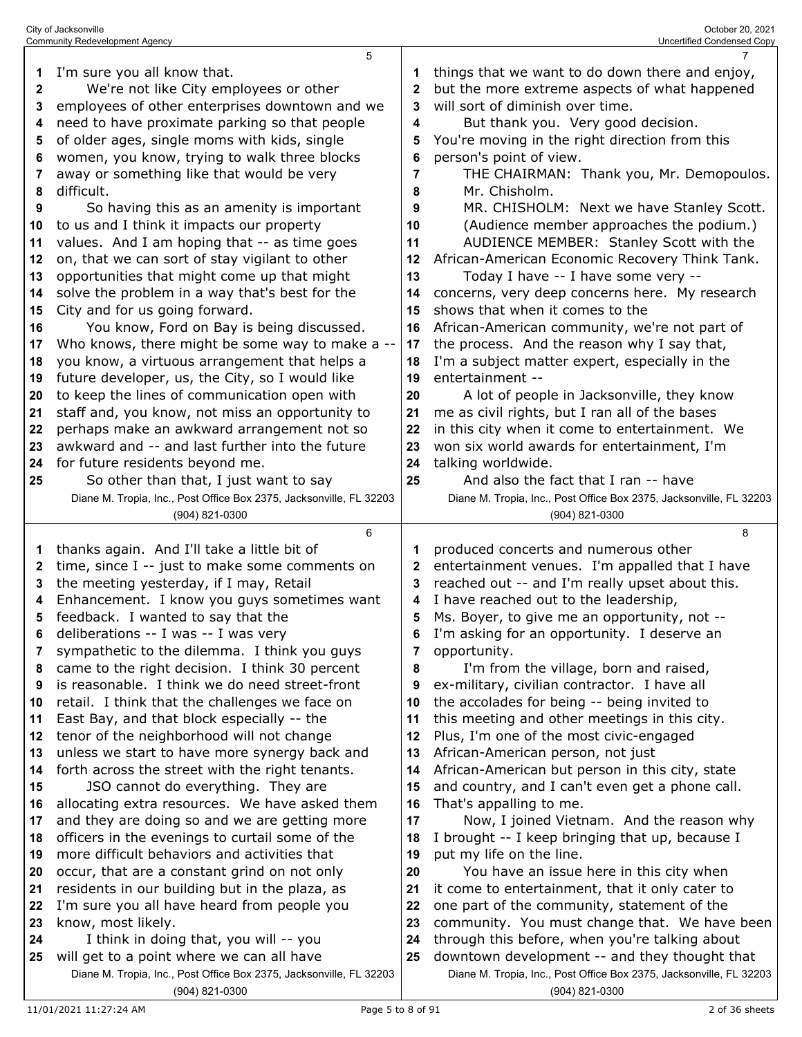|              | 5                                                                                               |              | $\overline{7}$                                                                                     |
|--------------|-------------------------------------------------------------------------------------------------|--------------|----------------------------------------------------------------------------------------------------|
| 1            | I'm sure you all know that.                                                                     |              | things that we want to do down there and enjoy,                                                    |
| $\mathbf{2}$ | We're not like City employees or other                                                          | $\mathbf{2}$ | but the more extreme aspects of what happened                                                      |
| 3            | employees of other enterprises downtown and we                                                  | 3            | will sort of diminish over time.                                                                   |
| 4            | need to have proximate parking so that people                                                   | 4            | But thank you. Very good decision.                                                                 |
| 5            | of older ages, single moms with kids, single                                                    | 5            | You're moving in the right direction from this                                                     |
| 6            | women, you know, trying to walk three blocks                                                    | 6            | person's point of view.                                                                            |
| 7            | away or something like that would be very                                                       | 7            | THE CHAIRMAN: Thank you, Mr. Demopoulos.                                                           |
| 8            | difficult.                                                                                      | 8            | Mr. Chisholm.                                                                                      |
| 9            | So having this as an amenity is important                                                       | 9            | MR. CHISHOLM: Next we have Stanley Scott.                                                          |
| 10           | to us and I think it impacts our property                                                       | 10           | (Audience member approaches the podium.)                                                           |
| 11           | values. And I am hoping that -- as time goes                                                    | 11           | AUDIENCE MEMBER: Stanley Scott with the                                                            |
| 12           | on, that we can sort of stay vigilant to other                                                  | 12           | African-American Economic Recovery Think Tank.                                                     |
| 13           | opportunities that might come up that might                                                     | 13           | Today I have -- I have some very --                                                                |
| 14           | solve the problem in a way that's best for the                                                  | 14           | concerns, very deep concerns here. My research                                                     |
| 15           | City and for us going forward.                                                                  | 15           | shows that when it comes to the                                                                    |
| 16           | You know, Ford on Bay is being discussed.                                                       | 16           | African-American community, we're not part of                                                      |
| 17           | Who knows, there might be some way to make a --                                                 | 17           | the process. And the reason why I say that,                                                        |
| 18           | you know, a virtuous arrangement that helps a                                                   | 18           | I'm a subject matter expert, especially in the                                                     |
| 19           | future developer, us, the City, so I would like                                                 | 19           | entertainment --                                                                                   |
| 20           | to keep the lines of communication open with                                                    | 20           | A lot of people in Jacksonville, they know                                                         |
| 21           | staff and, you know, not miss an opportunity to                                                 | 21           | me as civil rights, but I ran all of the bases                                                     |
| 22           | perhaps make an awkward arrangement not so                                                      | 22           | in this city when it come to entertainment. We                                                     |
| 23           | awkward and -- and last further into the future                                                 | 23           | won six world awards for entertainment, I'm                                                        |
| 24           | for future residents beyond me.                                                                 | 24           | talking worldwide.                                                                                 |
| 25           | So other than that, I just want to say                                                          | 25           | And also the fact that I ran -- have                                                               |
|              | Diane M. Tropia, Inc., Post Office Box 2375, Jacksonville, FL 32203                             |              | Diane M. Tropia, Inc., Post Office Box 2375, Jacksonville, FL 32203                                |
|              | (904) 821-0300                                                                                  |              | (904) 821-0300                                                                                     |
|              |                                                                                                 |              |                                                                                                    |
|              | 6                                                                                               |              | 8                                                                                                  |
| 1            | thanks again. And I'll take a little bit of                                                     | 1            | produced concerts and numerous other                                                               |
| 2            | time, since I -- just to make some comments on                                                  | 2            | entertainment venues. I'm appalled that I have                                                     |
| 3            | the meeting yesterday, if I may, Retail                                                         | 3            | reached out -- and I'm really upset about this.                                                    |
| 4            | Enhancement. I know you guys sometimes want                                                     | 4            | I have reached out to the leadership,                                                              |
| 5            | feedback. I wanted to say that the                                                              | 5            | Ms. Boyer, to give me an opportunity, not --                                                       |
| 6            | deliberations -- I was -- I was very                                                            | ĥ            | I'm asking for an opportunity. I deserve an                                                        |
| 7            | sympathetic to the dilemma. I think you guys                                                    | 7            | opportunity.                                                                                       |
| 8            | came to the right decision. I think 30 percent                                                  | 8            | I'm from the village, born and raised,                                                             |
| 9            | is reasonable. I think we do need street-front                                                  | 9            | ex-military, civilian contractor. I have all                                                       |
| 10           | retail. I think that the challenges we face on                                                  | 10           | the accolades for being -- being invited to                                                        |
| 11           | East Bay, and that block especially -- the                                                      | 11           | this meeting and other meetings in this city.                                                      |
| 12           | tenor of the neighborhood will not change                                                       | 12           | Plus, I'm one of the most civic-engaged                                                            |
| 13           | unless we start to have more synergy back and                                                   | 13           | African-American person, not just                                                                  |
| 14<br>15     | forth across the street with the right tenants.                                                 | 14<br>15     | African-American but person in this city, state<br>and country, and I can't even get a phone call. |
| 16           | JSO cannot do everything. They are                                                              | 16           |                                                                                                    |
| 17           | allocating extra resources. We have asked them<br>and they are doing so and we are getting more | 17           | That's appalling to me.<br>Now, I joined Vietnam. And the reason why                               |
| 18           | officers in the evenings to curtail some of the                                                 | 18           | I brought -- I keep bringing that up, because I                                                    |
| 19           | more difficult behaviors and activities that                                                    | 19           | put my life on the line.                                                                           |
| 20           | occur, that are a constant grind on not only                                                    | 20           | You have an issue here in this city when                                                           |
| 21           | residents in our building but in the plaza, as                                                  | 21           | it come to entertainment, that it only cater to                                                    |
| 22           | I'm sure you all have heard from people you                                                     | 22           | one part of the community, statement of the                                                        |
| 23           | know, most likely.                                                                              | 23           | community. You must change that. We have been                                                      |
| 24           | I think in doing that, you will -- you                                                          | 24           | through this before, when you're talking about                                                     |
| 25           | will get to a point where we can all have                                                       | 25           | downtown development -- and they thought that                                                      |
|              | Diane M. Tropia, Inc., Post Office Box 2375, Jacksonville, FL 32203                             |              | Diane M. Tropia, Inc., Post Office Box 2375, Jacksonville, FL 32203                                |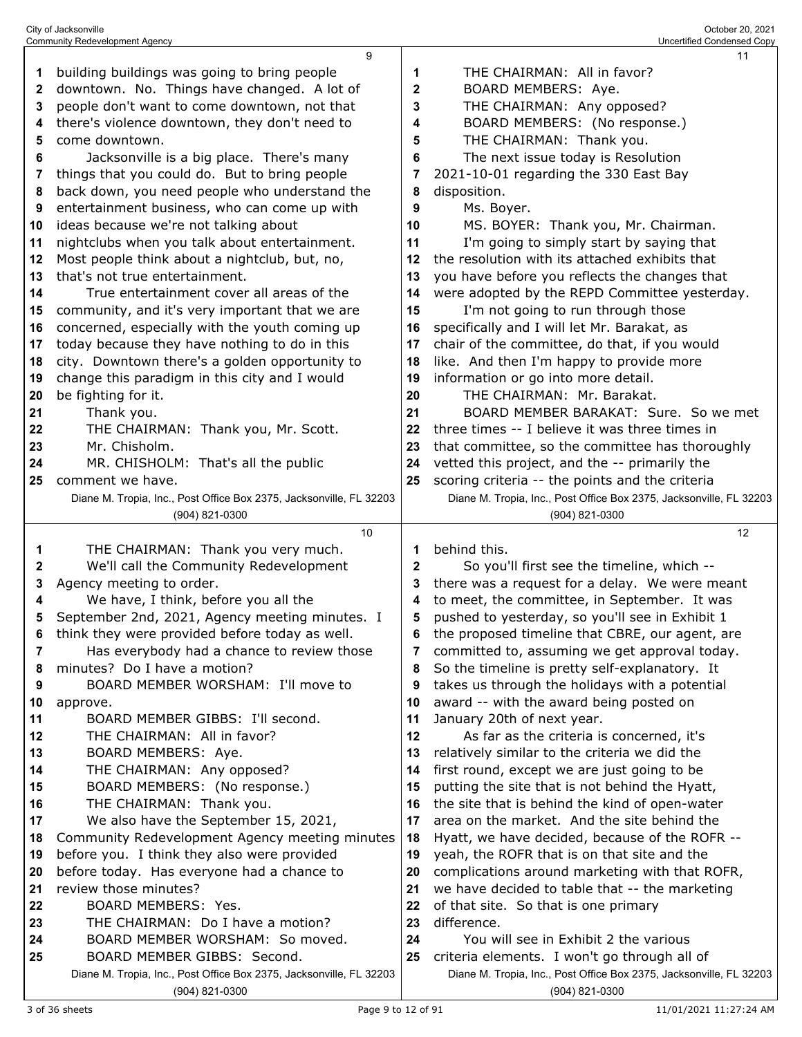| 2  | downtown. No. Things have changed. A lot of                                                        | 2      | BOARD MEMBERS: Aye.                                                                                                 |
|----|----------------------------------------------------------------------------------------------------|--------|---------------------------------------------------------------------------------------------------------------------|
| 3  | people don't want to come downtown, not that                                                       | 3      | THE CHAIRMAN: Any opposed?                                                                                          |
| 4  | there's violence downtown, they don't need to                                                      | 4      | BOARD MEMBERS: (No response.)                                                                                       |
| 5  | come downtown.                                                                                     | 5      | THE CHAIRMAN: Thank you.                                                                                            |
| 6  | Jacksonville is a big place. There's many                                                          | 6      | The next issue today is Resolution                                                                                  |
| 7  | things that you could do. But to bring people                                                      | 7      | 2021-10-01 regarding the 330 East Bay                                                                               |
| 8  | back down, you need people who understand the                                                      | 8      | disposition.                                                                                                        |
| 9  | entertainment business, who can come up with                                                       | 9      | Ms. Boyer.                                                                                                          |
| 10 | ideas because we're not talking about                                                              | 10     | MS. BOYER: Thank you, Mr. Chairman.                                                                                 |
| 11 | nightclubs when you talk about entertainment.                                                      | 11     | I'm going to simply start by saying that                                                                            |
| 12 | Most people think about a nightclub, but, no,                                                      | 12     | the resolution with its attached exhibits that                                                                      |
| 13 | that's not true entertainment.                                                                     | 13     | you have before you reflects the changes that                                                                       |
| 14 | True entertainment cover all areas of the                                                          | 14     | were adopted by the REPD Committee yesterday.                                                                       |
|    |                                                                                                    |        |                                                                                                                     |
| 15 | community, and it's very important that we are                                                     | 15     | I'm not going to run through those                                                                                  |
| 16 | concerned, especially with the youth coming up                                                     | 16     | specifically and I will let Mr. Barakat, as                                                                         |
| 17 | today because they have nothing to do in this                                                      | 17     | chair of the committee, do that, if you would                                                                       |
| 18 | city. Downtown there's a golden opportunity to                                                     | 18     | like. And then I'm happy to provide more                                                                            |
| 19 | change this paradigm in this city and I would                                                      | 19     | information or go into more detail.                                                                                 |
| 20 | be fighting for it.                                                                                | 20     | THE CHAIRMAN: Mr. Barakat.                                                                                          |
| 21 | Thank you.                                                                                         | 21     | BOARD MEMBER BARAKAT: Sure. So we met                                                                               |
| 22 | THE CHAIRMAN: Thank you, Mr. Scott.                                                                | 22     | three times -- I believe it was three times in                                                                      |
| 23 | Mr. Chisholm.                                                                                      | 23     | that committee, so the committee has thoroughly                                                                     |
| 24 | MR. CHISHOLM: That's all the public                                                                | 24     | vetted this project, and the -- primarily the                                                                       |
| 25 | comment we have.                                                                                   | 25     | scoring criteria -- the points and the criteria                                                                     |
|    | Diane M. Tropia, Inc., Post Office Box 2375, Jacksonville, FL 32203                                |        | Diane M. Tropia, Inc., Post Office Box 2375, Jacksonville, FL 32203                                                 |
|    | (904) 821-0300                                                                                     |        | (904) 821-0300                                                                                                      |
|    | 10                                                                                                 |        | 12                                                                                                                  |
|    |                                                                                                    |        |                                                                                                                     |
| 1  | THE CHAIRMAN: Thank you very much.                                                                 | 1      | behind this.                                                                                                        |
| 2  | We'll call the Community Redevelopment                                                             | 2      | So you'll first see the timeline, which --                                                                          |
| 3  | Agency meeting to order.                                                                           | 3      | there was a request for a delay. We were meant                                                                      |
| 4  | We have, I think, before you all the                                                               | 4      | to meet, the committee, in September. It was                                                                        |
| 5  | September 2nd, 2021, Agency meeting minutes. I                                                     | 5      |                                                                                                                     |
| 6  |                                                                                                    | 6      | pushed to yesterday, so you'll see in Exhibit 1<br>the proposed timeline that CBRE, our agent, are                  |
| 7  | think they were provided before today as well.                                                     | 7      |                                                                                                                     |
| 8  | Has everybody had a chance to review those                                                         |        | committed to, assuming we get approval today.                                                                       |
| 9  | minutes? Do I have a motion?<br>BOARD MEMBER WORSHAM: I'll move to                                 | 8<br>9 | So the timeline is pretty self-explanatory. It                                                                      |
|    |                                                                                                    | 10     | takes us through the holidays with a potential                                                                      |
| 10 | approve.                                                                                           |        | award -- with the award being posted on                                                                             |
| 11 | BOARD MEMBER GIBBS: I'll second.                                                                   | 11     | January 20th of next year.                                                                                          |
| 12 | THE CHAIRMAN: All in favor?                                                                        | 12     | As far as the criteria is concerned, it's                                                                           |
| 13 | BOARD MEMBERS: Aye.                                                                                | 13     | relatively similar to the criteria we did the                                                                       |
| 14 | THE CHAIRMAN: Any opposed?                                                                         | 14     | first round, except we are just going to be                                                                         |
| 15 | BOARD MEMBERS: (No response.)                                                                      | 15     | putting the site that is not behind the Hyatt,                                                                      |
| 16 | THE CHAIRMAN: Thank you.                                                                           | 16     | the site that is behind the kind of open-water                                                                      |
| 17 | We also have the September 15, 2021,                                                               | 17     | area on the market. And the site behind the                                                                         |
| 18 | Community Redevelopment Agency meeting minutes                                                     | 18     | Hyatt, we have decided, because of the ROFR --                                                                      |
| 19 | before you. I think they also were provided                                                        | 19     | yeah, the ROFR that is on that site and the                                                                         |
| 20 | before today. Has everyone had a chance to                                                         | 20     | complications around marketing with that ROFR,                                                                      |
| 21 | review those minutes?                                                                              | 21     | we have decided to table that -- the marketing                                                                      |
| 22 | BOARD MEMBERS: Yes.                                                                                | 22     | of that site. So that is one primary                                                                                |
| 23 | THE CHAIRMAN: Do I have a motion?                                                                  | 23     | difference.                                                                                                         |
| 24 | BOARD MEMBER WORSHAM: So moved.                                                                    | 24     | You will see in Exhibit 2 the various                                                                               |
| 25 | BOARD MEMBER GIBBS: Second.<br>Diane M. Tropia, Inc., Post Office Box 2375, Jacksonville, FL 32203 | 25     | criteria elements. I won't go through all of<br>Diane M. Tropia, Inc., Post Office Box 2375, Jacksonville, FL 32203 |

(904) 821-0300

(904) 821-0300

building buildings was going to bring people

THE CHAIRMAN: All in favor?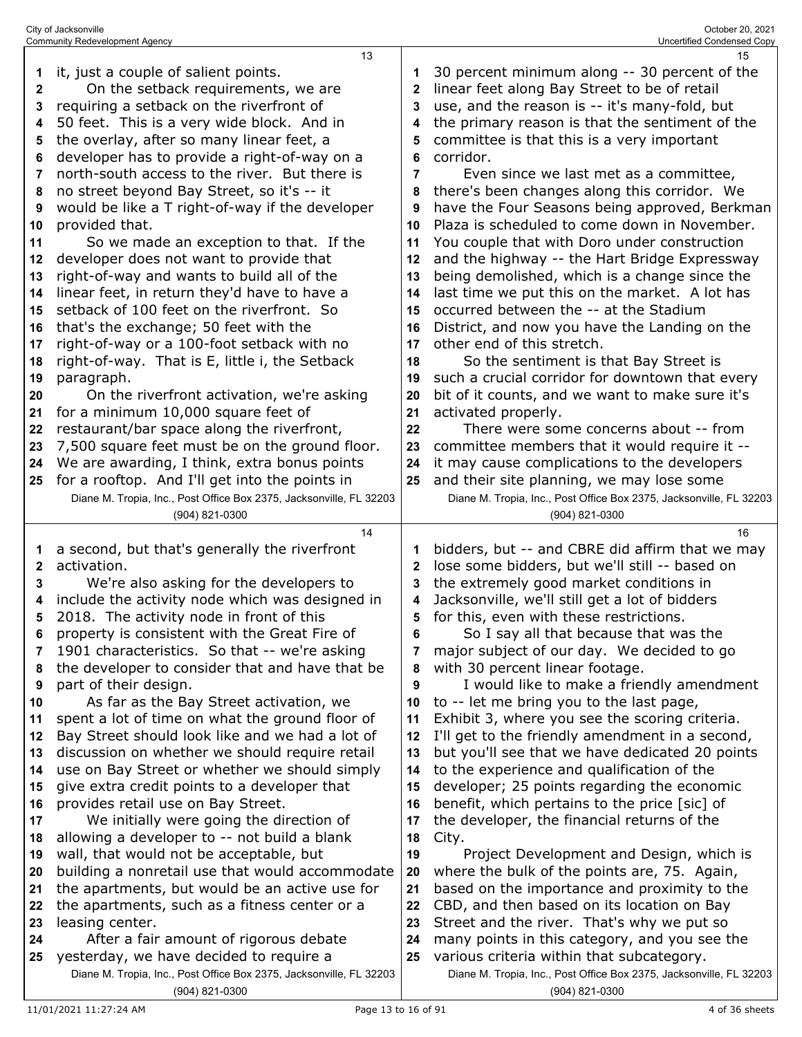|    | 13                                                                                                             |              | 15                                                                                                               |
|----|----------------------------------------------------------------------------------------------------------------|--------------|------------------------------------------------------------------------------------------------------------------|
| 1  | it, just a couple of salient points.                                                                           |              | 30 percent minimum along -- 30 percent of the                                                                    |
| 2  | On the setback requirements, we are                                                                            | 2            | linear feet along Bay Street to be of retail                                                                     |
| 3  | requiring a setback on the riverfront of                                                                       | 3            | use, and the reason is -- it's many-fold, but                                                                    |
| 4  | 50 feet. This is a very wide block. And in                                                                     | 4            | the primary reason is that the sentiment of the                                                                  |
|    | the overlay, after so many linear feet, a                                                                      |              |                                                                                                                  |
| 5  |                                                                                                                | 5            | committee is that this is a very important                                                                       |
| 6  | developer has to provide a right-of-way on a                                                                   | 6            | corridor.                                                                                                        |
| 7  | north-south access to the river. But there is                                                                  | 7            | Even since we last met as a committee,                                                                           |
| 8  | no street beyond Bay Street, so it's -- it                                                                     | 8            | there's been changes along this corridor. We                                                                     |
| 9  | would be like a T right-of-way if the developer                                                                | 9            | have the Four Seasons being approved, Berkman                                                                    |
| 10 | provided that.                                                                                                 | 10           | Plaza is scheduled to come down in November.                                                                     |
| 11 | So we made an exception to that. If the                                                                        | 11           | You couple that with Doro under construction                                                                     |
| 12 | developer does not want to provide that                                                                        | 12           | and the highway -- the Hart Bridge Expressway                                                                    |
| 13 | right-of-way and wants to build all of the                                                                     | 13           | being demolished, which is a change since the                                                                    |
| 14 | linear feet, in return they'd have to have a                                                                   | 14           | last time we put this on the market. A lot has                                                                   |
| 15 | setback of 100 feet on the riverfront. So                                                                      | 15           | occurred between the -- at the Stadium                                                                           |
| 16 | that's the exchange; 50 feet with the                                                                          | 16           | District, and now you have the Landing on the                                                                    |
| 17 | right-of-way or a 100-foot setback with no                                                                     | 17           | other end of this stretch.                                                                                       |
|    | right-of-way. That is E, little i, the Setback                                                                 | 18           | So the sentiment is that Bay Street is                                                                           |
| 18 |                                                                                                                |              |                                                                                                                  |
| 19 | paragraph.                                                                                                     | 19           | such a crucial corridor for downtown that every                                                                  |
| 20 | On the riverfront activation, we're asking                                                                     | 20           | bit of it counts, and we want to make sure it's                                                                  |
| 21 | for a minimum 10,000 square feet of                                                                            | 21           | activated properly.                                                                                              |
| 22 | restaurant/bar space along the riverfront,                                                                     | 22           | There were some concerns about -- from                                                                           |
| 23 | 7,500 square feet must be on the ground floor.                                                                 | 23           | committee members that it would require it --                                                                    |
| 24 | We are awarding, I think, extra bonus points                                                                   | 24           | it may cause complications to the developers                                                                     |
| 25 | for a rooftop. And I'll get into the points in                                                                 | 25           | and their site planning, we may lose some                                                                        |
|    | Diane M. Tropia, Inc., Post Office Box 2375, Jacksonville, FL 32203                                            |              | Diane M. Tropia, Inc., Post Office Box 2375, Jacksonville, FL 32203                                              |
|    |                                                                                                                |              |                                                                                                                  |
|    | (904) 821-0300                                                                                                 |              | (904) 821-0300                                                                                                   |
|    | 14                                                                                                             |              | 16                                                                                                               |
|    |                                                                                                                | 1            |                                                                                                                  |
| 1  | a second, but that's generally the riverfront                                                                  |              | bidders, but -- and CBRE did affirm that we may                                                                  |
| 2  | activation.                                                                                                    | $\mathbf{2}$ | lose some bidders, but we'll still -- based on                                                                   |
| 3  | We're also asking for the developers to                                                                        | 3            | the extremely good market conditions in                                                                          |
| 4  | include the activity node which was designed in                                                                | 4            | Jacksonville, we'll still get a lot of bidders                                                                   |
| 5  | 2018. The activity node in front of this                                                                       | 5            | for this, even with these restrictions.                                                                          |
| 6  | property is consistent with the Great Fire of                                                                  | 6            | So I say all that because that was the                                                                           |
| 7  | 1901 characteristics. So that -- we're asking                                                                  | 7            | major subject of our day. We decided to go                                                                       |
| 8  | the developer to consider that and have that be                                                                | 8            | with 30 percent linear footage.                                                                                  |
| 9  | part of their design.                                                                                          | 9            | I would like to make a friendly amendment                                                                        |
| 10 | As far as the Bay Street activation, we                                                                        | 10           | to -- let me bring you to the last page,                                                                         |
| 11 | spent a lot of time on what the ground floor of                                                                | 11           | Exhibit 3, where you see the scoring criteria.                                                                   |
| 12 | Bay Street should look like and we had a lot of                                                                | 12           | I'll get to the friendly amendment in a second,                                                                  |
| 13 | discussion on whether we should require retail                                                                 | 13           | but you'll see that we have dedicated 20 points                                                                  |
| 14 | use on Bay Street or whether we should simply                                                                  | 14           | to the experience and qualification of the                                                                       |
| 15 | give extra credit points to a developer that                                                                   | 15           | developer; 25 points regarding the economic                                                                      |
| 16 | provides retail use on Bay Street.                                                                             | 16           | benefit, which pertains to the price [sic] of                                                                    |
| 17 | We initially were going the direction of                                                                       | 17           | the developer, the financial returns of the                                                                      |
| 18 | allowing a developer to -- not build a blank                                                                   | 18           | City.                                                                                                            |
| 19 |                                                                                                                | 19           | Project Development and Design, which is                                                                         |
| 20 | wall, that would not be acceptable, but                                                                        |              |                                                                                                                  |
|    | building a nonretail use that would accommodate                                                                | 20           | where the bulk of the points are, 75. Again,                                                                     |
| 21 | the apartments, but would be an active use for                                                                 | 21           | based on the importance and proximity to the                                                                     |
| 22 | the apartments, such as a fitness center or a                                                                  | 22           | CBD, and then based on its location on Bay                                                                       |
| 23 | leasing center.                                                                                                | 23           | Street and the river. That's why we put so                                                                       |
| 24 | After a fair amount of rigorous debate                                                                         | 24           | many points in this category, and you see the                                                                    |
| 25 | yesterday, we have decided to require a<br>Diane M. Tropia, Inc., Post Office Box 2375, Jacksonville, FL 32203 | 25           | various criteria within that subcategory.<br>Diane M. Tropia, Inc., Post Office Box 2375, Jacksonville, FL 32203 |

(904) 821-0300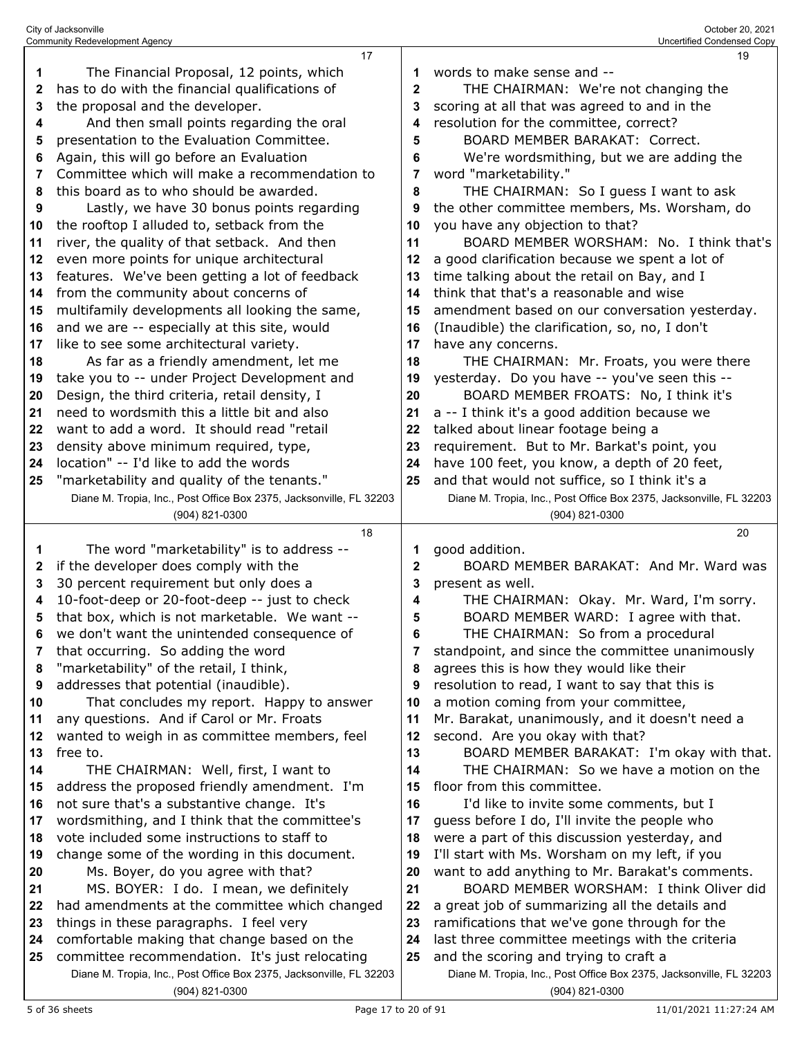|    | <b>Community Redevelopment Agency</b>                               |              | Uncertified Condensed Copy                                          |
|----|---------------------------------------------------------------------|--------------|---------------------------------------------------------------------|
|    | 17                                                                  |              | 19                                                                  |
| 1  | The Financial Proposal, 12 points, which                            | 1            | words to make sense and --                                          |
| 2  | has to do with the financial qualifications of                      | $\mathbf{2}$ | THE CHAIRMAN: We're not changing the                                |
| 3  | the proposal and the developer.                                     | 3            | scoring at all that was agreed to and in the                        |
| 4  | And then small points regarding the oral                            | 4            | resolution for the committee, correct?                              |
| 5  | presentation to the Evaluation Committee.                           | 5            | <b>BOARD MEMBER BARAKAT: Correct.</b>                               |
| 6  | Again, this will go before an Evaluation                            | 6            | We're wordsmithing, but we are adding the                           |
| 7  | Committee which will make a recommendation to                       | 7            | word "marketability."                                               |
| 8  | this board as to who should be awarded.                             | 8            | THE CHAIRMAN: So I guess I want to ask                              |
| 9  | Lastly, we have 30 bonus points regarding                           | 9            | the other committee members, Ms. Worsham, do                        |
| 10 | the rooftop I alluded to, setback from the                          | 10           | you have any objection to that?                                     |
| 11 | river, the quality of that setback. And then                        | 11           | BOARD MEMBER WORSHAM: No. I think that's                            |
| 12 | even more points for unique architectural                           | 12           | a good clarification because we spent a lot of                      |
| 13 | features. We've been getting a lot of feedback                      | 13           | time talking about the retail on Bay, and I                         |
| 14 | from the community about concerns of                                | 14           | think that that's a reasonable and wise                             |
|    | multifamily developments all looking the same,                      |              | amendment based on our conversation yesterday.                      |
| 15 |                                                                     | 15           |                                                                     |
| 16 | and we are -- especially at this site, would                        | 16           | (Inaudible) the clarification, so, no, I don't                      |
| 17 | like to see some architectural variety.                             | 17           | have any concerns.                                                  |
| 18 | As far as a friendly amendment, let me                              | 18           | THE CHAIRMAN: Mr. Froats, you were there                            |
| 19 | take you to -- under Project Development and                        | 19           | yesterday. Do you have -- you've seen this --                       |
| 20 | Design, the third criteria, retail density, I                       | 20           | BOARD MEMBER FROATS: No, I think it's                               |
| 21 | need to wordsmith this a little bit and also                        | 21           | a -- I think it's a good addition because we                        |
| 22 | want to add a word. It should read "retail                          | 22           | talked about linear footage being a                                 |
| 23 | density above minimum required, type,                               | 23           | requirement. But to Mr. Barkat's point, you                         |
| 24 | location" -- I'd like to add the words                              | 24           | have 100 feet, you know, a depth of 20 feet,                        |
| 25 | "marketability and quality of the tenants."                         | 25           | and that would not suffice, so I think it's a                       |
|    | Diane M. Tropia, Inc., Post Office Box 2375, Jacksonville, FL 32203 |              | Diane M. Tropia, Inc., Post Office Box 2375, Jacksonville, FL 32203 |
|    | (904) 821-0300                                                      |              | (904) 821-0300                                                      |
|    |                                                                     |              |                                                                     |
|    | 18                                                                  |              | 20                                                                  |
| 1  | The word "marketability" is to address --                           | 1            | good addition.                                                      |
| 2  | if the developer does comply with the                               | $\mathbf{2}$ | BOARD MEMBER BARAKAT: And Mr. Ward was                              |
| 3  | 30 percent requirement but only does a                              | 3            | present as well.                                                    |
| 4  | 10-foot-deep or 20-foot-deep -- just to check                       | 4            | THE CHAIRMAN: Okay. Mr. Ward, I'm sorry.                            |
| 5  | that box, which is not marketable. We want --                       | 5            | BOARD MEMBER WARD: I agree with that.                               |
| 6  | we don't want the unintended consequence of                         | 6            | THE CHAIRMAN: So from a procedural                                  |
| 7  | that occurring. So adding the word                                  | 7            | standpoint, and since the committee unanimously                     |
| 8  | "marketability" of the retail, I think,                             | 8            | agrees this is how they would like their                            |
| 9  | addresses that potential (inaudible).                               | 9            | resolution to read, I want to say that this is                      |
| 10 | That concludes my report. Happy to answer                           | 10           | a motion coming from your committee,                                |
| 11 | any questions. And if Carol or Mr. Froats                           | 11           | Mr. Barakat, unanimously, and it doesn't need a                     |
| 12 | wanted to weigh in as committee members, feel                       | 12           | second. Are you okay with that?                                     |
| 13 | free to.                                                            | 13           | BOARD MEMBER BARAKAT: I'm okay with that.                           |
| 14 | THE CHAIRMAN: Well, first, I want to                                | 14           | THE CHAIRMAN: So we have a motion on the                            |
| 15 | address the proposed friendly amendment. I'm                        | 15           | floor from this committee.                                          |
| 16 | not sure that's a substantive change. It's                          | 16           | I'd like to invite some comments, but I                             |
| 17 | wordsmithing, and I think that the committee's                      | 17           | guess before I do, I'll invite the people who                       |
| 18 | vote included some instructions to staff to                         | 18           | were a part of this discussion yesterday, and                       |
| 19 | change some of the wording in this document.                        | 19           | I'll start with Ms. Worsham on my left, if you                      |
| 20 | Ms. Boyer, do you agree with that?                                  | 20           | want to add anything to Mr. Barakat's comments.                     |
| 21 | MS. BOYER: I do. I mean, we definitely                              | 21           | BOARD MEMBER WORSHAM: I think Oliver did                            |
| 22 | had amendments at the committee which changed                       | 22           | a great job of summarizing all the details and                      |
| 23 | things in these paragraphs. I feel very                             | 23           | ramifications that we've gone through for the                       |
| 24 | comfortable making that change based on the                         | 24           | last three committee meetings with the criteria                     |
| 25 | committee recommendation. It's just relocating                      | 25           | and the scoring and trying to craft a                               |
|    | Diane M. Tropia, Inc., Post Office Box 2375, Jacksonville, FL 32203 |              | Diane M. Tropia, Inc., Post Office Box 2375, Jacksonville, FL 32203 |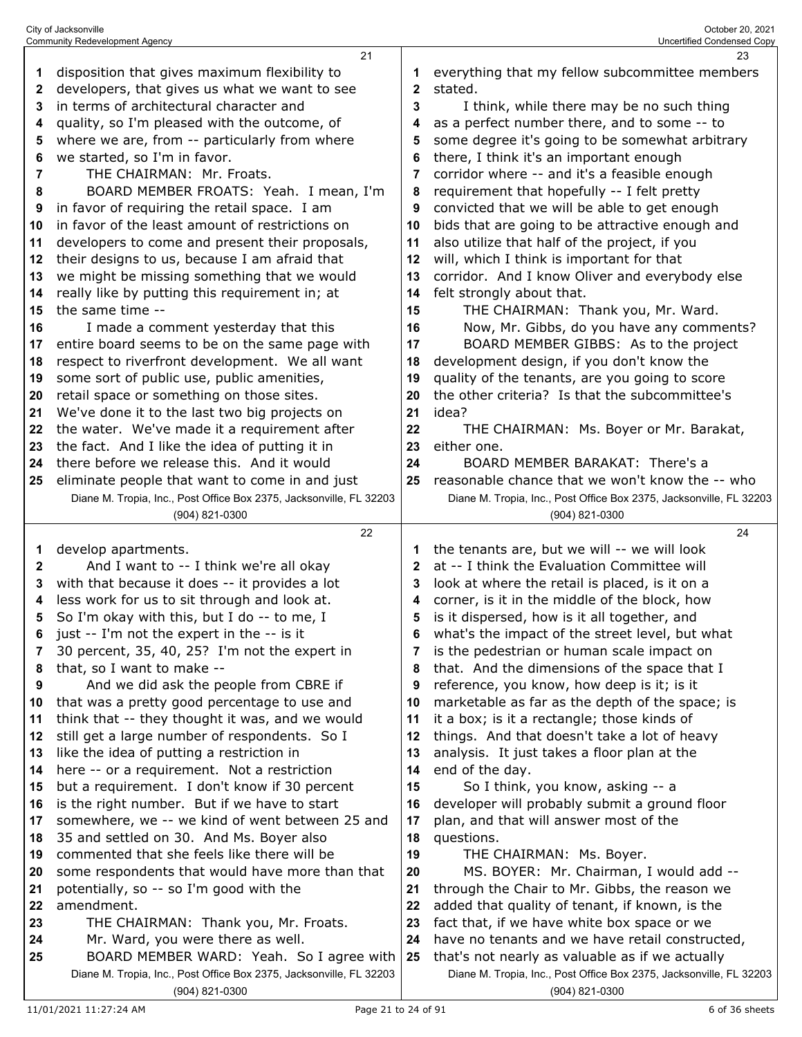|          | City of Jacksonville<br><b>Community Redevelopment Agency</b>                                  |          | October 20, 2021<br>Uncertified Condensed Copy                      |
|----------|------------------------------------------------------------------------------------------------|----------|---------------------------------------------------------------------|
|          | 21                                                                                             |          | 23                                                                  |
| 1        | disposition that gives maximum flexibility to                                                  | 1        | everything that my fellow subcommittee members                      |
| 2        | developers, that gives us what we want to see                                                  | 2        | stated.                                                             |
| 3        | in terms of architectural character and                                                        | 3        | I think, while there may be no such thing                           |
| 4        | quality, so I'm pleased with the outcome, of                                                   | 4        | as a perfect number there, and to some -- to                        |
| 5        | where we are, from -- particularly from where                                                  | 5        | some degree it's going to be somewhat arbitrary                     |
| 6        | we started, so I'm in favor.                                                                   | 6        | there, I think it's an important enough                             |
| 7        | THE CHAIRMAN: Mr. Froats.                                                                      | 7        | corridor where -- and it's a feasible enough                        |
| 8        | BOARD MEMBER FROATS: Yeah. I mean, I'm                                                         | 8        | requirement that hopefully -- I felt pretty                         |
| 9        | in favor of requiring the retail space. I am                                                   | 9        | convicted that we will be able to get enough                        |
| 10       | in favor of the least amount of restrictions on                                                | 10       | bids that are going to be attractive enough and                     |
| 11       | developers to come and present their proposals,                                                | 11       | also utilize that half of the project, if you                       |
| 12       | their designs to us, because I am afraid that                                                  | 12       | will, which I think is important for that                           |
| 13       | we might be missing something that we would                                                    | 13       | corridor. And I know Oliver and everybody else                      |
| 14       | really like by putting this requirement in; at                                                 | 14       | felt strongly about that.                                           |
| 15       | the same time --                                                                               | 15       | THE CHAIRMAN: Thank you, Mr. Ward.                                  |
| 16       | I made a comment yesterday that this                                                           | 16       | Now, Mr. Gibbs, do you have any comments?                           |
| 17       | entire board seems to be on the same page with                                                 | 17       | BOARD MEMBER GIBBS: As to the project                               |
| 18       | respect to riverfront development. We all want                                                 | 18       | development design, if you don't know the                           |
| 19       | some sort of public use, public amenities,                                                     | 19       | quality of the tenants, are you going to score                      |
| 20       | retail space or something on those sites.                                                      | 20       | the other criteria? Is that the subcommittee's                      |
| 21       | We've done it to the last two big projects on                                                  | 21       | idea?                                                               |
| 22       | the water. We've made it a requirement after                                                   | 22       | THE CHAIRMAN: Ms. Boyer or Mr. Barakat,                             |
| 23       | the fact. And I like the idea of putting it in                                                 | 23       | either one.                                                         |
| 24       | there before we release this. And it would                                                     | 24       | BOARD MEMBER BARAKAT: There's a                                     |
| 25       | eliminate people that want to come in and just                                                 | 25       | reasonable chance that we won't know the -- who                     |
|          | Diane M. Tropia, Inc., Post Office Box 2375, Jacksonville, FL 32203                            |          | Diane M. Tropia, Inc., Post Office Box 2375, Jacksonville, FL 32203 |
|          | (904) 821-0300<br>22                                                                           |          | (904) 821-0300<br>24                                                |
| 1        | develop apartments.                                                                            | 1        | the tenants are, but we will -- we will look                        |
| 2        | And I want to -- I think we're all okay                                                        | 2        | at -- I think the Evaluation Committee will                         |
| 3        | with that because it does -- it provides a lot                                                 | 3        | look at where the retail is placed, is it on a                      |
| 4        | less work for us to sit through and look at.                                                   | 4        | corner, is it in the middle of the block, how                       |
| 5        | So I'm okay with this, but I do -- to me, I                                                    | 5        | is it dispersed, how is it all together, and                        |
| 6        | just -- I'm not the expert in the -- is it                                                     | 6        | what's the impact of the street level, but what                     |
| 7        | 30 percent, 35, 40, 25? I'm not the expert in                                                  |          | is the pedestrian or human scale impact on                          |
| 8        | that, so I want to make --                                                                     | 8        | that. And the dimensions of the space that I                        |
| 9        | And we did ask the people from CBRE if                                                         | 9        | reference, you know, how deep is it; is it                          |
| 10       | that was a pretty good percentage to use and                                                   | 10       | marketable as far as the depth of the space; is                     |
| 11       | think that -- they thought it was, and we would                                                | 11       | it a box; is it a rectangle; those kinds of                         |
| 12       | still get a large number of respondents. So I                                                  | 12       | things. And that doesn't take a lot of heavy                        |
| 13       | like the idea of putting a restriction in                                                      | 13       | analysis. It just takes a floor plan at the                         |
| 14       | here -- or a requirement. Not a restriction                                                    | 14       | end of the day.                                                     |
| 15       | but a requirement. I don't know if 30 percent                                                  | 15       | So I think, you know, asking -- a                                   |
| 16       | is the right number. But if we have to start                                                   | 16       | developer will probably submit a ground floor                       |
| 17       | somewhere, we -- we kind of went between 25 and                                                | 17       | plan, and that will answer most of the                              |
| 18       | 35 and settled on 30. And Ms. Boyer also                                                       | 18       | questions.                                                          |
| 19       | commented that she feels like there will be<br>some respondents that would have more than that | 19       | THE CHAIRMAN: Ms. Boyer.<br>MS. BOYER: Mr. Chairman, I would add -- |
| 20<br>21 | potentially, so -- so I'm good with the                                                        | 20<br>21 | through the Chair to Mr. Gibbs, the reason we                       |
| 22       | amendment.                                                                                     | 22       | added that quality of tenant, if known, is the                      |
| 23       | THE CHAIRMAN: Thank you, Mr. Froats.                                                           | 23       | fact that, if we have white box space or we                         |
| 24       | Mr. Ward, you were there as well.                                                              | 24       | have no tenants and we have retail constructed,                     |
| 25       | BOARD MEMBER WARD: Yeah. So I agree with                                                       | 25       | that's not nearly as valuable as if we actually                     |
|          | Diane M. Tropia, Inc., Post Office Box 2375, Jacksonville, FL 32203                            |          | Diane M. Tropia, Inc., Post Office Box 2375, Jacksonville, FL 32203 |
|          | (904) 821-0300                                                                                 |          | (904) 821-0300                                                      |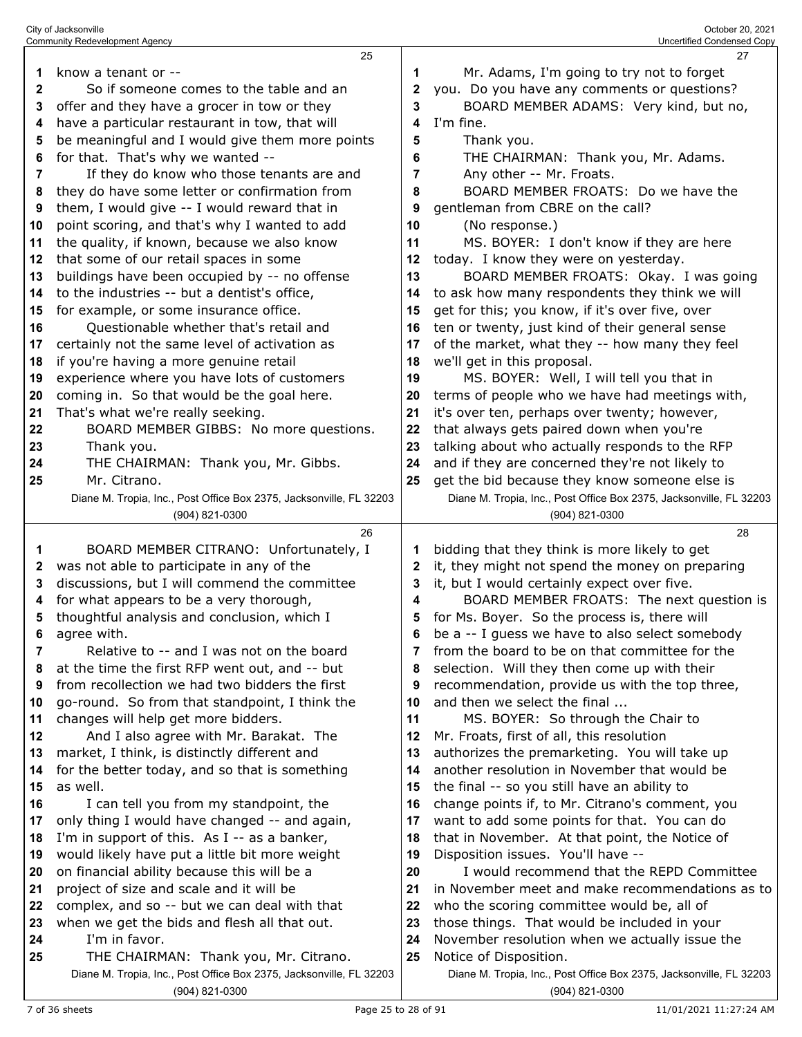|              | <b>Community Redevelopment Agency</b>                                                 |                | Uncertified Condensed Copy                                                            |
|--------------|---------------------------------------------------------------------------------------|----------------|---------------------------------------------------------------------------------------|
|              | 25                                                                                    |                | 27                                                                                    |
| 1            | know a tenant or --                                                                   | 1              | Mr. Adams, I'm going to try not to forget                                             |
| 2            | So if someone comes to the table and an                                               | 2              | you. Do you have any comments or questions?                                           |
| 3            | offer and they have a grocer in tow or they                                           | 3              | BOARD MEMBER ADAMS: Very kind, but no,                                                |
|              |                                                                                       | 4              | I'm fine.                                                                             |
| 4            | have a particular restaurant in tow, that will                                        |                |                                                                                       |
| 5            | be meaningful and I would give them more points                                       | 5              | Thank you.                                                                            |
| 6            | for that. That's why we wanted --                                                     | 6              | THE CHAIRMAN: Thank you, Mr. Adams.                                                   |
| 7            | If they do know who those tenants are and                                             | $\overline{7}$ | Any other -- Mr. Froats.                                                              |
| 8            | they do have some letter or confirmation from                                         | 8              | BOARD MEMBER FROATS: Do we have the                                                   |
| 9            | them, I would give -- I would reward that in                                          | 9              | gentleman from CBRE on the call?                                                      |
| 10           | point scoring, and that's why I wanted to add                                         | 10             | (No response.)                                                                        |
| 11           | the quality, if known, because we also know                                           | 11             | MS. BOYER: I don't know if they are here                                              |
| 12           | that some of our retail spaces in some                                                | 12             | today. I know they were on yesterday.                                                 |
| 13           | buildings have been occupied by -- no offense                                         | 13             | BOARD MEMBER FROATS: Okay. I was going                                                |
| 14           | to the industries -- but a dentist's office,                                          | 14             | to ask how many respondents they think we will                                        |
| 15           | for example, or some insurance office.                                                | 15             | get for this; you know, if it's over five, over                                       |
|              |                                                                                       |                |                                                                                       |
| 16           | Questionable whether that's retail and                                                | 16             | ten or twenty, just kind of their general sense                                       |
| 17           | certainly not the same level of activation as                                         | 17             | of the market, what they -- how many they feel                                        |
| 18           | if you're having a more genuine retail                                                | 18             | we'll get in this proposal.                                                           |
| 19           | experience where you have lots of customers                                           | 19             | MS. BOYER: Well, I will tell you that in                                              |
| 20           | coming in. So that would be the goal here.                                            | 20             | terms of people who we have had meetings with,                                        |
| 21           | That's what we're really seeking.                                                     | 21             | it's over ten, perhaps over twenty; however,                                          |
| 22           | BOARD MEMBER GIBBS: No more questions.                                                | 22             | that always gets paired down when you're                                              |
| 23           | Thank you.                                                                            | 23             | talking about who actually responds to the RFP                                        |
| 24           | THE CHAIRMAN: Thank you, Mr. Gibbs.                                                   | 24             | and if they are concerned they're not likely to                                       |
| 25           | Mr. Citrano.                                                                          | 25             | get the bid because they know someone else is                                         |
|              | Diane M. Tropia, Inc., Post Office Box 2375, Jacksonville, FL 32203                   |                | Diane M. Tropia, Inc., Post Office Box 2375, Jacksonville, FL 32203                   |
|              | (904) 821-0300                                                                        |                | (904) 821-0300                                                                        |
|              |                                                                                       |                |                                                                                       |
|              |                                                                                       |                |                                                                                       |
|              | 26                                                                                    |                | 28                                                                                    |
| 1            | BOARD MEMBER CITRANO: Unfortunately, I                                                | 1              | bidding that they think is more likely to get                                         |
| $\mathbf{z}$ | was not able to participate in any of the                                             | 2              | it, they might not spend the money on preparing                                       |
| 3            | discussions, but I will commend the committee                                         | 3              | it, but I would certainly expect over five.                                           |
| 4            | for what appears to be a very thorough,                                               | 4              | BOARD MEMBER FROATS: The next question is                                             |
| 5            | thoughtful analysis and conclusion, which I                                           | 5              | for Ms. Boyer. So the process is, there will                                          |
| 6            | agree with.                                                                           | 6              | be a -- I guess we have to also select somebody                                       |
| 7            | Relative to -- and I was not on the board                                             | 7              | from the board to be on that committee for the                                        |
| 8            | at the time the first RFP went out, and -- but                                        | 8              | selection. Will they then come up with their                                          |
| 9            | from recollection we had two bidders the first                                        | 9              | recommendation, provide us with the top three,                                        |
| 10           | go-round. So from that standpoint, I think the                                        | 10             | and then we select the final                                                          |
| 11           | changes will help get more bidders.                                                   | 11             | MS. BOYER: So through the Chair to                                                    |
| 12           | And I also agree with Mr. Barakat. The                                                | 12             | Mr. Froats, first of all, this resolution                                             |
| 13           | market, I think, is distinctly different and                                          | 13             | authorizes the premarketing. You will take up                                         |
| 14           | for the better today, and so that is something                                        | 14             | another resolution in November that would be                                          |
| 15           | as well.                                                                              |                |                                                                                       |
|              |                                                                                       | 15             | the final -- so you still have an ability to                                          |
| 16           | I can tell you from my standpoint, the                                                | 16             | change points if, to Mr. Citrano's comment, you                                       |
| 17           | only thing I would have changed -- and again,                                         | 17             | want to add some points for that. You can do                                          |
| 18           | I'm in support of this. As I -- as a banker,                                          | 18             | that in November. At that point, the Notice of                                        |
| 19           | would likely have put a little bit more weight                                        | 19             | Disposition issues. You'll have --                                                    |
| 20           | on financial ability because this will be a                                           | 20             | I would recommend that the REPD Committee                                             |
| 21           | project of size and scale and it will be                                              | 21             | in November meet and make recommendations as to                                       |
| 22           | complex, and so -- but we can deal with that                                          | 22             | who the scoring committee would be, all of                                            |
| 23           | when we get the bids and flesh all that out.                                          | 23             | those things. That would be included in your                                          |
| 24           | I'm in favor.                                                                         | 24             | November resolution when we actually issue the                                        |
| 25           | THE CHAIRMAN: Thank you, Mr. Citrano.                                                 | 25             | Notice of Disposition.                                                                |
|              | Diane M. Tropia, Inc., Post Office Box 2375, Jacksonville, FL 32203<br>(904) 821-0300 |                | Diane M. Tropia, Inc., Post Office Box 2375, Jacksonville, FL 32203<br>(904) 821-0300 |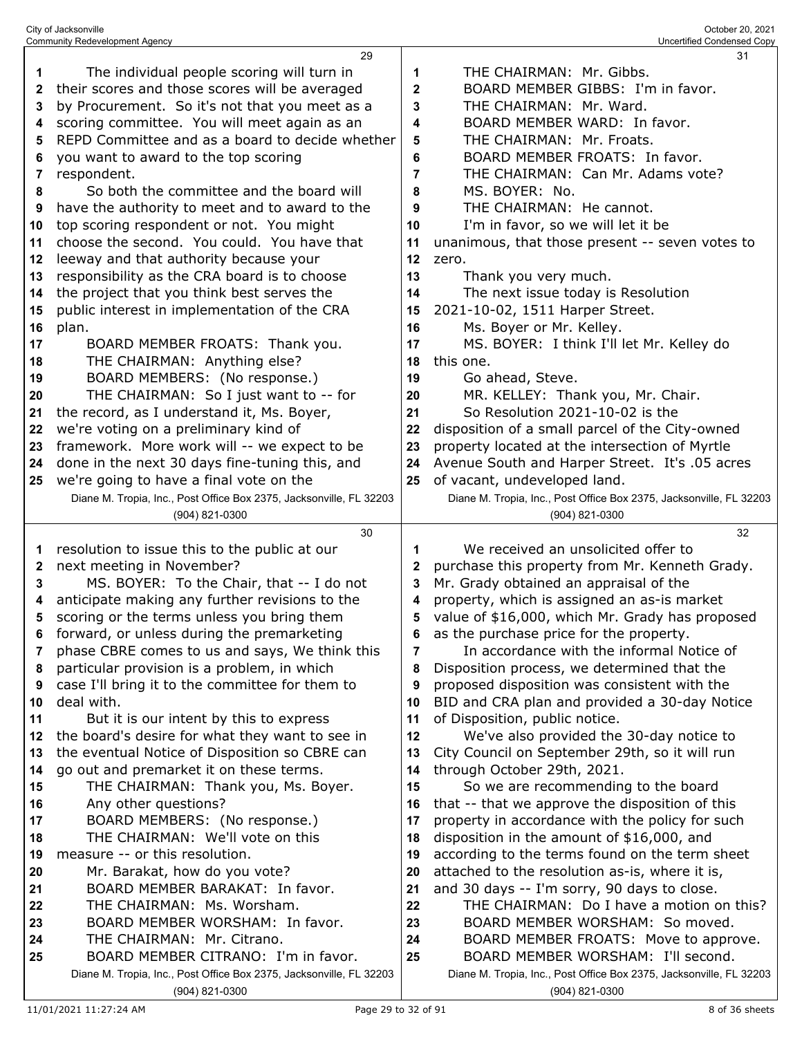|              | 29                                                                                                             |              | 31                                                                                                  |
|--------------|----------------------------------------------------------------------------------------------------------------|--------------|-----------------------------------------------------------------------------------------------------|
| 1            | The individual people scoring will turn in                                                                     | 1            | THE CHAIRMAN: Mr. Gibbs.                                                                            |
| 2            | their scores and those scores will be averaged                                                                 | $\mathbf{2}$ | BOARD MEMBER GIBBS: I'm in favor.                                                                   |
| 3            | by Procurement. So it's not that you meet as a                                                                 | 3            | THE CHAIRMAN: Mr. Ward.                                                                             |
| 4            | scoring committee. You will meet again as an                                                                   | 4            | BOARD MEMBER WARD: In favor.                                                                        |
| 5            | REPD Committee and as a board to decide whether                                                                | 5            | THE CHAIRMAN: Mr. Froats.                                                                           |
| 6            | you want to award to the top scoring                                                                           | 6            | BOARD MEMBER FROATS: In favor.                                                                      |
| 7            | respondent.                                                                                                    | 7            | THE CHAIRMAN: Can Mr. Adams vote?                                                                   |
| 8            | So both the committee and the board will                                                                       | 8            | MS. BOYER: No.                                                                                      |
| 9            | have the authority to meet and to award to the                                                                 | 9            | THE CHAIRMAN: He cannot.                                                                            |
| 10           | top scoring respondent or not. You might                                                                       | 10           | I'm in favor, so we will let it be                                                                  |
| 11           | choose the second. You could. You have that                                                                    | 11           | unanimous, that those present -- seven votes to                                                     |
| 12           | leeway and that authority because your                                                                         | 12           | zero.                                                                                               |
| 13           | responsibility as the CRA board is to choose                                                                   | 13           | Thank you very much.                                                                                |
| 14           | the project that you think best serves the                                                                     | 14           | The next issue today is Resolution                                                                  |
| 15           | public interest in implementation of the CRA                                                                   | 15           | 2021-10-02, 1511 Harper Street.                                                                     |
|              |                                                                                                                | 16           | Ms. Boyer or Mr. Kelley.                                                                            |
| 16           | plan.                                                                                                          |              |                                                                                                     |
| 17           | BOARD MEMBER FROATS: Thank you.<br>THE CHAIRMAN: Anything else?                                                | 17<br>18     | MS. BOYER: I think I'll let Mr. Kelley do<br>this one.                                              |
| 18           | BOARD MEMBERS: (No response.)                                                                                  |              | Go ahead, Steve.                                                                                    |
| 19           | THE CHAIRMAN: So I just want to -- for                                                                         | 19           |                                                                                                     |
| 20           |                                                                                                                | 20           | MR. KELLEY: Thank you, Mr. Chair.<br>So Resolution 2021-10-02 is the                                |
| 21           | the record, as I understand it, Ms. Boyer,                                                                     | 21           | disposition of a small parcel of the City-owned                                                     |
| 22           | we're voting on a preliminary kind of<br>framework. More work will -- we expect to be                          | 22           | property located at the intersection of Myrtle                                                      |
| 23           |                                                                                                                | 23           |                                                                                                     |
| 24           | done in the next 30 days fine-tuning this, and                                                                 | 24           | Avenue South and Harper Street. It's .05 acres                                                      |
| 25           | we're going to have a final vote on the<br>Diane M. Tropia, Inc., Post Office Box 2375, Jacksonville, FL 32203 | 25           | of vacant, undeveloped land.<br>Diane M. Tropia, Inc., Post Office Box 2375, Jacksonville, FL 32203 |
|              | (904) 821-0300                                                                                                 |              | (904) 821-0300                                                                                      |
|              |                                                                                                                |              |                                                                                                     |
|              |                                                                                                                |              |                                                                                                     |
|              | 30                                                                                                             |              | 32                                                                                                  |
| 1            | resolution to issue this to the public at our                                                                  | 1            | We received an unsolicited offer to                                                                 |
| $\mathbf{2}$ | next meeting in November?                                                                                      | 2            | purchase this property from Mr. Kenneth Grady.                                                      |
| 3            | MS. BOYER: To the Chair, that -- I do not                                                                      | 3            | Mr. Grady obtained an appraisal of the                                                              |
| 4            | anticipate making any further revisions to the                                                                 | 4            | property, which is assigned an as-is market                                                         |
| 5            | scoring or the terms unless you bring them                                                                     | 5            | value of \$16,000, which Mr. Grady has proposed                                                     |
| 6            | forward, or unless during the premarketing                                                                     | 6            | as the purchase price for the property.                                                             |
| 7            | phase CBRE comes to us and says, We think this                                                                 | 7            | In accordance with the informal Notice of                                                           |
| 8            | particular provision is a problem, in which                                                                    | 8            | Disposition process, we determined that the                                                         |
| 9            | case I'll bring it to the committee for them to                                                                | 9            | proposed disposition was consistent with the                                                        |
| 10           | deal with.                                                                                                     | 10           | BID and CRA plan and provided a 30-day Notice                                                       |
| 11           | But it is our intent by this to express                                                                        | 11           | of Disposition, public notice.                                                                      |
| 12           | the board's desire for what they want to see in                                                                | 12           | We've also provided the 30-day notice to                                                            |
| 13           | the eventual Notice of Disposition so CBRE can                                                                 | 13           | City Council on September 29th, so it will run                                                      |
| 14           | go out and premarket it on these terms.                                                                        | 14           | through October 29th, 2021.                                                                         |
| 15           | THE CHAIRMAN: Thank you, Ms. Boyer.                                                                            | 15           | So we are recommending to the board                                                                 |
| 16           | Any other questions?                                                                                           | 16           | that -- that we approve the disposition of this                                                     |
| 17           | BOARD MEMBERS: (No response.)                                                                                  | 17           | property in accordance with the policy for such                                                     |
| 18           | THE CHAIRMAN: We'll vote on this<br>measure -- or this resolution.                                             | 18<br>19     | disposition in the amount of \$16,000, and                                                          |
| 19<br>20     | Mr. Barakat, how do you vote?                                                                                  | 20           | according to the terms found on the term sheet<br>attached to the resolution as-is, where it is,    |
| 21           | BOARD MEMBER BARAKAT: In favor.                                                                                | 21           |                                                                                                     |
| 22           | THE CHAIRMAN: Ms. Worsham.                                                                                     | 22           | and 30 days -- I'm sorry, 90 days to close.<br>THE CHAIRMAN: Do I have a motion on this?            |
| 23           | BOARD MEMBER WORSHAM: In favor.                                                                                | 23           | BOARD MEMBER WORSHAM: So moved.                                                                     |
| 24           | THE CHAIRMAN: Mr. Citrano.                                                                                     | 24           | BOARD MEMBER FROATS: Move to approve.                                                               |
| 25           | BOARD MEMBER CITRANO: I'm in favor.                                                                            | 25           | BOARD MEMBER WORSHAM: I'll second.                                                                  |
|              | Diane M. Tropia, Inc., Post Office Box 2375, Jacksonville, FL 32203                                            |              | Diane M. Tropia, Inc., Post Office Box 2375, Jacksonville, FL 32203                                 |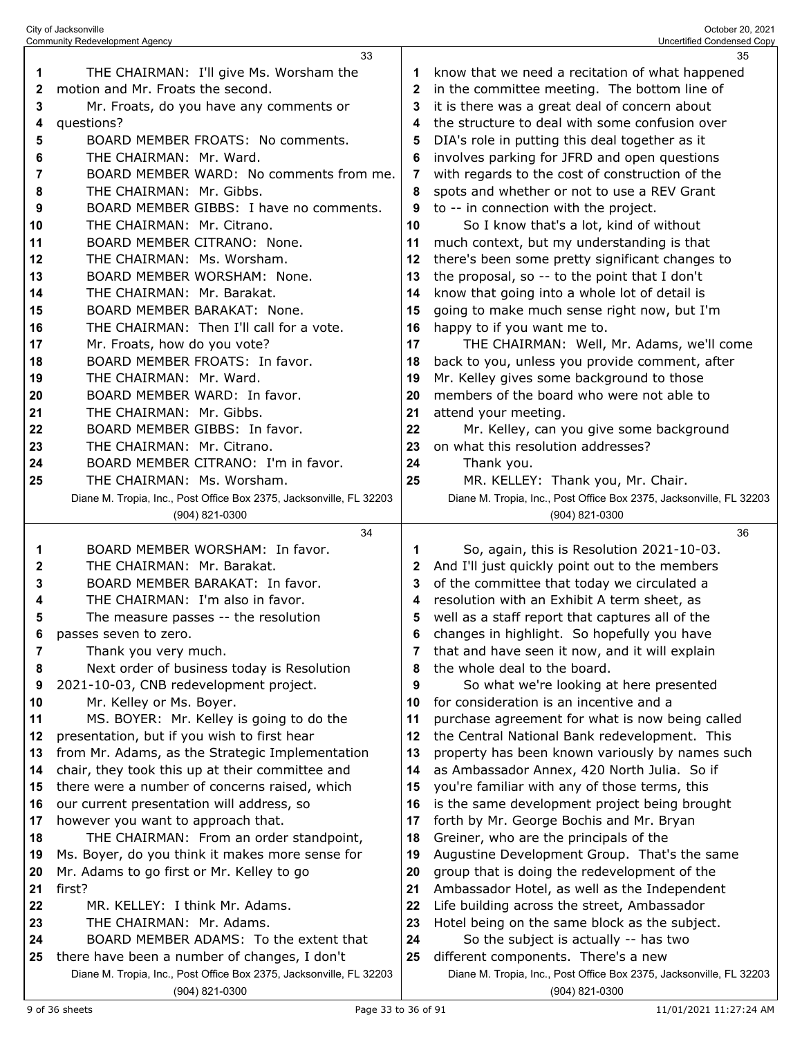|    | <b>Community Redevelopment Agency</b>                                                 |              | Uncertified Condensed Copy                                                            |
|----|---------------------------------------------------------------------------------------|--------------|---------------------------------------------------------------------------------------|
|    | 33                                                                                    |              | 35                                                                                    |
| 1  | THE CHAIRMAN: I'll give Ms. Worsham the                                               | 1            | know that we need a recitation of what happened                                       |
| 2  | motion and Mr. Froats the second.                                                     | $\mathbf{2}$ | in the committee meeting. The bottom line of                                          |
| 3  | Mr. Froats, do you have any comments or                                               | 3            | it is there was a great deal of concern about                                         |
| 4  | questions?                                                                            | 4            | the structure to deal with some confusion over                                        |
| 5  | BOARD MEMBER FROATS: No comments.                                                     | 5            | DIA's role in putting this deal together as it                                        |
| 6  | THE CHAIRMAN: Mr. Ward.                                                               | 6            | involves parking for JFRD and open questions                                          |
| 7  | BOARD MEMBER WARD: No comments from me.                                               | 7            | with regards to the cost of construction of the                                       |
|    | THE CHAIRMAN: Mr. Gibbs.                                                              |              |                                                                                       |
| 8  |                                                                                       | 8            | spots and whether or not to use a REV Grant                                           |
| 9  | BOARD MEMBER GIBBS: I have no comments.                                               | 9            | to -- in connection with the project.                                                 |
| 10 | THE CHAIRMAN: Mr. Citrano.                                                            | 10           | So I know that's a lot, kind of without                                               |
| 11 | BOARD MEMBER CITRANO: None.                                                           | 11           | much context, but my understanding is that                                            |
| 12 | THE CHAIRMAN: Ms. Worsham.                                                            | 12           | there's been some pretty significant changes to                                       |
| 13 | BOARD MEMBER WORSHAM: None.                                                           | 13           | the proposal, so -- to the point that I don't                                         |
| 14 | THE CHAIRMAN: Mr. Barakat.                                                            | 14           | know that going into a whole lot of detail is                                         |
| 15 | BOARD MEMBER BARAKAT: None.                                                           | 15           | going to make much sense right now, but I'm                                           |
| 16 | THE CHAIRMAN: Then I'll call for a vote.                                              | 16           | happy to if you want me to.                                                           |
| 17 | Mr. Froats, how do you vote?                                                          | 17           | THE CHAIRMAN: Well, Mr. Adams, we'll come                                             |
| 18 | BOARD MEMBER FROATS: In favor.                                                        | 18           | back to you, unless you provide comment, after                                        |
| 19 | THE CHAIRMAN: Mr. Ward.                                                               | 19           | Mr. Kelley gives some background to those                                             |
| 20 | BOARD MEMBER WARD: In favor.                                                          | 20           | members of the board who were not able to                                             |
| 21 | THE CHAIRMAN: Mr. Gibbs.                                                              | 21           | attend your meeting.                                                                  |
| 22 | BOARD MEMBER GIBBS: In favor.                                                         | 22           | Mr. Kelley, can you give some background                                              |
| 23 | THE CHAIRMAN: Mr. Citrano.                                                            | 23           | on what this resolution addresses?                                                    |
| 24 | BOARD MEMBER CITRANO: I'm in favor.                                                   | 24           | Thank you.                                                                            |
| 25 | THE CHAIRMAN: Ms. Worsham.                                                            | 25           | MR. KELLEY: Thank you, Mr. Chair.                                                     |
|    | Diane M. Tropia, Inc., Post Office Box 2375, Jacksonville, FL 32203                   |              | Diane M. Tropia, Inc., Post Office Box 2375, Jacksonville, FL 32203                   |
|    | (904) 821-0300                                                                        |              | (904) 821-0300                                                                        |
|    |                                                                                       |              |                                                                                       |
|    |                                                                                       |              |                                                                                       |
|    | 34                                                                                    |              | 36                                                                                    |
| 1  | BOARD MEMBER WORSHAM: In favor.                                                       | 1            | So, again, this is Resolution 2021-10-03.                                             |
| 2  | THE CHAIRMAN: Mr. Barakat.                                                            | 2            | And I'll just quickly point out to the members                                        |
| 3  | BOARD MEMBER BARAKAT: In favor.                                                       | 3            | of the committee that today we circulated a                                           |
| 4  | THE CHAIRMAN: I'm also in favor.                                                      | 4            | resolution with an Exhibit A term sheet, as                                           |
| 5  | The measure passes -- the resolution                                                  | 5            | well as a staff report that captures all of the                                       |
| 6  | passes seven to zero.                                                                 | 6            | changes in highlight. So hopefully you have                                           |
| 7  | Thank you very much.                                                                  | 7            | that and have seen it now, and it will explain                                        |
| 8  | Next order of business today is Resolution                                            | 8            | the whole deal to the board.                                                          |
| 9  | 2021-10-03, CNB redevelopment project.                                                | 9            | So what we're looking at here presented                                               |
| 10 | Mr. Kelley or Ms. Boyer.                                                              | 10           | for consideration is an incentive and a                                               |
| 11 | MS. BOYER: Mr. Kelley is going to do the                                              | 11           | purchase agreement for what is now being called                                       |
| 12 | presentation, but if you wish to first hear                                           | 12           | the Central National Bank redevelopment. This                                         |
| 13 | from Mr. Adams, as the Strategic Implementation                                       | 13           | property has been known variously by names such                                       |
| 14 | chair, they took this up at their committee and                                       | 14           | as Ambassador Annex, 420 North Julia. So if                                           |
| 15 | there were a number of concerns raised, which                                         | 15           | you're familiar with any of those terms, this                                         |
| 16 | our current presentation will address, so                                             | 16           | is the same development project being brought                                         |
| 17 | however you want to approach that.                                                    | 17           | forth by Mr. George Bochis and Mr. Bryan                                              |
| 18 | THE CHAIRMAN: From an order standpoint,                                               | 18           | Greiner, who are the principals of the                                                |
| 19 | Ms. Boyer, do you think it makes more sense for                                       | 19           | Augustine Development Group. That's the same                                          |
| 20 | Mr. Adams to go first or Mr. Kelley to go                                             | 20           | group that is doing the redevelopment of the                                          |
| 21 | first?                                                                                | 21           | Ambassador Hotel, as well as the Independent                                          |
| 22 | MR. KELLEY: I think Mr. Adams.                                                        | 22           | Life building across the street, Ambassador                                           |
| 23 | THE CHAIRMAN: Mr. Adams.                                                              | 23           | Hotel being on the same block as the subject.                                         |
| 24 | BOARD MEMBER ADAMS: To the extent that                                                | 24           | So the subject is actually -- has two                                                 |
| 25 | there have been a number of changes, I don't                                          | 25           | different components. There's a new                                                   |
|    | Diane M. Tropia, Inc., Post Office Box 2375, Jacksonville, FL 32203<br>(904) 821-0300 |              | Diane M. Tropia, Inc., Post Office Box 2375, Jacksonville, FL 32203<br>(904) 821-0300 |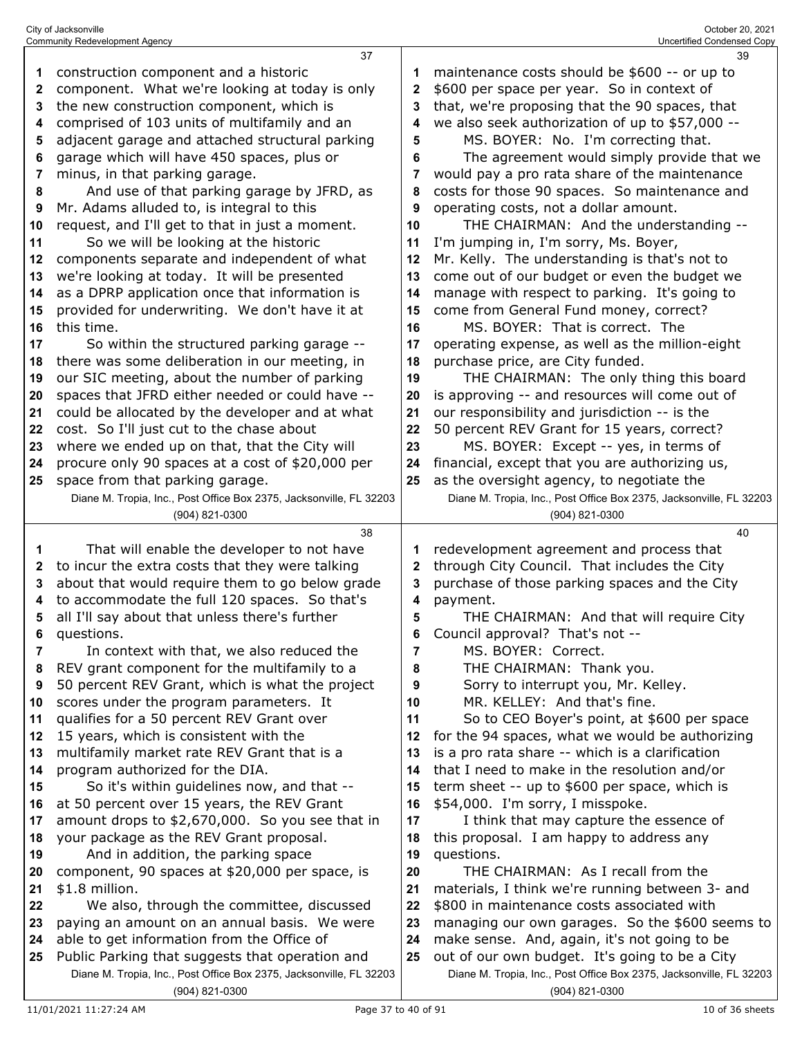|          | <b>Community Redevelopment Agency</b>                                                     |          | Uncertified Condensed Copy                                                                      |
|----------|-------------------------------------------------------------------------------------------|----------|-------------------------------------------------------------------------------------------------|
|          | 37                                                                                        |          | 39                                                                                              |
| 1        | construction component and a historic                                                     |          | maintenance costs should be \$600 -- or up to                                                   |
| 2        | component. What we're looking at today is only                                            | 2        | \$600 per space per year. So in context of                                                      |
| 3        | the new construction component, which is                                                  | 3        | that, we're proposing that the 90 spaces, that                                                  |
| 4        | comprised of 103 units of multifamily and an                                              | 4        | we also seek authorization of up to \$57,000 --                                                 |
| 5        | adjacent garage and attached structural parking                                           | 5        | MS. BOYER: No. I'm correcting that.                                                             |
| 6        | garage which will have 450 spaces, plus or                                                | 6        | The agreement would simply provide that we                                                      |
| 7        | minus, in that parking garage.                                                            | 7        | would pay a pro rata share of the maintenance                                                   |
| 8        | And use of that parking garage by JFRD, as                                                | 8        | costs for those 90 spaces. So maintenance and                                                   |
| 9        | Mr. Adams alluded to, is integral to this                                                 | 9        | operating costs, not a dollar amount.                                                           |
| 10       | request, and I'll get to that in just a moment.                                           | 10       | THE CHAIRMAN: And the understanding --                                                          |
| 11       | So we will be looking at the historic                                                     | 11       | I'm jumping in, I'm sorry, Ms. Boyer,                                                           |
| 12       | components separate and independent of what                                               | 12       | Mr. Kelly. The understanding is that's not to                                                   |
| 13       | we're looking at today. It will be presented                                              | 13       | come out of our budget or even the budget we                                                    |
| 14       | as a DPRP application once that information is                                            | 14       | manage with respect to parking. It's going to                                                   |
| 15       | provided for underwriting. We don't have it at                                            | 15       | come from General Fund money, correct?                                                          |
| 16       | this time.                                                                                | 16       | MS. BOYER: That is correct. The                                                                 |
| 17       | So within the structured parking garage --                                                | 17       | operating expense, as well as the million-eight                                                 |
| 18       | there was some deliberation in our meeting, in                                            | 18       | purchase price, are City funded.                                                                |
| 19       | our SIC meeting, about the number of parking                                              | 19       | THE CHAIRMAN: The only thing this board                                                         |
| 20       | spaces that JFRD either needed or could have --                                           | 20       | is approving -- and resources will come out of                                                  |
| 21       | could be allocated by the developer and at what                                           | 21       | our responsibility and jurisdiction -- is the                                                   |
| 22       | cost. So I'll just cut to the chase about                                                 | 22       | 50 percent REV Grant for 15 years, correct?                                                     |
| 23       | where we ended up on that, that the City will                                             | 23       | MS. BOYER: Except -- yes, in terms of                                                           |
| 24       | procure only 90 spaces at a cost of \$20,000 per                                          | 24       | financial, except that you are authorizing us,                                                  |
| 25       | space from that parking garage.                                                           | 25       | as the oversight agency, to negotiate the                                                       |
|          | Diane M. Tropia, Inc., Post Office Box 2375, Jacksonville, FL 32203                       |          | Diane M. Tropia, Inc., Post Office Box 2375, Jacksonville, FL 32203                             |
|          | (904) 821-0300                                                                            |          | (904) 821-0300                                                                                  |
|          |                                                                                           |          |                                                                                                 |
|          | 38                                                                                        |          | 40                                                                                              |
| 1        | That will enable the developer to not have                                                | 1        | redevelopment agreement and process that                                                        |
| 2        | to incur the extra costs that they were talking                                           | 2        | through City Council. That includes the City                                                    |
| 3        | about that would require them to go below grade                                           | 3        | purchase of those parking spaces and the City                                                   |
| 4        | to accommodate the full 120 spaces. So that's                                             | 4        | payment.                                                                                        |
| 5        | all I'll say about that unless there's further                                            | 5        | THE CHAIRMAN: And that will require City                                                        |
| 6        | questions.                                                                                | 6        | Council approval? That's not --                                                                 |
| 7        | In context with that, we also reduced the                                                 | 7        | MS. BOYER: Correct.                                                                             |
| 8        | REV grant component for the multifamily to a                                              | 8        | THE CHAIRMAN: Thank you.                                                                        |
| 9        | 50 percent REV Grant, which is what the project                                           | 9        | Sorry to interrupt you, Mr. Kelley.                                                             |
| 10       | scores under the program parameters. It                                                   | 10       | MR. KELLEY: And that's fine.                                                                    |
| 11       | qualifies for a 50 percent REV Grant over                                                 | 11       | So to CEO Boyer's point, at \$600 per space                                                     |
| 12       | 15 years, which is consistent with the                                                    | 12       | for the 94 spaces, what we would be authorizing                                                 |
| 13       | multifamily market rate REV Grant that is a                                               | 13       | is a pro rata share -- which is a clarification                                                 |
| 14       | program authorized for the DIA.                                                           | 14       | that I need to make in the resolution and/or                                                    |
| 15       | So it's within guidelines now, and that --                                                | 15       | term sheet -- up to \$600 per space, which is                                                   |
| 16       | at 50 percent over 15 years, the REV Grant                                                | 16       | \$54,000. I'm sorry, I misspoke.                                                                |
| 17       | amount drops to \$2,670,000. So you see that in                                           | 17       | I think that may capture the essence of                                                         |
| 18       | your package as the REV Grant proposal.                                                   | 18       | this proposal. I am happy to address any                                                        |
| 19       | And in addition, the parking space                                                        | 19<br>20 | questions.<br>THE CHAIRMAN: As I recall from the                                                |
| 20<br>21 | component, 90 spaces at \$20,000 per space, is<br>\$1.8 million.                          | 21       |                                                                                                 |
| 22       |                                                                                           | 22       | materials, I think we're running between 3- and<br>\$800 in maintenance costs associated with   |
| 23       | We also, through the committee, discussed<br>paying an amount on an annual basis. We were | 23       |                                                                                                 |
| 24       | able to get information from the Office of                                                | 24       | managing our own garages. So the \$600 seems to<br>make sense. And, again, it's not going to be |
| 25       | Public Parking that suggests that operation and                                           | 25       | out of our own budget. It's going to be a City                                                  |
|          | Diane M. Tropia, Inc., Post Office Box 2375, Jacksonville, FL 32203                       |          | Diane M. Tropia, Inc., Post Office Box 2375, Jacksonville, FL 32203                             |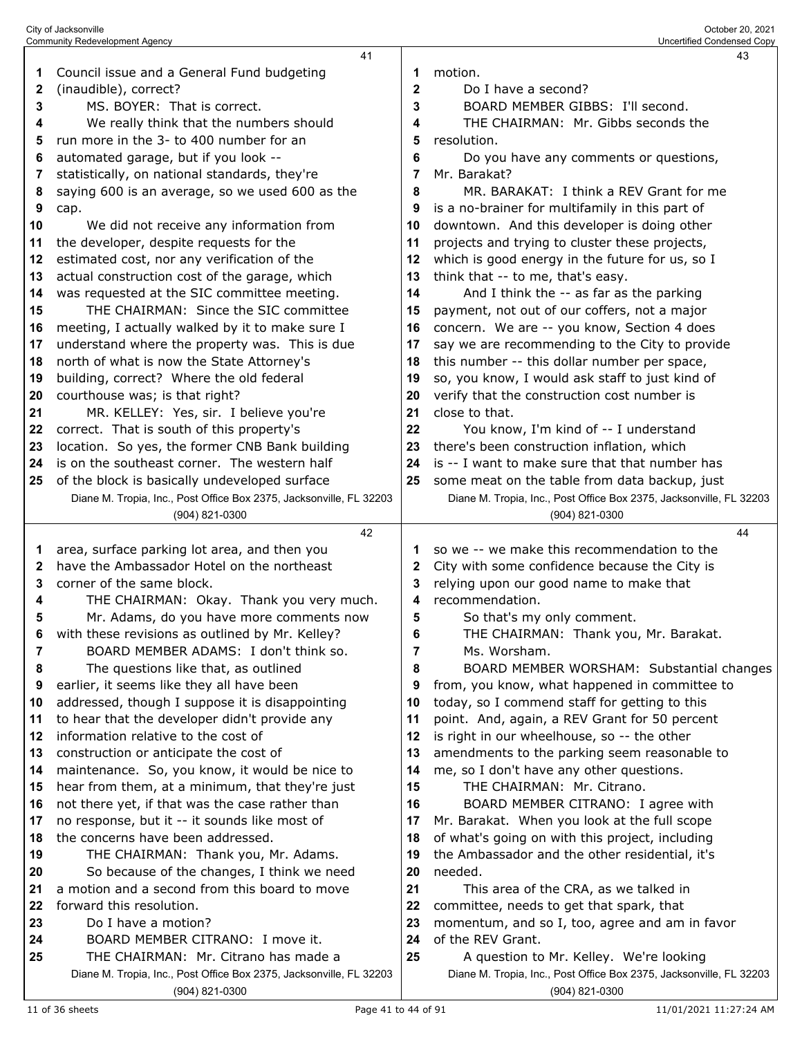|    | City of Jacksonville<br><b>Community Redevelopment Agency</b>       |              | October 20, 2021<br>Uncertified Condensed Copy                      |
|----|---------------------------------------------------------------------|--------------|---------------------------------------------------------------------|
|    | 41                                                                  |              | 43                                                                  |
| 1  | Council issue and a General Fund budgeting                          | 1            | motion.                                                             |
|    |                                                                     | $\mathbf{2}$ |                                                                     |
| 2  | (inaudible), correct?                                               |              | Do I have a second?                                                 |
| 3  | MS. BOYER: That is correct.                                         | 3            | BOARD MEMBER GIBBS: I'll second.                                    |
| 4  | We really think that the numbers should                             | 4            | THE CHAIRMAN: Mr. Gibbs seconds the                                 |
| 5  | run more in the 3- to 400 number for an                             | 5            | resolution.                                                         |
| 6  | automated garage, but if you look --                                | 6            | Do you have any comments or questions,                              |
| 7  | statistically, on national standards, they're                       | 7            | Mr. Barakat?                                                        |
| 8  | saying 600 is an average, so we used 600 as the                     | 8            | MR. BARAKAT: I think a REV Grant for me                             |
| 9  | cap.                                                                | 9            | is a no-brainer for multifamily in this part of                     |
| 10 | We did not receive any information from                             | 10           | downtown. And this developer is doing other                         |
| 11 | the developer, despite requests for the                             | 11           | projects and trying to cluster these projects,                      |
| 12 | estimated cost, nor any verification of the                         | 12           | which is good energy in the future for us, so I                     |
| 13 | actual construction cost of the garage, which                       | 13           | think that -- to me, that's easy.                                   |
| 14 | was requested at the SIC committee meeting.                         | 14           | And I think the -- as far as the parking                            |
| 15 | THE CHAIRMAN: Since the SIC committee                               | 15           | payment, not out of our coffers, not a major                        |
| 16 | meeting, I actually walked by it to make sure I                     | 16           | concern. We are -- you know, Section 4 does                         |
| 17 | understand where the property was. This is due                      | 17           | say we are recommending to the City to provide                      |
| 18 | north of what is now the State Attorney's                           | 18           | this number -- this dollar number per space,                        |
| 19 | building, correct? Where the old federal                            | 19           | so, you know, I would ask staff to just kind of                     |
| 20 | courthouse was; is that right?                                      | 20           | verify that the construction cost number is                         |
| 21 | MR. KELLEY: Yes, sir. I believe you're                              | 21           | close to that.                                                      |
| 22 | correct. That is south of this property's                           | 22           | You know, I'm kind of -- I understand                               |
| 23 | location. So yes, the former CNB Bank building                      | 23           | there's been construction inflation, which                          |
| 24 | is on the southeast corner. The western half                        | 24           | is -- I want to make sure that that number has                      |
| 25 | of the block is basically undeveloped surface                       | 25           | some meat on the table from data backup, just                       |
|    | Diane M. Tropia, Inc., Post Office Box 2375, Jacksonville, FL 32203 |              | Diane M. Tropia, Inc., Post Office Box 2375, Jacksonville, FL 32203 |
|    |                                                                     |              |                                                                     |
|    | (904) 821-0300                                                      |              | (904) 821-0300                                                      |
|    | 42                                                                  |              | 44                                                                  |
| 1  | area, surface parking lot area, and then you                        | 1.           | so we -- we make this recommendation to the                         |
| 2  | have the Ambassador Hotel on the northeast                          | 2            | City with some confidence because the City is                       |
| 3  | corner of the same block.                                           | 3            | relying upon our good name to make that                             |
| 4  | THE CHAIRMAN: Okay. Thank you very much.                            | 4            | recommendation.                                                     |
| 5  | Mr. Adams, do you have more comments now                            | 5            | So that's my only comment.                                          |
| 6  | with these revisions as outlined by Mr. Kelley?                     | 6            | THE CHAIRMAN: Thank you, Mr. Barakat.                               |
| 7  | BOARD MEMBER ADAMS: I don't think so.                               | 7            | Ms. Worsham.                                                        |
| 8  | The questions like that, as outlined                                | 8            | BOARD MEMBER WORSHAM: Substantial changes                           |
| 9  | earlier, it seems like they all have been                           | 9            | from, you know, what happened in committee to                       |
| 10 | addressed, though I suppose it is disappointing                     | 10           | today, so I commend staff for getting to this                       |
| 11 | to hear that the developer didn't provide any                       | 11           | point. And, again, a REV Grant for 50 percent                       |
| 12 | information relative to the cost of                                 | 12           | is right in our wheelhouse, so -- the other                         |
| 13 | construction or anticipate the cost of                              | 13           | amendments to the parking seem reasonable to                        |
| 14 | maintenance. So, you know, it would be nice to                      | 14           | me, so I don't have any other questions.                            |
| 15 | hear from them, at a minimum, that they're just                     | 15           | THE CHAIRMAN: Mr. Citrano.                                          |
| 16 | not there yet, if that was the case rather than                     | 16           | BOARD MEMBER CITRANO: I agree with                                  |
| 17 | no response, but it -- it sounds like most of                       | 17           | Mr. Barakat. When you look at the full scope                        |
| 18 | the concerns have been addressed.                                   | 18           | of what's going on with this project, including                     |
| 19 | THE CHAIRMAN: Thank you, Mr. Adams.                                 | 19           | the Ambassador and the other residential, it's                      |
| 20 | So because of the changes, I think we need                          | 20           | needed.                                                             |
| 21 | a motion and a second from this board to move                       | 21           | This area of the CRA, as we talked in                               |
| 22 | forward this resolution.                                            | 22           | committee, needs to get that spark, that                            |
| 23 | Do I have a motion?                                                 | 23           | momentum, and so I, too, agree and am in favor                      |
| 24 | BOARD MEMBER CITRANO: I move it.                                    | 24           | of the REV Grant.                                                   |
| 25 | THE CHAIRMAN: Mr. Citrano has made a                                | 25           | A question to Mr. Kelley. We're looking                             |
|    | Diane M. Tropia, Inc., Post Office Box 2375, Jacksonville, FL 32203 |              | Diane M. Tropia, Inc., Post Office Box 2375, Jacksonville, FL 32203 |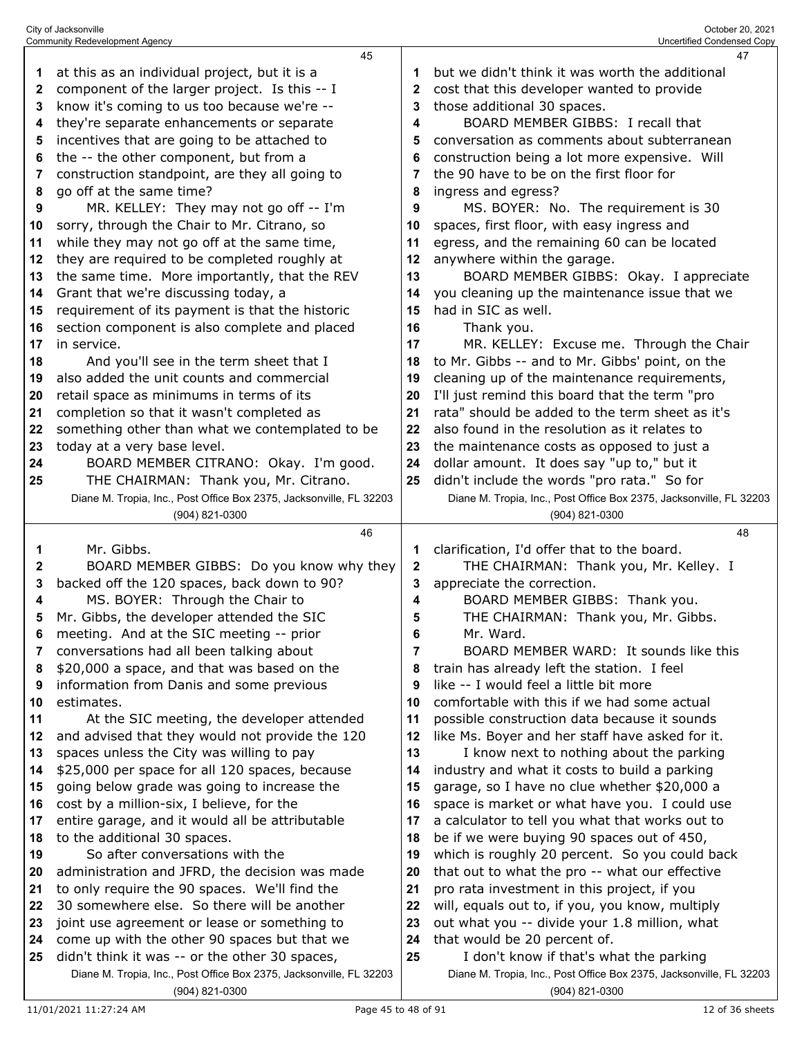|    | 45                                                                                                                    |              | 47                                                                                                             |
|----|-----------------------------------------------------------------------------------------------------------------------|--------------|----------------------------------------------------------------------------------------------------------------|
| 1  | at this as an individual project, but it is a                                                                         |              | but we didn't think it was worth the additional                                                                |
| 2  | component of the larger project. Is this -- I                                                                         | 2            | cost that this developer wanted to provide                                                                     |
| 3  | know it's coming to us too because we're --                                                                           | 3            | those additional 30 spaces.                                                                                    |
| 4  | they're separate enhancements or separate                                                                             | 4            | BOARD MEMBER GIBBS: I recall that                                                                              |
| 5  | incentives that are going to be attached to                                                                           | 5            | conversation as comments about subterranean                                                                    |
| 6  | the -- the other component, but from a                                                                                | 6            | construction being a lot more expensive. Will                                                                  |
| 7  | construction standpoint, are they all going to                                                                        | 7            | the 90 have to be on the first floor for                                                                       |
| 8  | go off at the same time?                                                                                              | 8            | ingress and egress?                                                                                            |
| 9  | MR. KELLEY: They may not go off -- I'm                                                                                | 9            | MS. BOYER: No. The requirement is 30                                                                           |
| 10 | sorry, through the Chair to Mr. Citrano, so                                                                           | 10           | spaces, first floor, with easy ingress and                                                                     |
| 11 | while they may not go off at the same time,                                                                           | 11           | egress, and the remaining 60 can be located                                                                    |
| 12 | they are required to be completed roughly at                                                                          | 12           | anywhere within the garage.                                                                                    |
| 13 | the same time. More importantly, that the REV                                                                         | 13           | BOARD MEMBER GIBBS: Okay. I appreciate                                                                         |
| 14 | Grant that we're discussing today, a                                                                                  | 14           | you cleaning up the maintenance issue that we                                                                  |
| 15 | requirement of its payment is that the historic                                                                       | 15           | had in SIC as well.                                                                                            |
| 16 | section component is also complete and placed                                                                         | 16           | Thank you.                                                                                                     |
| 17 | in service.                                                                                                           | 17           | MR. KELLEY: Excuse me. Through the Chair                                                                       |
| 18 | And you'll see in the term sheet that I                                                                               | 18           | to Mr. Gibbs -- and to Mr. Gibbs' point, on the                                                                |
| 19 | also added the unit counts and commercial                                                                             | 19           | cleaning up of the maintenance requirements,                                                                   |
| 20 | retail space as minimums in terms of its                                                                              | 20           | I'll just remind this board that the term "pro                                                                 |
| 21 | completion so that it wasn't completed as                                                                             | 21           | rata" should be added to the term sheet as it's                                                                |
| 22 | something other than what we contemplated to be                                                                       | 22           | also found in the resolution as it relates to                                                                  |
| 23 | today at a very base level.                                                                                           | 23           | the maintenance costs as opposed to just a                                                                     |
| 24 | BOARD MEMBER CITRANO: Okay. I'm good.                                                                                 | 24           | dollar amount. It does say "up to," but it                                                                     |
| 25 | THE CHAIRMAN: Thank you, Mr. Citrano.                                                                                 | 25           | didn't include the words "pro rata." So for                                                                    |
|    | Diane M. Tropia, Inc., Post Office Box 2375, Jacksonville, FL 32203                                                   |              | Diane M. Tropia, Inc., Post Office Box 2375, Jacksonville, FL 32203                                            |
|    | (904) 821-0300                                                                                                        |              | (904) 821-0300                                                                                                 |
|    |                                                                                                                       |              |                                                                                                                |
|    | 46                                                                                                                    |              | 48                                                                                                             |
| 1  | Mr. Gibbs.                                                                                                            | 1            | clarification, I'd offer that to the board.                                                                    |
| 2  | BOARD MEMBER GIBBS: Do you know why they                                                                              | $\mathbf{2}$ | THE CHAIRMAN: Thank you, Mr. Kelley. I                                                                         |
| 3  | backed off the 120 spaces, back down to 90?                                                                           | 3            | appreciate the correction.                                                                                     |
| 4  | MS. BOYER: Through the Chair to                                                                                       | 4            | BOARD MEMBER GIBBS: Thank you.                                                                                 |
| 5  | Mr. Gibbs, the developer attended the SIC                                                                             | 5            | THE CHAIRMAN: Thank you, Mr. Gibbs.                                                                            |
|    | meeting. And at the SIC meeting -- prior                                                                              | 6            | Mr. Ward.                                                                                                      |
| 7  | conversations had all been talking about                                                                              | 7            | BOARD MEMBER WARD: It sounds like this                                                                         |
| 8  | \$20,000 a space, and that was based on the                                                                           | 8            | train has already left the station. I feel                                                                     |
| 9  | information from Danis and some previous                                                                              | 9            | like -- I would feel a little bit more                                                                         |
| 10 | estimates.                                                                                                            | 10           | comfortable with this if we had some actual                                                                    |
| 11 | At the SIC meeting, the developer attended                                                                            | 11           | possible construction data because it sounds                                                                   |
| 12 | and advised that they would not provide the 120                                                                       | 12           | like Ms. Boyer and her staff have asked for it.                                                                |
| 13 | spaces unless the City was willing to pay                                                                             | 13           | I know next to nothing about the parking                                                                       |
| 14 | \$25,000 per space for all 120 spaces, because                                                                        | 14           | industry and what it costs to build a parking                                                                  |
| 15 | going below grade was going to increase the                                                                           | 15           | garage, so I have no clue whether \$20,000 a                                                                   |
| 16 | cost by a million-six, I believe, for the                                                                             | 16           | space is market or what have you. I could use                                                                  |
| 17 | entire garage, and it would all be attributable                                                                       | 17           | a calculator to tell you what that works out to                                                                |
| 18 | to the additional 30 spaces.                                                                                          | 18           | be if we were buying 90 spaces out of 450,                                                                     |
| 19 | So after conversations with the                                                                                       | 19           | which is roughly 20 percent. So you could back                                                                 |
| 20 | administration and JFRD, the decision was made                                                                        | 20           | that out to what the pro -- what our effective                                                                 |
| 21 | to only require the 90 spaces. We'll find the                                                                         | 21           | pro rata investment in this project, if you                                                                    |
| 22 | 30 somewhere else. So there will be another                                                                           | 22           | will, equals out to, if you, you know, multiply                                                                |
| 23 | joint use agreement or lease or something to                                                                          | 23           | out what you -- divide your 1.8 million, what                                                                  |
| 24 | come up with the other 90 spaces but that we                                                                          | 24           | that would be 20 percent of.                                                                                   |
| 25 | didn't think it was -- or the other 30 spaces,<br>Diane M. Tropia, Inc., Post Office Box 2375, Jacksonville, FL 32203 | 25           | I don't know if that's what the parking<br>Diane M. Tropia, Inc., Post Office Box 2375, Jacksonville, FL 32203 |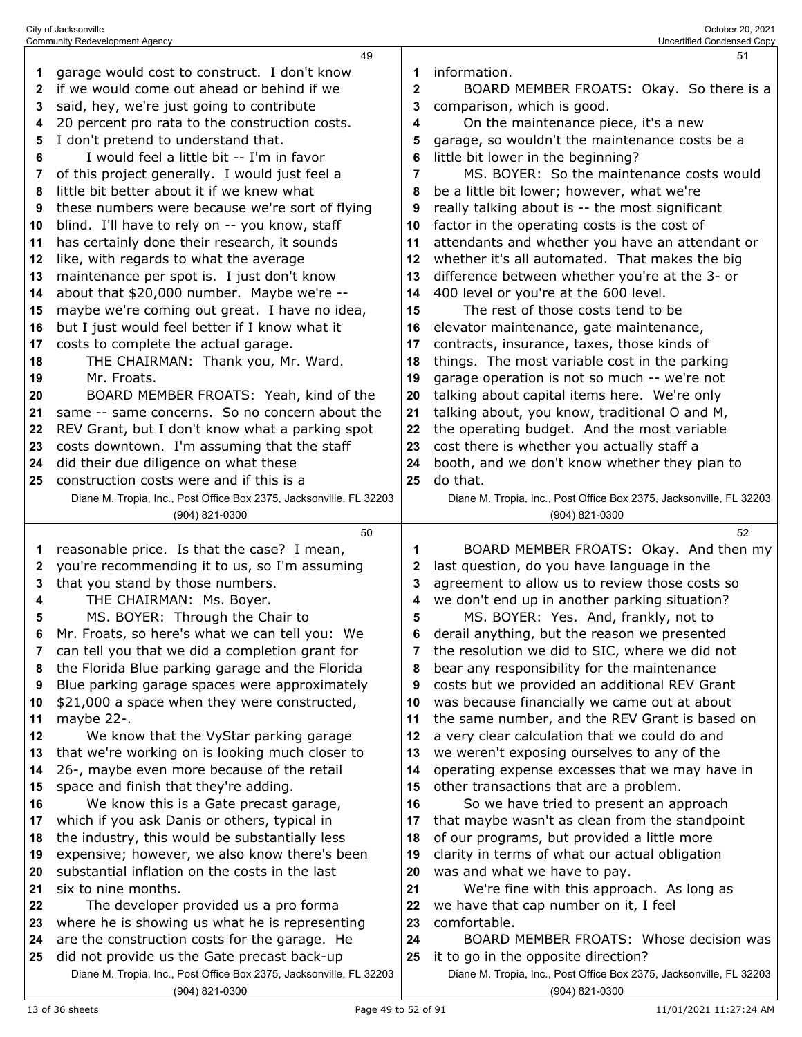|              | City of Jacksonville<br><b>Community Redevelopment Agency</b>                                |              | October 20, 2021<br>Uncertified Condensed Copy                                        |
|--------------|----------------------------------------------------------------------------------------------|--------------|---------------------------------------------------------------------------------------|
|              | 49                                                                                           |              | 51                                                                                    |
| 1            | garage would cost to construct. I don't know                                                 | 1            | information.                                                                          |
| $\mathbf{2}$ | if we would come out ahead or behind if we                                                   | $\mathbf{2}$ | BOARD MEMBER FROATS: Okay. So there is a                                              |
| 3            | said, hey, we're just going to contribute                                                    | 3            | comparison, which is good.                                                            |
| 4            | 20 percent pro rata to the construction costs.                                               | 4            | On the maintenance piece, it's a new                                                  |
| 5            | I don't pretend to understand that.                                                          | 5            | garage, so wouldn't the maintenance costs be a                                        |
| 6            | I would feel a little bit -- I'm in favor                                                    | 6            | little bit lower in the beginning?                                                    |
| 7            | of this project generally. I would just feel a                                               | 7            | MS. BOYER: So the maintenance costs would                                             |
| 8            | little bit better about it if we knew what                                                   | 8            | be a little bit lower; however, what we're                                            |
| 9            | these numbers were because we're sort of flying                                              | 9            | really talking about is -- the most significant                                       |
| 10           | blind. I'll have to rely on -- you know, staff                                               | 10           | factor in the operating costs is the cost of                                          |
| 11           | has certainly done their research, it sounds                                                 | 11           | attendants and whether you have an attendant or                                       |
| 12           | like, with regards to what the average                                                       | 12           | whether it's all automated. That makes the big                                        |
| 13           | maintenance per spot is. I just don't know                                                   | 13           | difference between whether you're at the 3- or                                        |
| 14           | about that \$20,000 number. Maybe we're --                                                   | 14           | 400 level or you're at the 600 level.                                                 |
| 15           | maybe we're coming out great. I have no idea,                                                | 15           | The rest of those costs tend to be                                                    |
| 16           | but I just would feel better if I know what it                                               | 16           | elevator maintenance, gate maintenance,                                               |
| 17           | costs to complete the actual garage.                                                         | 17           | contracts, insurance, taxes, those kinds of                                           |
| 18           | THE CHAIRMAN: Thank you, Mr. Ward.                                                           | 18           | things. The most variable cost in the parking                                         |
| 19           | Mr. Froats.                                                                                  | 19           | garage operation is not so much -- we're not                                          |
| 20           | BOARD MEMBER FROATS: Yeah, kind of the                                                       | 20           | talking about capital items here. We're only                                          |
| 21           | same -- same concerns. So no concern about the                                               | 21           | talking about, you know, traditional O and M,                                         |
| 22           | REV Grant, but I don't know what a parking spot                                              | 22           | the operating budget. And the most variable                                           |
| 23           | costs downtown. I'm assuming that the staff                                                  | 23           | cost there is whether you actually staff a                                            |
| 24           | did their due diligence on what these                                                        | 24           | booth, and we don't know whether they plan to                                         |
| 25           | construction costs were and if this is a                                                     | 25           | do that.                                                                              |
|              | Diane M. Tropia, Inc., Post Office Box 2375, Jacksonville, FL 32203                          |              | Diane M. Tropia, Inc., Post Office Box 2375, Jacksonville, FL 32203                   |
|              | (904) 821-0300                                                                               |              | (904) 821-0300                                                                        |
|              | 50<br>reasonable price. Is that the case? I mean,                                            |              | 52                                                                                    |
| 1<br>2       | you're recommending it to us, so I'm assuming                                                | 1<br>2       | BOARD MEMBER FROATS: Okay. And then my<br>last question, do you have language in the  |
| 3            | that you stand by those numbers.                                                             | 3            | agreement to allow us to review those costs so                                        |
| 4            | THE CHAIRMAN: Ms. Boyer.                                                                     | 4            | we don't end up in another parking situation?                                         |
| 5            | MS. BOYER: Through the Chair to                                                              | 5            | MS. BOYER: Yes. And, frankly, not to                                                  |
| 6            | Mr. Froats, so here's what we can tell you: We                                               | 6            | derail anything, but the reason we presented                                          |
| 7            | can tell you that we did a completion grant for                                              | 7            | the resolution we did to SIC, where we did not                                        |
| 8            | the Florida Blue parking garage and the Florida                                              | 8            | bear any responsibility for the maintenance                                           |
| 9            | Blue parking garage spaces were approximately                                                | 9            | costs but we provided an additional REV Grant                                         |
| 10           | \$21,000 a space when they were constructed,                                                 | 10           | was because financially we came out at about                                          |
| 11           | maybe 22-.                                                                                   | 11           | the same number, and the REV Grant is based on                                        |
| 12           | We know that the VyStar parking garage                                                       | 12           | a very clear calculation that we could do and                                         |
| 13           | that we're working on is looking much closer to                                              | 13           | we weren't exposing ourselves to any of the                                           |
| 14           | 26-, maybe even more because of the retail                                                   | 14           | operating expense excesses that we may have in                                        |
| 15           | space and finish that they're adding.                                                        | 15           | other transactions that are a problem.                                                |
| 16           | We know this is a Gate precast garage,                                                       | 16           | So we have tried to present an approach                                               |
| 17           | which if you ask Danis or others, typical in                                                 | 17           | that maybe wasn't as clean from the standpoint                                        |
| 18           | the industry, this would be substantially less                                               | 18           | of our programs, but provided a little more                                           |
| 19           | expensive; however, we also know there's been                                                | 19           | clarity in terms of what our actual obligation                                        |
| 20           | substantial inflation on the costs in the last                                               | 20           | was and what we have to pay.                                                          |
| 21           | six to nine months.                                                                          | 21           | We're fine with this approach. As long as                                             |
| 22           | The developer provided us a pro forma                                                        | 22           | we have that cap number on it, I feel                                                 |
| 23           | where he is showing us what he is representing                                               | 23           | comfortable.                                                                          |
| 24<br>25     | are the construction costs for the garage. He<br>did not provide us the Gate precast back-up | 24<br>25     | BOARD MEMBER FROATS: Whose decision was<br>it to go in the opposite direction?        |
|              |                                                                                              |              |                                                                                       |
|              |                                                                                              |              |                                                                                       |
|              | Diane M. Tropia, Inc., Post Office Box 2375, Jacksonville, FL 32203<br>(904) 821-0300        |              | Diane M. Tropia, Inc., Post Office Box 2375, Jacksonville, FL 32203<br>(904) 821-0300 |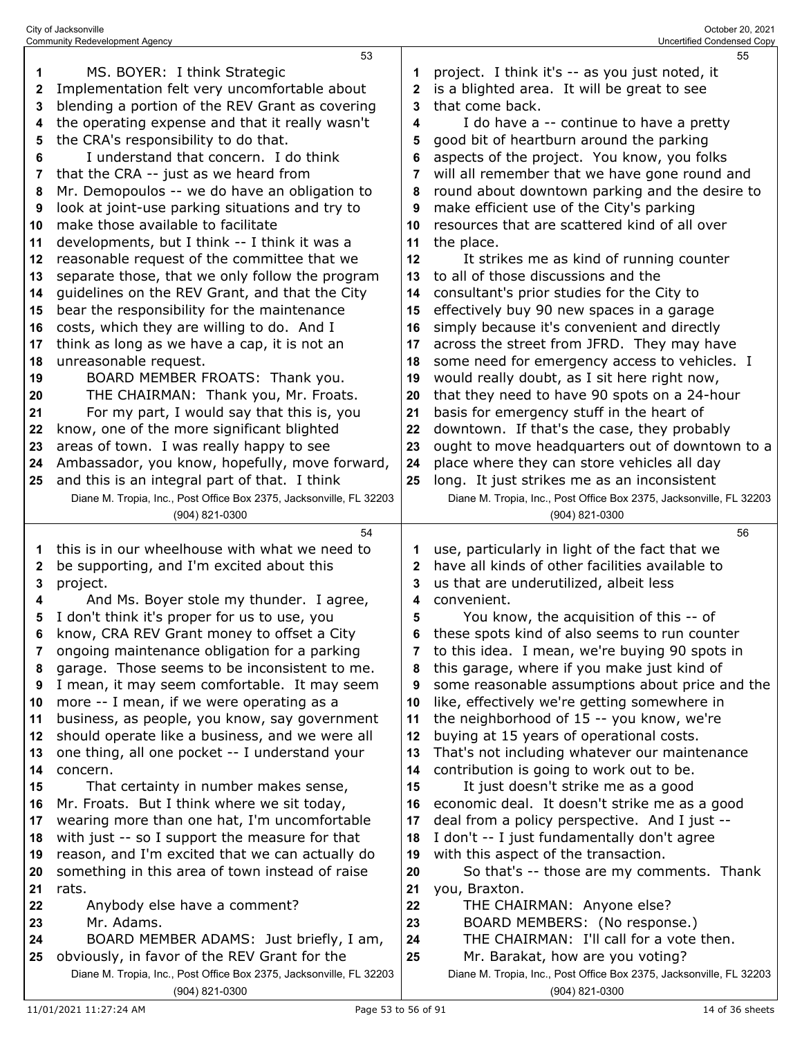|    | Community Redevelopment Agency                                                                                      |              | Uncertified Condensed Copy                                                                              |
|----|---------------------------------------------------------------------------------------------------------------------|--------------|---------------------------------------------------------------------------------------------------------|
|    | 53                                                                                                                  |              | 55                                                                                                      |
| 1  | MS. BOYER: I think Strategic                                                                                        | 1            | project. I think it's -- as you just noted, it                                                          |
| 2  | Implementation felt very uncomfortable about                                                                        | 2            | is a blighted area. It will be great to see                                                             |
| 3  | blending a portion of the REV Grant as covering                                                                     | 3            | that come back.                                                                                         |
|    |                                                                                                                     |              |                                                                                                         |
| 4  | the operating expense and that it really wasn't                                                                     | 4            | I do have a -- continue to have a pretty                                                                |
| 5  | the CRA's responsibility to do that.                                                                                | 5            | good bit of heartburn around the parking                                                                |
| 6  | I understand that concern. I do think                                                                               | 6            | aspects of the project. You know, you folks                                                             |
| 7  | that the CRA -- just as we heard from                                                                               | 7            | will all remember that we have gone round and                                                           |
| 8  | Mr. Demopoulos -- we do have an obligation to                                                                       | 8            | round about downtown parking and the desire to                                                          |
| 9  | look at joint-use parking situations and try to                                                                     | 9            | make efficient use of the City's parking                                                                |
| 10 | make those available to facilitate                                                                                  | 10           | resources that are scattered kind of all over                                                           |
|    |                                                                                                                     |              |                                                                                                         |
| 11 | developments, but I think -- I think it was a                                                                       | 11           | the place.                                                                                              |
| 12 | reasonable request of the committee that we                                                                         | 12           | It strikes me as kind of running counter                                                                |
| 13 | separate those, that we only follow the program                                                                     | 13           | to all of those discussions and the                                                                     |
| 14 | guidelines on the REV Grant, and that the City                                                                      | 14           | consultant's prior studies for the City to                                                              |
| 15 | bear the responsibility for the maintenance                                                                         | 15           | effectively buy 90 new spaces in a garage                                                               |
| 16 | costs, which they are willing to do. And I                                                                          | 16           | simply because it's convenient and directly                                                             |
| 17 | think as long as we have a cap, it is not an                                                                        | 17           | across the street from JFRD. They may have                                                              |
| 18 | unreasonable request.                                                                                               | 18           | some need for emergency access to vehicles. I                                                           |
|    |                                                                                                                     |              |                                                                                                         |
| 19 | BOARD MEMBER FROATS: Thank you.                                                                                     | 19           | would really doubt, as I sit here right now,                                                            |
| 20 | THE CHAIRMAN: Thank you, Mr. Froats.                                                                                | 20           | that they need to have 90 spots on a 24-hour                                                            |
| 21 | For my part, I would say that this is, you                                                                          | 21           | basis for emergency stuff in the heart of                                                               |
| 22 | know, one of the more significant blighted                                                                          | 22           | downtown. If that's the case, they probably                                                             |
| 23 | areas of town. I was really happy to see                                                                            | 23           | ought to move headquarters out of downtown to a                                                         |
| 24 | Ambassador, you know, hopefully, move forward,                                                                      | 24           | place where they can store vehicles all day                                                             |
| 25 | and this is an integral part of that. I think                                                                       | 25           | long. It just strikes me as an inconsistent                                                             |
|    | Diane M. Tropia, Inc., Post Office Box 2375, Jacksonville, FL 32203                                                 |              | Diane M. Tropia, Inc., Post Office Box 2375, Jacksonville, FL 32203                                     |
|    |                                                                                                                     |              |                                                                                                         |
|    |                                                                                                                     |              |                                                                                                         |
|    | (904) 821-0300                                                                                                      |              | (904) 821-0300                                                                                          |
|    | 54                                                                                                                  |              | 56                                                                                                      |
| 1  | this is in our wheelhouse with what we need to                                                                      | 1            | use, particularly in light of the fact that we                                                          |
| 2  | be supporting, and I'm excited about this                                                                           | $\mathbf{2}$ | have all kinds of other facilities available to                                                         |
| 3  | project.                                                                                                            | 3            | us that are underutilized, albeit less                                                                  |
| 4  | And Ms. Boyer stole my thunder. I agree,                                                                            | 4            | convenient.                                                                                             |
| 5  | I don't think it's proper for us to use, you                                                                        | 5            | You know, the acquisition of this -- of                                                                 |
| 6  | know, CRA REV Grant money to offset a City                                                                          | 6            | these spots kind of also seems to run counter                                                           |
| 7  |                                                                                                                     | 7            |                                                                                                         |
| 8  | ongoing maintenance obligation for a parking                                                                        | 8            | to this idea. I mean, we're buying 90 spots in                                                          |
|    | garage. Those seems to be inconsistent to me.                                                                       |              | this garage, where if you make just kind of                                                             |
| 9  | I mean, it may seem comfortable. It may seem                                                                        | 9            | some reasonable assumptions about price and the                                                         |
| 10 | more -- I mean, if we were operating as a                                                                           | 10           | like, effectively we're getting somewhere in                                                            |
| 11 | business, as people, you know, say government                                                                       | 11           | the neighborhood of 15 -- you know, we're                                                               |
| 12 | should operate like a business, and we were all                                                                     | 12           | buying at 15 years of operational costs.                                                                |
| 13 | one thing, all one pocket -- I understand your                                                                      | 13           | That's not including whatever our maintenance                                                           |
| 14 | concern.                                                                                                            | 14           | contribution is going to work out to be.                                                                |
| 15 | That certainty in number makes sense,                                                                               | 15           | It just doesn't strike me as a good                                                                     |
| 16 | Mr. Froats. But I think where we sit today,                                                                         | 16           | economic deal. It doesn't strike me as a good                                                           |
| 17 | wearing more than one hat, I'm uncomfortable                                                                        | 17           | deal from a policy perspective. And I just --                                                           |
| 18 | with just -- so I support the measure for that                                                                      | 18           | I don't -- I just fundamentally don't agree                                                             |
| 19 | reason, and I'm excited that we can actually do                                                                     | 19           | with this aspect of the transaction.                                                                    |
|    |                                                                                                                     |              |                                                                                                         |
| 20 | something in this area of town instead of raise                                                                     | 20           | So that's -- those are my comments. Thank                                                               |
| 21 | rats.                                                                                                               | 21           | you, Braxton.                                                                                           |
| 22 | Anybody else have a comment?                                                                                        | 22           | THE CHAIRMAN: Anyone else?                                                                              |
| 23 | Mr. Adams.                                                                                                          | 23           | BOARD MEMBERS: (No response.)                                                                           |
| 24 | BOARD MEMBER ADAMS: Just briefly, I am,                                                                             | 24           | THE CHAIRMAN: I'll call for a vote then.                                                                |
| 25 | obviously, in favor of the REV Grant for the<br>Diane M. Tropia, Inc., Post Office Box 2375, Jacksonville, FL 32203 | 25           | Mr. Barakat, how are you voting?<br>Diane M. Tropia, Inc., Post Office Box 2375, Jacksonville, FL 32203 |

(904) 821-0300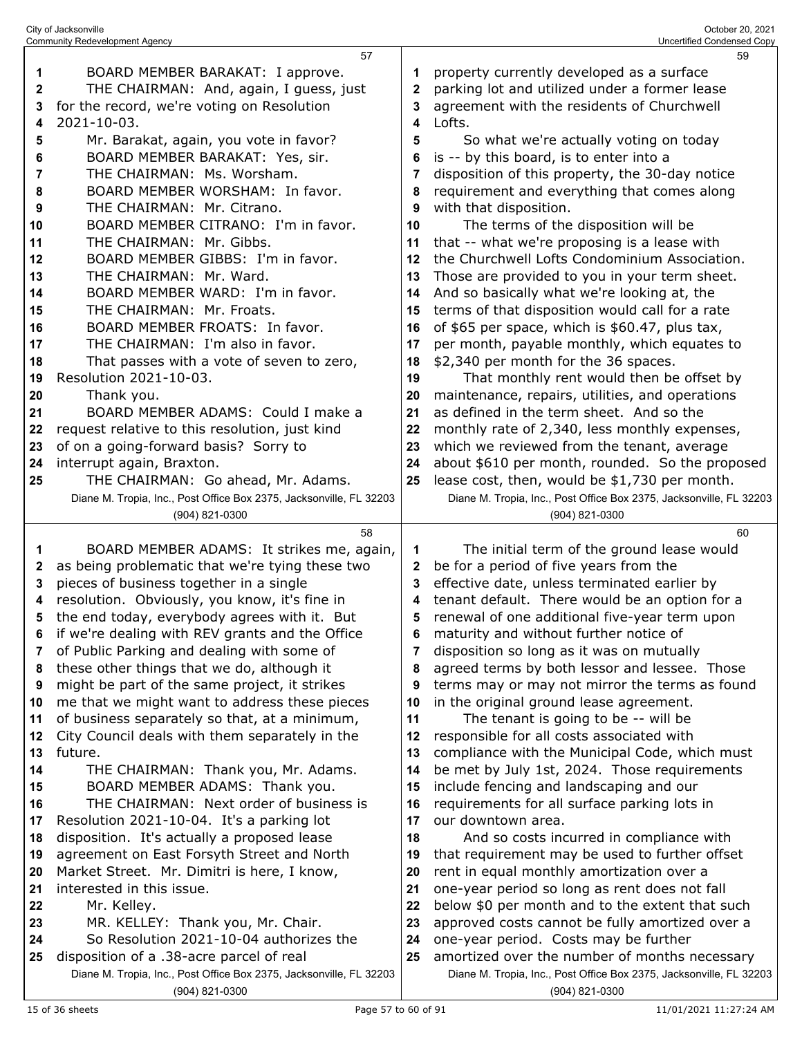|          | City of Jacksonville<br><b>Community Redevelopment Agency</b>                                   |             | October 20, 2021<br>Uncertified Condensed Copy                                              |
|----------|-------------------------------------------------------------------------------------------------|-------------|---------------------------------------------------------------------------------------------|
|          | 57                                                                                              |             | 59                                                                                          |
| 1        | BOARD MEMBER BARAKAT: I approve.                                                                | 1           | property currently developed as a surface                                                   |
| 2        | THE CHAIRMAN: And, again, I guess, just                                                         | $\mathbf 2$ | parking lot and utilized under a former lease                                               |
| 3        | for the record, we're voting on Resolution                                                      | 3           | agreement with the residents of Churchwell                                                  |
| 4        | 2021-10-03.                                                                                     | 4           | Lofts.                                                                                      |
| 5        | Mr. Barakat, again, you vote in favor?                                                          | 5           | So what we're actually voting on today                                                      |
| 6        | BOARD MEMBER BARAKAT: Yes, sir.                                                                 | 6           | is -- by this board, is to enter into a                                                     |
| 7        | THE CHAIRMAN: Ms. Worsham.                                                                      | 7           | disposition of this property, the 30-day notice                                             |
| 8        | BOARD MEMBER WORSHAM: In favor.                                                                 | 8           | requirement and everything that comes along                                                 |
| 9        | THE CHAIRMAN: Mr. Citrano.                                                                      | 9           | with that disposition.                                                                      |
| 10       | BOARD MEMBER CITRANO: I'm in favor.                                                             | 10          | The terms of the disposition will be                                                        |
| 11       | THE CHAIRMAN: Mr. Gibbs.                                                                        | 11          | that -- what we're proposing is a lease with                                                |
| 12       | BOARD MEMBER GIBBS: I'm in favor.                                                               | 12          | the Churchwell Lofts Condominium Association.                                               |
|          | THE CHAIRMAN: Mr. Ward.                                                                         |             |                                                                                             |
| 13       |                                                                                                 | 13          | Those are provided to you in your term sheet.                                               |
| 14       | BOARD MEMBER WARD: I'm in favor.                                                                | 14          | And so basically what we're looking at, the                                                 |
| 15       | THE CHAIRMAN: Mr. Froats.                                                                       | 15          | terms of that disposition would call for a rate                                             |
| 16       | BOARD MEMBER FROATS: In favor.                                                                  | 16          | of \$65 per space, which is \$60.47, plus tax,                                              |
| 17       | THE CHAIRMAN: I'm also in favor.                                                                | 17          | per month, payable monthly, which equates to                                                |
| 18       | That passes with a vote of seven to zero,                                                       | 18          | \$2,340 per month for the 36 spaces.                                                        |
| 19       | Resolution 2021-10-03.                                                                          | 19          | That monthly rent would then be offset by                                                   |
| 20       | Thank you.                                                                                      | 20          | maintenance, repairs, utilities, and operations                                             |
| 21       | BOARD MEMBER ADAMS: Could I make a                                                              | 21          | as defined in the term sheet. And so the                                                    |
| 22       | request relative to this resolution, just kind                                                  | 22          | monthly rate of 2,340, less monthly expenses,                                               |
| 23       | of on a going-forward basis? Sorry to                                                           | 23          | which we reviewed from the tenant, average                                                  |
| 24       | interrupt again, Braxton.                                                                       | 24          | about \$610 per month, rounded. So the proposed                                             |
| 25       | THE CHAIRMAN: Go ahead, Mr. Adams.                                                              | 25          | lease cost, then, would be \$1,730 per month.                                               |
|          | Diane M. Tropia, Inc., Post Office Box 2375, Jacksonville, FL 32203                             |             | Diane M. Tropia, Inc., Post Office Box 2375, Jacksonville, FL 32203                         |
|          | (904) 821-0300                                                                                  |             | (904) 821-0300                                                                              |
|          | 58                                                                                              |             | 60                                                                                          |
| 1        | BOARD MEMBER ADAMS: It strikes me, again,                                                       | 1           | The initial term of the ground lease would                                                  |
| 2        | as being problematic that we're tying these two                                                 | 2           | be for a period of five years from the                                                      |
| 3        | pieces of business together in a single                                                         | 3           | effective date, unless terminated earlier by                                                |
| 4        | resolution. Obviously, you know, it's fine in                                                   | 4           | tenant default. There would be an option for a                                              |
| 5        | the end today, everybody agrees with it. But                                                    | 5           | renewal of one additional five-year term upon                                               |
| 6        | if we're dealing with REV grants and the Office                                                 | 6           | maturity and without further notice of                                                      |
| 7        | of Public Parking and dealing with some of                                                      | 7           | disposition so long as it was on mutually                                                   |
| 8        | these other things that we do, although it                                                      | 8           | agreed terms by both lessor and lessee. Those                                               |
| 9        | might be part of the same project, it strikes                                                   | 9           | terms may or may not mirror the terms as found                                              |
| 10       | me that we might want to address these pieces                                                   | 10          | in the original ground lease agreement.                                                     |
| 11       | of business separately so that, at a minimum,<br>City Council deals with them separately in the | 11          | The tenant is going to be -- will be                                                        |
| 12       | future.                                                                                         | 12<br>13    | responsible for all costs associated with<br>compliance with the Municipal Code, which must |
| 13       | THE CHAIRMAN: Thank you, Mr. Adams.                                                             |             |                                                                                             |
| 14       | BOARD MEMBER ADAMS: Thank you.                                                                  | 14          | be met by July 1st, 2024. Those requirements<br>include fencing and landscaping and our     |
| 15<br>16 | THE CHAIRMAN: Next order of business is                                                         | 15<br>16    | requirements for all surface parking lots in                                                |
| 17       | Resolution 2021-10-04. It's a parking lot                                                       | 17          | our downtown area.                                                                          |
| 18       | disposition. It's actually a proposed lease                                                     | 18          | And so costs incurred in compliance with                                                    |
| 19       | agreement on East Forsyth Street and North                                                      | 19          | that requirement may be used to further offset                                              |
| 20       | Market Street. Mr. Dimitri is here, I know,                                                     | 20          | rent in equal monthly amortization over a                                                   |
| 21       | interested in this issue.                                                                       | 21          | one-year period so long as rent does not fall                                               |
| 22       | Mr. Kelley.                                                                                     | 22          | below \$0 per month and to the extent that such                                             |
| 23       | MR. KELLEY: Thank you, Mr. Chair.                                                               | 23          | approved costs cannot be fully amortized over a                                             |
|          | So Resolution 2021-10-04 authorizes the                                                         |             | one-year period. Costs may be further                                                       |
| 24<br>25 | disposition of a .38-acre parcel of real                                                        | 24<br>25    | amortized over the number of months necessary                                               |
|          | Diane M. Tropia, Inc., Post Office Box 2375, Jacksonville, FL 32203                             |             | Diane M. Tropia, Inc., Post Office Box 2375, Jacksonville, FL 32203                         |
|          | (904) 821-0300                                                                                  |             | (904) 821-0300                                                                              |
|          |                                                                                                 |             |                                                                                             |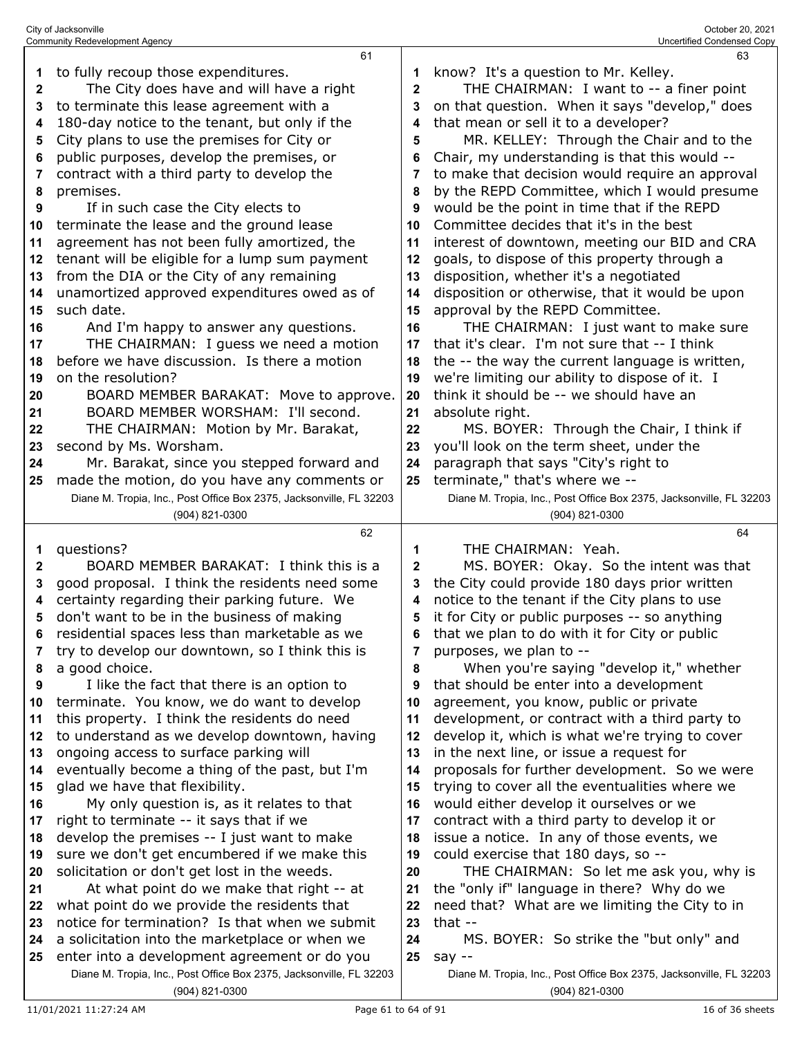| 1            | to fully recoup those expenditures.                                                                                 | 1            | know? It's a question to Mr. Kelley.                                          |
|--------------|---------------------------------------------------------------------------------------------------------------------|--------------|-------------------------------------------------------------------------------|
| $\mathbf{2}$ | The City does have and will have a right                                                                            | $\mathbf{2}$ | THE CHAIRMAN: I want to -- a finer point                                      |
| 3            | to terminate this lease agreement with a                                                                            | 3            | on that question. When it says "develop," does                                |
| 4            | 180-day notice to the tenant, but only if the                                                                       | 4            | that mean or sell it to a developer?                                          |
| 5            | City plans to use the premises for City or                                                                          | 5            | MR. KELLEY: Through the Chair and to the                                      |
| 6            | public purposes, develop the premises, or                                                                           | 6            | Chair, my understanding is that this would --                                 |
| 7            | contract with a third party to develop the                                                                          | 7            | to make that decision would require an approval                               |
| 8            | premises.                                                                                                           | 8            | by the REPD Committee, which I would presume                                  |
| 9            | If in such case the City elects to                                                                                  | 9            | would be the point in time that if the REPD                                   |
| 10           | terminate the lease and the ground lease                                                                            | 10           | Committee decides that it's in the best                                       |
| 11           | agreement has not been fully amortized, the                                                                         | 11           | interest of downtown, meeting our BID and CRA                                 |
| 12           | tenant will be eligible for a lump sum payment                                                                      | 12           | goals, to dispose of this property through a                                  |
| 13           | from the DIA or the City of any remaining                                                                           | 13           | disposition, whether it's a negotiated                                        |
| 14           | unamortized approved expenditures owed as of                                                                        | 14           | disposition or otherwise, that it would be upon                               |
| 15           | such date.                                                                                                          | 15           | approval by the REPD Committee.                                               |
| 16           | And I'm happy to answer any questions.                                                                              | 16           | THE CHAIRMAN: I just want to make sure                                        |
| 17           | THE CHAIRMAN: I guess we need a motion                                                                              | 17           | that it's clear. I'm not sure that -- I think                                 |
| 18           | before we have discussion. Is there a motion                                                                        | 18           | the -- the way the current language is written,                               |
| 19           | on the resolution?                                                                                                  | 19           | we're limiting our ability to dispose of it. I                                |
| 20           | BOARD MEMBER BARAKAT: Move to approve.                                                                              | 20           | think it should be -- we should have an                                       |
| 21           | BOARD MEMBER WORSHAM: I'll second.                                                                                  | 21           | absolute right.                                                               |
|              | THE CHAIRMAN: Motion by Mr. Barakat,                                                                                | 22           | MS. BOYER: Through the Chair, I think if                                      |
| 22           | second by Ms. Worsham.                                                                                              | 23           | you'll look on the term sheet, under the                                      |
| 23           |                                                                                                                     |              |                                                                               |
| 24           | Mr. Barakat, since you stepped forward and                                                                          | 24           | paragraph that says "City's right to                                          |
| 25           | made the motion, do you have any comments or                                                                        | 25           | terminate," that's where we --                                                |
|              | Diane M. Tropia, Inc., Post Office Box 2375, Jacksonville, FL 32203                                                 |              | Diane M. Tropia, Inc., Post Office Box 2375, Jacksonville, FL 32203           |
|              | (904) 821-0300                                                                                                      |              | (904) 821-0300                                                                |
|              |                                                                                                                     |              |                                                                               |
|              | 62                                                                                                                  |              | 64                                                                            |
| 1            | questions?                                                                                                          | 1            | THE CHAIRMAN: Yeah.                                                           |
| $\mathbf{2}$ | BOARD MEMBER BARAKAT: I think this is a                                                                             | $\mathbf{2}$ | MS. BOYER: Okay. So the intent was that                                       |
| 3            | good proposal. I think the residents need some                                                                      | 3            | the City could provide 180 days prior written                                 |
| 4            | certainty regarding their parking future. We                                                                        | 4            | notice to the tenant if the City plans to use                                 |
| 5            | don't want to be in the business of making                                                                          | 5            | it for City or public purposes -- so anything                                 |
| 6            | residential spaces less than marketable as we                                                                       | 6            | that we plan to do with it for City or public                                 |
| 7            | try to develop our downtown, so I think this is                                                                     | 7            | purposes, we plan to --                                                       |
| 8            | a good choice.                                                                                                      | 8            | When you're saying "develop it," whether                                      |
| 9            | I like the fact that there is an option to                                                                          | 9            | that should be enter into a development                                       |
| 10           | terminate. You know, we do want to develop                                                                          | 10           | agreement, you know, public or private                                        |
| 11           | this property. I think the residents do need                                                                        | 11           | development, or contract with a third party to                                |
| 12           | to understand as we develop downtown, having                                                                        | 12           | develop it, which is what we're trying to cover                               |
| 13           | ongoing access to surface parking will                                                                              | 13           | in the next line, or issue a request for                                      |
| 14           | eventually become a thing of the past, but I'm                                                                      | 14           | proposals for further development. So we were                                 |
| 15           | glad we have that flexibility.                                                                                      | 15           | trying to cover all the eventualities where we                                |
| 16           | My only question is, as it relates to that                                                                          | 16           | would either develop it ourselves or we                                       |
| 17           | right to terminate -- it says that if we                                                                            | 17           | contract with a third party to develop it or                                  |
| 18           | develop the premises -- I just want to make                                                                         | 18           | issue a notice. In any of those events, we                                    |
| 19           | sure we don't get encumbered if we make this                                                                        | 19           | could exercise that 180 days, so --                                           |
| 20           | solicitation or don't get lost in the weeds.                                                                        | 20           | THE CHAIRMAN: So let me ask you, why is                                       |
| 21           | At what point do we make that right -- at                                                                           | 21           | the "only if" language in there? Why do we                                    |
| 22           | what point do we provide the residents that                                                                         | 22           | need that? What are we limiting the City to in                                |
| 23           | notice for termination? Is that when we submit                                                                      | 23           | that $-$                                                                      |
| 24           | a solicitation into the marketplace or when we                                                                      | 24           | MS. BOYER: So strike the "but only" and                                       |
| 25           | enter into a development agreement or do you<br>Diane M. Tropia, Inc., Post Office Box 2375, Jacksonville, FL 32203 | 25           | say --<br>Diane M. Tropia, Inc., Post Office Box 2375, Jacksonville, FL 32203 |

City of Jacksonville October 20, 2021 Community Redevelopment Agency Uncertified Condensed Copy

(904) 821-0300

(904) 821-0300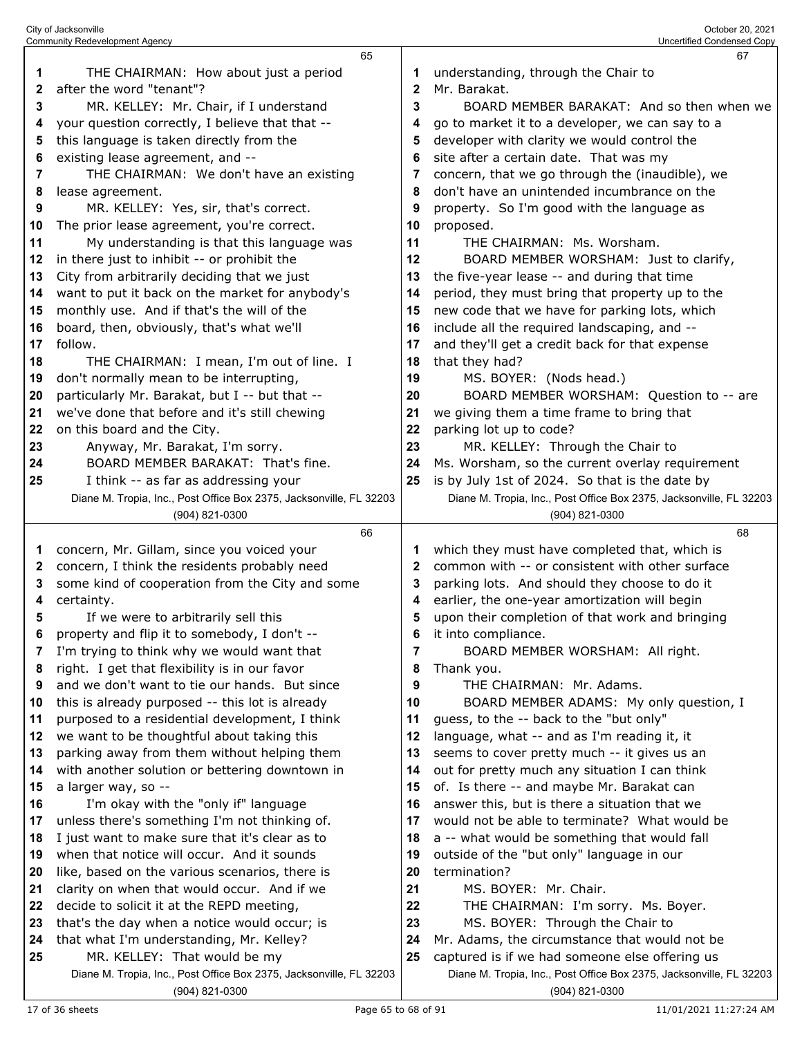|        | 65                                                                  |              | 67                                                                                               |
|--------|---------------------------------------------------------------------|--------------|--------------------------------------------------------------------------------------------------|
| 1      | THE CHAIRMAN: How about just a period                               | 1            | understanding, through the Chair to                                                              |
| 2      | after the word "tenant"?                                            | $\mathbf{2}$ | Mr. Barakat.                                                                                     |
| 3      | MR. KELLEY: Mr. Chair, if I understand                              | 3            | BOARD MEMBER BARAKAT: And so then when we                                                        |
| 4      | your question correctly, I believe that that --                     | 4            | go to market it to a developer, we can say to a                                                  |
| 5      | this language is taken directly from the                            | 5            | developer with clarity we would control the                                                      |
| 6      | existing lease agreement, and --                                    | 6            | site after a certain date. That was my                                                           |
| 7      | THE CHAIRMAN: We don't have an existing                             | 7            | concern, that we go through the (inaudible), we                                                  |
| 8      | lease agreement.                                                    | 8            | don't have an unintended incumbrance on the                                                      |
| 9      | MR. KELLEY: Yes, sir, that's correct.                               | 9            | property. So I'm good with the language as                                                       |
| 10     | The prior lease agreement, you're correct.                          | 10           | proposed.                                                                                        |
| 11     | My understanding is that this language was                          | 11           | THE CHAIRMAN: Ms. Worsham.                                                                       |
| 12     | in there just to inhibit -- or prohibit the                         | 12           | BOARD MEMBER WORSHAM: Just to clarify,                                                           |
| 13     | City from arbitrarily deciding that we just                         | 13           | the five-year lease -- and during that time                                                      |
| 14     | want to put it back on the market for anybody's                     | 14           | period, they must bring that property up to the                                                  |
| 15     | monthly use. And if that's the will of the                          | 15           | new code that we have for parking lots, which                                                    |
| 16     | board, then, obviously, that's what we'll                           | 16           | include all the required landscaping, and --                                                     |
| 17     | follow.                                                             | 17           | and they'll get a credit back for that expense                                                   |
| 18     | THE CHAIRMAN: I mean, I'm out of line. I                            | 18           | that they had?                                                                                   |
| 19     | don't normally mean to be interrupting,                             | 19           | MS. BOYER: (Nods head.)                                                                          |
| 20     | particularly Mr. Barakat, but I -- but that --                      | 20           | BOARD MEMBER WORSHAM: Question to -- are                                                         |
| 21     | we've done that before and it's still chewing                       | 21           | we giving them a time frame to bring that                                                        |
| 22     | on this board and the City.                                         | 22           | parking lot up to code?                                                                          |
| 23     | Anyway, Mr. Barakat, I'm sorry.                                     | 23           | MR. KELLEY: Through the Chair to                                                                 |
| 24     | BOARD MEMBER BARAKAT: That's fine.                                  | 24           | Ms. Worsham, so the current overlay requirement                                                  |
| 25     | I think -- as far as addressing your                                | 25           | is by July 1st of 2024. So that is the date by                                                   |
|        | Diane M. Tropia, Inc., Post Office Box 2375, Jacksonville, FL 32203 |              | Diane M. Tropia, Inc., Post Office Box 2375, Jacksonville, FL 32203                              |
|        | (904) 821-0300                                                      |              | (904) 821-0300                                                                                   |
|        | 66                                                                  |              | 68                                                                                               |
| 1      | concern, Mr. Gillam, since you voiced your                          | 1            | which they must have completed that, which is                                                    |
| 2      | concern, I think the residents probably need                        | 2            | common with -- or consistent with other surface                                                  |
| 3      | some kind of cooperation from the City and some                     | 3            | parking lots. And should they choose to do it                                                    |
| 4<br>5 | certainty.<br>If we were to arbitrarily sell this                   | 4<br>5       | earlier, the one-year amortization will begin<br>upon their completion of that work and bringing |
|        | property and flip it to somebody, I don't                           | 6            | it into compliance.                                                                              |
| 7      | I'm trying to think why we would want that                          | 7            | BOARD MEMBER WORSHAM: All right.                                                                 |
| 8      | right. I get that flexibility is in our favor                       | 8            | Thank you.                                                                                       |
| 9      | and we don't want to tie our hands. But since                       | 9            | THE CHAIRMAN: Mr. Adams.                                                                         |
| 10     | this is already purposed -- this lot is already                     | 10           | BOARD MEMBER ADAMS: My only question, I                                                          |
| 11     | purposed to a residential development, I think                      | 11           | guess, to the -- back to the "but only"                                                          |
| 12     | we want to be thoughtful about taking this                          | 12           | language, what -- and as I'm reading it, it                                                      |
| 13     | parking away from them without helping them                         | 13           | seems to cover pretty much -- it gives us an                                                     |
| 14     | with another solution or bettering downtown in                      | 14           | out for pretty much any situation I can think                                                    |
| 15     | a larger way, so --                                                 | 15           | of. Is there -- and maybe Mr. Barakat can                                                        |
| 16     | I'm okay with the "only if" language                                | 16           | answer this, but is there a situation that we                                                    |
| 17     | unless there's something I'm not thinking of.                       | 17           | would not be able to terminate? What would be                                                    |
| 18     | I just want to make sure that it's clear as to                      | 18           | a -- what would be something that would fall                                                     |
| 19     | when that notice will occur. And it sounds                          | 19           | outside of the "but only" language in our                                                        |
| 20     | like, based on the various scenarios, there is                      | 20           | termination?                                                                                     |
| 21     | clarity on when that would occur. And if we                         | 21           | MS. BOYER: Mr. Chair.                                                                            |
| 22     | decide to solicit it at the REPD meeting,                           | 22           | THE CHAIRMAN: I'm sorry. Ms. Boyer.                                                              |
| 23     | that's the day when a notice would occur; is                        | 23           | MS. BOYER: Through the Chair to                                                                  |
| 24     | that what I'm understanding, Mr. Kelley?                            | 24           | Mr. Adams, the circumstance that would not be                                                    |
| 25     | MR. KELLEY: That would be my                                        | 25           | captured is if we had someone else offering us                                                   |
|        | Diane M. Tropia, Inc., Post Office Box 2375, Jacksonville, FL 32203 |              | Diane M. Tropia, Inc., Post Office Box 2375, Jacksonville, FL 32203                              |
|        |                                                                     |              |                                                                                                  |
|        | (904) 821-0300                                                      |              | (904) 821-0300                                                                                   |

City of Jacksonville October 20, 2021 Community Redevelopment Agency Uncertified Condensed Copy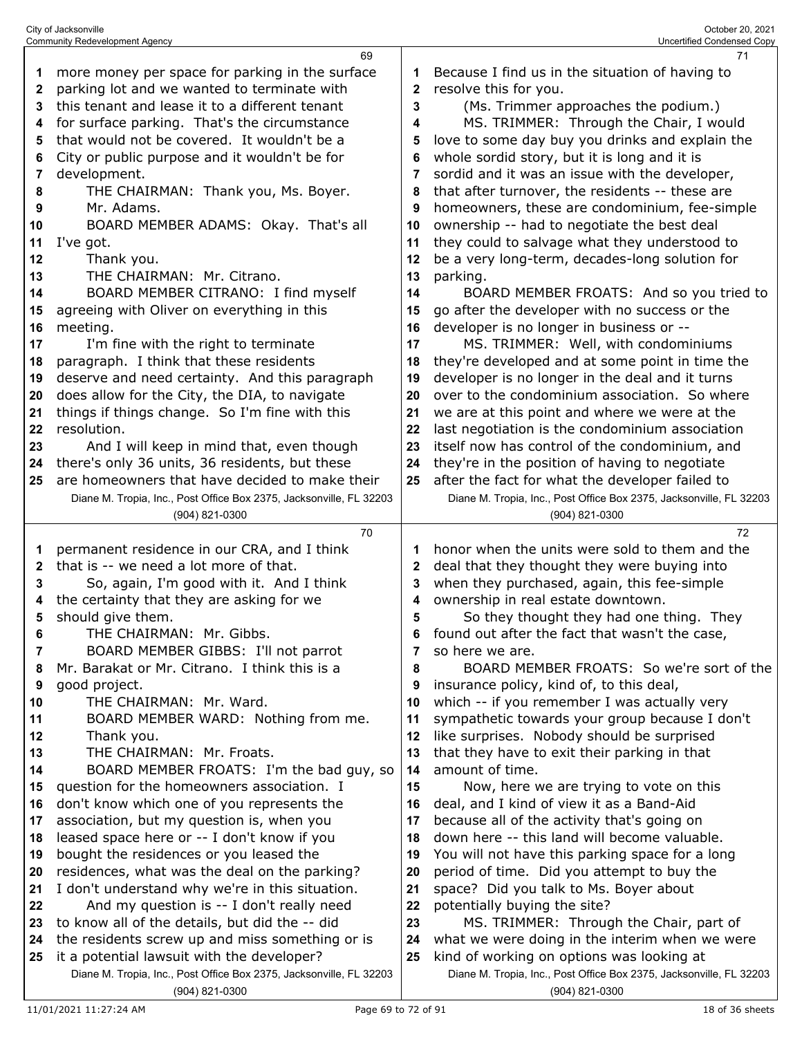|    | 69                                                                  |              | 71                                                                  |
|----|---------------------------------------------------------------------|--------------|---------------------------------------------------------------------|
| 1  | more money per space for parking in the surface                     | 1            | Because I find us in the situation of having to                     |
| 2  | parking lot and we wanted to terminate with                         | 2            | resolve this for you.                                               |
| 3  | this tenant and lease it to a different tenant                      | 3            | (Ms. Trimmer approaches the podium.)                                |
| 4  | for surface parking. That's the circumstance                        | 4            | MS. TRIMMER: Through the Chair, I would                             |
| 5  | that would not be covered. It wouldn't be a                         | 5            | love to some day buy you drinks and explain the                     |
| 6  | City or public purpose and it wouldn't be for                       | 6            | whole sordid story, but it is long and it is                        |
| 7  | development.                                                        | 7            | sordid and it was an issue with the developer,                      |
| 8  | THE CHAIRMAN: Thank you, Ms. Boyer.                                 | 8            | that after turnover, the residents -- these are                     |
|    | Mr. Adams.                                                          |              |                                                                     |
| 9  |                                                                     | 9            | homeowners, these are condominium, fee-simple                       |
| 10 | BOARD MEMBER ADAMS: Okay. That's all                                | 10           | ownership -- had to negotiate the best deal                         |
| 11 | I've got.                                                           | 11           | they could to salvage what they understood to                       |
| 12 | Thank you.                                                          | 12           | be a very long-term, decades-long solution for                      |
| 13 | THE CHAIRMAN: Mr. Citrano.                                          | 13           | parking.                                                            |
| 14 | BOARD MEMBER CITRANO: I find myself                                 | 14           | BOARD MEMBER FROATS: And so you tried to                            |
| 15 | agreeing with Oliver on everything in this                          | 15           | go after the developer with no success or the                       |
| 16 | meeting.                                                            | 16           | developer is no longer in business or --                            |
| 17 | I'm fine with the right to terminate                                | 17           | MS. TRIMMER: Well, with condominiums                                |
| 18 | paragraph. I think that these residents                             | 18           | they're developed and at some point in time the                     |
| 19 | deserve and need certainty. And this paragraph                      | 19           | developer is no longer in the deal and it turns                     |
| 20 | does allow for the City, the DIA, to navigate                       | 20           | over to the condominium association. So where                       |
| 21 | things if things change. So I'm fine with this                      | 21           | we are at this point and where we were at the                       |
| 22 | resolution.                                                         | 22           | last negotiation is the condominium association                     |
| 23 | And I will keep in mind that, even though                           | 23           | itself now has control of the condominium, and                      |
| 24 | there's only 36 units, 36 residents, but these                      | 24           | they're in the position of having to negotiate                      |
| 25 | are homeowners that have decided to make their                      | 25           | after the fact for what the developer failed to                     |
|    | Diane M. Tropia, Inc., Post Office Box 2375, Jacksonville, FL 32203 |              | Diane M. Tropia, Inc., Post Office Box 2375, Jacksonville, FL 32203 |
|    | (904) 821-0300                                                      |              | (904) 821-0300                                                      |
|    |                                                                     |              |                                                                     |
|    |                                                                     |              | 72                                                                  |
|    | 70                                                                  |              |                                                                     |
| 1  | permanent residence in our CRA, and I think                         | 1            | honor when the units were sold to them and the                      |
| 2  | that is -- we need a lot more of that.                              | $\mathbf{2}$ | deal that they thought they were buying into                        |
| 3  | So, again, I'm good with it. And I think                            | 3            | when they purchased, again, this fee-simple                         |
| 4  | the certainty that they are asking for we                           | 4            | ownership in real estate downtown.                                  |
| 5  | should give them.                                                   | 5            | So they thought they had one thing. They                            |
|    | THE CHAIRMAN: Mr. Gibbs.                                            | 6            | found out after the fact that wasn't the case                       |
| 7  | BOARD MEMBER GIBBS: I'll not parrot                                 | 7            | so here we are.                                                     |
| 8  | Mr. Barakat or Mr. Citrano. I think this is a                       | 8            | BOARD MEMBER FROATS: So we're sort of the                           |
| 9  | good project.                                                       | 9            | insurance policy, kind of, to this deal,                            |
| 10 | THE CHAIRMAN: Mr. Ward.                                             | 10           | which -- if you remember I was actually very                        |
| 11 | BOARD MEMBER WARD: Nothing from me.                                 | 11           | sympathetic towards your group because I don't                      |
| 12 | Thank you.                                                          | 12           | like surprises. Nobody should be surprised                          |
| 13 | THE CHAIRMAN: Mr. Froats.                                           | 13           | that they have to exit their parking in that                        |
| 14 | BOARD MEMBER FROATS: I'm the bad guy, so                            | 14           | amount of time.                                                     |
| 15 | question for the homeowners association. I                          | 15           | Now, here we are trying to vote on this                             |
| 16 | don't know which one of you represents the                          | 16           | deal, and I kind of view it as a Band-Aid                           |
| 17 | association, but my question is, when you                           | 17           | because all of the activity that's going on                         |
| 18 | leased space here or -- I don't know if you                         | 18           | down here -- this land will become valuable.                        |
| 19 | bought the residences or you leased the                             | 19           | You will not have this parking space for a long                     |
| 20 | residences, what was the deal on the parking?                       | 20           | period of time. Did you attempt to buy the                          |
| 21 | I don't understand why we're in this situation.                     | 21           | space? Did you talk to Ms. Boyer about                              |
| 22 | And my question is -- I don't really need                           | 22           | potentially buying the site?                                        |
| 23 | to know all of the details, but did the -- did                      | 23           | MS. TRIMMER: Through the Chair, part of                             |
| 24 | the residents screw up and miss something or is                     | 24           | what we were doing in the interim when we were                      |
| 25 | it a potential lawsuit with the developer?                          | 25           | kind of working on options was looking at                           |
|    | Diane M. Tropia, Inc., Post Office Box 2375, Jacksonville, FL 32203 |              | Diane M. Tropia, Inc., Post Office Box 2375, Jacksonville, FL 32203 |

City of Jacksonville October 20, 2021 Community Redevelopment Agency Uncertified Condensed Copy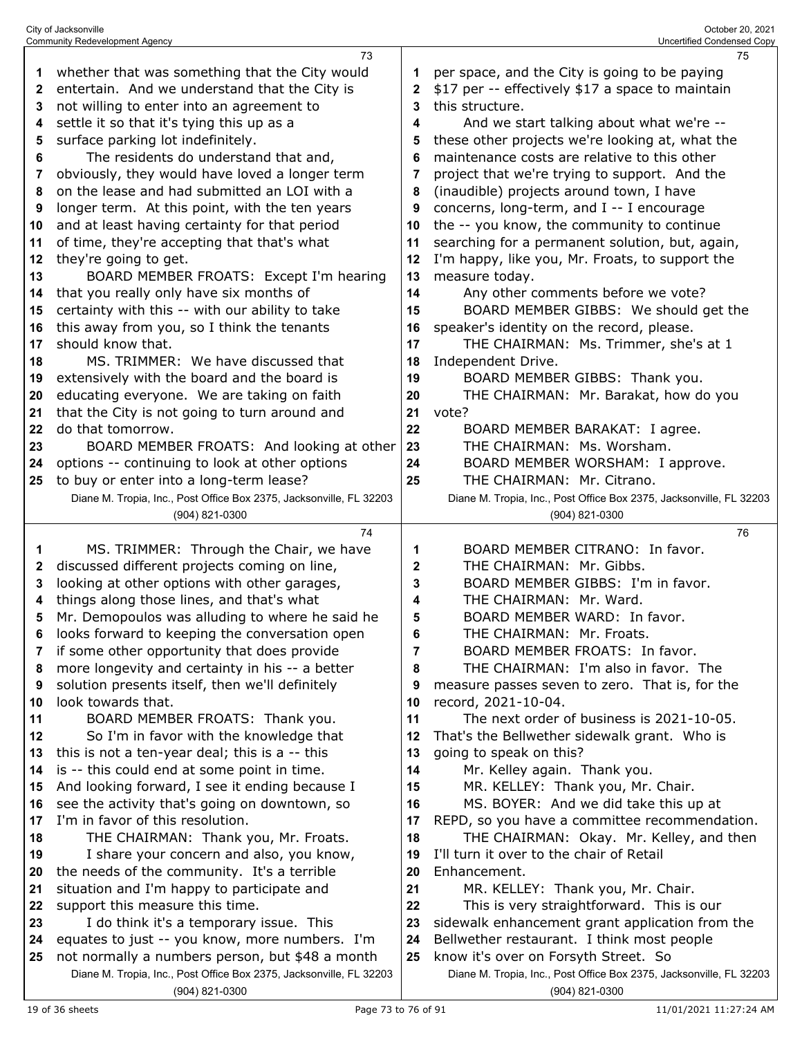|    | <b>Community Redevelopment Agency</b>                               |    | Uncertified Condensed Copy                                          |
|----|---------------------------------------------------------------------|----|---------------------------------------------------------------------|
|    | 73                                                                  |    | 75                                                                  |
| 1  | whether that was something that the City would                      | 1  | per space, and the City is going to be paying                       |
| 2  | entertain. And we understand that the City is                       | 2  | \$17 per -- effectively \$17 a space to maintain                    |
| 3  | not willing to enter into an agreement to                           | 3  | this structure.                                                     |
| 4  | settle it so that it's tying this up as a                           | 4  | And we start talking about what we're --                            |
| 5  | surface parking lot indefinitely.                                   | 5  | these other projects we're looking at, what the                     |
| 6  | The residents do understand that and,                               | 6  | maintenance costs are relative to this other                        |
| 7  | obviously, they would have loved a longer term                      | 7  | project that we're trying to support. And the                       |
| 8  | on the lease and had submitted an LOI with a                        | 8  | (inaudible) projects around town, I have                            |
| 9  | longer term. At this point, with the ten years                      | 9  | concerns, long-term, and I -- I encourage                           |
|    |                                                                     |    |                                                                     |
| 10 | and at least having certainty for that period                       | 10 | the -- you know, the community to continue                          |
| 11 | of time, they're accepting that that's what                         | 11 | searching for a permanent solution, but, again,                     |
| 12 | they're going to get.                                               | 12 | I'm happy, like you, Mr. Froats, to support the                     |
| 13 | BOARD MEMBER FROATS: Except I'm hearing                             | 13 | measure today.                                                      |
| 14 | that you really only have six months of                             | 14 | Any other comments before we vote?                                  |
| 15 | certainty with this -- with our ability to take                     | 15 | BOARD MEMBER GIBBS: We should get the                               |
| 16 | this away from you, so I think the tenants                          | 16 | speaker's identity on the record, please.                           |
| 17 | should know that.                                                   | 17 | THE CHAIRMAN: Ms. Trimmer, she's at 1                               |
| 18 | MS. TRIMMER: We have discussed that                                 | 18 | Independent Drive.                                                  |
| 19 | extensively with the board and the board is                         | 19 | BOARD MEMBER GIBBS: Thank you.                                      |
| 20 | educating everyone. We are taking on faith                          | 20 | THE CHAIRMAN: Mr. Barakat, how do you                               |
| 21 | that the City is not going to turn around and                       | 21 | vote?                                                               |
| 22 | do that tomorrow.                                                   | 22 | BOARD MEMBER BARAKAT: I agree.                                      |
| 23 | BOARD MEMBER FROATS: And looking at other                           | 23 | THE CHAIRMAN: Ms. Worsham.                                          |
| 24 | options -- continuing to look at other options                      | 24 | BOARD MEMBER WORSHAM: I approve.                                    |
| 25 | to buy or enter into a long-term lease?                             | 25 | THE CHAIRMAN: Mr. Citrano.                                          |
|    | Diane M. Tropia, Inc., Post Office Box 2375, Jacksonville, FL 32203 |    | Diane M. Tropia, Inc., Post Office Box 2375, Jacksonville, FL 32203 |
|    | (904) 821-0300                                                      |    | (904) 821-0300                                                      |
|    |                                                                     |    |                                                                     |
|    |                                                                     |    |                                                                     |
|    | 74                                                                  |    | 76                                                                  |
| 1  | MS. TRIMMER: Through the Chair, we have                             | 1  | BOARD MEMBER CITRANO: In favor.                                     |
| 2  | discussed different projects coming on line,                        | 2  | THE CHAIRMAN: Mr. Gibbs.                                            |
| 3  | looking at other options with other garages,                        | 3  | BOARD MEMBER GIBBS: I'm in favor.                                   |
| 4  | things along those lines, and that's what                           | 4  | THE CHAIRMAN: Mr. Ward.                                             |
| 5  | Mr. Demopoulos was alluding to where he said he                     | 5  | BOARD MEMBER WARD: In favor.                                        |
| 6  | looks forward to keeping the conversation open                      | 6  | THE CHAIRMAN: Mr. Froats.                                           |
| 7  | if some other opportunity that does provide                         | 7  | BOARD MEMBER FROATS: In favor.                                      |
| 8  | more longevity and certainty in his -- a better                     | 8  | THE CHAIRMAN: I'm also in favor. The                                |
| 9  | solution presents itself, then we'll definitely                     | 9  | measure passes seven to zero. That is, for the                      |
| 10 | look towards that.                                                  | 10 | record, 2021-10-04.                                                 |
| 11 | BOARD MEMBER FROATS: Thank you.                                     | 11 | The next order of business is 2021-10-05.                           |
| 12 | So I'm in favor with the knowledge that                             | 12 | That's the Bellwether sidewalk grant. Who is                        |
| 13 | this is not a ten-year deal; this is a -- this                      | 13 | going to speak on this?                                             |
| 14 | is -- this could end at some point in time.                         | 14 | Mr. Kelley again. Thank you.                                        |
| 15 | And looking forward, I see it ending because I                      | 15 | MR. KELLEY: Thank you, Mr. Chair.                                   |
| 16 | see the activity that's going on downtown, so                       | 16 | MS. BOYER: And we did take this up at                               |
| 17 | I'm in favor of this resolution.                                    | 17 | REPD, so you have a committee recommendation.                       |
| 18 | THE CHAIRMAN: Thank you, Mr. Froats.                                | 18 | THE CHAIRMAN: Okay. Mr. Kelley, and then                            |
| 19 | I share your concern and also, you know,                            | 19 | I'll turn it over to the chair of Retail                            |
| 20 | the needs of the community. It's a terrible                         | 20 | Enhancement.                                                        |
| 21 | situation and I'm happy to participate and                          | 21 | MR. KELLEY: Thank you, Mr. Chair.                                   |
| 22 | support this measure this time.                                     | 22 | This is very straightforward. This is our                           |
| 23 | I do think it's a temporary issue. This                             | 23 | sidewalk enhancement grant application from the                     |
| 24 | equates to just -- you know, more numbers. I'm                      | 24 | Bellwether restaurant. I think most people                          |
| 25 | not normally a numbers person, but \$48 a month                     | 25 | know it's over on Forsyth Street. So                                |
|    | Diane M. Tropia, Inc., Post Office Box 2375, Jacksonville, FL 32203 |    | Diane M. Tropia, Inc., Post Office Box 2375, Jacksonville, FL 32203 |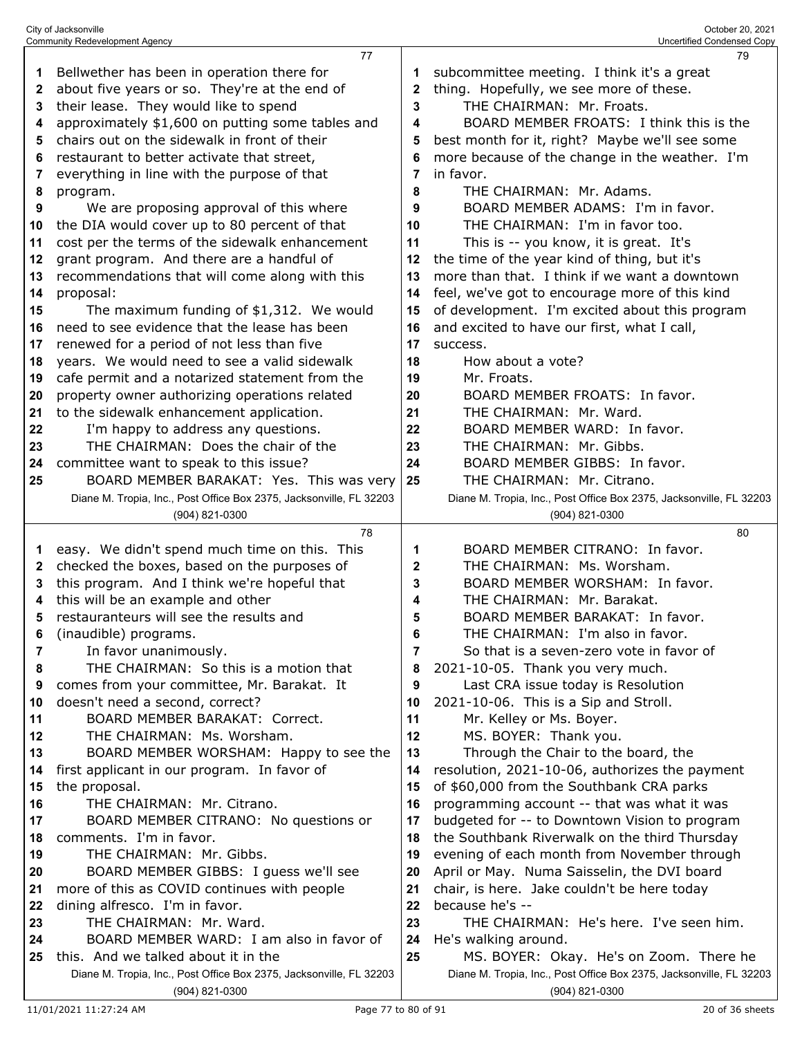|    | <b>Community Redevelopment Agency</b>                               |    | Uncertified Condensed Copy                                          |
|----|---------------------------------------------------------------------|----|---------------------------------------------------------------------|
|    | 77                                                                  |    | 79                                                                  |
| 1  | Bellwether has been in operation there for                          | 1  | subcommittee meeting. I think it's a great                          |
| 2  | about five years or so. They're at the end of                       | 2  | thing. Hopefully, we see more of these.                             |
| 3  | their lease. They would like to spend                               | 3  | THE CHAIRMAN: Mr. Froats.                                           |
| 4  | approximately \$1,600 on putting some tables and                    | 4  | BOARD MEMBER FROATS: I think this is the                            |
| 5  | chairs out on the sidewalk in front of their                        | 5  | best month for it, right? Maybe we'll see some                      |
| 6  | restaurant to better activate that street,                          | 6  | more because of the change in the weather. I'm                      |
| 7  | everything in line with the purpose of that                         | 7  | in favor.                                                           |
| 8  | program.                                                            | 8  | THE CHAIRMAN: Mr. Adams.                                            |
| 9  | We are proposing approval of this where                             | 9  | BOARD MEMBER ADAMS: I'm in favor.                                   |
| 10 | the DIA would cover up to 80 percent of that                        | 10 | THE CHAIRMAN: I'm in favor too.                                     |
|    |                                                                     |    |                                                                     |
| 11 | cost per the terms of the sidewalk enhancement                      | 11 | This is -- you know, it is great. It's                              |
| 12 | grant program. And there are a handful of                           | 12 | the time of the year kind of thing, but it's                        |
| 13 | recommendations that will come along with this                      | 13 | more than that. I think if we want a downtown                       |
| 14 | proposal:                                                           | 14 | feel, we've got to encourage more of this kind                      |
| 15 | The maximum funding of \$1,312. We would                            | 15 | of development. I'm excited about this program                      |
| 16 | need to see evidence that the lease has been                        | 16 | and excited to have our first, what I call,                         |
| 17 | renewed for a period of not less than five                          | 17 | success.                                                            |
| 18 | years. We would need to see a valid sidewalk                        | 18 | How about a vote?                                                   |
| 19 | cafe permit and a notarized statement from the                      | 19 | Mr. Froats.                                                         |
| 20 | property owner authorizing operations related                       | 20 | BOARD MEMBER FROATS: In favor.                                      |
| 21 | to the sidewalk enhancement application.                            | 21 | THE CHAIRMAN: Mr. Ward.                                             |
| 22 | I'm happy to address any questions.                                 | 22 | BOARD MEMBER WARD: In favor.                                        |
| 23 | THE CHAIRMAN: Does the chair of the                                 | 23 | THE CHAIRMAN: Mr. Gibbs.                                            |
| 24 | committee want to speak to this issue?                              | 24 | BOARD MEMBER GIBBS: In favor.                                       |
| 25 | BOARD MEMBER BARAKAT: Yes. This was very                            | 25 | THE CHAIRMAN: Mr. Citrano.                                          |
|    | Diane M. Tropia, Inc., Post Office Box 2375, Jacksonville, FL 32203 |    | Diane M. Tropia, Inc., Post Office Box 2375, Jacksonville, FL 32203 |
|    | (904) 821-0300                                                      |    | (904) 821-0300                                                      |
|    |                                                                     |    |                                                                     |
|    | 78                                                                  |    | 80                                                                  |
|    |                                                                     |    |                                                                     |
| 1  | easy. We didn't spend much time on this. This                       | 1  | BOARD MEMBER CITRANO: In favor.                                     |
| 2  | checked the boxes, based on the purposes of                         | 2  | THE CHAIRMAN: Ms. Worsham.                                          |
| 3  | this program. And I think we're hopeful that                        | 3  | BOARD MEMBER WORSHAM: In favor.                                     |
| 4  | this will be an example and other                                   | 4  | THE CHAIRMAN: Mr. Barakat.                                          |
| 5  | restauranteurs will see the results and                             | 5  | BOARD MEMBER BARAKAT: In favor.                                     |
| 6  | (inaudible) programs.                                               | 6  | THE CHAIRMAN: I'm also in favor.                                    |
| 7  | In favor unanimously.                                               | 7  | So that is a seven-zero vote in favor of                            |
| 8  | THE CHAIRMAN: So this is a motion that                              | 8  | 2021-10-05. Thank you very much.                                    |
| 9  | comes from your committee, Mr. Barakat. It                          | 9  | Last CRA issue today is Resolution                                  |
| 10 | doesn't need a second, correct?                                     | 10 | 2021-10-06. This is a Sip and Stroll.                               |
| 11 | <b>BOARD MEMBER BARAKAT: Correct.</b>                               | 11 | Mr. Kelley or Ms. Boyer.                                            |
| 12 | THE CHAIRMAN: Ms. Worsham.                                          | 12 | MS. BOYER: Thank you.                                               |
| 13 | BOARD MEMBER WORSHAM: Happy to see the                              | 13 | Through the Chair to the board, the                                 |
| 14 | first applicant in our program. In favor of                         | 14 | resolution, 2021-10-06, authorizes the payment                      |
| 15 | the proposal.                                                       | 15 | of \$60,000 from the Southbank CRA parks                            |
| 16 | THE CHAIRMAN: Mr. Citrano.                                          | 16 | programming account -- that was what it was                         |
| 17 | BOARD MEMBER CITRANO: No questions or                               | 17 | budgeted for -- to Downtown Vision to program                       |
| 18 | comments. I'm in favor.                                             | 18 | the Southbank Riverwalk on the third Thursday                       |
| 19 | THE CHAIRMAN: Mr. Gibbs.                                            | 19 | evening of each month from November through                         |
| 20 | BOARD MEMBER GIBBS: I guess we'll see                               | 20 | April or May. Numa Saisselin, the DVI board                         |
| 21 | more of this as COVID continues with people                         | 21 | chair, is here. Jake couldn't be here today                         |
| 22 | dining alfresco. I'm in favor.                                      | 22 | because he's --                                                     |
| 23 | THE CHAIRMAN: Mr. Ward.                                             | 23 | THE CHAIRMAN: He's here. I've seen him.                             |
| 24 | BOARD MEMBER WARD: I am also in favor of                            | 24 | He's walking around.                                                |
| 25 | this. And we talked about it in the                                 | 25 | MS. BOYER: Okay. He's on Zoom. There he                             |
|    | Diane M. Tropia, Inc., Post Office Box 2375, Jacksonville, FL 32203 |    | Diane M. Tropia, Inc., Post Office Box 2375, Jacksonville, FL 32203 |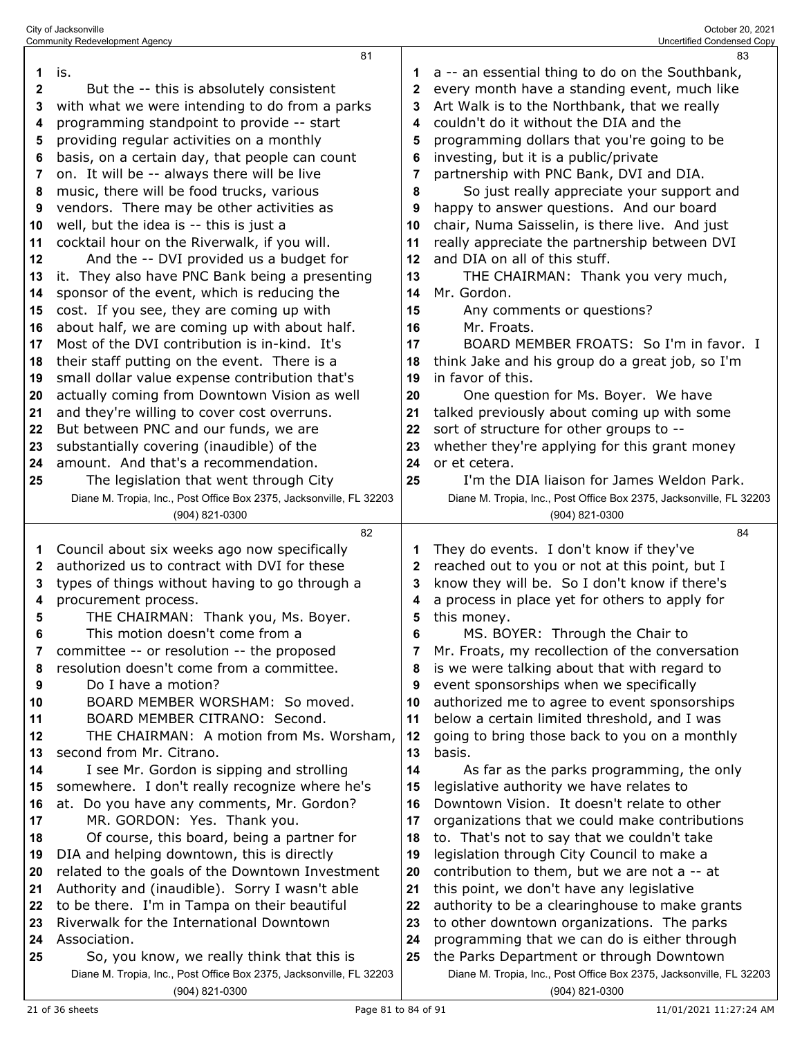|              | 81                                                                                             |                | 83                                                                                       |
|--------------|------------------------------------------------------------------------------------------------|----------------|------------------------------------------------------------------------------------------|
| 1            | is.                                                                                            | 1              | a -- an essential thing to do on the Southbank,                                          |
| $\mathbf{2}$ | But the -- this is absolutely consistent                                                       | 2              | every month have a standing event, much like                                             |
| 3            | with what we were intending to do from a parks                                                 | 3              | Art Walk is to the Northbank, that we really                                             |
| 4            | programming standpoint to provide -- start                                                     | 4              | couldn't do it without the DIA and the                                                   |
| 5            | providing regular activities on a monthly                                                      | 5              | programming dollars that you're going to be                                              |
| 6            | basis, on a certain day, that people can count                                                 | 6              | investing, but it is a public/private                                                    |
| 7            | on. It will be -- always there will be live                                                    | $\overline{7}$ | partnership with PNC Bank, DVI and DIA.                                                  |
| 8            | music, there will be food trucks, various                                                      | 8              | So just really appreciate your support and                                               |
| 9            | vendors. There may be other activities as                                                      | 9              | happy to answer questions. And our board                                                 |
| 10           | well, but the idea is -- this is just a                                                        | 10             | chair, Numa Saisselin, is there live. And just                                           |
| 11           | cocktail hour on the Riverwalk, if you will.                                                   | 11             | really appreciate the partnership between DVI                                            |
| 12           | And the -- DVI provided us a budget for                                                        | 12             | and DIA on all of this stuff.                                                            |
| 13           | it. They also have PNC Bank being a presenting                                                 | 13             | THE CHAIRMAN: Thank you very much,                                                       |
|              | sponsor of the event, which is reducing the                                                    | 14             | Mr. Gordon.                                                                              |
| 14           |                                                                                                |                |                                                                                          |
| 15           | cost. If you see, they are coming up with                                                      | 15             | Any comments or questions?                                                               |
| 16           | about half, we are coming up with about half.<br>Most of the DVI contribution is in-kind. It's | 16             | Mr. Froats.                                                                              |
| 17           |                                                                                                | 17             | BOARD MEMBER FROATS: So I'm in favor. I                                                  |
| 18           | their staff putting on the event. There is a                                                   | 18             | think Jake and his group do a great job, so I'm                                          |
| 19           | small dollar value expense contribution that's                                                 | 19             | in favor of this.                                                                        |
| 20           | actually coming from Downtown Vision as well                                                   | 20             | One question for Ms. Boyer. We have                                                      |
| 21           | and they're willing to cover cost overruns.                                                    | 21             | talked previously about coming up with some                                              |
| 22           | But between PNC and our funds, we are                                                          | 22             | sort of structure for other groups to --                                                 |
| 23           | substantially covering (inaudible) of the                                                      | 23             | whether they're applying for this grant money                                            |
| 24           | amount. And that's a recommendation.                                                           | 24             | or et cetera.                                                                            |
| 25           | The legislation that went through City                                                         | 25             | I'm the DIA liaison for James Weldon Park.                                               |
|              | Diane M. Tropia, Inc., Post Office Box 2375, Jacksonville, FL 32203                            |                | Diane M. Tropia, Inc., Post Office Box 2375, Jacksonville, FL 32203                      |
|              |                                                                                                |                |                                                                                          |
|              | (904) 821-0300                                                                                 |                | (904) 821-0300                                                                           |
|              | 82                                                                                             |                | 84                                                                                       |
| 1            | Council about six weeks ago now specifically                                                   | 1              | They do events. I don't know if they've                                                  |
| 2            | authorized us to contract with DVI for these                                                   | 2              | reached out to you or not at this point, but I                                           |
| 3            | types of things without having to go through a                                                 | 3              | know they will be. So I don't know if there's                                            |
| 4            | procurement process.                                                                           | 4              | a process in place yet for others to apply for                                           |
| 5            | THE CHAIRMAN: Thank you, Ms. Boyer.                                                            | 5              | this money.                                                                              |
|              | This motion doesn't come from a                                                                | 6              | MS. BOYER: Through the Chair to                                                          |
| 7            | committee -- or resolution -- the proposed                                                     | 7              | Mr. Froats, my recollection of the conversation                                          |
| 8            | resolution doesn't come from a committee.                                                      | 8              | is we were talking about that with regard to                                             |
| 9            | Do I have a motion?                                                                            | 9              | event sponsorships when we specifically                                                  |
| 10           | BOARD MEMBER WORSHAM: So moved.                                                                | 10             | authorized me to agree to event sponsorships                                             |
| 11           | BOARD MEMBER CITRANO: Second.                                                                  | 11             | below a certain limited threshold, and I was                                             |
| 12           | THE CHAIRMAN: A motion from Ms. Worsham,                                                       | 12             | going to bring those back to you on a monthly                                            |
| 13           | second from Mr. Citrano.                                                                       | 13             | basis.                                                                                   |
| 14           | I see Mr. Gordon is sipping and strolling                                                      | 14             | As far as the parks programming, the only                                                |
| 15           | somewhere. I don't really recognize where he's                                                 | 15             | legislative authority we have relates to                                                 |
| 16           | at. Do you have any comments, Mr. Gordon?                                                      | 16             | Downtown Vision. It doesn't relate to other                                              |
| 17           | MR. GORDON: Yes. Thank you.                                                                    | 17             | organizations that we could make contributions                                           |
| 18           | Of course, this board, being a partner for                                                     | 18             | to. That's not to say that we couldn't take                                              |
| 19           | DIA and helping downtown, this is directly                                                     | 19             | legislation through City Council to make a                                               |
| 20           | related to the goals of the Downtown Investment                                                | 20             | contribution to them, but we are not a -- at                                             |
| 21           | Authority and (inaudible). Sorry I wasn't able                                                 | 21             | this point, we don't have any legislative                                                |
| 22           | to be there. I'm in Tampa on their beautiful                                                   | 22             | authority to be a clearinghouse to make grants                                           |
| 23           | Riverwalk for the International Downtown                                                       | 23             | to other downtown organizations. The parks                                               |
| 24<br>25     | Association.<br>So, you know, we really think that this is                                     | 24<br>25       | programming that we can do is either through<br>the Parks Department or through Downtown |

 So, you know, we really think that this is Diane M. Tropia, Inc., Post Office Box 2375, Jacksonville, FL 32203 (904) 821-0300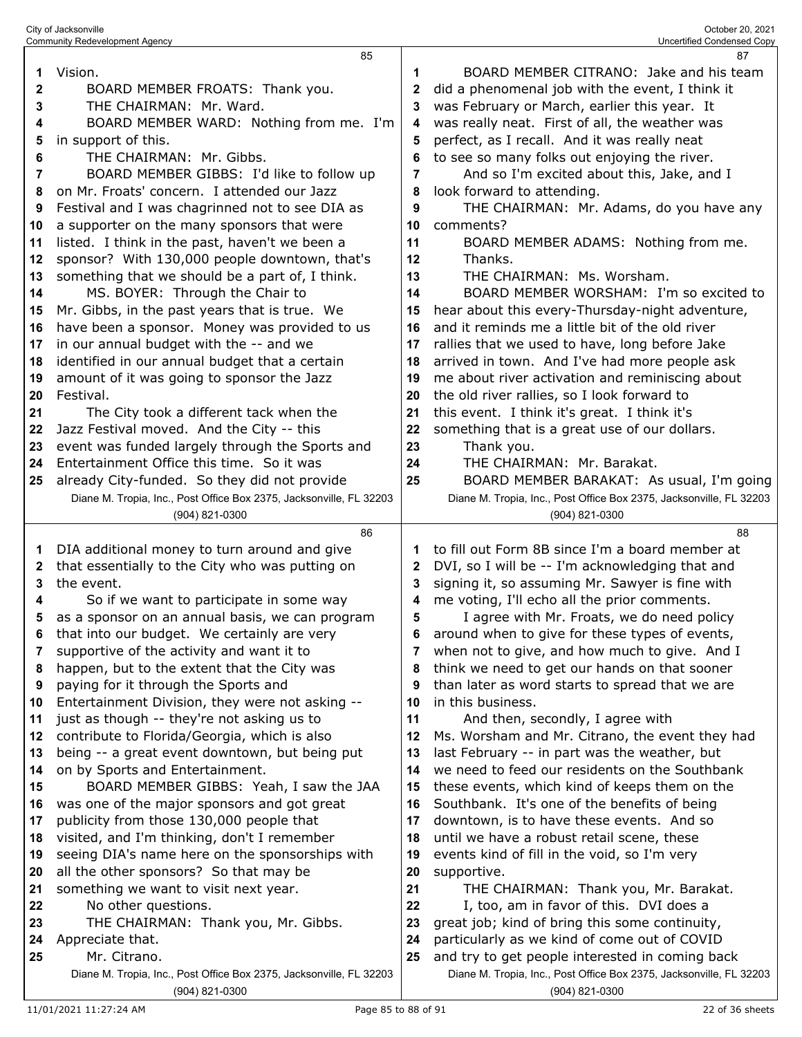|          | <b>Community Redevelopment Agency</b>                                                           |         | Uncertified Condensed Copy                                                                   |
|----------|-------------------------------------------------------------------------------------------------|---------|----------------------------------------------------------------------------------------------|
|          | 85                                                                                              |         | 87                                                                                           |
| 1        | Vision.                                                                                         | 1       | BOARD MEMBER CITRANO: Jake and his team                                                      |
| 2        | BOARD MEMBER FROATS: Thank you.                                                                 | 2       | did a phenomenal job with the event, I think it                                              |
| 3        | THE CHAIRMAN: Mr. Ward.                                                                         | 3       | was February or March, earlier this year. It                                                 |
| 4        | BOARD MEMBER WARD: Nothing from me. I'm                                                         | 4       | was really neat. First of all, the weather was                                               |
| 5        | in support of this.                                                                             | 5       | perfect, as I recall. And it was really neat                                                 |
| 6        | THE CHAIRMAN: Mr. Gibbs.                                                                        |         | to see so many folks out enjoying the river.                                                 |
| 7        | BOARD MEMBER GIBBS: I'd like to follow up                                                       | 7       | And so I'm excited about this, Jake, and I                                                   |
| 8        | on Mr. Froats' concern. I attended our Jazz                                                     | 8       | look forward to attending.                                                                   |
| 9        | Festival and I was chagrinned not to see DIA as<br>a supporter on the many sponsors that were   | 9<br>10 | THE CHAIRMAN: Mr. Adams, do you have any                                                     |
| 10       |                                                                                                 | 11      | comments?                                                                                    |
| 11<br>12 | listed. I think in the past, haven't we been a<br>sponsor? With 130,000 people downtown, that's | 12      | BOARD MEMBER ADAMS: Nothing from me.<br>Thanks.                                              |
| 13       | something that we should be a part of, I think.                                                 | 13      | THE CHAIRMAN: Ms. Worsham.                                                                   |
| 14       | MS. BOYER: Through the Chair to                                                                 | 14      | BOARD MEMBER WORSHAM: I'm so excited to                                                      |
| 15       | Mr. Gibbs, in the past years that is true. We                                                   | 15      | hear about this every-Thursday-night adventure,                                              |
| 16       | have been a sponsor. Money was provided to us                                                   | 16      | and it reminds me a little bit of the old river                                              |
| 17       | in our annual budget with the -- and we                                                         | 17      | rallies that we used to have, long before Jake                                               |
| 18       | identified in our annual budget that a certain                                                  | 18      | arrived in town. And I've had more people ask                                                |
| 19       | amount of it was going to sponsor the Jazz                                                      | 19      | me about river activation and reminiscing about                                              |
| 20       | Festival.                                                                                       | 20      | the old river rallies, so I look forward to                                                  |
| 21       | The City took a different tack when the                                                         | 21      | this event. I think it's great. I think it's                                                 |
| 22       | Jazz Festival moved. And the City -- this                                                       | 22      | something that is a great use of our dollars.                                                |
| 23       | event was funded largely through the Sports and                                                 | 23      | Thank you.                                                                                   |
| 24       | Entertainment Office this time. So it was                                                       | 24      | THE CHAIRMAN: Mr. Barakat.                                                                   |
| 25       | already City-funded. So they did not provide                                                    | 25      | BOARD MEMBER BARAKAT: As usual, I'm going                                                    |
|          | Diane M. Tropia, Inc., Post Office Box 2375, Jacksonville, FL 32203                             |         | Diane M. Tropia, Inc., Post Office Box 2375, Jacksonville, FL 32203                          |
|          | (904) 821-0300                                                                                  |         | (904) 821-0300                                                                               |
|          | 86                                                                                              |         | 88                                                                                           |
| 1        | DIA additional money to turn around and give                                                    | 1       | to fill out Form 8B since I'm a board member at                                              |
| 2        | that essentially to the City who was putting on                                                 | 2       | DVI, so I will be -- I'm acknowledging that and                                              |
| 3        | the event.                                                                                      | 3       | signing it, so assuming Mr. Sawyer is fine with                                              |
| 4        | So if we want to participate in some way                                                        | 4       | me voting, I'll echo all the prior comments.                                                 |
| 5        | as a sponsor on an annual basis, we can program                                                 | 5       | I agree with Mr. Froats, we do need policy<br>around when to give for these types of events, |
| 6<br>7   | that into our budget. We certainly are very<br>supportive of the activity and want it to        | 6<br>7  | when not to give, and how much to give. And I                                                |
| 8        | happen, but to the extent that the City was                                                     | 8       | think we need to get our hands on that sooner                                                |
| 9        | paying for it through the Sports and                                                            | 9       | than later as word starts to spread that we are                                              |
| 10       | Entertainment Division, they were not asking --                                                 | 10      | in this business.                                                                            |
| 11       | just as though -- they're not asking us to                                                      | 11      | And then, secondly, I agree with                                                             |
| 12       | contribute to Florida/Georgia, which is also                                                    | 12      | Ms. Worsham and Mr. Citrano, the event they had                                              |
| 13       | being -- a great event downtown, but being put                                                  | 13      | last February -- in part was the weather, but                                                |
| 14       | on by Sports and Entertainment.                                                                 | 14      | we need to feed our residents on the Southbank                                               |
| 15       | BOARD MEMBER GIBBS: Yeah, I saw the JAA                                                         | 15      | these events, which kind of keeps them on the                                                |
| 16       | was one of the major sponsors and got great                                                     | 16      | Southbank. It's one of the benefits of being                                                 |
| 17       | publicity from those 130,000 people that                                                        | 17      | downtown, is to have these events. And so                                                    |
| 18       | visited, and I'm thinking, don't I remember                                                     | 18      | until we have a robust retail scene, these                                                   |
| 19       | seeing DIA's name here on the sponsorships with                                                 | 19      | events kind of fill in the void, so I'm very                                                 |
| 20       | all the other sponsors? So that may be                                                          | 20      | supportive.                                                                                  |
| 21       | something we want to visit next year.                                                           | 21      | THE CHAIRMAN: Thank you, Mr. Barakat.                                                        |
| 22       | No other questions.                                                                             | 22      | I, too, am in favor of this. DVI does a                                                      |
| 23       | THE CHAIRMAN: Thank you, Mr. Gibbs.                                                             | 23      | great job; kind of bring this some continuity,                                               |
| 24       | Appreciate that.                                                                                | 24      | particularly as we kind of come out of COVID                                                 |
| 25       | Mr. Citrano.                                                                                    | 25      | and try to get people interested in coming back                                              |
|          | Diane M. Tropia, Inc., Post Office Box 2375, Jacksonville, FL 32203<br>(904) 821-0300           |         | Diane M. Tropia, Inc., Post Office Box 2375, Jacksonville, FL 32203<br>(904) 821-0300        |
|          |                                                                                                 |         |                                                                                              |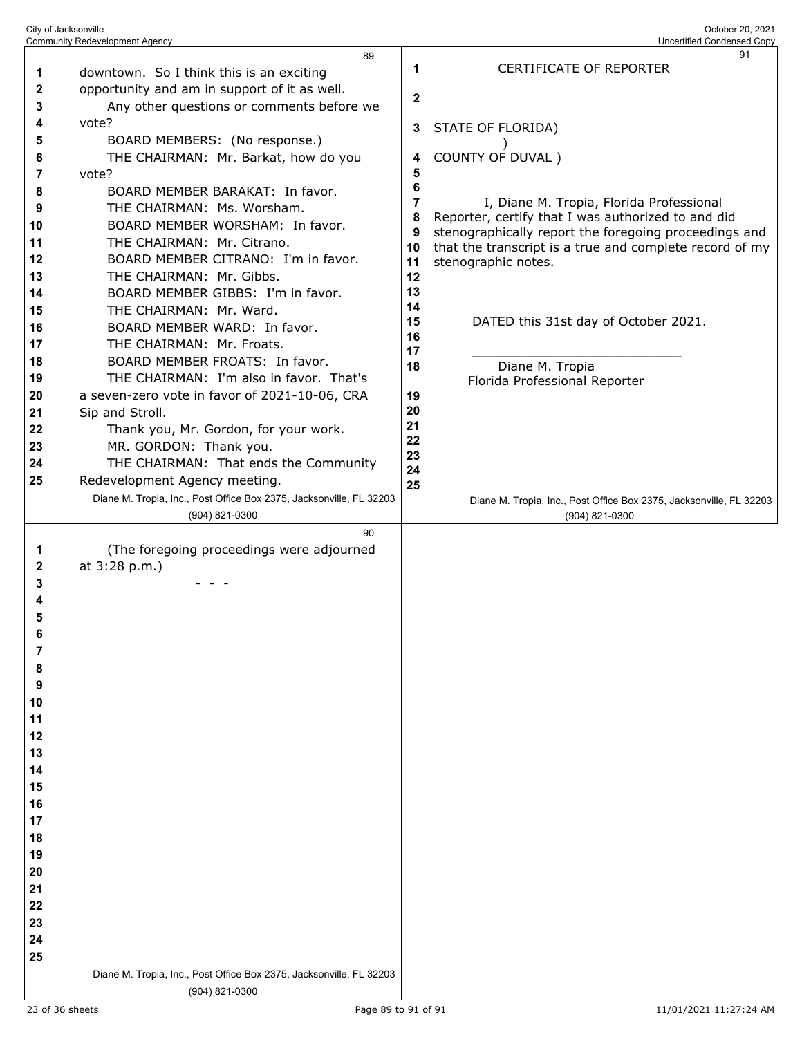| City of Jacksonville | <b>Community Redevelopment Agency</b>                               |          | October 20, 2021<br>Uncertified Condensed Copy                                 |
|----------------------|---------------------------------------------------------------------|----------|--------------------------------------------------------------------------------|
|                      | 89                                                                  |          | 91                                                                             |
| 1                    | downtown. So I think this is an exciting                            | 1        | CERTIFICATE OF REPORTER                                                        |
| 2                    | opportunity and am in support of it as well.                        |          |                                                                                |
| 3                    | Any other questions or comments before we                           | 2        |                                                                                |
| 4                    | vote?                                                               |          |                                                                                |
| 5                    | BOARD MEMBERS: (No response.)                                       | 3        | STATE OF FLORIDA)                                                              |
| 6                    | THE CHAIRMAN: Mr. Barkat, how do you                                | 4        | COUNTY OF DUVAL)                                                               |
| 7                    | vote?                                                               | 5        |                                                                                |
| 8                    | BOARD MEMBER BARAKAT: In favor.                                     | 6        |                                                                                |
| 9                    | THE CHAIRMAN: Ms. Worsham.                                          | 7        | I, Diane M. Tropia, Florida Professional                                       |
| 10                   | BOARD MEMBER WORSHAM: In favor.                                     | 8        | Reporter, certify that I was authorized to and did                             |
| 11                   | THE CHAIRMAN: Mr. Citrano.                                          | 9        | stenographically report the foregoing proceedings and                          |
| 12                   | BOARD MEMBER CITRANO: I'm in favor.                                 | 10<br>11 | that the transcript is a true and complete record of my<br>stenographic notes. |
| 13                   | THE CHAIRMAN: Mr. Gibbs.                                            | 12       |                                                                                |
| 14                   | BOARD MEMBER GIBBS: I'm in favor.                                   | 13       |                                                                                |
| 15                   | THE CHAIRMAN: Mr. Ward.                                             | 14       |                                                                                |
| 16                   | BOARD MEMBER WARD: In favor.                                        | 15       | DATED this 31st day of October 2021.                                           |
| 17                   | THE CHAIRMAN: Mr. Froats.                                           | 16       |                                                                                |
| 18                   | BOARD MEMBER FROATS: In favor.                                      | 17<br>18 | Diane M. Tropia                                                                |
| 19                   | THE CHAIRMAN: I'm also in favor. That's                             |          | Florida Professional Reporter                                                  |
| 20                   | a seven-zero vote in favor of 2021-10-06, CRA                       | 19       |                                                                                |
| 21                   | Sip and Stroll.                                                     | 20       |                                                                                |
| 22                   | Thank you, Mr. Gordon, for your work.                               | 21       |                                                                                |
| 23                   | MR. GORDON: Thank you.                                              | 22       |                                                                                |
| 24                   | THE CHAIRMAN: That ends the Community                               | 23<br>24 |                                                                                |
| 25                   | Redevelopment Agency meeting.                                       | 25       |                                                                                |
|                      | Diane M. Tropia, Inc., Post Office Box 2375, Jacksonville, FL 32203 |          | Diane M. Tropia, Inc., Post Office Box 2375, Jacksonville, FL 32203            |
|                      | (904) 821-0300                                                      |          | (904) 821-0300                                                                 |
|                      | 90                                                                  |          |                                                                                |
| 1                    | (The foregoing proceedings were adjourned                           |          |                                                                                |
| 2                    | at 3:28 p.m.)                                                       |          |                                                                                |
| 3                    |                                                                     |          |                                                                                |
| 4                    |                                                                     |          |                                                                                |
| 5                    |                                                                     |          |                                                                                |
| 6                    |                                                                     |          |                                                                                |
| 7                    |                                                                     |          |                                                                                |
| 8                    |                                                                     |          |                                                                                |
| 9                    |                                                                     |          |                                                                                |
| 10<br>11             |                                                                     |          |                                                                                |
| 12                   |                                                                     |          |                                                                                |
| 13                   |                                                                     |          |                                                                                |
| 14                   |                                                                     |          |                                                                                |
| 15                   |                                                                     |          |                                                                                |
| 16                   |                                                                     |          |                                                                                |
| 17                   |                                                                     |          |                                                                                |
| 18                   |                                                                     |          |                                                                                |
| 19                   |                                                                     |          |                                                                                |
| 20                   |                                                                     |          |                                                                                |
| 21                   |                                                                     |          |                                                                                |
| 22                   |                                                                     |          |                                                                                |
| 23                   |                                                                     |          |                                                                                |
| 24                   |                                                                     |          |                                                                                |
| 25                   |                                                                     |          |                                                                                |
|                      | Diane M. Tropia, Inc., Post Office Box 2375, Jacksonville, FL 32203 |          |                                                                                |
|                      | (904) 821-0300                                                      |          |                                                                                |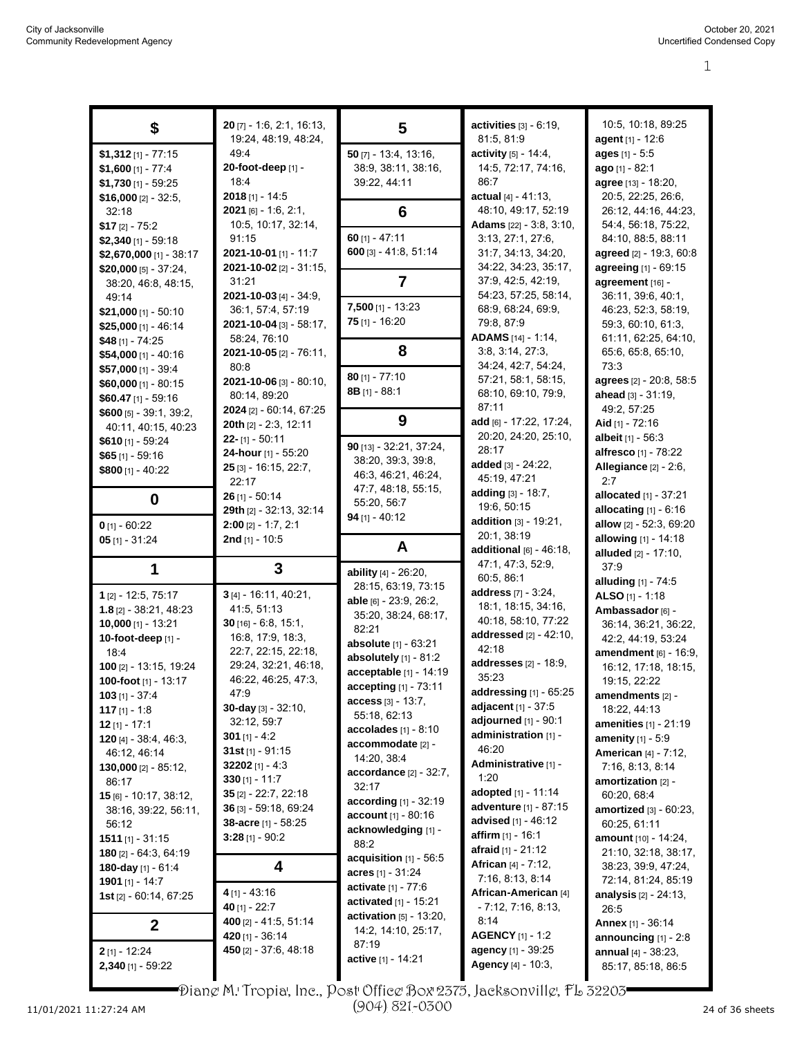| \$                                     | $20$ [7] - 1:6, 2:1, 16:13,    | 5                                 | activities $[3] - 6.19$ ,                | 10:5, 10:18, 89:25                        |
|----------------------------------------|--------------------------------|-----------------------------------|------------------------------------------|-------------------------------------------|
|                                        | 19:24, 48:19, 48:24,           |                                   | 81:5, 81:9                               | agent [1] - 12:6                          |
| $$1,312$ [1] - 77:15                   | 49:4                           | $50$ [7] - 13:4, 13:16,           | activity [5] - 14:4,                     | ages [1] - 5:5                            |
| $$1,600$ [1] - 77:4                    | 20-foot-deep [1] -             | 38.9, 38.11, 38.16,               | 14:5, 72:17, 74:16,                      | ago [1] - 82:1                            |
| $$1,730$ [1] - 59:25                   | 18:4                           | 39:22, 44:11                      | 86:7                                     | agree [13] - 18:20,                       |
| \$16,000 $[2] - 32:5$                  | $2018$ [1] - 14:5              |                                   | actual $[4] - 41:13$ ,                   | 20:5, 22:25, 26:6,                        |
| 32:18                                  | 2021 [6] - 1:6, 2:1,           | 6                                 | 48:10, 49:17, 52:19                      | 26:12, 44:16, 44:23,                      |
|                                        | 10:5, 10:17, 32:14,            |                                   | Adams [22] - 3:8, 3:10,                  | 54:4, 56:18, 75:22,                       |
| $$17$ [2] - 75:2                       |                                | $60$ [1] - 47:11                  |                                          | 84:10, 88:5, 88:11                        |
| $$2,340$ [1] - 59:18                   | 91:15                          |                                   | 3:13, 27:1, 27:6,                        |                                           |
| \$2,670,000 [1] - 38:17                | 2021-10-01 [1] - 11:7          | $600$ [3] - 41:8, 51:14           | 31:7, 34:13, 34:20,                      | agreed [2] - 19:3, 60:8                   |
| \$20,000 [5] - 37:24,                  | 2021-10-02 [2] - 31:15,        |                                   | 34:22, 34:23, 35:17,                     | agreeing [1] - 69:15                      |
| 38:20, 46:8, 48:15,                    | 31:21                          | $\overline{\mathbf{7}}$           | 37:9, 42:5, 42:19,                       | agreement [16] -                          |
| 49:14                                  | 2021-10-03 [4] - 34:9,         |                                   | 54:23, 57:25, 58:14,                     | 36:11, 39:6, 40:1,                        |
| $$21,000$ [1] - 50:10                  | 36:1, 57:4, 57:19              | $7,500$ [1] - 13:23               | 68:9, 68:24, 69:9,                       | 46:23, 52:3, 58:19,                       |
| $$25,000$ [1] - 46:14                  | <b>2021-10-04</b> [3] - 58:17, | $75$ [1] - 16:20                  | 79.8, 87:9                               | 59:3, 60:10, 61:3,                        |
| \$48 [1] - 74:25                       | 58:24, 76:10                   |                                   | ADAMS [14] - 1:14,                       | 61:11, 62:25, 64:10,                      |
| $$54,000$ [1] - 40:16                  | 2021-10-05 [2] - 76:11,        | 8                                 | 3:8, 3:14, 27:3,                         | 65:6, 65:8, 65:10,                        |
| \$57,000 [1] - 39:4                    | 80.8                           |                                   | 34:24, 42:7, 54:24,                      | 73:3                                      |
| $$60,000$ [1] - 80:15                  | 2021-10-06 [3] - 80:10,        | $80$ [1] - 77:10                  | 57:21, 58:1, 58:15,                      | agrees [2] - 20:8, 58:5                   |
| $$60.47$ [1] - 59:16                   | 80:14, 89:20                   | 8B [1] - 88:1                     | 68:10, 69:10, 79:9,                      | ahead [3] - 31:19,                        |
|                                        | 2024 [2] - 60:14, 67:25        |                                   | 87:11                                    | 49:2, 57:25                               |
| $$600$ [5] - 39.1, 39.2,               | 20th [2] - 2:3, 12:11          | 9                                 | add [6] - 17:22, 17:24,                  | Aid [1] - 72:16                           |
| 40:11, 40:15, 40:23                    | $22 - [1] - 50:11$             |                                   | 20:20, 24:20, 25:10,                     | albeit [1] - 56:3                         |
| \$610 $[1]$ - 59:24                    |                                | 90 [13] - 32:21, 37:24,           | 28:17                                    |                                           |
| $$65$ [1] - 59:16                      | 24-hour [1] - 55:20            | 38:20, 39:3, 39:8,                | added [3] - 24:22,                       | alfresco [1] - 78:22                      |
| \$800 $[1] - 40:22$                    | 25 [3] - 16:15, 22:7,          | 46.3, 46.21, 46.24,               | 45:19, 47:21                             | <b>Allegiance</b> [2] - 2:6,              |
|                                        | 22:17                          | 47:7, 48:18, 55:15,               |                                          | 2:7                                       |
| $\bf{0}$                               | $26$ [1] - 50:14               | 55:20, 56:7                       | adding [3] - 18:7,                       | allocated [1] - 37:21                     |
|                                        | 29th [2] - 32:13, 32:14        | $94$ [1] - 40:12                  | 19:6, 50:15                              | allocating $[1] - 6.16$                   |
| $0$ [1] - 60:22                        | $2:00$ [2] - 1:7, 2:1          |                                   | addition [3] - 19:21,                    | allow [2] - 52:3, 69:20                   |
| $05$ [1] - 31:24                       | 2nd [1] - 10:5                 |                                   | 20:1, 38:19                              | allowing [1] - 14:18                      |
|                                        |                                |                                   |                                          |                                           |
|                                        |                                | A                                 | additional $[6]$ - 46:18,                | <b>alluded</b> $[2] - 17:10$ ,            |
|                                        |                                |                                   | 47:1, 47:3, 52:9,                        | 37.9                                      |
| 1                                      | 3                              | ability [4] - 26:20,              | 60:5, 86:1                               | alluding [1] - 74:5                       |
| 1 [2] - 12:5, 75:17                    | 3 [4] - 16:11, 40:21,          | 28:15, 63:19, 73:15               | address [7] - 3:24,                      | ALSO [1] - 1:18                           |
| $1.8$ [2] - 38:21, 48:23               | 41:5, 51:13                    | <b>able</b> $[6]$ - 23:9, 26:2,   | 18:1, 18:15, 34:16,                      |                                           |
|                                        | $30$ [16] - 6:8, 15:1,         | 35:20, 38:24, 68:17,              | 40:18, 58:10, 77:22                      | Ambassador [6] -                          |
| $10,000$ [1] - 13:21                   |                                | 82:21                             | addressed [2] - 42:10,                   | 36:14, 36:21, 36:22,                      |
| 10-foot-deep [1] -                     | 16:8, 17:9, 18:3,              | absolute [1] - 63:21              | 42:18                                    | 42.2, 44:19, 53:24                        |
| 18:4                                   | 22:7, 22:15, 22:18,            | absolutely [1] - 81:2             |                                          | amendment [6] - 16:9,                     |
| 100 [2] - 13:15, 19:24                 | 29:24, 32:21, 46:18,           | acceptable [1] - 14:19            | addresses [2] - 18:9,<br>35:23           | 16:12, 17:18, 18:15,                      |
| 100-foot $[1]$ - 13:17                 | 46.22, 46:25, 47:3,            | accepting [1] - 73:11             |                                          | 19:15, 22:22                              |
| $103$ [1] - 37:4                       | 47.9                           | $access_{[3]} - 13:7,$            | <b>addressing</b> $[1]$ - $65:25$        | amendments [2] -                          |
| 117 $[1] - 1.8$                        | 30-day $[3] - 32:10$ ,         | 55:18, 62:13                      | adjacent [1] - 37:5                      | 18:22, 44:13                              |
| 12 $[1] - 17:1$                        | 32:12, 59:7                    | accolades $[1] - 8:10$            | adjourned [1] - 90:1                     | <b>amenities</b> [1] - 21:19              |
| <b>120</b> [4] - 38:4, 46:3,           | 301 $[1] - 4.2$                | accommodate [2] -                 | administration [1] -                     | <b>amenity</b> $[1] - 5.9$                |
| 46:12, 46:14                           | 31st $[1]$ - 91:15             | 14:20, 38:4                       | 46:20                                    | <b>American [4] - 7:12,</b>               |
| 130,000 $[2] - 85:12$ ,                | $32202$ [1] - 4:3              |                                   | Administrative [1] -                     | 7:16, 8:13, 8:14                          |
| 86:17                                  | 330 $[1] - 11:7$               | $accordance$ [2] - 32:7,          | 1:20                                     | amortization [2] -                        |
| $15$ [6] - 10:17, 38:12,               | $35$ [2] - 22:7, 22:18         | 32:17                             | adopted $[1] - 11.14$                    | 60:20, 68:4                               |
| 38:16, 39:22, 56:11,                   | 36 [3] - 59:18, 69:24          | <b>according</b> $[1] - 32:19$    | <b>adventure</b> [1] - 87:15             | amortized [3] - 60:23,                    |
| 56:12                                  | 38-acre [1] - 58:25            | account [1] - 80:16               | <b>advised</b> $[1] - 46:12$             | 60:25, 61:11                              |
| $1511$ [1] - 31:15                     | 3:28 [1] - 90:2                | acknowledging [1] -               | <b>affirm</b> [1] - 16:1                 | amount [10] - 14:24,                      |
| $180$ [2] - 64:3, 64:19                |                                | 88:2                              | afraid [1] - 21:12                       | 21:10, 32:18, 38:17,                      |
|                                        | 4                              | acquisition $[1]$ - 56:5          | African [4] - 7:12,                      | 38:23, 39:9, 47:24,                       |
| 180-day [1] - 61:4                     |                                | acres $[1] - 31.24$               | 7:16, 8:13, 8:14                         | 72:14, 81:24, 85:19                       |
| <b>1901</b> [1] - 14:7                 | $4$ [1] - 43:16                | activate [1] - 77:6               | African-American [4]                     |                                           |
| <b>1st</b> $[2] - 60:14, 67:25$        | 40 $[1] - 22:7$                | <b>activated</b> $[1]$ - 15:21    | $-7:12, 7:16, 8:13,$                     | analysis [2] - 24:13,<br>26:5             |
|                                        | 400 [2] - 41:5, 51:14          | <b>activation</b> $[5] - 13:20$ , | 8:14                                     |                                           |
| $\mathbf 2$                            |                                | 14:2, 14:10, 25:17,               |                                          | <b>Annex</b> $[1] - 36:14$                |
|                                        | 420 [1] - 36:14                | 87:19                             | <b>AGENCY</b> [1] - 1:2                  | announcing $[1]$ - 2:8                    |
| $2$ [1] - 12:24<br>$2,340$ [1] - 59:22 | 450 [2] - 37:6, 48:18          | active [1] - 14:21                | agency [1] - 39:25<br>Agency [4] - 10:3, | annual [4] - 38:23,<br>85:17, 85:18, 86:5 |

Diane M. Tropia, Inc., Post Office Box 2375, Jacksonville, FL 32203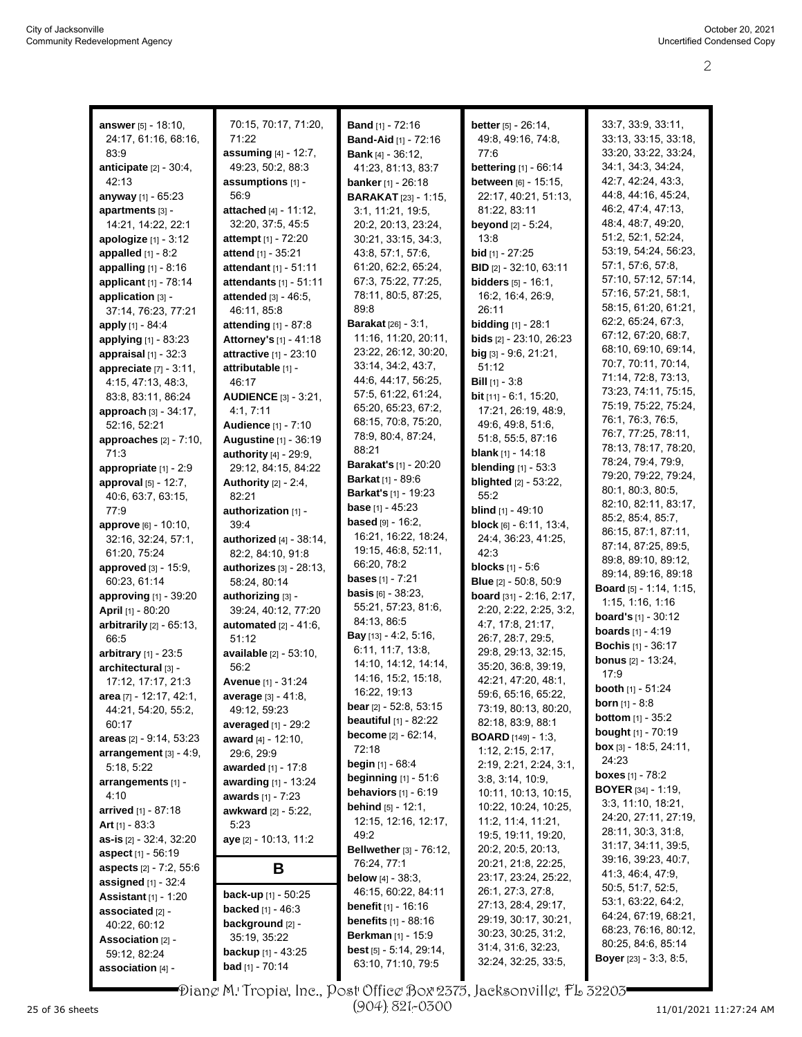| <b>answer</b> [5] - 18:10,     | 70:15, 70:17, 71:20,          | <b>Band</b> [1] - 72:16                          | <b>better</b> [5] - 26:14,                      | 33:7, 33:9, 33:11,              |
|--------------------------------|-------------------------------|--------------------------------------------------|-------------------------------------------------|---------------------------------|
| 24:17, 61:16, 68:16,           | 71:22                         | <b>Band-Aid</b> [1] - 72:16                      | 49.8, 49.16, 74.8,                              | 33:13, 33:15, 33:18,            |
| 83:9                           | assuming [4] - 12:7,          | <b>Bank</b> $[4] - 36:12$ ,                      | 77:6                                            | 33:20, 33:22, 33:24,            |
| anticipate $[2] - 30.4$ ,      | 49:23, 50:2, 88:3             | 41:23, 81:13, 83:7                               | bettering [1] - 66:14                           | 34:1, 34:3, 34:24,              |
| 42:13                          | assumptions [1] -             | banker [1] - 26:18                               | between [6] - 15:15,                            | 42:7, 42:24, 43:3,              |
| anyway [1] - 65:23             | 56.9                          |                                                  | 22:17, 40:21, 51:13,                            | 44:8, 44:16, 45:24,             |
| apartments [3] -               | attached [4] - 11:12,         | <b>BARAKAT</b> [23] - 1:15,<br>3:1, 11:21, 19:5, | 81:22, 83:11                                    | 46.2, 47.4, 47.13,              |
| 14:21, 14:22, 22:1             | 32:20, 37:5, 45:5             | 20:2, 20:13, 23:24,                              | <b>beyond</b> $[2] - 5:24$ ,                    | 48:4, 48:7, 49:20,              |
| <b>apologize</b> $[1] - 3:12$  | <b>attempt</b> [1] - 72:20    | 30:21, 33:15, 34:3,                              | 13:8                                            | 51:2, 52:1, 52:24,              |
|                                | attend [1] - 35:21            | 43:8, 57:1, 57:6,                                | <b>bid</b> [1] - 27:25                          | 53:19, 54:24, 56:23,            |
| appalled $[1] - 8.2$           | attendant [1] - 51:11         | 61:20, 62:2, 65:24,                              | <b>BID</b> [2] - 32:10, 63:11                   | 57:1, 57:6, 57:8,               |
| appalling [1] - 8:16           |                               | 67:3, 75:22, 77:25,                              | <b>bidders</b> [5] - 16:1,                      | 57:10, 57:12, 57:14,            |
| applicant [1] - 78:14          | attendants [1] - 51:11        | 78:11, 80:5, 87:25,                              |                                                 | 57:16, 57:21, 58:1,             |
| application [3] -              | attended [3] - 46:5,          | 89:8                                             | 16:2, 16:4, 26:9,                               | 58:15, 61:20, 61:21,            |
| 37:14, 76:23, 77:21            | 46:11, 85:8                   | <b>Barakat</b> [26] - 3:1,                       | 26:11                                           | 62:2, 65:24, 67:3,              |
| apply [1] - 84:4               | <b>attending</b> $[1] - 87:8$ |                                                  | <b>bidding</b> [1] - 28:1                       | 67:12, 67:20, 68:7,             |
| applying [1] - 83:23           | Attorney's [1] - 41:18        | 11:16, 11:20, 20:11,<br>23:22, 26:12, 30:20,     | bids [2] - 23:10, 26:23                         | 68:10, 69:10, 69:14,            |
| appraisal $[1]$ - 32:3         | attractive [1] - 23:10        | 33:14, 34:2, 43:7,                               | big [3] - 9:6, 21:21,                           | 70:7, 70:11, 70:14,             |
| appreciate $[7] - 3.11$ ,      | attributable [1] -            | 44:6, 44:17, 56:25,                              | 51:12                                           | 71:14, 72:8, 73:13,             |
| 4:15, 47:13, 48:3,             | 46:17                         | 57:5, 61:22, 61:24,                              | <b>Bill</b> $[1]$ - 3:8                         | 73:23, 74:11, 75:15,            |
| 83.8, 83.11, 86.24             | <b>AUDIENCE</b> [3] - 3:21,   | 65:20, 65:23, 67:2,                              | bit [11] - 6:1, 15:20,                          | 75:19, 75:22, 75:24,            |
| approach [3] - 34:17,          | 4:1, 7:11                     | 68:15, 70:8, 75:20,                              | 17:21, 26:19, 48:9,                             | 76:1, 76:3, 76:5,               |
| 52:16, 52:21                   | <b>Audience</b> [1] - 7:10    | 78.9, 80.4, 87.24,                               | 49:6, 49:8, 51:6,                               | 76:7, 77:25, 78:11,             |
| approaches [2] - 7:10,         | <b>Augustine [1] - 36:19</b>  | 88:21                                            | 51:8, 55:5, 87:16<br><b>blank</b> $[1] - 14:18$ | 78:13, 78:17, 78:20,            |
| 71:3                           | authority [4] - 29:9,         | <b>Barakat's</b> [1] - 20:20                     |                                                 | 78:24, 79:4, 79:9,              |
| appropriate [1] - 2:9          | 29:12, 84:15, 84:22           | <b>Barkat</b> [1] - 89:6                         | <b>blending</b> [1] - 53:3                      | 79:20, 79:22, 79:24,            |
| approval [5] - 12:7,           | Authority $[2] - 2.4$ ,       | <b>Barkat's</b> $[1]$ - 19:23                    | <b>blighted</b> [2] - 53:22,                    | 80:1, 80:3, 80:5,               |
| 40:6, 63:7, 63:15,             | 82:21                         | <b>base</b> $[1] - 45:23$                        | 55:2                                            | 82:10, 82:11, 83:17,            |
| 77:9                           | authorization [1] -           | <b>based</b> $[9] - 16:2$                        | <b>blind</b> $[1] - 49:10$                      | 85:2, 85:4, 85:7,               |
| approve [6] - 10:10,           | 39.4                          | 16:21, 16:22, 18:24,                             | block [6] - 6:11, 13:4,                         | 86:15, 87:1, 87:11,             |
| 32:16, 32:24, 57:1,            | authorized [4] - 38:14,       | 19:15, 46:8, 52:11,                              | 24:4, 36:23, 41:25,                             | 87:14, 87:25, 89:5,             |
| 61:20, 75:24                   | 82:2, 84:10, 91:8             | 66:20, 78:2                                      | 42:3                                            | 89:8, 89:10, 89:12,             |
| <b>approved</b> [3] - 15:9,    | authorizes [3] - 28:13,       | <b>bases</b> $[1] - 7:21$                        | <b>blocks</b> $[1] - 5.6$                       | 89:14, 89:16, 89:18             |
| 60:23, 61:14                   | 58:24, 80:14                  | <b>basis</b> $[6] - 38:23$ ,                     | <b>Blue</b> [2] - 50:8, 50:9                    | Board [5] - 1:14, 1:15,         |
| <b>approving</b> [1] - 39:20   | authorizing [3] -             | 55:21, 57:23, 81:6,                              | board [31] - 2:16, 2:17,                        | 1:15, 1:16, 1:16                |
| April [1] - 80:20              | 39:24, 40:12, 77:20           | 84:13, 86:5                                      | 2:20, 2.22, 2:25, 3:2,                          | <b>board's</b> $[1] - 30:12$    |
| arbitrarily $[2]$ - $65:13$ ,  | <b>automated</b> [2] - 41:6,  | Bay [13] - 4:2, 5:16,                            | 4:7, 17:8, 21:17,                               | <b>boards</b> $[1] - 4:19$      |
| 66:5                           | 51:12                         | 6:11, 11:7, 13:8,                                | 26:7, 28:7, 29:5,                               | <b>Bochis</b> [1] - 36:17       |
| arbitrary [1] - 23:5           | available [2] - 53:10,        | 14:10, 14:12, 14:14,                             | 29:8, 29:13, 32:15,                             | <b>bonus</b> [2] - 13:24,       |
| architectural [3] -            | 56:2                          | 14:16, 15:2, 15:18,                              | 35:20, 36:8, 39:19,                             | 17:9                            |
| 17:12, 17:17, 21:3             | Avenue [1] - 31:24            | 16:22, 19:13                                     | 42:21.47:20.48:1.                               | <b>booth</b> $[1] - 51:24$      |
| area [7] - 12:17, 42:1,        | average [3] - 41:8,           | <b>bear</b> $[2] - 52:8, 53:15$                  | 59:6, 65:16, 65:22,<br>73:19, 80:13, 80:20,     | <b>born</b> $[1] - 8:8$         |
| 44:21, 54:20, 55:2,            | 49:12, 59:23                  | beautiful $[1]$ - 82:22                          | 82:18, 83:9, 88:1                               | <b>bottom</b> $[1] - 35:2$      |
| 60:17                          | averaged $[1]$ - 29:2         | <b>become</b> $[2] - 62:14$ ,                    | <b>BOARD</b> $[149] - 1:3$                      | <b>bought</b> [1] - 70:19       |
| areas [2] - 9:14, 53:23        | award $[4] - 12:10$ ,         | 72:18                                            | 1:12, 2:15, 2:17,                               | <b>box</b> $[3] - 18:5, 24:11,$ |
| arrangement $[3] - 4:9$ ,      | 29:6, 29:9                    | <b>begin</b> $[1]$ - 68:4                        | 2:19, 2:21, 2:24, 3:1,                          | 24:23                           |
| 5:18, 5:22                     | awarded [1] - 17:8            | beginning [1] - 51:6                             | 3.8, 3.14, 10.9,                                | <b>boxes</b> $[1]$ - 78:2       |
| arrangements [1] -             | <b>awarding</b> [1] - 13:24   | behaviors $[1] - 6:19$                           | 10:11, 10:13, 10:15,                            | <b>BOYER</b> $[34] - 1.19$ ,    |
| 4:10                           | <b>awards</b> $[1] - 7:23$    | <b>behind</b> $[5] - 12:1$ ,                     | 10:22, 10:24, 10:25,                            | 3:3, 11:10, 18:21,              |
| arrived [1] - 87:18            | awkward [2] - 5:22,           | 12:15, 12:16, 12:17,                             | 11:2, 11:4, 11:21,                              | 24:20, 27:11, 27:19,            |
| Art $[1] - 83.3$               | 5:23                          | 49.2                                             | 19:5, 19:11, 19:20,                             | 28:11, 30:3, 31:8,              |
| as-is [2] - 32.4, 32:20        | aye [2] - 10:13, 11:2         | <b>Bellwether</b> [3] - 76:12,                   | 20:2, 20:5, 20:13,                              | 31:17, 34:11, 39:5,             |
| <b>aspect</b> [1] - 56:19      |                               | 76.24, 77:1                                      | 20:21, 21:8, 22:25,                             | 39:16, 39:23, 40:7,             |
| <b>aspects</b> [2] - 7:2, 55:6 | В                             | <b>below</b> $[4] - 38:3$ ,                      | 23:17, 23:24, 25:22,                            | 41:3, 46:4, 47:9,               |
| <b>assigned</b> $[1] - 32.4$   |                               | 46:15, 60:22, 84:11                              | 26:1, 27:3, 27:8,                               | 50:5, 51:7, 52:5,               |
| <b>Assistant</b> $[1] - 1:20$  | <b>back-up</b> $[1]$ - 50:25  | <b>benefit</b> [1] - 16:16                       | 27:13, 28:4, 29:17,                             | 53:1, 63:22, 64:2,              |
| associated [2] -               | <b>backed</b> $[1] - 46:3$    | <b>benefits</b> $[1] - 88:16$                    | 29:19, 30:17, 30:21,                            | 64:24, 67:19, 68:21,            |
| 40:22, 60:12                   | background [2] -              | <b>Berkman</b> $[1]$ - 15:9                      | 30:23, 30:25, 31:2,                             | 68:23, 76:16, 80:12,            |
| Association [2] -              | 35:19, 35:22                  | best [5] - 5:14, 29:14,                          | 31.4, 31.6, 32.23,                              | 80:25, 84:6, 85:14              |
| 59:12, 82:24                   | <b>backup</b> $[1] - 43:25$   | 63:10, 71:10, 79:5                               | 32:24, 32:25, 33:5,                             | <b>Boyer</b> $[23] - 3.3, 8.5,$ |
| association [4] -              | <b>bad</b> [1] - 70:14        |                                                  |                                                 |                                 |
|                                |                               |                                                  |                                                 |                                 |

Diane M. Tropia, Inc., Post Office Box 2375, Jacksonville, FL 32203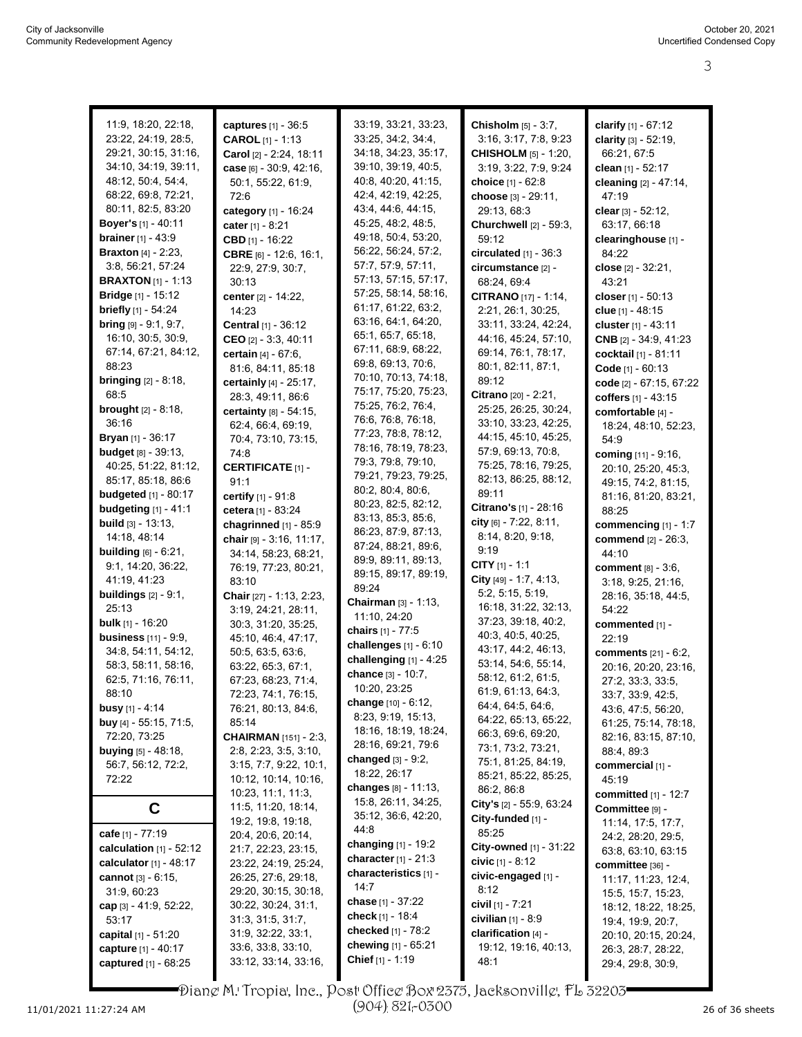| 11:9, 18:20, 22:18,             | captures [1] - 36:5                            | 33:19, 33:21, 33:23,                       | Chisholm [5] - 3:7,                     | clarify $[1] - 67:12$                          |
|---------------------------------|------------------------------------------------|--------------------------------------------|-----------------------------------------|------------------------------------------------|
| 23:22, 24:19, 28:5,             | <b>CAROL</b> $[1] - 1:13$                      | 33:25, 34:2, 34:4,                         | 3:16, 3:17, 7:8, 9:23                   | clarity [3] - 52:19,                           |
| 29:21, 30:15, 31:16,            | Carol [2] - 2:24, 18:11                        | 34:18, 34:23, 35:17,                       | <b>CHISHOLM</b> [5] - 1:20,             | 66:21, 67:5                                    |
| 34:10, 34:19, 39:11,            | case $[6] - 30.9, 42.16,$                      | 39:10, 39:19, 40:5,                        | 3.19, 3.22, 7.9, 9.24                   | clean [1] - 52:17                              |
| 48:12, 50:4, 54:4,              | 50:1, 55:22, 61:9,                             | 40:8, 40:20, 41:15,                        | choice [1] - 62:8                       | cleaning [2] - 47:14,                          |
| 68:22, 69:8, 72:21,             | 72:6                                           | 42:4, 42:19, 42:25,                        | choose [3] - 29:11,                     | 47:19                                          |
| 80:11, 82:5, 83:20              | category [1] - 16:24                           | 43.4, 44.6, 44.15,                         | 29:13, 68:3                             | clear $[3] - 52:12$ ,                          |
| <b>Boyer's</b> [1] - 40:11      | cater [1] - 8:21                               | 45:25, 48:2, 48:5,                         | Churchwell [2] - 59:3,                  | 63:17, 66:18                                   |
| <b>brainer</b> $[1] - 43.9$     | CBD $[1]$ - 16:22                              | 49:18, 50:4, 53:20,                        | 59:12                                   | clearinghouse [1] -                            |
| <b>Braxton</b> $[4] - 2:23$ ,   | CBRE [6] - 12:6, 16:1,                         | 56:22, 56:24, 57:2,                        | circulated $[1]$ - $36:3$               | 84:22                                          |
| 3:8, 56:21, 57:24               | 22.9, 27.9, 30.7,                              | 57:7, 57:9, 57:11,                         | circumstance [2] -                      | close $[2] - 32.21$ ,                          |
| <b>BRAXTON</b> [1] - 1:13       | 30:13                                          | 57:13, 57:15, 57:17,                       | 68:24, 69:4                             | 43:21                                          |
| Bridge [1] - 15:12              | center [2] - 14:22,                            | 57:25, 58:14, 58:16,                       | CITRANO [17] - 1:14,                    | closer $[1] - 50:13$                           |
| <b>briefly</b> [1] - 54:24      | 14:23                                          | 61:17, 61:22, 63:2,                        | 2:21, 26:1, 30:25,                      | clue $[1] - 48:15$                             |
| <b>bring</b> $[9] - 9:1, 9:7$ , | Central [1] - 36:12                            | 63:16, 64:1, 64:20,                        | 33:11, 33:24, 42:24,                    | cluster [1] - 43:11                            |
| 16:10, 30:5, 30:9,              | CEO $[2] - 3.3, 40.11$                         | 65:1, 65:7, 65:18,                         | 44:16, 45:24, 57:10,                    | CNB [2] - 34:9, 41:23                          |
| 67:14, 67:21, 84:12,            | certain [4] - 67:6,                            | 67:11, 68:9, 68:22,                        | 69:14, 76:1, 78:17,                     | cocktail [1] - 81:11                           |
| 88:23                           | 81:6, 84:11, 85:18                             | 69:8, 69:13, 70:6,                         | 80:1, 82:11, 87:1,                      | Code [1] - 60:13                               |
| <b>bringing</b> $[2] - 8:18$ ,  | certainly [4] - 25:17,                         | 70:10, 70:13, 74:18,                       | 89:12                                   | code [2] - 67:15, 67:22                        |
| 68.5                            | 28:3, 49:11, 86:6                              | 75:17, 75:20, 75:23,                       | Citrano [20] - 2:21,                    | coffers [1] - 43:15                            |
| <b>brought</b> $[2] - 8:18$ ,   | certainty [8] - 54:15,                         | 75:25, 76:2, 76:4,                         | 25:25, 26:25, 30:24,                    | comfortable [4] -                              |
| 36:16                           | 62:4, 66:4, 69:19,                             | 76:6, 76:8, 76:18,                         | 33:10, 33:23, 42:25,                    | 18:24, 48:10, 52:23,                           |
| <b>Bryan</b> $[1]$ - 36:17      | 70:4, 73:10, 73:15,                            | 77:23, 78:8, 78:12,                        | 44:15, 45:10, 45:25,                    | 54:9                                           |
| <b>budget</b> [8] - 39:13,      | 74:8                                           | 78:16, 78:19, 78:23,                       | 57:9, 69:13, 70:8,                      | coming [11] - 9:16,                            |
| 40:25, 51:22, 81:12,            | <b>CERTIFICATE [1] -</b>                       | 79:3, 79:8, 79:10,                         | 75:25, 78:16, 79:25,                    | 20:10, 25:20, 45:3,                            |
| 85:17, 85:18, 86:6              | 91:1                                           | 79:21, 79:23, 79:25,                       | 82:13, 86:25, 88:12,                    | 49:15, 74:2, 81:15,                            |
| <b>budgeted</b> [1] - 80:17     | certify [1] - 91:8                             | 80:2, 80:4, 80:6,                          | 89:11                                   | 81:16, 81:20, 83:21,                           |
| <b>budgeting</b> [1] - 41:1     | cetera [1] - 83:24                             | 80:23, 82:5, 82:12,                        | Citrano's [1] - 28:16                   | 88:25                                          |
| <b>build</b> $[3] - 13:13$ ,    | chagrinned $[1]$ - 85:9                        | 83:13, 85:3, 85:6,                         | city [6] - 7:22, 8:11,                  | commencing $[1] - 1:7$                         |
| 14:18, 48:14                    | chair $[9] - 3:16$ , 11:17,                    | 86:23, 87:9, 87:13,                        | 8:14, 8:20, 9:18,                       | commend [2] - 26:3,                            |
| <b>building</b> $[6] - 6.21$ ,  | 34:14, 58:23, 68:21,                           | 87:24, 88:21, 89:6,<br>89:9, 89:11, 89:13, | 9:19                                    | 44:10                                          |
| 9:1, 14:20, 36:22,              | 76:19, 77:23, 80:21,                           |                                            | CITY [1] - 1:1                          | comment [8] - 3:6,                             |
| 41:19, 41:23                    | 83:10                                          | 89:15, 89:17, 89:19,<br>89:24              | City [49] - 1:7, 4:13,                  | 3:18, 9:25, 21:16,                             |
| <b>buildings</b> $[2] - 9:1$ ,  | Chair [27] - 1:13, 2:23,                       | Chairman [3] - 1:13,                       | 5:2, 5:15, 5:19,                        | 28:16, 35:18, 44:5,                            |
| 25:13                           | 3:19, 24:21, 28:11,                            | 11:10, 24:20                               | 16:18, 31:22, 32:13,                    | 54:22                                          |
| bulk [1] - 16:20                | 30:3, 31:20, 35:25,                            | chairs [1] - 77:5                          | 37:23, 39:18, 40:2,                     | commented [1] -                                |
| <b>business</b> [11] - 9:9,     | 45:10, 46:4, 47:17,                            | challenges [1] - 6:10                      | 40:3, 40:5, 40:25,                      | 22:19                                          |
| 34:8, 54:11, 54:12,             | 50:5, 63:5, 63:6,                              | challenging $[1] - 4:25$                   | 43:17, 44:2, 46:13,                     | comments [21] - 6:2,                           |
| 58:3, 58:11, 58:16,             | 63:22, 65:3, 67:1,                             | chance [3] - 10:7,                         | 53:14, 54:6, 55:14,                     | 20:16, 20:20, 23:16,                           |
| 62:5, 71:16, 76:11,             | 67:23, 68:23, 71:4,                            | 10:20, 23:25                               | 58:12, 61:2, 61:5,                      | 27:2, 33:3, 33:5,                              |
| 88:10                           | 72:23, 74:1, 76:15,                            | <b>change</b> [10] - 6:12,                 | 61.9, 61.13, 64.3,<br>64:4, 64:5, 64:6, | 33:7, 33:9, 42:5,                              |
| <b>busy</b> $[1]$ - 4:14        | 76:21, 80:13, 84:6,                            | 8:23, 9:19, 15:13,                         | 64:22, 65:13, 65:22,                    | 43:6, 47:5, 56:20,                             |
| buy [4] - 55:15, 71:5,          | 85:14                                          | 18:16, 18:19, 18:24,                       | 66:3, 69:6, 69:20,                      | 61:25, 75:14, 78:18,                           |
| 72:20, 73:25                    | <b>CHAIRMAN</b> [151] - 2:3,                   | 28:16, 69:21, 79:6                         | 73.1, 73.2, 73.21,                      | 82:16, 83:15, 87:10,                           |
| <b>buying</b> [5] - 48:18,      | 2:8, 2:23, 3:5, 3:10,                          | changed $[3] - 9:2$ ,                      | 75:1, 81:25, 84:19,                     | 88:4, 89:3                                     |
| 56:7, 56:12, 72:2,<br>72:22     | 3:15, 7:7, 9:22, 10:1,<br>10:12, 10:14, 10:16, | 18:22, 26:17                               | 85:21, 85:22, 85:25,                    | commercial [1] -                               |
|                                 | 10:23, 11:1, 11:3,                             | changes [8] - 11:13,                       | 86.2, 86.8                              | 45:19                                          |
| C                               | 11:5, 11:20, 18:14,                            | 15:8, 26:11, 34:25,                        | City's $[2] - 55.9, 63.24$              | <b>committed</b> [1] - 12:7<br>Committee [9] - |
|                                 | 19:2, 19:8, 19:18,                             | 35:12, 36:6, 42:20,                        | City-funded [1] -                       | 11:14, 17:5, 17:7,                             |
| cafe [1] - 77:19                | 20:4, 20:6, 20:14,                             | 44:8                                       | 85:25                                   | 24:2, 28:20, 29:5,                             |
| calculation $[1]$ - 52:12       | 21:7, 22:23, 23:15,                            | changing [1] - 19:2                        | City-owned [1] - 31:22                  | 63:8, 63:10, 63:15                             |
| calculator $[1] - 48:17$        | 23:22, 24:19, 25:24,                           | character $[1] - 21:3$                     | civic $[1] - 8:12$                      | committee [36] -                               |
| cannot $[3] - 6.15$ ,           | 26:25, 27:6, 29:18,                            | characteristics [1] -                      | civic-engaged [1] -                     | 11:17, 11:23, 12.4,                            |
| 31:9, 60:23                     | 29:20, 30:15, 30:18,                           | 14:7                                       | 8:12                                    | 15:5, 15:7, 15:23,                             |
| cap $[3] - 41.9, 52.22,$        | 30:22, 30:24, 31:1,                            | <b>chase</b> [1] - 37:22                   | civil [1] - 7:21                        | 18:12, 18:22, 18:25,                           |
| 53:17                           | 31:3, 31:5, 31:7,                              | check [1] - 18:4                           | civilian [1] - 8:9                      | 19:4, 19:9, 20:7,                              |
| capital [1] - 51:20             | 31.9, 32.22, 33.1,                             | <b>checked</b> [1] - 78:2                  | clarification [4] -                     | 20:10, 20:15, 20:24,                           |
| capture [1] - 40:17             | 33.6, 33.8, 33.10,                             | chewing [1] - 65:21                        | 19:12, 19:16, 40:13,                    | 26:3, 28:7, 28:22,                             |
| captured [1] - 68:25            | 33:12, 33:14, 33:16,                           | Chief [1] - 1:19                           | 48:1                                    | 29:4, 29:8, 30:9,                              |
|                                 |                                                |                                            |                                         |                                                |

11/01/2021 11:27:24 AM Page 3 to 3 of 13 26 of 36 sheets Diane M. Tropia, Inc., Post Office Box 2375, Jacksonville, FL 32203 (904) 821-0300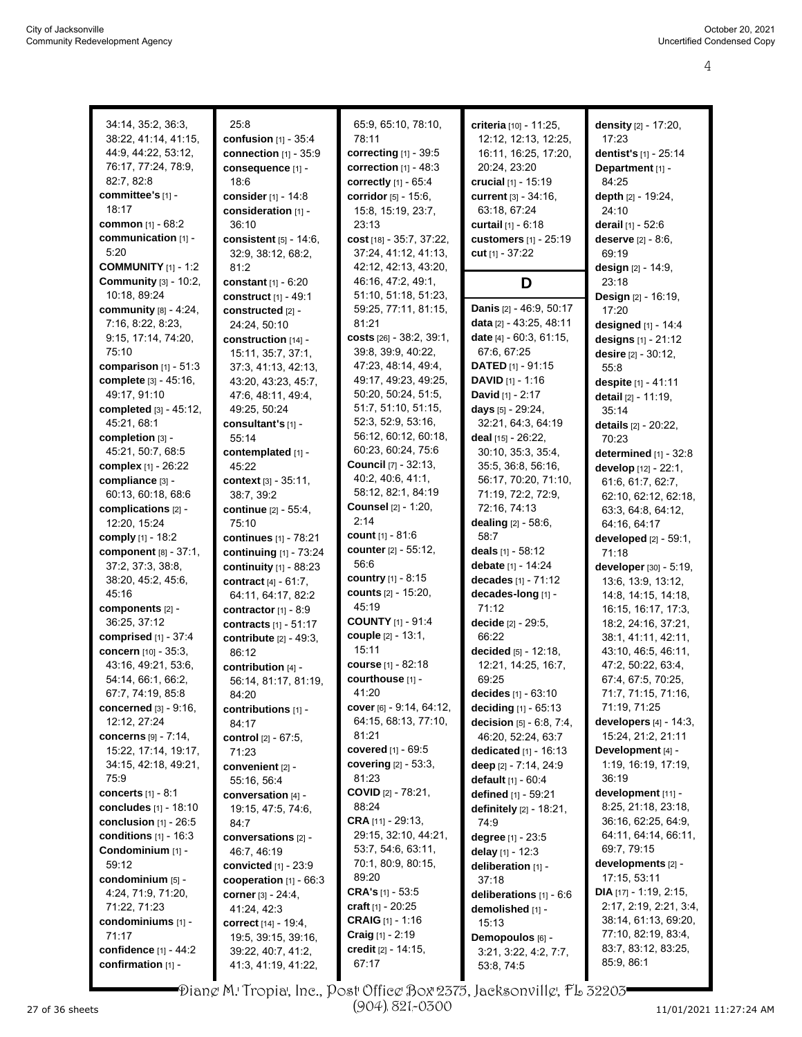| 34:14, 35:2, 36:3,           | 25:8                          | 65:9, 65:10, 78:10,             | criteria [10] - 11:25,           | <b>density</b> [2] - 17:20,     |
|------------------------------|-------------------------------|---------------------------------|----------------------------------|---------------------------------|
| 38:22, 41:14, 41:15,         |                               | 78:11                           |                                  |                                 |
|                              | <b>confusion</b> $[1] - 35:4$ |                                 | 12:12, 12:13, 12:25,             | 17:23                           |
| 44:9, 44:22, 53:12,          | connection [1] - 35:9         | correcting [1] - 39:5           | 16:11, 16:25, 17:20,             | dentist's [1] - 25:14           |
| 76:17, 77:24, 78:9,          | consequence [1] -             | correction $[1] - 48:3$         | 20:24, 23:20                     | Department [1] -                |
| 82:7, 82:8                   | 18:6                          | correctly $[1] - 65:4$          | <b>crucial</b> [1] - 15:19       | 84:25                           |
| committee's [1] -            | consider [1] - 14:8           | corridor [5] - 15:6,            | <b>current</b> [3] - 34:16,      | depth [2] - 19:24,              |
| 18:17                        | consideration [1] -           | 15:8, 15:19, 23:7,              | 63:18, 67:24                     | 24:10                           |
| <b>common</b> $[1] - 68:2$   | 36:10                         | 23:13                           | <b>curtail</b> $[1] - 6:18$      | derail [1] - 52:6               |
| communication [1] -          | consistent [5] - 14:6,        | cost [18] - 35:7, 37:22,        | customers [1] - 25:19            | deserve [2] - 8:6,              |
| 5:20                         | 32:9, 38:12, 68:2,            | 37:24, 41:12, 41:13,            | cut [1] - 37:22                  | 69:19                           |
| <b>COMMUNITY</b> [1] - 1:2   | 81:2                          | 42:12, 42:13, 43:20,            |                                  | design [2] - 14:9,              |
| <b>Community</b> [3] - 10:2, | constant [1] - 6:20           | 46:16, 47:2, 49:1,              | D                                | 23:18                           |
| 10:18, 89:24                 | construct [1] - 49:1          | 51:10, 51:18, 51:23,            |                                  | Design [2] - 16:19,             |
| community $[8] - 4.24$ ,     | constructed [2] -             | 59:25, 77:11, 81:15,            | Danis [2] - 46:9, 50:17          | 17:20                           |
| 7:16, 8:22, 8:23,            | 24:24, 50:10                  | 81:21                           | data [2] - 43:25, 48:11          | designed [1] - 14:4             |
| 9:15, 17:14, 74:20,          |                               | costs $[26] - 38:2, 39:1,$      | <b>date</b> $[4] - 60:3, 61:15,$ |                                 |
| 75:10                        | construction [14] -           | 39:8, 39:9, 40:22,              | 67:6, 67:25                      | designs [1] - 21:12             |
|                              | 15:11, 35:7, 37:1,            |                                 |                                  | desire $[2] - 30:12$ ,          |
| comparison $[1]$ - 51:3      | 37:3, 41:13, 42:13,           | 47:23, 48:14, 49:4,             | <b>DATED</b> $[1]$ - 91:15       | 55:8                            |
| complete [3] - 45:16,        | 43:20, 43:23, 45:7,           | 49:17, 49:23, 49:25,            | <b>DAVID</b> $[1] - 1:16$        | despite [1] - 41:11             |
| 49:17, 91:10                 | 47.6, 48.11, 49.4,            | 50:20, 50:24, 51:5,             | <b>David</b> $[1] - 2:17$        | detail [2] - 11:19,             |
| completed [3] - 45:12,       | 49:25, 50:24                  | 51:7, 51:10, 51:15,             | days $[5]$ - 29:24,              | 35:14                           |
| 45:21, 68:1                  | consultant's [1] -            | 52:3, 52:9, 53:16,              | 32:21, 64:3, 64:19               | <b>details</b> [2] - 20:22,     |
| completion [3] -             | 55:14                         | 56:12, 60:12, 60:18,            | deal [15] - 26:22,               | 70:23                           |
| 45:21, 50:7, 68:5            | contemplated [1] -            | 60:23, 60:24, 75:6              | 30:10, 35:3, 35:4,               | determined [1] - 32:8           |
| <b>complex</b> [1] - 26:22   | 45:22                         | <b>Council</b> [7] - 32:13,     | 35:5, 36:8, 56:16,               | develop [12] - 22:1,            |
| compliance [3] -             | context [3] - 35:11,          | 40.2, 40.6, 41.1,               | 56:17, 70:20, 71:10,             | 61:6, 61:7, 62:7,               |
| 60:13, 60:18, 68:6           | 38:7, 39:2                    | 58:12, 82:1, 84:19              | 71:19, 72:2, 72:9,               | 62:10, 62:12, 62:18,            |
| complications [2] -          | continue [2] - 55:4,          | <b>Counsel</b> [2] - 1:20,      | 72:16, 74:13                     | 63:3, 64:8, 64:12,              |
| 12:20, 15:24                 | 75:10                         | 2:14                            | dealing [2] - 58:6,              | 64:16, 64:17                    |
| comply $[1] - 18.2$          | continues [1] - 78:21         | <b>count</b> [1] - 81:6         | 58:7                             | developed [2] - 59:1,           |
| component [8] - 37:1,        | continuing [1] - 73:24        | counter [2] - 55:12,            | deals [1] - 58:12                | 71:18                           |
| 37:2, 37:3, 38:8,            |                               | 56:6                            | debate [1] - 14:24               |                                 |
|                              | continuity $[1]$ - 88:23      | country $[1] - 8:15$            |                                  | developer [30] - 5:19,          |
| 38:20, 45:2, 45:6,           | contract $[4] - 61:7$ ,       |                                 | decades [1] - 71:12              | 13.6, 13.9, 13.12,              |
| 45:16                        | 64:11, 64:17, 82:2            | <b>counts</b> [2] - 15:20,      | decades-long [1] -               | 14:8, 14:15, 14:18,             |
| components [2] -             | contractor $[1] - 8.9$        | 45:19                           | 71:12                            | 16:15, 16:17, 17:3,             |
| 36:25, 37:12                 | contracts [1] - 51:17         | <b>COUNTY</b> [1] - 91:4        | decide [2] - 29:5,               | 18:2, 24:16, 37:21,             |
| comprised $[1] - 37:4$       | contribute [2] - 49:3,        | couple [2] - 13:1,              | 66:22                            | 38:1, 41:11, 42:11,             |
| concern [10] - 35:3,         | 86:12                         | 15:11                           | decided $[5] - 12:18$ ,          | 43:10, 46:5, 46:11,             |
| 43:16, 49:21, 53:6,          | contribution [4] -            | <b>course</b> [1] - 82:18       | 12:21, 14:25, 16:7,              | 47:2, 50:22, 63:4,              |
| 54:14, 66:1, 66:2,           | 56:14, 81:17, 81:19,          | courthouse [1] -                | 69:25                            | 67:4, 67:5, 70:25,              |
| 67:7, 74:19, 85:8            | 84:20                         | 41:20                           | decides $[1] - 63.10$            | 71:7, 71:15, 71:16,             |
| concerned $[3] - 9:16$ ,     | contributions [1] -           | <b>cover</b> [6] - 9:14, 64:12, | deciding [1] - 65:13             | 71:19, 71:25                    |
| 12:12, 27:24                 | 84:17                         | 64:15, 68:13, 77:10,            | decision [5] - 6:8, 7:4,         | developers $[4]$ - 14:3,        |
| concerns [9] - 7:14,         | control [2] - 67:5,           | 81:21                           | 46:20, 52:24, 63:7               | 15:24, 21:2, 21:11              |
| 15:22, 17:14, 19:17,         | 71:23                         | covered $[1] - 69.5$            | <b>dedicated</b> $[1] - 16:13$   | Development [4] -               |
| 34:15, 42:18, 49:21,         | convenient [2] -              | <b>covering</b> $[2] - 53:3,$   | deep [2] - 7:14, 24:9            | 1:19, 16:19, 17:19,             |
| 75:9                         | 55:16, 56:4                   | 81:23                           | default [1] - 60:4               | 36:19                           |
| <b>concerts</b> $[1] - 8:1$  | conversation [4] -            | <b>COVID</b> $[2] - 78.21$ ,    | defined [1] - 59:21              | development [11] -              |
| concludes [1] - 18:10        |                               | 88:24                           | definitely [2] - 18:21,          | 8:25, 21:18, 23:18,             |
| conclusion $[1]$ - 26:5      | 19:15, 47:5, 74:6,            | CRA [11] - 29:13,               |                                  | 36:16, 62:25, 64.9,             |
|                              | 84:7                          | 29:15, 32:10, 44:21,            | 74:9                             | 64:11, 64:14, 66:11,            |
| conditions $[1]$ - 16:3      | conversations [2] -           |                                 | degree [1] - 23:5                |                                 |
| Condominium [1] -            | 46:7, 46:19                   | 53.7, 54.6, 63.11,              | delay $[1] - 12:3$               | 69:7, 79:15                     |
| 59:12                        | convicted $[1]$ - 23:9        | 70:1, 80:9, 80:15,              | deliberation [1] -               | developments [2] -              |
| condominium [5] -            | cooperation $[1] - 66:3$      | 89:20                           | 37:18                            | 17:15, 53:11                    |
| 4:24, 71:9, 71:20,           | corner [3] - 24:4,            | <b>CRA's</b> $[1]$ - 53:5       | deliberations $[1] - 6.6$        | <b>DIA</b> $[17] - 1:19, 2:15,$ |
| 71:22, 71:23                 | 41:24, 42:3                   | craft $[1]$ - 20:25             | demolished [1] -                 | 2:17, 2:19, 2:21, 3:4,          |
| condominiums [1] -           | correct [14] - 19:4,          | <b>CRAIG</b> $[1] - 1:16$       | 15:13                            | 38:14, 61:13, 69:20,            |
| 71:17                        | 19:5, 39:15, 39:16,           | <b>Craig</b> $[1]$ - 2:19       | Demopoulos [6] -                 | 77:10, 82:19, 83:4,             |
| confidence [1] - 44:2        | 39:22, 40:7, 41:2,            | credit [2] - 14:15,             | 3.21, 3.22, 4.2, 7.7,            | 83:7, 83:12, 83:25,             |
| confirmation [1] -           | 41:3, 41:19, 41:22,           | 67:17                           | 53:8, 74:5                       | 85.9, 86.1                      |

Diane M. Tropia, Inc., Post Office Box 2375, Jacksonville, FL 32203 (904) 821-0300

27 of 36 sheets Page 4 to 4 of 13 11/01/2021 11:27:24 AM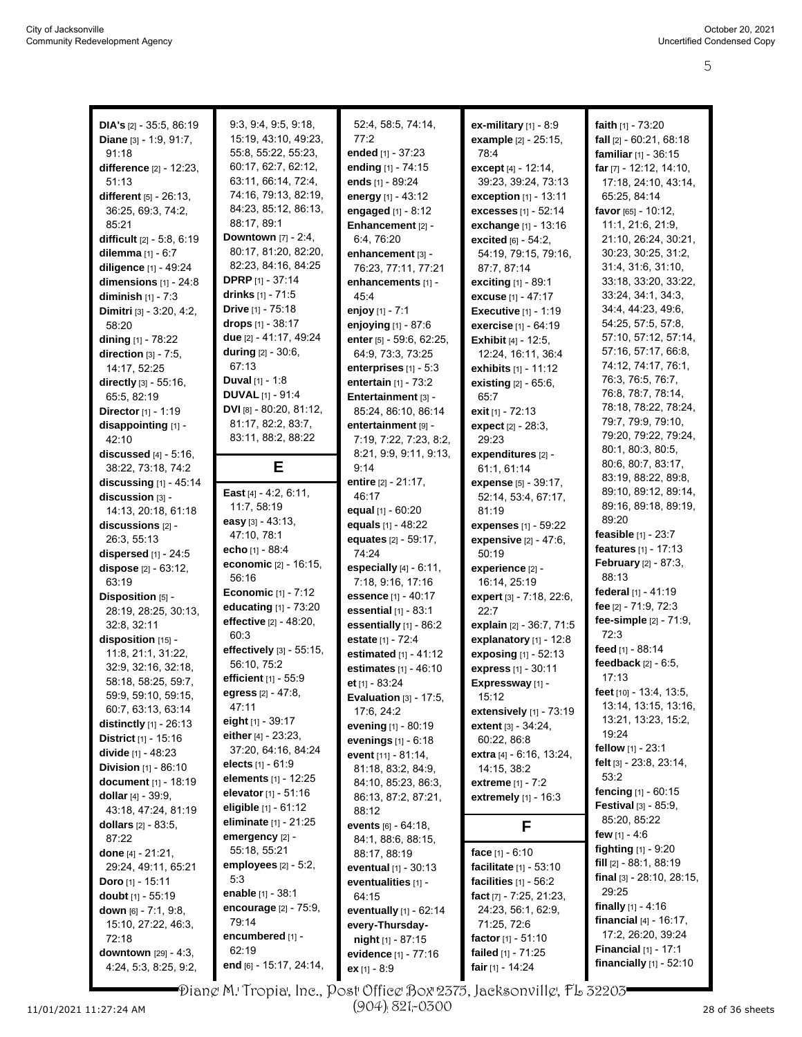| <b>DIA's</b> $[2] - 35:5, 86:19$ | 9:3, 9:4, 9:5, 9:18,           | 52:4, 58:5, 74:14,         | ex-military $[1]$ - $8.9$     | faith $[1]$ - 73:20              |
|----------------------------------|--------------------------------|----------------------------|-------------------------------|----------------------------------|
|                                  | 15:19, 43:10, 49:23,           | 77:2                       |                               |                                  |
| Diane [3] - 1:9, 91:7,           |                                |                            | example [2] - 25:15,          | fall [2] - 60:21, 68:18          |
| 91:18                            | 55:8, 55:22, 55:23,            | ended [1] - 37:23          | 78.4                          | familiar [1] - 36:15             |
| difference [2] - 12:23,          | 60.17, 62:7, 62:12,            | ending [1] - 74:15         | except [4] - 12:14,           | far [7] - 12:12, 14:10,          |
| 51:13                            | 63:11, 66:14, 72:4,            | ends [1] - 89:24           | 39:23, 39:24, 73:13           | 17:18, 24:10, 43:14,             |
| different [5] - 26:13,           | 74:16, 79:13, 82:19,           | energy [1] - 43:12         | exception [1] - 13:11         | 65:25, 84:14                     |
| 36:25, 69:3, 74:2,               | 84:23, 85:12, 86:13,           | engaged [1] - 8:12         | <b>excesses</b> [1] - 52:14   | favor [65] - 10:12,              |
| 85:21                            | 88:17, 89:1                    | Enhancement [2] -          | exchange [1] - 13:16          | 11:1, 21:6, 21:9,                |
|                                  | Downtown [7] - 2:4,            |                            |                               |                                  |
| difficult [2] - 5:8, 6:19        | 80:17, 81:20, 82:20,           | 6.4, 76:20                 | excited [6] - 54:2.           | 21:10, 26:24, 30:21,             |
| dilemma $[1] - 6:7$              |                                | enhancement [3] -          | 54:19, 79:15, 79:16,          | 30:23, 30:25, 31:2,              |
| diligence [1] - 49:24            | 82.23, 84.16, 84.25            | 76:23, 77:11, 77:21        | 87:7, 87:14                   | 31:4, 31:6, 31:10,               |
| dimensions $[1]$ - 24:8          | <b>DPRP</b> [1] - 37:14        | enhancements [1] -         | exciting [1] - 89:1           | 33:18, 33:20, 33:22,             |
| diminish $[1] - 7:3$             | drinks $[1] - 71.5$            | 45.4                       | excuse [1] - 47:17            | 33.24, 34:1, 34:3,               |
| Dimitri [3] - 3:20, 4:2,         | Drive [1] - 75:18              | enjoy [1] - 7:1            | <b>Executive [1] - 1:19</b>   | 34:4, 44:23, 49:6,               |
| 58:20                            | drops [1] - 38:17              | enjoying [1] - 87:6        | exercise [1] - 64:19          | 54:25, 57:5, 57:8,               |
| dining $[1]$ - 78:22             | due [2] - 41:17, 49:24         | enter [5] - 59:6, 62:25,   | <b>Exhibit</b> $[4] - 12:5$ , | 57:10, 57:12, 57:14,             |
| direction $[3]$ - 7:5,           | during [2] - 30:6,             | 64:9, 73:3, 73:25          | 12:24, 16:11, 36:4            | 57:16, 57:17, 66:8,              |
|                                  | 67:13                          |                            |                               | 74:12, 74:17, 76:1,              |
| 14:17, 52:25                     |                                | enterprises [1] - 5:3      | exhibits [1] - 11:12          | 76:3, 76:5, 76:7,                |
| directly [3] - 55:16,            | Duval [1] - 1:8                | entertain $[1]$ - 73:2     | existing [2] - 65:6,          |                                  |
| 65:5, 82:19                      | <b>DUVAL</b> [1] - 91:4        | Entertainment [3] -        | 65:7                          | 76:8, 78:7, 78:14,               |
| Director [1] - 1:19              | DVI [8] - 80:20, 81:12,        | 85:24, 86:10, 86:14        | exit [1] - 72:13              | 78:18, 78:22, 78:24,             |
| disappointing [1] -              | 81:17, 82:2, 83:7,             | entertainment [9] -        | expect [2] - 28:3,            | 79:7, 79:9, 79:10,               |
| 42:10                            | 83:11, 88:2, 88:22             | 7:19, 7:22, 7:23, 8:2,     | 29:23                         | 79:20, 79:22, 79:24,             |
| <b>discussed</b> $[4] - 5:16$ ,  |                                | 8:21, 9:9, 9:11, 9:13,     | expenditures [2] -            | 80:1, 80:3, 80:5,                |
| 38:22, 73:18, 74:2               | Е                              | 9:14                       | 61:1, 61:14                   | 80:6, 80:7, 83:17,               |
| discussing [1] - 45:14           |                                | entire [2] - 21:17,        | expense [5] - 39:17,          | 83:19, 88:22, 89:8,              |
| discussion [3] -                 | East [4] - 4:2, 6:11,          | 46:17                      | 52:14, 53:4, 67:17,           | 89:10, 89:12, 89:14,             |
| 14:13, 20:18, 61:18              | 11:7, 58:19                    | equal [1] - 60:20          | 81:19                         | 89:16, 89:18, 89:19,             |
| discussions [2] -                | easy $[3] - 43:13$ ,           | equals [1] - 48:22         | expenses [1] - 59:22          | 89:20                            |
| 26:3, 55:13                      | 47:10, 78:1                    | equates [2] - 59:17,       |                               | feasible [1] - 23:7              |
|                                  | echo [1] - 88:4                |                            | expensive [2] - 47:6,         | features [1] - 17:13             |
| dispersed $[1]$ - 24:5           | economic [2] - 16:15,          | 74:24                      | 50:19                         | February [2] - 87:3,             |
| dispose [2] - 63:12,             | 56:16                          | especially $[4] - 6.11$ ,  | experience [2] -              | 88:13                            |
| 63:19                            | <b>Economic</b> $[1] - 7:12$   | 7:18, 9:16, 17:16          | 16:14, 25:19                  | federal [1] - 41:19              |
| Disposition [5] -                |                                | essence [1] - 40:17        | expert [3] - 7:18, 22:6,      | fee [2] - 71:9, 72:3             |
| 28:19, 28:25, 30:13,             | educating [1] - 73:20          | essential [1] - 83:1       | 22:7                          |                                  |
| 32:8, 32:11                      | effective [2] - 48:20,         | essentially [1] - 86:2     | explain [2] - 36:7, 71:5      | fee-simple [2] - 71:9,           |
| disposition [15] -               | 60:3                           | estate [1] - 72:4          | explanatory $[1]$ - 12:8      | 72:3                             |
| 11.8, 21:1, 31:22,               | effectively [3] - 55:15,       | estimated [1] - 41:12      | exposing [1] - 52:13          | feed [1] - 88:14                 |
| 32:9, 32:16, 32:18,              | 56:10, 75:2                    | estimates [1] - 46:10      | express [1] - 30:11           | feedback $[2] - 6:5$ ,           |
| 58:18, 58:25, 59:7,              | efficient [1] - 55:9           | et $[1] - 83:24$           | Expressway [1] -              | 17:13                            |
| 59:9, 59:10, 59:15,              | egress $[2]$ - 47:8,           | Evaluation $[3] - 17:5$ ,  | 15:12                         | feet [10] - 13:4, 13:5,          |
| 60:7, 63:13, 63:14               | 47:11                          | 17:6, 24:2                 | extensively [1] - 73:19       | 13:14, 13:15, 13:16,             |
| <b>distinctly</b> $[1]$ - 26:13  | eight $[1]$ - 39:17            |                            | <b>extent</b> $[3] - 34:24$ , | 13:21, 13:23, 15:2,              |
| <b>District</b> $[1] - 15:16$    | either $[4] - 23.23$ ,         | evening [1] - 80:19        |                               | 19:24                            |
| divide [1] - 48:23               | 37:20, 64:16, 84:24            | evenings [1] - 6:18        | 60:22, 86:8                   | fellow [1] - 23:1                |
|                                  | elects $[1]$ - $61.9$          | event [11] - 81:14,        | extra [4] - 6:16, 13:24,      | felt [3] - 23.8, 23.14,          |
| <b>Division</b> $[1]$ - 86:10    | elements [1] - 12:25           | 81:18, 83:2, 84:9,         | 14:15, 38:2                   | 53:2                             |
| document [1] - 18:19             | elevator $[1] - 51:16$         | 84:10, 85:23, 86:3,        | extreme [1] - 7:2             | <b>fencing</b> $[1] - 60:15$     |
| dollar $[4] - 39.9$ ,            |                                | 86:13, 87:2, 87:21,        | <b>extremely</b> $[1] - 16:3$ | <b>Festival</b> $[3] - 85.9$ ,   |
| 43:18, 47:24, 81:19              | eligible $[1]$ - $61:12$       | 88:12                      |                               |                                  |
| dollars $[2] - 83.5$ ,           | <b>eliminate</b> $[1]$ - 21:25 | events [6] - 64:18,        | F                             | 85:20, 85:22                     |
| 87:22                            | emergency [2] -                | 84:1, 88:6, 88:15,         |                               | few $[1] - 4.6$                  |
| done [4] - 21:21,                | 55:18, 55:21                   | 88:17, 88:19               | face $[1] - 6.10$             | <b>fighting</b> $[1] - 9:20$     |
| 29:24, 49:11, 65:21              | employees $[2]$ - 5:2,         | eventual $[1] - 30:13$     | facilitate $[1] - 53:10$      | fill [2] - 88:1, 88:19           |
| <b>Doro</b> [1] - 15:11          | 5:3                            | eventualities [1] -        | facilities $[1] - 56:2$       | final $[3] - 28:10$ , $28:15$ ,  |
| <b>doubt</b> $[1]$ - 55:19       | enable [1] - 38:1              | 64:15                      | fact [7] - 7:25, 21:23,       | 29:25                            |
| <b>down</b> $[6] - 7.1, 9.8$     | encourage [2] - 75:9,          | eventually $[1]$ - $62:14$ | 24:23, 56:1, 62:9,            | finally $[1] - 4:16$             |
| 15:10, 27:22, 46:3,              | 79:14                          | every-Thursday-            | 71:25, 72:6                   | <b>financial</b> $[4] - 16:17$ , |
| 72:18                            | encumbered [1] -               | night [1] - 87:15          | factor $[1] - 51:10$          | 17:2, 26:20, 39:24               |
| downtown [29] - 4:3,             | 62:19                          |                            | failed $[1]$ - 71:25          | <b>Financial</b> [1] - 17:1      |
|                                  | end [6] - 15:17, 24:14,        | evidence [1] - 77:16       |                               | financially $[1] - 52:10$        |
| 4:24, 5:3, 8:25, 9:2,            |                                | ex [1] - 8:9               | fair [1] - 14:24              |                                  |

Diane M. Tropia, Inc., Post Office Box 2375, Jacksonville, FL 32203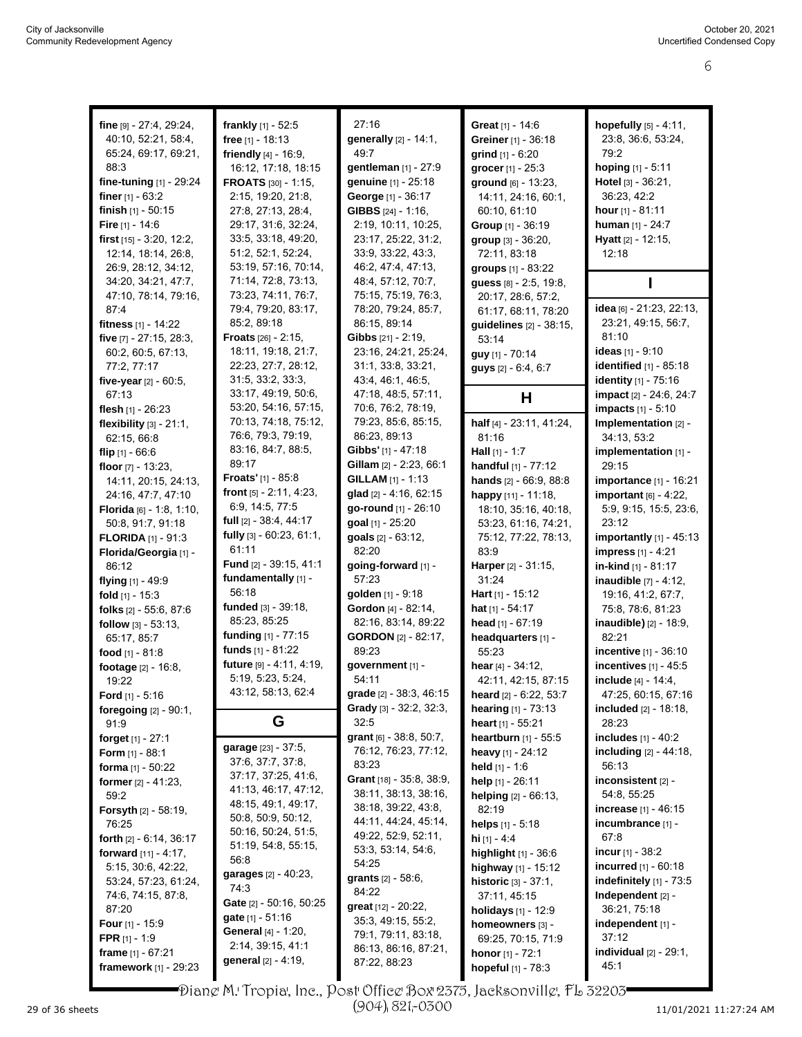| fine [9] - 27:4, 29:24,             | frankly [1] - 52:5            | 27:16                         | Great [1] - 14:6           | hopefully [5] - 4:11,                     |
|-------------------------------------|-------------------------------|-------------------------------|----------------------------|-------------------------------------------|
| 40:10, 52:21, 58:4,                 | free [1] - 18:13              | generally [2] - 14:1,         | Greiner [1] - 36:18        | 23:8, 36:6, 53:24,                        |
| 65:24, 69:17, 69:21,                | friendly $[4] - 16.9$ ,       | 49:7                          | grind $[1] - 6:20$         | 79.2                                      |
| 88:3                                | 16:12, 17:18, 18:15           | gentleman [1] - 27:9          | grocer [1] - 25:3          | hoping [1] - 5:11                         |
| fine-tuning [1] - 29:24             | FROATS [30] - 1:15,           | genuine [1] - 25:18           | <b>ground</b> [6] - 13:23. | Hotel [3] - 36:21,                        |
| finer $[1] - 63:2$                  | 2:15, 19:20, 21:8,            | George [1] - 36:17            |                            | 36:23, 42:2                               |
|                                     |                               |                               | 14:11, 24:16, 60:1,        |                                           |
| finish $[1] - 50:15$                | 27:8, 27:13, 28:4,            | GIBBS [24] - 1:16,            | 60:10, 61:10               | hour [1] - 81:11                          |
| Fire $[1] - 14.6$                   | 29:17, 31:6, 32:24,           | 2:19, 10:11, 10:25,           | Group [1] - 36:19          | human [1] - 24:7                          |
| first $[15] - 3.20$ , 12:2,         | 33:5, 33:18, 49:20,           | 23:17, 25:22, 31:2,           | group [3] - 36:20,         | Hyatt [2] - 12:15,                        |
| 12:14, 18:14, 26.8,                 | 51:2, 52:1, 52:24,            | 33.9, 33:22, 43:3,            | 72:11, 83:18               | 12:18                                     |
| 26.9, 28.12, 34.12,                 | 53:19, 57:16, 70:14,          | 46.2, 47.4, 47.13,            | groups [1] - 83:22         |                                           |
| 34:20, 34:21, 47:7,                 | 71:14, 72:8, 73:13,           | 48:4, 57:12, 70:7,            | guess [8] - 2:5, 19:8,     |                                           |
| 47:10, 78:14, 79:16,                | 73:23, 74:11, 76:7,           | 75:15, 75:19, 76:3,           | 20:17, 28:6, 57:2,         |                                           |
| 87.4                                | 79:4, 79:20, 83:17,           | 78:20, 79:24, 85:7,           | 61:17, 68:11, 78:20        | idea [6] - 21.23, 22:13,                  |
| fitness [1] - 14:22                 | 85:2, 89:18                   | 86:15, 89:14                  | guidelines [2] - 38:15,    | 23:21, 49:15, 56:7,                       |
| five [7] - 27:15, 28:3,             | <b>Froats</b> $[26] - 2:15$ , | Gibbs [21] - 2:19,            | 53:14                      | 81:10                                     |
| 60:2, 60:5, 67:13,                  | 18:11, 19:18, 21:7,           | 23:16, 24:21, 25:24,          | guy [1] - 70:14            | ideas [1] - 9:10                          |
| 77:2, 77:17                         | 22:23, 27:7, 28:12,           | 31:1, 33:8, 33:21,            | guys [2] - 6:4, 6:7        | identified [1] - 85:18                    |
| five-year [2] - 60:5,               | 31:5, 33:2, 33:3,             | 43:4, 46:1, 46:5,             |                            | <b>identity</b> [1] - 75:16               |
| 67:13                               | 33:17, 49:19, 50:6,           | 47:18, 48:5, 57:11,           | Н                          | impact [2] - 24:6, 24:7                   |
| flesh $[1]$ - 26:23                 | 53:20, 54:16, 57:15,          | 70:6, 76:2, 78:19,            |                            | <b>impacts</b> [1] - 5:10                 |
| flexibility [3] - 21:1,             | 70:13, 74:18, 75:12,          | 79:23, 85:6, 85:15,           | half [4] - 23:11, 41:24,   | Implementation [2] -                      |
| 62:15, 66:8                         | 76.6, 79.3, 79.19,            | 86:23, 89:13                  | 81:16                      | 34:13, 53:2                               |
| flip $[1] - 66.6$                   | 83:16, 84:7, 88:5,            | Gibbs' [1] - 47:18            | <b>Hall</b> $[1] - 1:7$    | implementation [1] -                      |
| floor $[7] - 13:23$ ,               | 89:17                         | Gillam [2] - 2:23, 66:1       | handful [1] - 77:12        | 29:15                                     |
| 14:11, 20:15, 24:13,                | <b>Froats'</b> [1] - $85:8$   | GILLAM [1] - 1:13             | hands [2] - 66:9, 88:8     | importance [1] - 16:21                    |
| 24:16, 47:7, 47:10                  | front $[5] - 2.11, 4.23$ ,    | glad [2] - 4:16, 62:15        | happy [11] - 11:18,        | important $[6] - 4.22$ ,                  |
| <b>Florida</b> $[6] - 1.8, 1.10,$   | 6.9, 14:5, 77:5               | go-round [1] - 26:10          | 18:10, 35:16, 40:18,       | 5:9, 9:15, 15:5, 23:6,                    |
| 50:8, 91:7, 91:18                   | full [2] - 38:4, 44:17        | goal [1] - 25:20              | 53:23, 61:16, 74:21,       | 23:12                                     |
| <b>FLORIDA</b> $[1]$ - 91:3         | fully [3] - 60:23, 61:1,      | goals [2] - 63:12,            | 75:12, 77:22, 78:13,       | importantly $[1]$ - 45:13                 |
| Florida/Georgia [1] -               | 61:11                         | 82:20                         | 83.9                       | <b>impress</b> [1] - 4:21                 |
| 86:12                               | Fund [2] - 39:15, 41:1        | going-forward [1] -           | Harper [2] - 31:15,        | in-kind [1] - 81:17                       |
| flying $[1] - 49.9$                 | fundamentally [1] -           | 57:23                         | 31:24                      | inaudible [7] - 4:12,                     |
| fold $[1]$ - 15:3                   | 56:18                         | golden [1] - 9:18             | Hart $[1]$ - 15:12         | 19:16, 41:2, 67:7,                        |
| folks [2] - 55:6, 87:6              | funded [3] - 39:18,           | Gordon [4] - 82:14,           | hat $[1] - 54:17$          | 75:8, 78:6, 81:23                         |
| follow $[3] - 53:13$ ,              | 85:23, 85:25                  | 82:16, 83:14, 89:22           | head $[1] - 67:19$         | inaudible) [2] - 18:9,                    |
| 65:17, 85:7                         | funding $[1]$ - 77:15         | <b>GORDON</b> [2] - 82:17,    | headquarters [1] -         | 82:21                                     |
| food [1] - 81:8                     | funds $[1] - 81:22$           | 89:23                         | 55:23                      | incentive [1] - 36:10                     |
| footage [2] - 16:8,                 | future [9] - 4:11, 4:19,      | government [1] -              | hear $[4] - 34:12$ ,       | incentives $[1] - 45:5$                   |
| 19:22                               | 5:19, 5:23, 5:24,             | 54:11                         | 42:11, 42:15, 87:15        | include [4] - 14:4,                       |
| <b>Ford</b> $[1] - 5:16$            | 43:12, 58:13, 62:4            | grade [2] - 38:3, 46:15       | heard [2] - 6:22, 53:7     | 47:25, 60:15, 67:16                       |
| foregoing [2] - 90:1,               |                               | Grady [3] - 32:2, 32:3,       | hearing [1] - 73:13        | <b>included</b> $[2]$ - 18:18,            |
| 91.9                                | G                             | 32:5                          | heart [1] - 55:21          | 28:23                                     |
|                                     |                               | grant $[6] - 38.8, 50.7,$     | heartburn [1] - 55:5       | includes $[1] - 40:2$                     |
| forget $[1] - 27:1$                 | garage [23] - 37:5,           | 76:12, 76:23, 77:12,          |                            | <b>including</b> $[2] - 44:18$ ,          |
| Form $[1] - 88.1$                   | 37:6, 37:7, 37:8,             | 83:23                         | heavy [1] - 24:12          | 56:13                                     |
| forma [1] - 50:22                   | 37:17, 37:25, 41:6,           | Grant [18] - 35:8, 38:9,      | held $[1] - 1.6$           |                                           |
| former $[2] - 41:23$ ,              | 41:13, 46:17, 47:12,          | 38:11, 38:13, 38:16,          | help [1] - 26:11           | inconsistent $[2]$ -                      |
| 59:2                                | 48:15, 49:1, 49:17,           | 38:18, 39:22, 43:8,           | helping [2] - 66:13,       | 54:8, 55:25                               |
| <b>Forsyth</b> [2] - 58:19,         | 50.8, 50.9, 50.12,            | 44:11, 44:24, 45:14,          | 82:19                      | increase [1] - 46:15<br>incumbrance [1] - |
| 76:25                               | 50:16, 50:24, 51:5,           | 49:22, 52:9, 52:11,           | helps [1] - 5:18           | 67:8                                      |
| <b>forth</b> $[2] - 6:14$ , $36:17$ | 51:19, 54:8, 55:15,           | 53:3, 53:14, 54:6,            | hi $[1] - 4.4$             |                                           |
| forward $[11] - 4:17$ ,             | 56.8                          | 54:25                         | highlight [1] - 36:6       | incur $[1] - 38.2$                        |
| 5:15, 30:6, 42:22,                  | garages [2] - 40:23,          | <b>grants</b> $[2] - 58.6$ ,  | highway [1] - 15:12        | incurred [1] - 60:18                      |
| 53:24, 57:23, 61:24,                | 74:3                          | 84:22                         | historic [3] - 37:1,       | indefinitely [1] - 73:5                   |
| 74:6, 74:15, 87:8,                  | Gate [2] - 50:16, 50:25       | <b>great</b> $[12] - 20.22$ , | 37:11, 45:15               | Independent [2] -                         |
| 87:20                               | gate [1] - 51:16              | 35:3, 49:15, 55:2,            | holidays [1] - 12:9        | 36:21, 75:18                              |
| <b>Four</b> [1] - 15:9              | <b>General</b> [4] - 1:20,    | 79:1, 79:11, 83:18,           | homeowners [3] -           | independent [1] -                         |
| <b>FPR</b> $[1] - 1.9$              | 2:14, 39:15, 41:1             | 86:13, 86:16, 87:21,          | 69:25, 70:15, 71:9         | 37:12                                     |
| frame $[1] - 67:21$                 | general [2] - 4:19,           | 87:22, 88:23                  | honor [1] - 72:1           | individual $[2] - 29:1$ ,                 |
| framework [1] - 29:23               |                               |                               | hopeful [1] - 78:3         | 45:1                                      |

Diane M. Tropia, Inc., Post Office Box 2375, Jacksonville, FL 32203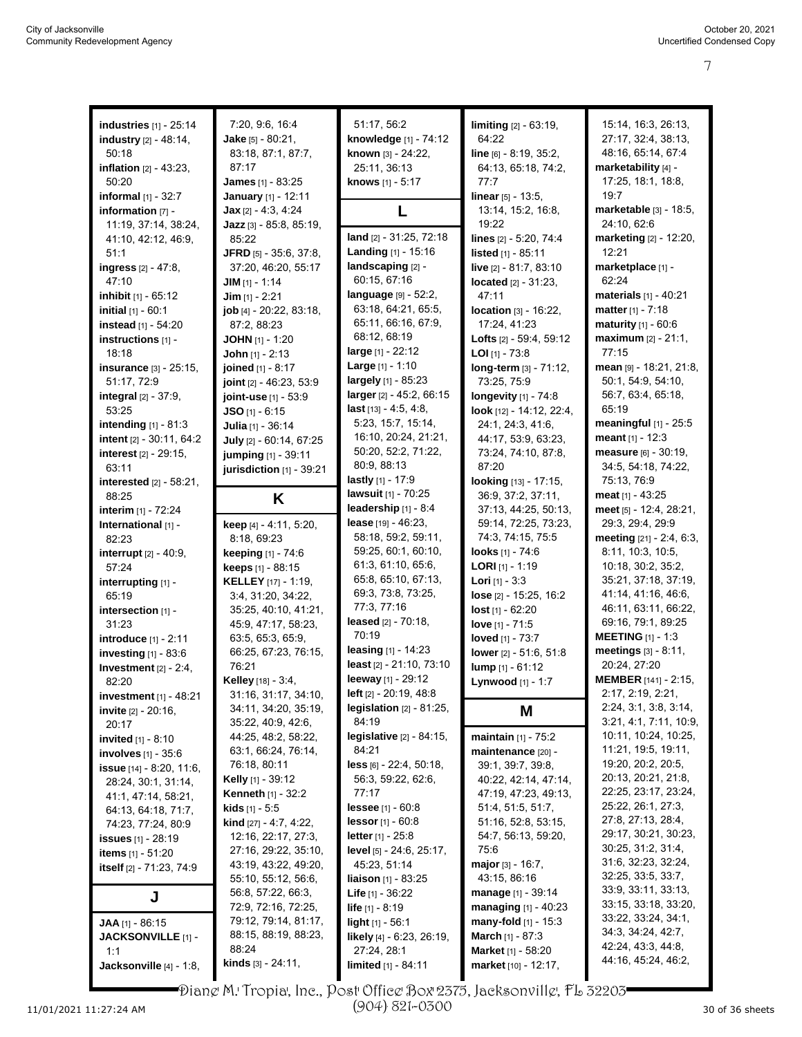| <b>industries</b> [1] - 25:14     | 7:20, 9:6, 16:4                            | 51:17, 56:2                                              | limiting [2] - 63:19,                    | 15:14, 16:3, 26:13,         |
|-----------------------------------|--------------------------------------------|----------------------------------------------------------|------------------------------------------|-----------------------------|
| industry [2] - 48:14,             | <b>Jake</b> $[5] - 80:21$ ,                | knowledge [1] - 74:12                                    | 64:22                                    | 27:17, 32:4, 38:13,         |
| 50:18                             | 83:18, 87:1, 87:7,                         | known [3] - 24:22,                                       | line [6] - 8:19, 35:2,                   | 48:16, 65:14, 67:4          |
| <b>inflation</b> $[2] - 43:23$ ,  | 87:17                                      | 25:11, 36:13                                             | 64:13, 65:18, 74:2,                      | marketability [4] -         |
| 50:20                             | James [1] - 83:25                          | knows [1] - 5:17                                         | 77:7                                     | 17:25, 18:1, 18:8,          |
| informal [1] - 32:7               | January [1] - 12:11                        |                                                          | <b>linear</b> $[5] - 13:5$ ,             | 19:7                        |
| information [7] -                 | <b>Jax</b> $[2] - 4.3, 4.24$               | L                                                        | 13:14, 15:2, 16:8,                       | marketable [3] - 18:5,      |
| 11:19, 37:14, 38:24,              | Jazz $[3] - 85:8, 85:19$                   |                                                          | 19:22                                    | 24:10, 62:6                 |
| 41:10, 42:12, 46:9,               | 85:22                                      | land [2] - 31:25, 72:18                                  | lines [2] - 5:20, 74:4                   | marketing [2] - 12:20,      |
| 51:1                              | JFRD [5] - 35:6, 37:8,                     | Landing [1] - 15:16                                      | <b>listed</b> $[1] - 85:11$              | 12:21                       |
| ingress [2] - 47:8,               | 37:20, 46:20, 55:17                        | landscaping [2] -                                        | live [2] - 81:7, 83:10                   | marketplace [1] -           |
| 47:10                             | $JIM$ [1] - 1:14                           | 60:15, 67:16                                             | located [2] - 31:23.                     | 62:24                       |
| inhibit [1] - 65:12               | $Jim$ [1] - 2:21                           | $language$ [9] - 52:2,                                   | 47:11                                    | materials [1] - 40:21       |
| <b>initial</b> $[1] - 60:1$       | <b>job</b> $[4]$ - 20:22, 83:18,           | 63:18, 64:21, 65:5,                                      | <b>location</b> $[3] - 16:22$ ,          | matter $[1] - 7:18$         |
| instead [1] - 54:20               | 87:2, 88:23                                | 65:11, 66:16, 67:9,                                      | 17:24, 41:23                             | maturity [1] - 60:6         |
| instructions [1] -                | <b>JOHN</b> $[1]$ - 1:20                   | 68:12, 68:19                                             | <b>Lofts</b> $[2] - 59:4, 59:12$         | $maximum$ [2] - 21:1,       |
| 18:18                             | John $[1] - 2:13$                          | $large_{[1]} - 22.12$                                    | <b>LOI</b> $[1]$ - 73:8                  | 77:15                       |
| insurance [3] - 25:15,            | joined [1] - 8:17                          | <b>Large</b> $[1] - 1:10$                                | long-term [3] - 71:12,                   | mean [9] - 18:21, 21:8,     |
| 51:17, 72:9                       | joint [2] - 46:23, 53:9                    | largely [1] - 85:23                                      | 73:25, 75:9                              | 50:1, 54:9, 54:10,          |
| <b>integral</b> $[2] - 37:9$ ,    | joint-use [1] - 53:9                       | larger [2] - 45:2, 66:15                                 | longevity [1] - 74:8                     | 56:7, 63:4, 65:18,          |
| 53:25                             | $JSO$ [1] - 6:15                           | $last [13] - 4:5, 4:8,$                                  | look [12] - 14:12, 22:4,                 | 65:19                       |
| intending $[1] - 81:3$            | Julia [1] - 36:14                          | 5:23, 15:7, 15:14,                                       | 24:1, 24:3, 41:6,                        | meaningful [1] - 25:5       |
| intent [2] - 30:11, 64:2          | July [2] - 60:14, 67:25                    | 16:10, 20:24, 21:21,                                     | 44:17, 53:9, 63:23,                      | meant $[1] - 12:3$          |
| <b>interest</b> [2] - 29:15,      |                                            | 50:20, 52:2, 71:22,                                      | 73:24, 74:10, 87:8,                      | measure [6] - 30:19,        |
| 63:11                             | jumping [1] - 39:11                        | 80:9, 88:13                                              | 87:20                                    | 34:5, 54:18, 74:22,         |
|                                   | jurisdiction [1] - 39:21                   | lastly [1] - 17:9                                        | looking [13] - 17:15,                    | 75:13, 76:9                 |
| interested [2] - 58:21,<br>88:25  |                                            | lawsuit [1] - 70:25                                      | 36:9, 37:2, 37:11,                       | meat $[1] - 43:25$          |
|                                   | K                                          | leadership $[1] - 8.4$                                   | 37:13, 44:25, 50:13,                     | meet [5] - 12.4, 28:21,     |
| interim [1] - 72:24               |                                            | lease [19] - 46:23.                                      | 59:14, 72:25, 73:23,                     | 29:3, 29:4, 29:9            |
| International [1] -               | keep [4] - 4:11, 5:20,                     | 58:18, 59:2, 59:11,                                      | 74:3, 74:15, 75:5                        | meeting $[21] - 2.4, 6.3$ , |
| 82:23                             | 8:18, 69:23                                | 59:25, 60:1, 60:10,                                      | looks [1] - 74:6                         | 8:11, 10:3, 10:5,           |
| interrupt [2] - 40:9,             | keeping [1] - 74:6                         | 61:3, 61:10, 65:6,                                       | <b>LORI</b> $[1]$ - 1:19                 | 10:18, 30:2, 35:2,          |
| 57:24                             | keeps [1] - 88:15                          | 65:8, 65:10, 67:13,                                      | <b>Lori</b> [1] - $3:3$                  | 35:21, 37:18, 37:19,        |
| interrupting [1] -                | <b>KELLEY</b> [17] - 1:19,                 | 69:3, 73:8, 73:25,                                       |                                          | 41.14, 41.16, 46.6,         |
| 65:19                             | 3:4, 31:20, 34:22,                         | 77:3, 77:16                                              | lose [2] - 15:25, 16:2                   | 46:11, 63:11, 66:22,        |
| intersection [1] -                | 35:25, 40:10, 41:21,                       | leased $[2] - 70:18$ ,                                   | $lost$ [1] - 62:20                       | 69:16, 79:1, 89:25          |
| 31:23                             | 45.9, 47.17, 58.23,                        | 70:19                                                    | love $[1] - 71:5$                        | <b>MEETING</b> $[1] - 1:3$  |
| introduce [1] - 2:11              | 63:5, 65:3, 65:9,                          | leasing $[1] - 14:23$                                    | loved [1] - 73:7                         | meetings [3] - 8:11,        |
| investing $[1]$ - 83:6            | 66:25, 67:23, 76:15,                       | least [2] - 21:10, 73:10                                 | lower [2] - 51:6, 51:8                   | 20:24, 27:20                |
| Investment $[2] - 2:4$ ,          | 76:21                                      | leeway [1] - 29:12                                       | lump [1] - 61:12                         | <b>MEMBER</b> [141] - 2:15, |
| 82:20                             | Kelley [18] - 3:4,                         | left [2] - 20:19, 48:8                                   | Lynwood [1] - 1:7                        | 2:17, 2:19, 2:21,           |
| investment $[1]$ - 48:21          | 31:16, 31:17, 34:10,                       |                                                          |                                          | 2:24, 3:1, 3:8, 3:14,       |
| <b>invite</b> [2] - 20:16,        | 34:11, 34:20, 35:19,<br>35:22, 40:9, 42:6, | <b>legislation</b> $[2] - 81:25$ ,<br>84:19              | Μ                                        | 3:21, 4:1, 7:11, 10:9,      |
| 20:17                             | 44:25, 48:2, 58:22,                        | <b>legislative</b> $[2] - 84:15$ ,                       |                                          | 10:11, 10:24, 10:25,        |
| <b>invited</b> $[1] - 8:10$       |                                            | 84:21                                                    | <b>maintain</b> $[1]$ - 75:2             | 11:21, 19:5, 19:11,         |
| <b>involves</b> $[1] - 35.6$      | 63:1, 66:24, 76:14,<br>76:18, 80:11        | <b>less</b> $[6] - 22:4, 50:18,$                         | maintenance [20] -                       | 19:20, 20:2, 20:5,          |
| <b>issue</b> $[14] - 8.20, 11.6,$ | <b>Kelly</b> [1] - 39:12                   | 56:3, 59:22, 62:6,                                       | 39:1, 39:7, 39:8,                        | 20:13, 20:21, 21:8,         |
| 28:24, 30:1, 31:14,               |                                            |                                                          | 40:22, 42:14, 47:14,                     | 22:25, 23:17, 23:24,        |
| 41:1, 47:14, 58:21,               | <b>Kenneth</b> [1] - 32:2                  | 77:17                                                    | 47:19, 47:23, 49:13,                     | 25:22, 26:1, 27:3,          |
| 64:13, 64:18, 71:7,               | <b>kids</b> $[1]$ - 5:5                    | <b>lessee</b> $[1] - 60.8$<br><b>lessor</b> $[1] - 60.8$ | 51:4, 51:5, 51:7,<br>51:16, 52:8, 53:15, | 27:8, 27:13, 28:4,          |
| 74:23, 77:24, 80.9                | <b>kind</b> [27] - 4:7, 4:22,              |                                                          |                                          | 29:17, 30:21, 30:23,        |
| <b>issues</b> [1] - 28:19         | 12:16, 22:17, 27:3,                        | <b>letter</b> [1] - 25:8                                 | 54:7, 56:13, 59:20,                      | 30:25, 31:2, 31:4,          |
| <b>items</b> [1] - 51:20          | 27:16, 29:22, 35:10,                       | level [5] - 24:6, 25:17,                                 | 75:6                                     | 31:6, 32:23, 32:24,         |
| itself [2] - 71:23, 74:9          | 43:19, 43:22, 49:20,                       | 45:23, 51:14                                             | major $[3] - 16.7$ ,                     | 32:25, 33:5, 33:7,          |
|                                   | 55:10, 55:12, 56:6,                        | <b>liaison</b> $[1]$ - 83:25                             | 43.15, 86.16                             | 33.9, 33.11, 33.13,         |
| J                                 | 56.8, 57:22, 66:3,                         | <b>Life</b> $[1] - 36.22$                                | manage [1] - 39:14                       | 33:15, 33:18, 33:20,        |
|                                   | 72:9, 72:16, 72:25,                        | <b>life</b> $[1] - 8:19$                                 | <b>managing</b> $[1] - 40:23$            | 33:22, 33:24, 34:1,         |
| JAA [1] - 86:15                   | 79:12, 79:14, 81:17,                       | light [1] - 56:1                                         | many-fold $[1]$ - 15:3                   | 34 3, 34 24, 42 7,          |
| JACKSONVILLE [1] -                | 88:15, 88:19, 88:23,                       | likely [4] - 6:23, 26:19,                                | March [1] - 87:3                         | 42:24, 43:3, 44:8,          |
| 1:1                               | 88:24                                      | 27:24, 28:1                                              | Market [1] - 58:20                       | 44:16, 45:24, 46:2,         |
| Jacksonville [4] - 1:8,           | <b>kinds</b> $[3] - 24:11$ ,               | limited [1] - 84:11                                      | market [10] - 12:17,                     |                             |

Diane M. Tropia, Inc., Post Office Box 2375, Jacksonville, FL 32203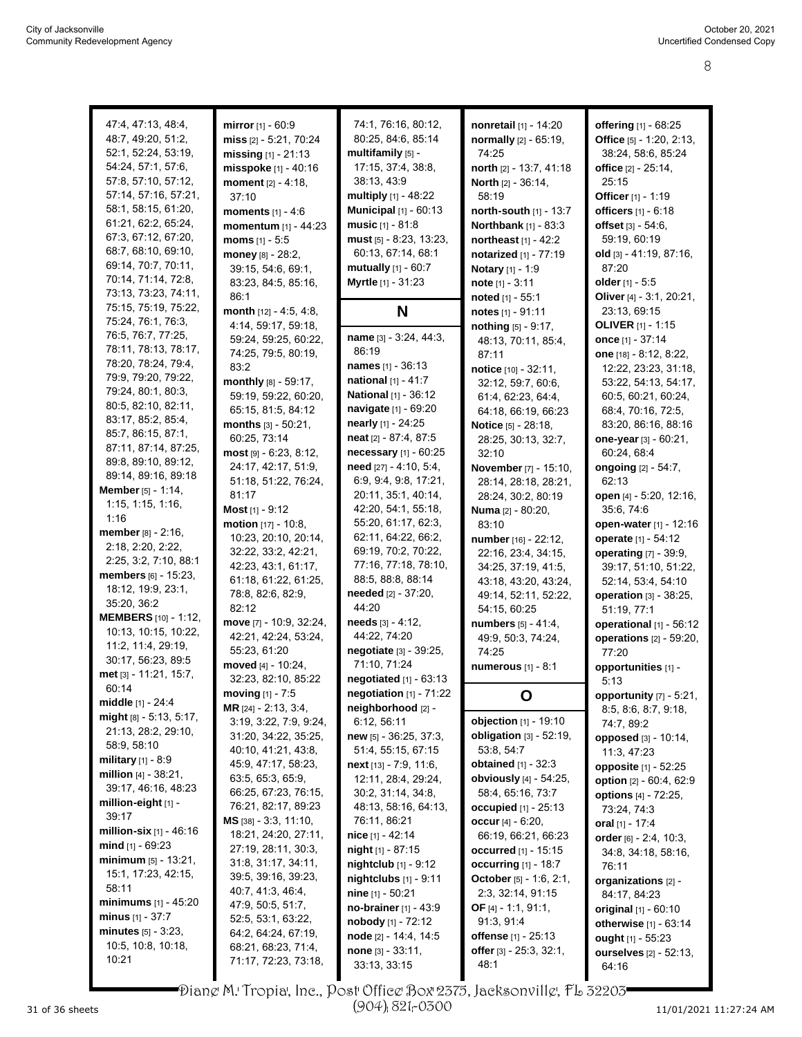| 47:4, 47:13, 48:4,          | mirror [1] - 60:9          | 74:1, 76:16, 80:12,                 | nonretail [1] - 14:20           | offering [1] - 68:25            |
|-----------------------------|----------------------------|-------------------------------------|---------------------------------|---------------------------------|
|                             |                            |                                     |                                 |                                 |
| 48:7, 49:20, 51:2,          | miss [2] - 5:21, 70:24     | 80:25, 84:6, 85:14                  | normally [2] - 65:19,           | Office $[5] - 1:20, 2:13$ ,     |
| 52:1, 52:24, 53:19,         | missing $[1]$ - 21:13      | multifamily [5] -                   | 74:25                           | 38:24, 58:6, 85:24              |
| 54:24, 57:1, 57:6,          | misspoke [1] - 40:16       | 17:15, 37:4, 38:8,                  | north [2] - 13:7, 41:18         | office [2] - 25:14,             |
| 57:8, 57:10, 57:12,         | moment $[2] - 4:18$ ,      | 38:13, 43.9                         | <b>North</b> $[2] - 36:14$ ,    | 25:15                           |
| 57:14, 57:16, 57:21,        | 37:10                      | multiply $[1]$ - 48:22              | 58:19                           | Officer [1] - 1:19              |
| 58:1, 58:15, 61:20,         | <b>moments</b> $[1] - 4:6$ | <b>Municipal</b> [1] - 60:13        | north-south [1] - 13:7          | officers [1] - 6:18             |
| 61:21, 62:2, 65:24,         |                            | <b>music</b> $[1] - 81:8$           |                                 |                                 |
| 67:3, 67:12, 67:20,         | momentum [1] - 44:23       |                                     | <b>Northbank</b> [1] - 83:3     | offset $[3] - 54.6$ ,           |
|                             | moms $[1] - 5:5$           | must [5] - 8:23, 13:23,             | northeast $[1] - 42.2$          | 59:19, 60:19                    |
| 68:7, 68:10, 69:10,         | money [8] - 28:2,          | 60:13, 67:14, 68:1                  | notarized [1] - 77:19           | old [3] - 41:19, 87:16,         |
| 69:14, 70:7, 70:11,         | 39:15, 54:6, 69:1,         | mutually $[1] - 60:7$               | Notary [1] - 1:9                | 87:20                           |
| 70:14, 71:14, 72.8,         | 83:23, 84:5, 85:16,        | Myrtle [1] - 31:23                  | <b>note</b> $[1] - 3:11$        | older [1] - 5:5                 |
| 73:13, 73:23, 74:11,        | 86:1                       |                                     | noted [1] - 55:1                | Oliver [4] - 3:1, 20:21,        |
| 75:15, 75:19, 75:22,        | month $[12] - 4:5, 4:8,$   | N                                   | notes [1] - 91:11               | 23:13, 69:15                    |
| 75:24, 76:1, 76:3,          | 4:14, 59:17, 59:18,        |                                     |                                 | <b>OLIVER</b> $[1] - 1:15$      |
| 76:5, 76:7, 77:25,          |                            | name [3] - 3:24, 44:3,              | nothing [5] - 9:17,             |                                 |
| 78:11, 78:13, 78:17,        | 59:24, 59:25, 60:22,       | 86:19                               | 48:13, 70:11, 85:4,             | once $[1] - 37:14$              |
| 78:20, 78:24, 79.4,         | 74:25, 79:5, 80:19,        |                                     | 87:11                           | one [18] - 8:12, 8:22,          |
|                             | 83:2                       | <b>names</b> [1] - 36:13            | notice [10] - 32:11,            | 12:22, 23:23, 31:18,            |
| 79:9, 79:20, 79:22,         | monthly [8] - 59:17,       | national [1] - 41:7                 | 32:12, 59:7, 60:6,              | 53:22, 54:13, 54:17,            |
| 79:24, 80:1, 80:3,          | 59:19, 59:22, 60:20,       | <b>National</b> [1] - 36:12         | 61:4, 62:23, 64:4,              | 60.5, 60.21, 60.24,             |
| 80:5, 82:10, 82:11,         | 65:15, 81:5, 84:12         | navigate [1] - 69:20                | 64:18, 66:19, 66:23             | 68:4, 70:16, 72:5,              |
| 83:17, 85:2, 85:4,          | months [3] - 50:21,        | nearly [1] - 24:25                  | Notice [5] - 28:18,             | 83:20, 86:16, 88:16             |
| 85:7, 86:15, 87:1,          | 60:25, 73:14               | neat [2] - 87:4, 87:5               |                                 | one-year [3] - 60:21,           |
| 87:11, 87:14, 87:25,        |                            |                                     | 28:25, 30:13, 32:7,             |                                 |
| 89:8, 89:10, 89:12,         | most [9] - 6:23, 8:12,     | necessary [1] - 60:25               | 32:10                           | 60:24, 68:4                     |
| 89:14, 89:16, 89:18         | 24:17, 42:17, 51:9,        | need [27] - 4:10, 5:4,              | November [7] - 15:10,           | ongoing $[2] - 54:7$ ,          |
| Member [5] - 1:14,          | 51:18, 51:22, 76:24,       | 6:9, 9:4, 9:8, 17:21,               | 28:14, 28:18, 28:21,            | 62:13                           |
|                             | 81:17                      | 20:11, 35:1, 40:14,                 | 28:24, 30:2, 80:19              | open [4] - 5:20, 12:16,         |
| 1:15, 1:15, 1:16,           | Most $[1]$ - 9:12          | 42.20, 54:1, 55:18,                 | <b>Numa</b> [2] - 80:20,        | 35:6, 74:6                      |
| 1:16                        | motion [17] - 10:8,        | 55:20, 61:17, 62:3,                 | 83:10                           | open-water [1] - 12:16          |
| member [8] - 2:16,          | 10:23, 20:10, 20:14,       | 62:11, 64:22, 66:2,                 | number [16] - 22:12,            | operate [1] - 54:12             |
| 2:18, 2:20, 2:22,           | 32:22, 33:2, 42:21,        | 69:19, 70:2, 70:22,                 | 22:16, 23:4, 34:15,             | <b>operating</b> [7] - 39:9,    |
| 2:25, 3:2, 7:10, 88:1       | 42:23, 43:1, 61:17,        | 77:16, 77:18, 78:10,                |                                 |                                 |
| members [6] - 15:23,        |                            | 88:5, 88:8, 88:14                   | 34:25, 37:19, 41:5,             | 39:17, 51:10, 51:22,            |
| 18:12, 19:9, 23:1,          | 61:18, 61:22, 61:25,       |                                     | 43:18, 43:20, 43:24,            | 52:14, 53:4, 54:10              |
| 35:20, 36:2                 | 78.8, 82.6, 82.9,          | needed [2] - 37:20,                 | 49:14, 52:11, 52:22,            | operation [3] - 38:25,          |
| <b>MEMBERS</b> [10] - 1:12, | 82:12                      | 44:20                               | 54:15, 60:25                    | 51:19, 77:1                     |
|                             | move [7] - 10:9, 32:24,    | needs [3] - 4:12,                   | numbers [5] - 41:4,             | operational [1] - 56:12         |
| 10:13, 10:15, 10:22,        | 42:21, 42:24, 53:24,       | 44:22, 74:20                        | 49.9, 50.3, 74.24,              |                                 |
| 11:2, 11:4, 29:19,          | 55:23, 61:20               |                                     |                                 |                                 |
| 30:17, 56:23, 89:5          |                            | negotiate [3] - 39:25,              | 74:25                           | operations $[2] - 59:20$ ,      |
|                             |                            | 71:10, 71:24                        |                                 | 77:20                           |
| met [3] - 11:21, 15:7,      | moved [4] - 10:24,         |                                     | <b>numerous</b> $[1] - 8:1$     | opportunities [1] -             |
| 60:14                       | 32:23, 82:10, 85:22        | negotiated [1] - 63:13              |                                 | 5:13                            |
| <b>middle</b> [1] - 24:4    | moving [1] - 7:5           | negotiation [1] - 71:22             | O                               | opportunity $[7]$ - 5:21,       |
|                             | MR [24] - 2:13, 3:4,       | neighborhood [2] -                  |                                 | 8:5, 8:6, 8:7, 9:18,            |
| $mid$ [8] - 5:13, 5:17,     | 3:19, 3:22, 7:9, 9:24,     | 6:12, 56:11                         | objection [1] - 19:10           | 74:7, 89:2                      |
| 21:13, 28:2, 29:10,         | 31:20, 34:22, 35:25,       | new [5] - 36:25, 37:3,              | obligation $[3]$ - 52:19,       | opposed [3] - 10:14,            |
| 58:9, 58:10                 | 40:10, 41:21, 43:8,        | 51:4, 55:15, 67:15                  | 53.8, 54.7                      | 11:3, 47:23                     |
| <b>military</b> $[1] - 8.9$ | 45.9, 47.17, 58.23,        | next [13] - 7:9, 11:6,              | <b>obtained</b> $[1] - 32.3$    |                                 |
| million $[4] - 38.21$ ,     | 63:5, 65:3, 65:9,          | 12:11, 28:4, 29:24,                 | obviously [4] - 54:25,          | opposite [1] - 52:25            |
| 39:17, 46:16, 48:23         | 66:25, 67:23, 76:15,       |                                     |                                 | option [2] - 60:4, 62:9         |
| million-eight [1] -         |                            | 30:2, 31:14, 34:8,                  | 58:4, 65:16, 73:7               | options [4] - 72:25,            |
| 39:17                       | 76:21, 82:17, 89:23        | 48:13, 58:16, 64:13,                | occupied [1] - 25:13            | 73:24, 74:3                     |
| million-six $[1]$ - 46:16   | $MS$ [38] - 3:3, 11:10,    | 76:11, 86:21                        | occur $[4] - 6:20$ ,            | oral [1] - 17:4                 |
|                             | 18:21, 24:20, 27:11,       | <b>nice</b> [1] - 42:14             | 66:19, 66:21, 66:23             | order $[6] - 2.4, 10.3,$        |
| mind $[1] - 69.23$          | 27:19, 28:11, 30:3,        | night [1] - 87:15                   | occurred [1] - 15:15            | 34:8, 34:18, 58:16,             |
| minimum $[5] - 13:21$ ,     | 31.8, 31.17, 34:11,        | nightclub [1] - 9:12                | <b>occurring</b> $[1] - 18:7$   | 76:11                           |
| 15:1, 17:23, 42:15,         | 39:5, 39:16, 39:23,        | nightclubs [1] - 9:11               | October [5] - 1:6, 2:1,         | organizations [2] -             |
| 58:11                       | 40.7, 41.3, 46.4,          | nine [1] - 50:21                    | 2:3, 32:14, 91:15               | 84:17, 84:23                    |
| minimums [1] - 45:20        | 47:9, 50:5, 51:7,          | no-brainer [1] - 43:9               | OF $[4] - 1:1, 91:1,$           |                                 |
| <b>minus</b> $[1] - 37:7$   | 52:5, 53:1, 63:22,         |                                     |                                 | original [1] - 60:10            |
| minutes $[5] - 3.23$ ,      | 64:2, 64:24, 67:19,        | nobody [1] - 72:12                  | 91:3, 91:4                      | otherwise [1] - 63:14           |
| 10.5, 10.8, 10.18,          | 68.21, 68.23, 71.4,        | node [2] - 14:4, 14:5               | <b>offense</b> [1] - 25:13      | ought [1] - 55:23               |
| 10:21                       | 71:17, 72:23, 73:18,       | $none$ [3] - 33:11,<br>33:13, 33:15 | offer [3] - 25:3, 32:1,<br>48:1 | ourselves [2] - 52:13,<br>64:16 |

Diane M. Tropia, Inc., Post Office Box 2375, Jacksonville, FL 32203 (904) 821-0300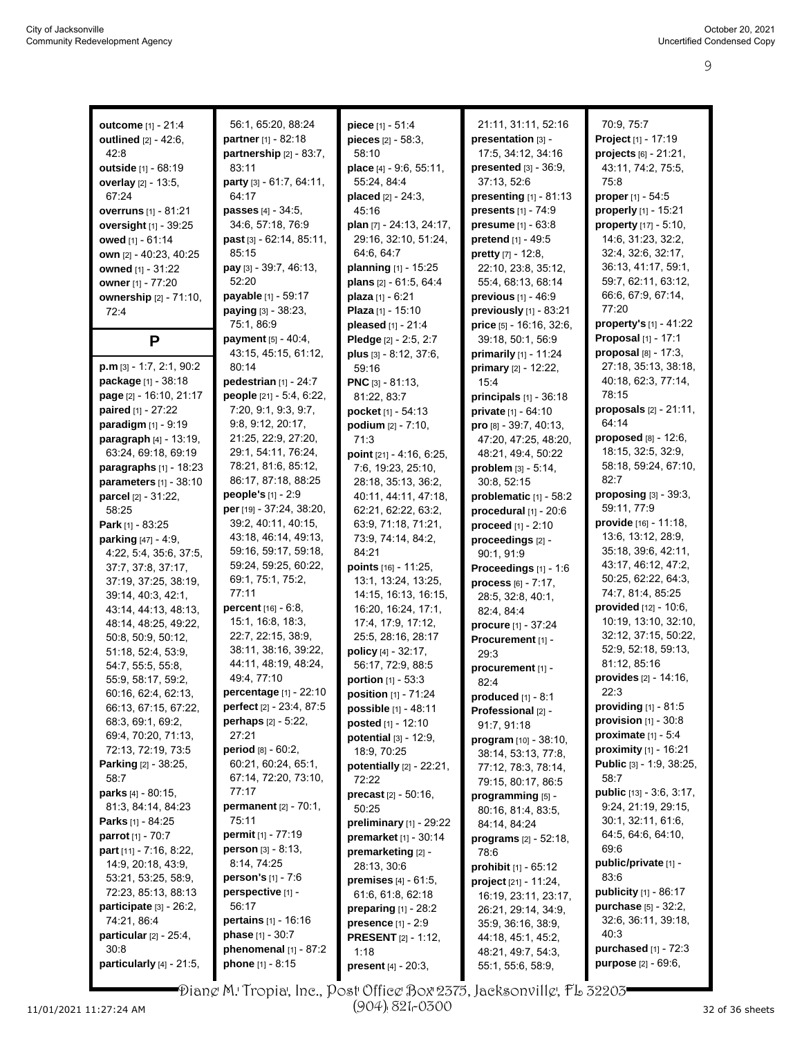| outcome [1] - 21:4             | 56:1, 65:20, 88:24              | piece [1] - 51:4                      | 21:11, 31:11, 52:16             | 70:9, 75:7                               |
|--------------------------------|---------------------------------|---------------------------------------|---------------------------------|------------------------------------------|
| outlined [2] - 42:6,           | partner [1] - 82:18             | pieces $[2] - 58:3$ ,                 | presentation [3] -              | Project [1] - 17:19                      |
| 42:8                           | partnership [2] - 83:7,         | 58:10                                 | 17:5, 34:12, 34:16              | projects [6] - 21:21,                    |
| outside [1] - 68:19            | 83:11                           | place [4] - 9:6, 55:11,               | presented [3] - 36:9,           | 43:11, 74:2, 75:5,                       |
| <b>overlay</b> [2] - 13:5,     | party [3] - 61:7, 64:11,        | 55:24, 84:4                           | 37:13, 52:6                     | 75:8                                     |
| 67:24                          | 64:17                           |                                       | <b>presenting</b> $[1] - 81:13$ | proper [1] - 54:5                        |
|                                | passes [4] - 34:5,              | <b>placed</b> $[2] - 24:3$ ,<br>45:16 | presents [1] - 74:9             | properly [1] - 15:21                     |
| <b>overruns</b> [1] - 81:21    | 34:6, 57:18, 76:9               |                                       | presume [1] - 63:8              |                                          |
| oversight [1] - 39:25          | past [3] - 62:14, 85:11,        | plan [7] - 24:13, 24:17,              |                                 | property [17] - 5:10,                    |
| owed $[1] - 61.14$             | 85:15                           | 29:16, 32:10, 51:24,                  | pretend [1] - 49:5              | 14:6, 31:23, 32:2,<br>32:4, 32:6, 32:17, |
| own [2] - 40:23, 40:25         |                                 | 64.6, 64.7                            | pretty [7] - 12:8,              |                                          |
| owned [1] - 31:22              | pay [3] - 39:7, 46:13,<br>52:20 | planning [1] - 15:25                  | 22:10, 23:8, 35:12,             | 36:13, 41:17, 59:1,                      |
| owner [1] - 77:20              |                                 | plans [2] - 61:5, 64:4                | 55:4, 68:13, 68:14              | 59:7, 62:11, 63:12,                      |
| ownership [2] - 71:10,         | payable [1] - 59:17             | <b>plaza</b> $[1] - 6:21$             | previous [1] - 46:9             | 66.6, 67.9, 67.14,                       |
| 72:4                           | paying [3] - 38:23,             | Plaza [1] - 15:10                     | previously [1] - 83:21          | 77:20                                    |
|                                | 75:1, 86:9                      | pleased [1] - 21:4                    | price $[5] - 16.16, 32.6$       | property's $[1] - 41:22$                 |
| P                              | <b>payment</b> $[5] - 40.4$ ,   | Pledge [2] - 2:5, 2:7                 | 39:18, 50:1, 56:9               | Proposal [1] - 17:1                      |
|                                | 43:15, 45:15, 61:12,            | plus $[3] - 8:12, 37:6,$              | primarily [1] - 11:24           | proposal $[8] - 17:3$ ,                  |
| $p.m$ [3] - 1:7, 2:1, 90:2     | 80:14                           | 59:16                                 | primary [2] - 12:22,            | 27:18, 35:13, 38:18,                     |
| package [1] - 38:18            | pedestrian $[1]$ - 24:7         | <b>PNC</b> $[3] - 81:13$              | 15:4                            | 40:18, 62:3, 77:14,                      |
| page [2] - 16:10, 21:17        | people [21] - 5:4, 6:22,        | 81:22, 83:7                           | principals $[1]$ - 36:18        | 78:15                                    |
| <b>paired</b> $[1] - 27:22$    | 7:20, 9:1, 9:3, 9:7,            | pocket [1] - 54:13                    | private [1] - 64:10             | proposals $[2] - 21:11$ ,                |
| paradigm [1] - 9:19            | 9.8, 9.12, 20.17,               | <b>podium</b> $[2] - 7:10$ ,          | pro [8] - 39:7, 40:13,          | 64:14                                    |
| paragraph [4] - 13:19,         | 21:25, 22:9, 27:20,             | 71:3                                  | 47:20, 47:25, 48:20,            | <b>proposed</b> $[8] - 12:6$ ,           |
| 63.24, 69.18, 69.19            | 29:1, 54:11, 76:24,             | point $[21] - 4.16, 6.25,$            | 48:21, 49:4, 50:22              | 18:15, 32:5, 32:9,                       |
| paragraphs [1] - 18:23         | 78:21, 81:6, 85:12,             | 7:6, 19:23, 25:10,                    | problem [3] - 5:14,             | 58:18, 59:24, 67:10,                     |
| parameters [1] - 38:10         | 86:17, 87:18, 88:25             | 28:18, 35:13, 36:2,                   | 30:8, 52:15                     | 82:7                                     |
| parcel [2] - 31:22,            | people's [1] - 2:9              | 40:11, 44:11, 47:18,                  | problematic [1] - 58:2          | proposing $[3]$ - 39:3,                  |
| 58:25                          | per [19] - 37:24, 38:20,        | 62:21, 62:22, 63:2,                   | procedural $[1]$ - 20:6         | 59:11, 77:9                              |
| Park [1] - 83:25               | 39:2, 40:11, 40:15,             | 63.9, 71.18, 71.21,                   | proceed [1] - 2:10              | provide [16] - 11:18,                    |
| <b>parking</b> $[47] - 4.9$ ,  | 43:18, 46:14, 49:13,            | 73.9, 74.14, 84.2,                    | proceedings [2] -               | 13:6, 13:12, 28:9,                       |
| 4:22, 5:4, 35:6, 37:5,         | 59:16, 59:17, 59:18,            | 84:21                                 | 90:1, 91:9                      | 35:18, 39:6, 42:11,                      |
| 37:7, 37:8, 37:17,             | 59:24, 59:25, 60:22,            | points $[16] - 11:25$ ,               | Proceedings [1] - 1:6           | 43:17, 46:12, 47:2,                      |
| 37:19, 37:25, 38:19,           | 69:1, 75:1, 75:2,               | 13:1, 13:24, 13:25,                   | process $[6] - 7:17$ ,          | 50:25, 62:22, 64:3,                      |
| 39:14, 40:3, 42:1,             | 77:11                           | 14:15, 16:13, 16:15,                  | 28:5, 32:8, 40:1,               | 74:7, 81:4, 85:25                        |
| 43:14, 44:13, 48:13,           | <b>percent</b> $[16] - 6.8$ ,   | 16:20, 16:24, 17:1,                   | 82:4, 84:4                      | provided $[12] - 10.6$ ,                 |
| 48:14, 48:25, 49:22,           | 15:1, 16:8, 18:3,               | 17:4, 17:9, 17:12,                    | procure [1] - 37:24             | 10:19, 13:10, 32:10,                     |
| 50:8, 50:9, 50:12,             | 22:7, 22:15, 38:9,              | 25:5, 28:16, 28:17                    | Procurement [1] -               | 32:12, 37:15, 50:22,                     |
| 51:18, 52:4, 53:9,             | 38:11, 38:16, 39:22,            | policy [4] - 32:17,                   | 29:3                            | 52:9, 52:18, 59:13,                      |
| 54:7, 55:5, 55:8,              | 44:11, 48:19, 48:24,            | 56:17, 72:9, 88:5                     | procurement [1] -               | 81:12, 85:16                             |
| 55.9, 58.17, 59.2,             | 49:4, 77:10                     | portion [1] - 53:3                    | 82:4                            | provides [2] - 14:16,                    |
| 60:16, 62:4, 62:13,            | percentage [1] - 22:10          | <b>position</b> $[1]$ - 71:24         | produced [1] - 8:1              | 22:3                                     |
| 66:13, 67:15, 67:22,           | perfect [2] - 23:4, 87:5        | possible [1] - 48:11                  | Professional [2] -              | <b>providing</b> $[1] - 81:5$            |
| 68:3, 69:1, 69:2,              | perhaps [2] - 5:22,             | posted [1] - 12:10                    | 91:7, 91:18                     | provision $[1]$ - $30:8$                 |
| 69:4, 70:20, 71:13,            | 27:21                           | potential [3] - 12:9,                 | program [10] - 38:10,           | proximate $[1] - 5.4$                    |
| 72:13, 72:19, 73:5             | period [8] - 60:2,              | 18:9, 70:25                           | 38:14, 53:13, 77:8,             | proximity [1] - 16:21                    |
| <b>Parking</b> $[2] - 38:25$ , | 60:21, 60:24, 65:1,             | potentially [2] - 22:21,              | 77:12, 78:3, 78:14,             | Public [3] - 1.9, 38:25,                 |
| 58:7                           | 67:14, 72:20, 73:10,            | 72:22                                 | 79:15, 80:17, 86:5              | 58:7                                     |
| parks [4] - 80:15,             | 77:17                           | <b>precast</b> $[2] - 50:16$ ,        | programming [5] -               | public [13] - 3:6, 3:17,                 |
| 81:3, 84:14, 84:23             | permanent [2] - 70:1,           | 50:25                                 | 80:16, 81:4, 83:5,              | 9:24, 21:19, 29:15,                      |
| <b>Parks</b> $[1] - 84:25$     | 75:11                           | preliminary $[1]$ - 29:22             | 84 14, 84 24                    | 30:1, 32:11, 61:6,                       |
| <b>parrot</b> [1] - 70:7       | permit [1] - 77:19              | premarket [1] - 30:14                 | <b>programs</b> $[2] - 52:18$ , | 64.5, 64.6, 64.10,                       |
| part $[11] - 7:16, 8:22$       | <b>person</b> $[3] - 8:13$ ,    | premarketing [2] -                    | 78:6                            | 69.6                                     |
| 14:9, 20:18, 43:9,             | 8:14, 74:25                     | 28:13, 30:6                           | prohibit [1] - 65:12            | public/private [1] -                     |
| 53:21, 53:25, 58:9,            | person's [1] - 7:6              | premises [4] - 61:5,                  | project [21] - 11:24,           | 83.6                                     |
| 72:23, 85:13, 88:13            | perspective [1] -               | 61:6, 61:8, 62:18                     | 16:19, 23:11, 23:17,            | <b>publicity</b> $[1] - 86:17$           |
| participate $[3] - 26:2$ ,     | 56:17                           | preparing $[1]$ - 28:2                | 26:21, 29:14, 34:9,             | purchase [5] - 32:2,                     |
| 74:21, 86:4                    | <b>pertains</b> $[1] - 16:16$   | presence [1] - 2:9                    | 35:9, 36:16, 38:9,              | 32.6, 36.11, 39.18,                      |
| particular [2] - 25:4,         | <b>phase</b> $[1] - 30:7$       | <b>PRESENT</b> [2] - 1:12,            | 44:18, 45:1, 45:2,              | 40:3                                     |
| 30:8                           | phenomenal [1] - 87:2           | 1:18                                  | 48.21, 49.7, 54.3,              | purchased [1] - 72:3                     |
| particularly $[4]$ - 21:5,     | phone [1] - 8:15                | present [4] - 20:3,                   | 55:1, 55:6, 58:9,               | purpose [2] - 69:6,                      |

Diane M. Tropia, Inc., Post Office Box 2375, Jacksonville, FL 32203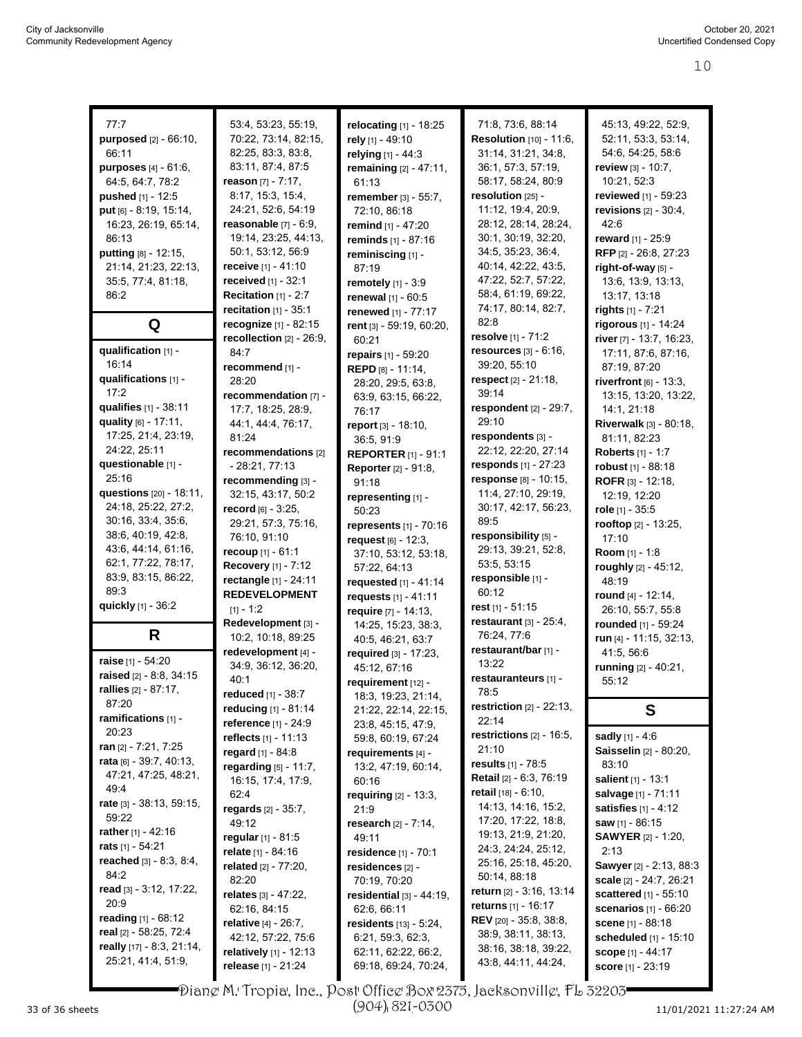|                                                 |                                                 |                                             |                                             | 45:13, 49:22, 52:9,                                    |
|-------------------------------------------------|-------------------------------------------------|---------------------------------------------|---------------------------------------------|--------------------------------------------------------|
| 77:7                                            | 53:4, 53:23, 55:19,                             | relocating [1] - 18:25                      | 71:8, 73:6, 88:14                           | 52:11, 53:3, 53:14,                                    |
| purposed [2] - 66:10,                           | 70:22, 73:14, 82:15,                            | rely [1] - 49:10                            | <b>Resolution</b> [10] - 11:6,              |                                                        |
| 66:11                                           | 82:25, 83:3, 83:8,                              | relying [1] - 44:3                          | 31:14, 31:21, 34:8,                         | 54:6, 54:25, 58:6                                      |
| purposes [4] - 61:6,                            | 83:11, 87:4, 87:5                               | remaining [2] - 47:11,                      | 36:1, 57:3, 57:19,                          | review $[3] - 10:7$ ,                                  |
| 64:5, 64:7, 78:2                                | reason $[7] - 7:17$ ,                           | 61:13                                       | 58:17, 58:24, 80:9                          | 10:21, 52:3                                            |
| pushed [1] - 12:5                               | 8:17, 15:3, 15:4,                               | remember [3] - 55:7,                        | resolution [25] -                           | reviewed [1] - 59:23                                   |
| put [6] - 8:19, 15:14,                          | 24:21, 52:6, 54:19                              | 72:10, 86:18                                | 11:12, 19:4, 20:9,                          | revisions $[2] - 30.4$ ,                               |
| 16:23, 26:19, 65:14,                            | <b>reasonable</b> [7] - 6:9,                    | remind [1] - 47:20                          | 28:12, 28:14, 28:24,                        | 42:6                                                   |
| 86:13                                           | 19:14, 23:25, 44:13,                            | reminds [1] - 87:16                         | 30:1, 30:19, 32:20,                         | reward [1] - 25:9                                      |
| putting [8] - 12:15,                            | 50:1, 53:12, 56:9                               | reminiscing [1] -                           | 34:5, 35:23, 36:4,                          | RFP [2] - 26:8, 27:23                                  |
| 21:14, 21:23, 22:13,                            | receive [1] - 41:10                             | 87:19                                       | 40:14, 42:22, 43:5,                         | right-of-way [5] -                                     |
| 35:5, 77:4, 81:18,                              | received [1] - 32:1                             | remotely [1] - 3:9                          | 47:22, 52:7, 57:22,                         | 13:6, 13:9, 13:13,                                     |
| 86:2                                            | Recitation [1] - 2:7                            | renewal [1] - 60:5                          | 58:4, 61:19, 69:22,                         | 13:17, 13:18                                           |
|                                                 | <b>recitation</b> $[1] - 35:1$                  | renewed [1] - 77:17                         | 74:17, 80:14, 82:7,                         | rights [1] - 7:21                                      |
| Q                                               | recognize [1] - 82:15                           | rent [3] - 59:19, 60:20,                    | 82.8                                        | rigorous [1] - 14:24                                   |
|                                                 | recollection $[2] - 26:9$ ,                     | 60:21                                       | resolve [1] - 71:2                          | river [7] - 13:7, 16:23,                               |
| qualification [1] -                             | 84:7                                            | repairs [1] - 59:20                         | resources [3] - 6:16,                       | 17:11, 87:6, 87:16,                                    |
| 16:14                                           | recommend [1] -                                 | REPD [8] - 11:14,                           | 39:20, 55:10                                | 87:19, 87:20                                           |
| qualifications [1] -                            | 28:20                                           | 28:20, 29:5, 63:8,                          | respect $[2] - 21:18$ ,                     | riverfront $[6]$ - 13:3,                               |
| 17:2                                            | recommendation [7] -                            | 63:9, 63:15, 66:22,                         | 39:14                                       | 13:15, 13:20, 13:22,                                   |
| qualifies [1] - 38:11                           | 17:7, 18:25, 28:9,                              | 76:17                                       | respondent [2] - 29:7,                      | 14:1, 21:18                                            |
| quality [6] - 17:11,                            | 44:1, 44:4, 76:17,                              | report [3] - 18:10,                         | 29:10                                       | Riverwalk [3] - 80:18,                                 |
| 17:25, 21:4, 23:19,                             | 81:24                                           | 36:5, 91:9                                  | respondents [3] -                           | 81:11, 82:23                                           |
| 24:22, 25:11                                    | recommendations [2]                             | <b>REPORTER [1] - 91:1</b>                  | 22:12, 22:20, 27:14                         | <b>Roberts</b> [1] - 1:7                               |
| questionable [1] -                              | $-28:21, 77:13$                                 | <b>Reporter</b> [2] - 91:8,                 | responds [1] - 27:23                        | robust [1] - 88:18                                     |
| 25:16                                           | recommending [3] -                              | 91:18                                       | response [8] - 10:15,                       | ROFR [3] - 12:18,                                      |
| questions [20] - 18:11,                         | 32:15, 43:17, 50:2                              | representing [1] -                          | 11:4, 27:10, 29:19,                         | 12:19, 12:20                                           |
| 24:18, 25:22, 27:2,                             | record $[6] - 3:25$ ,                           | 50:23                                       | 30:17, 42:17, 56:23,                        | role $[1] - 35:5$                                      |
| 30:16, 33:4, 35:6,                              | 29:21, 57:3, 75:16,                             | represents [1] - 70:16                      | 89:5                                        | rooftop [2] - 13:25,                                   |
| 38.6, 40.19, 42.8,                              | 76:10, 91:10                                    | request $[6] - 12:3$ ,                      | responsibility [5] -                        | 17:10                                                  |
| 43:6, 44:14, 61:16,                             | recoup [1] - 61:1                               | 37:10, 53:12, 53:18,                        | 29:13, 39:21, 52:8,                         | Room [1] - 1:8                                         |
| 62:1, 77:22, 78:17,                             | Recovery [1] - 7:12                             | 57:22, 64:13                                | 53:5, 53:15                                 | roughly [2] - 45:12,                                   |
| 83.9, 83.15, 86.22,                             | rectangle [1] - 24:11                           |                                             | responsible [1] -                           |                                                        |
|                                                 |                                                 |                                             |                                             |                                                        |
| 89.3                                            |                                                 | requested [1] - 41:14                       | 60:12                                       | 48:19                                                  |
| quickly [1] - 36:2                              | <b>REDEVELOPMENT</b>                            | requests $[1] - 41:11$                      | rest $[1]$ - 51:15                          | round $[4] - 12:14$ ,                                  |
|                                                 | $[1] - 1:2$                                     | require [7] - 14:13.                        |                                             | 26:10, 55:7, 55:8                                      |
|                                                 | Redevelopment [3] -                             | 14:25, 15:23, 38:3,                         | restaurant $[3]$ - 25:4,                    | rounded [1] - 59:24                                    |
| R                                               | 10:2, 10:18, 89:25                              | 40:5, 46:21, 63:7                           | 76:24, 77:6                                 | run [4] - 11:15, 32:13,                                |
| raise [1] - 54:20                               | redevelopment [4] -                             | required [3] - 17:23,                       | restaurant/bar [1] -                        | 41:5, 56:6                                             |
| raised $[2] - 8.8, 34.15$                       | 34:9, 36:12, 36:20,                             | 45:12, 67:16                                | 13:22                                       | running [2] - 40:21,                                   |
| <b>rallies</b> [2] - 87:17,                     | 40:1                                            | requirement [12] -                          | restauranteurs [1] -                        | 55:12                                                  |
| 87:20                                           | <b>reduced</b> [1] - 38:7                       | 18:3, 19:23, 21:14,                         | 78:5                                        |                                                        |
| ramifications [1] -                             | reducing [1] - 81:14                            | 21:22, 22:14, 22:15,                        | <b>restriction</b> $[2] - 22.13$ ,          | S                                                      |
| 20:23                                           | reference [1] - 24:9                            | 23.8, 45.15, 47.9,                          | 22:14                                       |                                                        |
| ran $[2] - 7:21, 7:25$                          | reflects $[1] - 11:13$                          | 59:8, 60:19, 67:24                          | restrictions $[2]$ - 16:5,                  | sadly [1] - 4:6                                        |
| rata $[6]$ - 39:7, 40:13,                       | regard [1] - 84:8                               | requirements [4] -                          | 21:10                                       | Saisselin [2] - 80:20,                                 |
| 47:21, 47:25, 48:21,                            | regarding [5] - 11:7,                           | 13:2, 47:19, 60:14,                         | results [1] - 78:5                          | 83:10                                                  |
| 49.4                                            | 16:15, 17:4, 17:9,                              | 60:16                                       | <b>Retail</b> [2] - 6:3, 76:19              | salient [1] - 13:1                                     |
|                                                 | 62:4                                            | requiring [2] - 13:3,                       | <b>retail</b> [18] - 6:10,                  | salvage [1] - 71:11                                    |
| rate [3] - 38:13, 59:15,<br>59:22               | <b>regards</b> $[2] - 35:7$ ,                   | 21.9                                        | 14:13, 14:16, 15:2,                         | <b>satisfies</b> $[1] - 4:12$                          |
| rather $[1]$ - 42:16                            | 49:12                                           | <b>research</b> $[2] - 7:14$ ,              | 17:20, 17:22, 18:8,                         | <b>saw</b> $[1]$ - 86:15                               |
| <b>rats</b> [1] - 54:21                         | regular [1] - 81:5                              | 49:11                                       | 19:13, 21:9, 21:20,                         | <b>SAWYER</b> [2] - 1:20,                              |
| reached $[3] - 8.3, 8.4,$                       | relate [1] - 84:16                              | residence [1] - 70:1                        | 24:3, 24:24, 25:12,                         | 2:13                                                   |
| 84:2                                            | related $[2] - 77:20$ ,                         | residences [2] -                            | 25:16, 25:18, 45:20,                        | Sawyer [2] - 2:13, 88:3                                |
| read [3] - 3:12, 17:22,                         | 82:20                                           | 70:19, 70:20                                | 50:14, 88:18                                | scale [2] - 24:7, 26:21                                |
| 20:9                                            | relates $[3] - 47:22$ ,                         | residential $[3] - 44:19$ ,                 | <b>return</b> [2] - 3:16, 13:14             | scattered [1] - 55:10                                  |
|                                                 | 62:16, 84:15                                    | 62:6, 66:11                                 | <b>returns</b> [1] - 16:17                  | scenarios [1] - 66:20                                  |
| reading $[1] - 68:12$                           | <b>relative</b> $[4] - 26.7$ ,                  | residents [13] - 5:24,                      | <b>REV</b> [20] - 35:8, 38:8,               | scene [1] - 88:18                                      |
| real [2] - 58:25, 72:4                          | 42:12, 57:22, 75:6                              | 6:21, 59:3, 62:3,                           | 38.9, 38.11, 38.13,                         | scheduled [1] - 15:10                                  |
| really [17] - 8:3, 21:14,<br>25:21, 41:4, 51:9, | relatively $[1]$ - 12:13<br>release [1] - 21:24 | 62:11, 62:22, 66:2,<br>69:18, 69:24, 70:24, | 38:16, 38:18, 39:22,<br>43 8, 44 11, 44 24, | <b>scope</b> [1] - 44:17<br><b>score</b> $[1] - 23:19$ |

П Diane M. Tropia, Inc., Post Office Box 2375, Jacksonville, FL 32203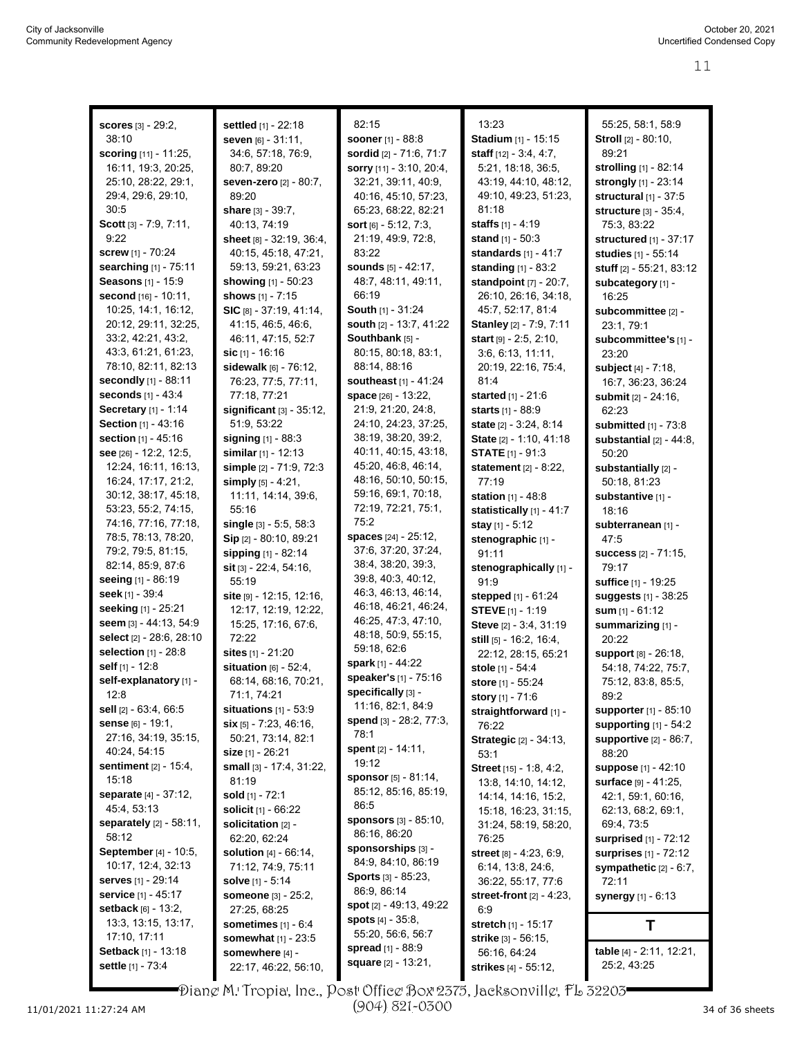| <b>scores</b> [3] - 29:2,                        | settled [1] - 22:18        | 82:15                          | 13:23                           | 55:25, 58:1, 58:9                           |
|--------------------------------------------------|----------------------------|--------------------------------|---------------------------------|---------------------------------------------|
| 38:10                                            |                            |                                | Stadium [1] - 15:15             |                                             |
|                                                  | seven [6] - 31:11,         | <b>sooner</b> [1] - 88:8       |                                 | Stroll [2] - 80:10,<br>89:21                |
| scoring [11] - 11:25,                            | 34:6, 57:18, 76:9,         | sordid [2] - 71:6, 71:7        | staff $[12] - 3.4, 4.7$ ,       |                                             |
| 16:11, 19:3, 20:25,                              | 80:7, 89:20                | sorry [11] - 3:10, 20:4,       | 5:21, 18:18, 36:5,              | <b>strolling</b> [1] - 82:14                |
| 25:10, 28:22, 29:1,                              | seven-zero [2] - 80:7,     | 32:21, 39:11, 40:9,            | 43:19, 44:10, 48:12,            | strongly [1] - 23:14                        |
| 29:4, 29:6, 29:10,                               | 89:20                      | 40:16, 45:10, 57:23,           | 49:10, 49:23, 51:23,            | structural $[1]$ - 37:5                     |
| 30:5                                             | share $[3] - 39:7$ ,       | 65:23, 68:22, 82:21            | 81:18                           | structure $[3] - 35.4$ ,                    |
| Scott [3] - 7:9, 7:11,                           | 40:13, 74:19               | sort $[6] - 5:12, 7:3,$        | <b>staffs</b> $[1] - 4:19$      | 75:3, 83:22                                 |
| 9:22                                             | sheet [8] - 32:19, 36:4,   | 21:19, 49:9, 72:8,             | stand [1] - 50:3                | structured [1] - 37:17                      |
| <b>screw</b> [1] - 70:24                         | 40:15, 45:18, 47:21,       | 83:22                          | standards $[1] - 41:7$          | studies [1] - 55:14                         |
| searching [1] - 75:11                            | 59:13, 59:21, 63:23        | <b>sounds</b> $[5] - 42:17$ ,  | standing [1] - 83:2             | stuff [2] - 55:21, 83:12                    |
| Seasons [1] - 15:9                               | showing [1] - 50:23        | 48:7, 48:11, 49:11,            | standpoint [7] - 20:7,          | subcategory [1] -                           |
| second [16] - 10:11,                             | shows [1] - 7:15           | 66:19                          | 26:10, 26:16, 34:18,            | 16:25                                       |
| 10.25, 14:1, 16:12,                              | $SIC$ [8] - 37:19, 41:14,  | <b>South</b> $[1] - 31:24$     | 45:7, 52:17, 81:4               | subcommittee [2] -                          |
| 20:12, 29:11, 32:25,                             | 41:15, 46:5, 46:6,         | south [2] - 13:7, 41:22        | Stanley [2] - 7:9, 7:11         | 23:1, 79:1                                  |
| 33:2, 42:21, 43:2,                               | 46:11, 47:15, 52:7         | Southbank [5] -                | <b>start</b> $[9] - 2:5, 2:10,$ | subcommittee's [1] -                        |
| 43:3, 61:21, 61:23,                              | sic $[1]$ - 16:16          | 80:15, 80:18, 83:1,            | 3.6, 6.13, 11.11,               | 23:20                                       |
| 78:10, 82:11, 82:13                              | sidewalk $[6] - 76.12$ ,   | 88:14, 88:16                   | 20:19, 22:16, 75:4,             | subject [4] - 7:18,                         |
| <b>secondly</b> [1] - 88:11                      | 76:23, 77:5, 77:11,        | southeast [1] - 41:24          | 81:4                            | 16:7, 36:23, 36:24                          |
| seconds [1] - 43:4                               | 77:18, 77:21               | space [26] - 13:22,            | started [1] - 21:6              | submit [2] - 24:16,                         |
| Secretary [1] - 1:14                             | significant $[3]$ - 35:12, | 21:9, 21:20, 24:8,             | <b>starts</b> $[1]$ - 88:9      | 62:23                                       |
| Section [1] - 43:16                              | 51:9, 53:22                | 24:10, 24:23, 37:25,           | state [2] - 3:24, 8:14          | submitted [1] - 73:8                        |
| section [1] - 45:16                              | signing [1] - 88:3         | 38:19, 38:20, 39:2,            | State [2] - 1:10, 41:18         | substantial [2] - 44:8.                     |
| see [26] - 12:2, 12:5,                           | similar [1] - 12:13        | 40:11, 40:15, 43:18,           | <b>STATE [1] - 91:3</b>         | 50:20                                       |
| 12:24, 16:11, 16:13,                             | simple [2] - 71:9, 72:3    | 45:20, 46:8, 46:14,            | statement [2] - 8:22,           | substantially [2] -                         |
| 16:24, 17:17, 21:2,                              | simply [5] - 4:21,         | 48:16, 50:10, 50:15,           | 77:19                           | 50:18, 81:23                                |
| 30:12, 38:17, 45:18,                             | 11:11, 14:14, 39:6,        | 59:16, 69:1, 70:18,            | station [1] - 48:8              | substantive [1] -                           |
| 53:23, 55:2, 74:15,                              | 55:16                      | 72:19, 72:21, 75:1,            | statistically [1] - 41:7        | 18:16                                       |
| 74:16, 77:16, 77:18,                             | single [3] - 5:5, 58:3     | 75:2                           | stay $[1] - 5:12$               | subterranean [1] -                          |
| 78:5, 78:13, 78:20,                              | Sip [2] - 80:10, 89:21     | spaces [24] - 25:12,           | stenographic [1] -              | 47.5                                        |
| 79:2, 79:5, 81:15,                               | sipping [1] - 82:14        | 37:6, 37:20, 37:24,            | 91:11                           | success [2] - 71:15,                        |
| 82:14, 85:9, 87:6                                | sit [3] - 22:4, 54:16,     | 38:4, 38:20, 39:3,             | stenographically [1] -          | 79:17                                       |
| seeing [1] - 86:19                               | 55:19                      | 39.8, 40.3, 40.12,             | 91.9                            | suffice [1] - 19:25                         |
| seek [1] - 39:4                                  | site [9] - 12:15, 12:16,   | 46:3, 46:13, 46:14,            | <b>stepped</b> [1] - 61:24      | suggests [1] - 38:25                        |
| seeking [1] - 25:21                              | 12:17, 12:19, 12:22,       | 46:18, 46:21, 46:24,           | <b>STEVE</b> [1] - 1:19         | sum $[1] - 61:12$                           |
| seem [3] - 44:13, 54:9                           | 15:25, 17:16, 67:6,        | 46:25, 47:3, 47:10,            | Steve [2] - 3.4, 31:19          | summarizing [1] -                           |
| select [2] - 28:6, 28:10                         | 72:22                      | 48:18, 50:9, 55:15,            | still [5] - 16:2, 16:4,         | 20:22                                       |
| selection [1] - 28:8                             | sites [1] - 21:20          | 59:18, 62:6                    | 22:12, 28:15, 65:21             |                                             |
| self [1] - 12:8                                  | situation $[6] - 52.4$ ,   | spark [1] - 44:22              |                                 | support [8] - 26:18,<br>54:18, 74:22, 75:7, |
| self-explanatory [1] -                           | 68:14, 68:16, 70:21,       | speaker's [1] - 75:16          | stole [1] - 54:4                | 75:12, 83:8, 85:5,                          |
| 12:8                                             | 71:1, 74:21                | specifically [3] -             | store [1] - 55:24               | 89:2                                        |
| sell $[2] - 63.4, 66.5$                          | situations $[1]$ - 53:9    | 11:16, 82:1, 84:9              | story [1] - 71:6                |                                             |
| <b>sense</b> $[6] - 19:1$ ,                      | $\sin$ [5] - 7:23, 46:16,  | <b>spend</b> [3] - 28.2, 77.3, | straightforward [1] -           | supporter [1] - 85:10                       |
| 27:16, 34:19, 35:15,                             | 50:21, 73:14, 82:1         | 78:1                           | 76:22                           | supporting [1] - 54:2                       |
| 40:24, 54:15                                     | size $[1] - 26:21$         | <b>spent</b> [2] - 14:11,      | <b>Strategic [2] - 34:13,</b>   | <b>supportive</b> [2] - 86:7,<br>88:20      |
| <b>sentiment</b> [2] - 15:4,                     | small [3] - 17:4, 31:22,   | 19:12                          | 53:1                            |                                             |
| 15:18                                            | 81:19                      | sponsor $[5] - 81:14$ ,        | Street [15] - 1:8, 4:2,         | <b>suppose</b> [1] - 42:10                  |
| separate [4] - 37:12,                            | sold $[1] - 72.1$          | 85:12, 85:16, 85:19,           | 13:8, 14:10, 14:12,             | surface [9] - 41:25,                        |
| 45:4, 53:13                                      |                            | 86:5                           | 14:14, 14:16, 15:2,             | 42:1, 59:1, 60:16,                          |
|                                                  | solicit [1] - 66:22        | <b>sponsors</b> [3] - 85:10,   | 15:18, 16:23, 31:15,            | 62:13, 68:2, 69:1,                          |
| <b>separately</b> $[2] - 58.11$ ,<br>58:12       | solicitation [2] -         | 86:16, 86:20                   | 31:24, 58:19, 58:20,            | 69.4, 73.5                                  |
| September [4] - 10:5,                            | 62:20, 62:24               | sponsorships [3] -             | 76:25                           | surprised [1] - 72:12                       |
| 10:17, 12:4, 32:13                               | solution [4] - 66:14,      | 84.9, 84.10, 86.19             | street [8] - 4:23, 6:9,         | surprises [1] - 72:12                       |
|                                                  | 71:12, 74:9, 75:11         | <b>Sports</b> [3] - 85:23,     | 6:14, 13:8, 24:6,               | sympathetic [2] - 6:7,                      |
| <b>serves</b> [1] - 29:14<br>service [1] - 45:17 | <b>solve</b> [1] - 5:14    | 86:9, 86:14                    | 36:22, 55:17, 77:6              | 72:11                                       |
| setback [6] - 13:2,                              | someone [3] - 25:2,        | spot $[2] - 49:13, 49:22$      | street-front $[2] - 4:23$ ,     | synergy [1] - 6:13                          |
| 13:3, 13:15, 13:17,                              | 27:25, 68:25               | <b>spots</b> $[4] - 35.8$ ,    | 6.9                             |                                             |
|                                                  | sometimes $[1] - 6:4$      | 55:20, 56:6, 56:7              | stretch [1] - 15:17             | т                                           |
| 17:10, 17:11<br>Setback [1] - 13:18              | somewhat [1] - 23:5        | spread [1] - 88:9              | strike [3] - 56:15,             | table [4] - 2:11, 12:21,                    |
| settle [1] - 73:4                                | somewhere [4] -            | <b>square</b> $[2] - 13:21$ ,  | 56:16, 64:24                    | 25:2, 43:25                                 |
|                                                  | 22:17, 46:22, 56:10,       |                                | strikes [4] - 55:12,            |                                             |

Diane M. Tropia, Inc., Post Office Box 2375, Jacksonville, FL 32203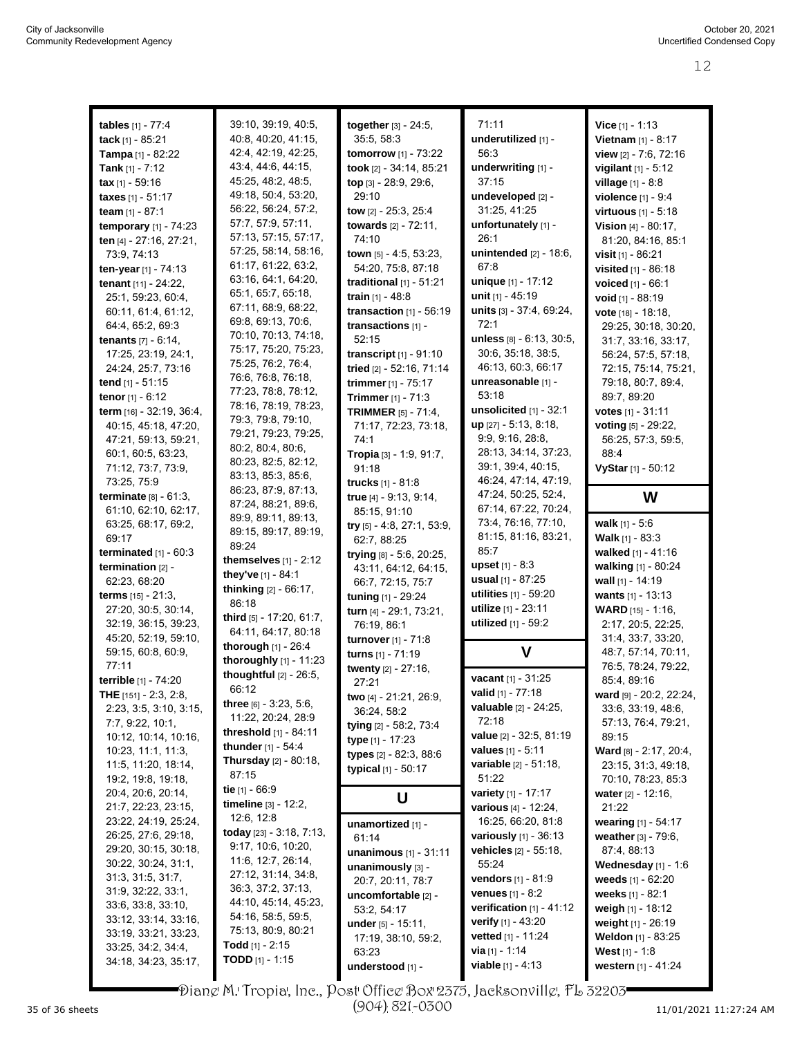| tables [1] - 77:4                          | 39:10, 39:19, 40:5,          | together [3] - 24:5,                       | 71:11                                                 | Vice [1] - 1:13                                  |
|--------------------------------------------|------------------------------|--------------------------------------------|-------------------------------------------------------|--------------------------------------------------|
| tack [1] - 85:21                           | 40:8, 40:20, 41:15,          | 35:5, 58:3                                 | underutilized [1] -                                   | Vietnam [1] - 8:17                               |
|                                            | 42:4, 42:19, 42:25,          | tomorrow [1] - 73:22                       | 56:3                                                  | view $[2] - 7:6, 72:16$                          |
| Tampa [1] - 82:22                          | 43.4, 44.6, 44.15,           |                                            |                                                       |                                                  |
| Tank $[1] - 7:12$                          | 45:25, 48:2, 48:5,           | took [2] - 34:14, 85:21                    | underwriting [1] -<br>37:15                           | <b>vigilant</b> $[1] - 5:12$                     |
| $\textbf{tax}[1] - 59:16$                  | 49:18, 50:4, 53:20,          | top [3] - 28:9, 29:6,                      |                                                       | village [1] - 8:8                                |
| taxes [1] - 51:17                          | 56:22, 56:24, 57:2,          | 29:10                                      | undeveloped [2] -                                     | violence [1] - 9:4                               |
| team $[1] - 87:1$                          |                              | <b>tow</b> $[2] - 25:3$ , $25:4$           | 31:25, 41:25                                          | virtuous [1] - 5:18                              |
| <b>temporary</b> $[1] - 74:23$             | 57:7, 57:9, 57:11,           | towards [2] - 72:11,                       | unfortunately [1] -                                   | Vision $[4] - 80:17$ ,                           |
| ten [4] - 27:16, 27:21,                    | 57:13, 57:15, 57:17,         | 74:10                                      | 26:1                                                  | 81:20, 84:16, 85:1                               |
| 73:9, 74:13                                | 57:25, 58:14, 58:16,         | town [5] - 4:5, 53:23,                     | unintended [2] - 18:6,                                | visit [1] - 86:21                                |
| ten-year [1] - 74:13                       | 61:17, 61:22, 63:2,          | 54:20, 75:8, 87:18                         | 67:8                                                  | visited [1] - 86:18                              |
| tenant [11] - 24:22,                       | 63:16, 64:1, 64:20,          | traditional $[1]$ - 51:21                  | unique [1] - 17:12                                    | voiced [1] - 66:1                                |
| 25:1, 59:23, 60:4,                         | 65:1, 65:7, 65:18,           | train $[1] - 48.8$                         | unit [1] - 45:19                                      | void [1] - 88:19                                 |
| 60.11, 61:4, 61:12,                        | 67:11, 68:9, 68:22,          | transaction $[1]$ - 56:19                  | units [3] - 37:4, 69:24,                              | vote [18] - 18:18,                               |
| 64:4, 65:2, 69:3                           | 69.8, 69.13, 70.6,           | transactions [1] -                         | 72:1                                                  | 29:25, 30:18, 30:20,                             |
| tenants [7] - 6:14,                        | 70:10, 70:13, 74:18,         | 52:15                                      | unless [8] - 6:13, 30:5,                              | 31:7, 33:16, 33:17,                              |
| 17:25, 23:19, 24:1,                        | 75:17, 75:20, 75:23,         | transcript [1] - 91:10                     | 30.6, 35:18, 38:5,                                    | 56.24, 57:5, 57:18,                              |
| 24:24, 25:7, 73:16                         | 75:25, 76:2, 76:4,           | tried [2] - 52:16, 71:14                   | 46:13, 60:3, 66:17                                    | 72:15, 75:14, 75:21,                             |
| tend $[1] - 51:15$                         | 76:6, 76:8, 76:18,           | trimmer [1] - 75:17                        | unreasonable [1] -                                    | 79:18, 80:7, 89:4,                               |
| tenor $[1] - 6:12$                         | 77:23, 78:8, 78:12,          | Trimmer [1] - 71:3                         | 53:18                                                 | 89:7, 89:20                                      |
| term [16] - 32:19, 36:4,                   | 78:16, 78:19, 78:23,         | <b>TRIMMER</b> [5] - 71:4,                 | unsolicited $[1]$ - 32:1                              | votes $[1] - 31:11$                              |
| 40:15, 45:18, 47:20,                       | 79:3, 79:8, 79:10,           | 71:17, 72:23, 73:18,                       | $up$ [27] - 5:13, 8:18,                               | voting [5] - 29:22,                              |
| 47:21, 59:13, 59:21,                       | 79:21, 79:23, 79:25,         | 74:1                                       | 9.9, 9.16, 28.8,                                      | 56:25, 57:3, 59:5,                               |
| 60.1, 60.5, 63.23,                         | 80:2, 80:4, 80:6,            | Tropia [3] - 1:9, 91:7,                    | 28:13, 34:14, 37:23,                                  | 88.4                                             |
| 71:12, 73:7, 73:9,                         | 80:23, 82:5, 82:12,          | 91:18                                      | 39:1, 39:4, 40:15,                                    | VyStar [1] - 50:12                               |
| 73:25, 75:9                                | 83:13, 85:3, 85:6,           | trucks $[1] - 81:8$                        | 46:24, 47:14, 47:19,                                  |                                                  |
| <b>terminate</b> $[8] - 61:3$ ,            | 86:23, 87:9, 87:13,          |                                            | 47:24, 50:25, 52:4,                                   | W                                                |
| 61:10, 62:10, 62:17,                       | 87:24, 88:21, 89:6,          | true [4] - 9:13, 9:14,                     | 67:14, 67:22, 70:24,                                  |                                                  |
| 63:25, 68:17, 69:2,                        | 89.9, 89.11, 89.13,          | 85:15, 91:10                               | 73:4, 76:16, 77:10,                                   | walk $[1] - 5:6$                                 |
| 69:17                                      | 89:15, 89:17, 89:19,         | try [5] - 4:8, 27:1, 53:9,                 | 81:15, 81:16, 83:21,                                  | <b>Walk</b> $[1] - 83:3$                         |
| terminated [1] - 60:3                      | 89:24                        | 62:7, 88:25                                | 85:7                                                  | walked [1] - 41:16                               |
|                                            | themselves $[1]$ - 2:12      | trying [8] - 5:6, 20:25,                   | <b>upset</b> $[1] - 8:3$                              |                                                  |
| termination $[2]$ -                        | they've [1] - 84:1           | 43:11, 64:12, 64:15,                       | <b>usual</b> $[1] - 87:25$                            | walking [1] - 80:24                              |
| 62:23, 68:20                               | thinking [2] - 66:17,        | 66:7, 72:15, 75:7                          |                                                       | wall [1] - 14:19                                 |
| <b>terms</b> $[15] - 21:3$                 | 86:18                        | tuning [1] - 29:24                         | utilities [1] - 59:20                                 | wants $[1] - 13:13$                              |
| 27:20, 30:5, 30:14,                        | third [5] - 17:20, 61:7,     | turn [4] - 29:1, 73:21,                    | utilize [1] - 23:11                                   | <b>WARD</b> [15] - 1:16,                         |
| 32:19, 36:15, 39:23,                       | 64:11, 64:17, 80:18          | 76:19, 86:1                                | utilized [1] - 59:2                                   | 2:17, 20:5, 22:25,                               |
| 45:20, 52:19, 59:10,                       |                              |                                            |                                                       |                                                  |
|                                            |                              | turnover [1] - 71:8                        |                                                       | 31:4, 33:7, 33:20,                               |
| 59:15, 60:8, 60:9,                         | thorough [1] - 26:4          | turns [1] - 71:19                          | V                                                     | 48:7, 57:14, 70:11,                              |
| 77:11                                      | thoroughly [1] - 11:23       | twenty [2] - 27:16,                        |                                                       | 76:5, 78:24, 79:22,                              |
| terrible [1] - 74:20                       | thoughtful [2] - 26:5,       | 27:21                                      | vacant [1] - 31:25                                    | 85:4, 89:16                                      |
| <b>THE</b> $[151] - 2:3, 2:8,$             | 66:12                        | two [4] - 21:21, 26:9,                     | valid [1] - 77:18                                     | ward [9] - 20.2, 22:24,                          |
| 2:23, 3:5, 3:10, 3:15,                     | three $[6] - 3.23, 5.6$ ,    | 36:24, 58:2                                | <b>valuable</b> [2] - 24:25,                          | 33.6, 33.19, 48.6,                               |
| 7:7, 9:22, 10:1,                           | 11:22, 20:24, 28:9           |                                            | 72:18                                                 | 57:13, 76:4, 79:21,                              |
| 10:12, 10:14, 10:16,                       | threshold [1] - 84:11        | tying [2] - 58:2, 73:4<br>type [1] - 17:23 | value [2] - 32:5, 81:19                               | 89:15                                            |
| 10.23, 11.1, 11.3,                         | thunder [1] - 54:4           |                                            | <b>values</b> $[1] - 5:11$                            | Ward [8] - 2:17, 20:4,                           |
| 11:5, 11:20, 18:14,                        | <b>Thursday</b> [2] - 80:18, | types [2] - 82:3, 88:6                     | variable [2] - 51:18,                                 | 23:15, 31:3, 49:18,                              |
| 19:2, 19:8, 19:18,                         | 87:15                        | typical [1] - 50:17                        | 51:22                                                 | 70:10, 78:23, 85:3                               |
| 20:4, 20:6, 20:14,                         | tie [1] - 66:9               |                                            | variety [1] - 17:17                                   | water $[2] - 12:16$ ,                            |
| 21:7, 22:23, 23:15,                        | timeline [3] - 12:2,         | U                                          | various [4] - 12:24,                                  | 21:22                                            |
| 23:22, 24:19, 25:24,                       | 12.6, 12.8                   |                                            |                                                       | wearing [1] - 54:17                              |
| 26.25, 27:6, 29:18,                        | today [23] - 3:18, 7:13,     | unamortized [1] -                          | 16:25, 66:20, 81:8<br><b>variously</b> $[1] - 36:13$  |                                                  |
| 29:20, 30:15, 30:18,                       | 9:17, 10:6, 10:20,           | 61:14                                      | vehicles [2] - 55:18,                                 | weather [3] - 79:6,<br>87:4, 88:13               |
| 30:22, 30:24, 31:1,                        | 11:6, 12:7, 26:14,           | unanimous [1] - 31:11                      | 55:24                                                 |                                                  |
| 31:3, 31:5, 31:7,                          | 27:12, 31:14, 34:8,          | unanimously [3] -                          |                                                       | Wednesday $[1]$ - 1:6                            |
| 31.9, 32.22, 33.1,                         | 36:3, 37:2, 37:13,           | 20:7, 20:11, 78:7                          | <b>vendors</b> $[1] - 81.9$                           | weeds [1] - 62:20                                |
| 33.6, 33.8, 33.10,                         | 44:10, 45:14, 45:23,         | uncomfortable [2] -                        | <b>venues</b> $[1] - 8.2$                             | weeks $[1] - 82.1$                               |
| 33:12, 33:14, 33:16,                       | 54:16, 58:5, 59:5,           | 53:2, 54:17                                | verification $[1] - 41:12$                            | weigh [1] - 18:12                                |
| 33:19, 33:21, 33:23,                       | 75:13, 80:9, 80:21           | under $[5] - 15.11$ ,                      | <b>verify</b> $[1] - 43:20$                           | weight $[1] - 26:19$                             |
|                                            | <b>Todd</b> [1] - 2:15       | 17:19, 38:10, 59:2,                        | vetted [1] - 11:24                                    | Weldon [1] - 83:25                               |
| 33:25, 34:2, 34:4,<br>34:18, 34:23, 35:17, | <b>TODD</b> $[1] - 1:15$     | 63:23<br>understood [1] -                  | <b>via</b> $[1] - 1:14$<br><b>viable</b> $[1] - 4:13$ | <b>West</b> $[1] - 1.8$<br>western $[1] - 41.24$ |

Diane M. Tropia, Inc., Post Office Box 2375, Jacksonville, FL 32203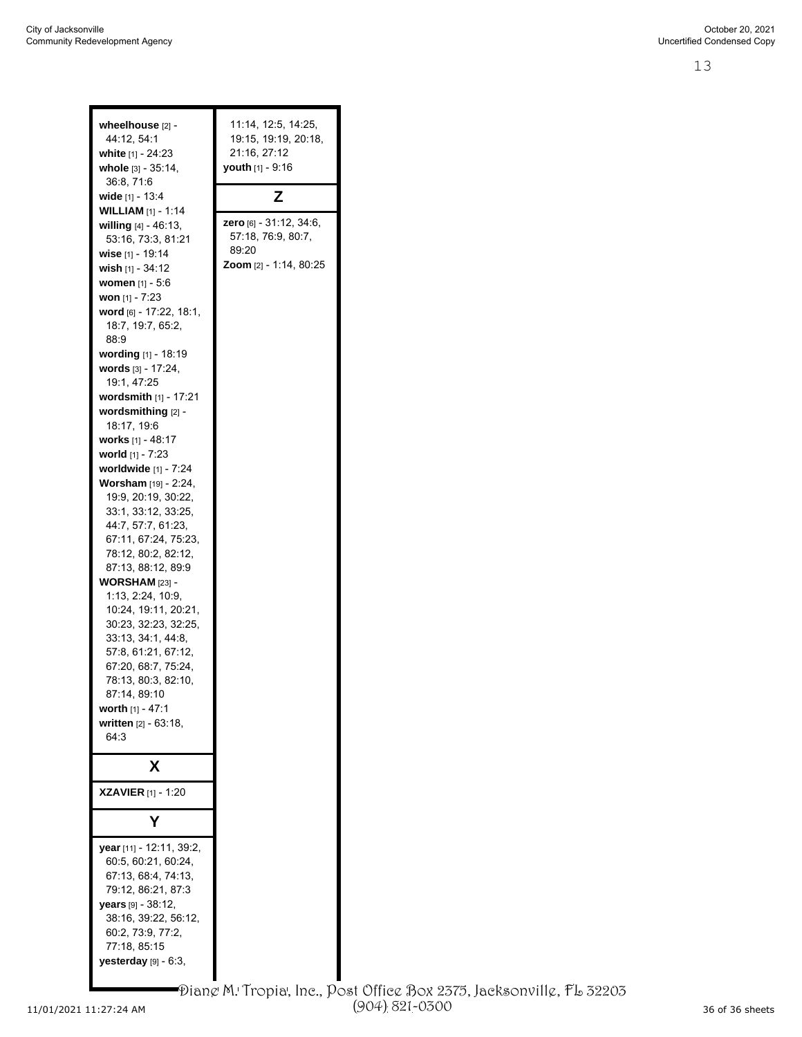| wheelhouse [2] -<br>44:12, 54:1<br>white [1] - 24:23<br>whole $[3] - 35:14$ ,<br>36:8, 71:6<br>wide [1] - 13:4<br><b>WILLIAM</b> $[1] - 1.14$<br>willing $[4] - 46.13$ ,<br>53:16, 73:3, 81:21<br>wise [1] - 19:14<br>wish [1] - 34:12<br><b>women</b> [1] - 5:6<br>won $[1] - 7:23$<br>word [6] - 17:22, 18:1,<br>18:7, 19:7, 65:2,<br>88.9<br>wording [1] - 18:19<br>words [3] - 17:24,<br>19:1, 47:25<br><b>wordsmith</b> $[1] - 17:21$<br>wordsmithing $[2]$ -<br>18:17, 19:6<br>works [1] - 48:17<br>world [1] - 7:23<br>worldwide [1] - 7:24<br>Worsham [19] - 2:24,<br>19:9, 20:19, 30:22,<br>33:1, 33:12, 33:25,<br>44:7, 57:7, 61:23,<br>67:11, 67:24, 75:23,<br>78:12, 80:2, 82:12,<br>87:13, 88:12, 89:9<br><b>WORSHAM</b> [23] -<br>1:13, 2:24, 10:9,<br>10:24, 19:11, 20:21,<br>30:23, 32:23, 32:25,<br>33:13, 34:1, 44:8,<br>57:8, 61:21, 67:12, | 11:14, 12:5, 14:25,<br>19:15, 19:19, 20:18,<br>21:16, 27:12<br>youth [1] - 9:16<br>z<br><b>zero</b> [6] - 31:12, 34:6,<br>57:18, 76:9, 80:7,<br>89:20<br><b>Zoom</b> [2] - 1:14, 80:25 |
|----------------------------------------------------------------------------------------------------------------------------------------------------------------------------------------------------------------------------------------------------------------------------------------------------------------------------------------------------------------------------------------------------------------------------------------------------------------------------------------------------------------------------------------------------------------------------------------------------------------------------------------------------------------------------------------------------------------------------------------------------------------------------------------------------------------------------------------------------------------|----------------------------------------------------------------------------------------------------------------------------------------------------------------------------------------|
| 67:20, 68:7, 75:24,<br>78:13, 80:3, 82:10,                                                                                                                                                                                                                                                                                                                                                                                                                                                                                                                                                                                                                                                                                                                                                                                                                     |                                                                                                                                                                                        |
| 87:14, 89:10<br><b>worth</b> [1] - 47:1<br>written (2) - 63:18,<br>64:3                                                                                                                                                                                                                                                                                                                                                                                                                                                                                                                                                                                                                                                                                                                                                                                        |                                                                                                                                                                                        |
| х<br><b>XZAVIER</b> [1] - 1:20                                                                                                                                                                                                                                                                                                                                                                                                                                                                                                                                                                                                                                                                                                                                                                                                                                 |                                                                                                                                                                                        |
|                                                                                                                                                                                                                                                                                                                                                                                                                                                                                                                                                                                                                                                                                                                                                                                                                                                                |                                                                                                                                                                                        |
|                                                                                                                                                                                                                                                                                                                                                                                                                                                                                                                                                                                                                                                                                                                                                                                                                                                                |                                                                                                                                                                                        |
| year [11] - 12:11, 39:2,<br>60:5, 60:21, 60:24,<br>67:13, 68:4, 74:13,<br>79:12, 86:21, 87:3<br>years [9] - 38:12,<br>38:16, 39:22, 56:12,<br>60:2, 73:9, 77:2,<br>77:18, 85:15<br>yesterday [9] - 6:3,                                                                                                                                                                                                                                                                                                                                                                                                                                                                                                                                                                                                                                                        |                                                                                                                                                                                        |
|                                                                                                                                                                                                                                                                                                                                                                                                                                                                                                                                                                                                                                                                                                                                                                                                                                                                |                                                                                                                                                                                        |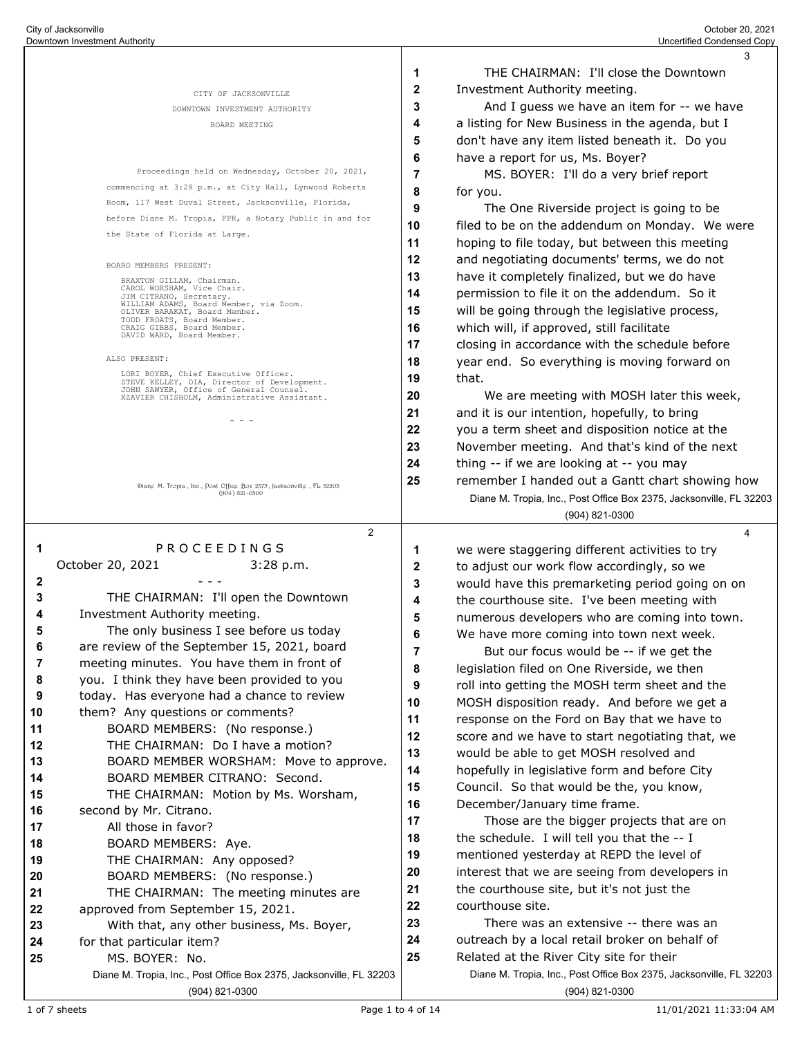|                                  |                                                                                                    |                                                                                                         | 3                                                                                     |  |
|----------------------------------|----------------------------------------------------------------------------------------------------|---------------------------------------------------------------------------------------------------------|---------------------------------------------------------------------------------------|--|
|                                  |                                                                                                    | -1                                                                                                      | THE CHAIRMAN: I'll close the Downtown                                                 |  |
|                                  | CITY OF JACKSONVILLE                                                                               | $\mathbf{2}$                                                                                            | Investment Authority meeting.                                                         |  |
|                                  | DOWNTOWN INVESTMENT AUTHORITY                                                                      | 3                                                                                                       | And I guess we have an item for -- we have                                            |  |
|                                  | BOARD MEETING                                                                                      | 4                                                                                                       | a listing for New Business in the agenda, but I                                       |  |
|                                  |                                                                                                    | 5                                                                                                       | don't have any item listed beneath it. Do you                                         |  |
|                                  |                                                                                                    | 6                                                                                                       | have a report for us, Ms. Boyer?                                                      |  |
|                                  | Proceedings held on Wednesday, October 20, 2021,                                                   | 7                                                                                                       | MS. BOYER: I'll do a very brief report                                                |  |
|                                  | commencing at 3:28 p.m., at City Hall, Lynwood Roberts                                             | 8                                                                                                       | for you.                                                                              |  |
|                                  | Room, 117 West Duval Street, Jacksonville, Florida,                                                | 9                                                                                                       | The One Riverside project is going to be                                              |  |
|                                  | before Diane M. Tropia, FPR, a Notary Public in and for                                            | 10<br>filed to be on the addendum on Monday. We were                                                    |                                                                                       |  |
|                                  | the State of Florida at Large.                                                                     | 11                                                                                                      | hoping to file today, but between this meeting                                        |  |
| BOARD MEMBERS PRESENT:           |                                                                                                    | 12<br>and negotiating documents' terms, we do not<br>13<br>have it completely finalized, but we do have |                                                                                       |  |
|                                  |                                                                                                    |                                                                                                         |                                                                                       |  |
|                                  | JIM CITRANO, Secretary.<br>WILLIAM ADAMS, Board Member, via Zoom.<br>OLIVER BARAKAT, Board Member. | 15                                                                                                      | will be going through the legislative process,                                        |  |
|                                  | TODD FROATS, Board Member.<br>CRAIG GIBBS, Board Member.                                           | 16                                                                                                      | which will, if approved, still facilitate                                             |  |
|                                  | DAVID WARD, Board Member.                                                                          | 17                                                                                                      | closing in accordance with the schedule before                                        |  |
|                                  | ALSO PRESENT:                                                                                      | 18                                                                                                      | year end. So everything is moving forward on                                          |  |
|                                  | LORI BOYER, Chief Executive Officer.                                                               | 19                                                                                                      | that.                                                                                 |  |
|                                  | STEVE KELLEY, DIA, Director of Development.<br>JOHN SAWYER, Office of General Counsel.             | 20                                                                                                      | We are meeting with MOSH later this week,                                             |  |
|                                  | XZAVIER CHISHOLM, Administrative Assistant.                                                        | 21                                                                                                      | and it is our intention, hopefully, to bring                                          |  |
|                                  | - - -                                                                                              | 22                                                                                                      | you a term sheet and disposition notice at the                                        |  |
|                                  |                                                                                                    | 23                                                                                                      | November meeting. And that's kind of the next                                         |  |
|                                  |                                                                                                    | 24                                                                                                      | thing -- if we are looking at -- you may                                              |  |
|                                  |                                                                                                    | 25                                                                                                      | remember I handed out a Gantt chart showing how                                       |  |
|                                  | Diang M. Tropia, Inc., Post Office Box 2375, Jacksonville, FL 32203<br>$(904) 821 - 0300$          |                                                                                                         | Diane M. Tropia, Inc., Post Office Box 2375, Jacksonville, FL 32203                   |  |
|                                  |                                                                                                    |                                                                                                         | $(904) 821 - 0300$                                                                    |  |
|                                  | 2                                                                                                  |                                                                                                         | 4                                                                                     |  |
|                                  |                                                                                                    |                                                                                                         |                                                                                       |  |
|                                  |                                                                                                    |                                                                                                         |                                                                                       |  |
| 1                                | PROCEEDINGS                                                                                        | 1                                                                                                       | we were staggering different activities to try                                        |  |
|                                  | October 20, 2021<br>3:28 p.m.                                                                      | 2                                                                                                       | to adjust our work flow accordingly, so we                                            |  |
| 2<br>3                           |                                                                                                    | 3                                                                                                       | would have this premarketing period going on on                                       |  |
| 4                                | THE CHAIRMAN: I'll open the Downtown                                                               | 4                                                                                                       | the courthouse site. I've been meeting with                                           |  |
| 5                                | Investment Authority meeting.<br>The only business I see before us today                           | 5                                                                                                       | numerous developers who are coming into town.                                         |  |
| 6                                |                                                                                                    | 6                                                                                                       | We have more coming into town next week.                                              |  |
| 7                                | are review of the September 15, 2021, board<br>meeting minutes. You have them in front of          | 7                                                                                                       | But our focus would be -- if we get the                                               |  |
| 8                                | you. I think they have been provided to you                                                        | 8                                                                                                       | legislation filed on One Riverside, we then                                           |  |
| 9                                | today. Has everyone had a chance to review                                                         | 9                                                                                                       | roll into getting the MOSH term sheet and the                                         |  |
| 10                               | them? Any questions or comments?                                                                   | 10                                                                                                      | MOSH disposition ready. And before we get a                                           |  |
| 11                               | BOARD MEMBERS: (No response.)                                                                      | 11                                                                                                      | response on the Ford on Bay that we have to                                           |  |
| 12                               | THE CHAIRMAN: Do I have a motion?                                                                  | 12                                                                                                      | score and we have to start negotiating that, we                                       |  |
| 13                               | BOARD MEMBER WORSHAM: Move to approve.                                                             | 13                                                                                                      | would be able to get MOSH resolved and                                                |  |
| 14                               | BOARD MEMBER CITRANO: Second.                                                                      | 14                                                                                                      | hopefully in legislative form and before City                                         |  |
| 15                               | THE CHAIRMAN: Motion by Ms. Worsham,                                                               | 15                                                                                                      | Council. So that would be the, you know,                                              |  |
|                                  | second by Mr. Citrano.                                                                             | 16                                                                                                      | December/January time frame.                                                          |  |
| 16<br>17                         | All those in favor?                                                                                | 17                                                                                                      | Those are the bigger projects that are on                                             |  |
|                                  | BOARD MEMBERS: Aye.                                                                                | 18                                                                                                      | the schedule. I will tell you that the -- I                                           |  |
|                                  | THE CHAIRMAN: Any opposed?                                                                         | 19                                                                                                      | mentioned yesterday at REPD the level of                                              |  |
|                                  | BOARD MEMBERS: (No response.)                                                                      | 20                                                                                                      | interest that we are seeing from developers in                                        |  |
|                                  | THE CHAIRMAN: The meeting minutes are                                                              | 21                                                                                                      | the courthouse site, but it's not just the                                            |  |
|                                  | approved from September 15, 2021.                                                                  | 22                                                                                                      | courthouse site.                                                                      |  |
| 18<br>19<br>20<br>21<br>22<br>23 | With that, any other business, Ms. Boyer,                                                          | 23                                                                                                      | There was an extensive -- there was an                                                |  |
| 24                               | for that particular item?                                                                          | 24                                                                                                      | outreach by a local retail broker on behalf of                                        |  |
| 25                               | MS. BOYER: No.                                                                                     | 25                                                                                                      | Related at the River City site for their                                              |  |
|                                  | Diane M. Tropia, Inc., Post Office Box 2375, Jacksonville, FL 32203<br>(904) 821-0300              |                                                                                                         | Diane M. Tropia, Inc., Post Office Box 2375, Jacksonville, FL 32203<br>(904) 821-0300 |  |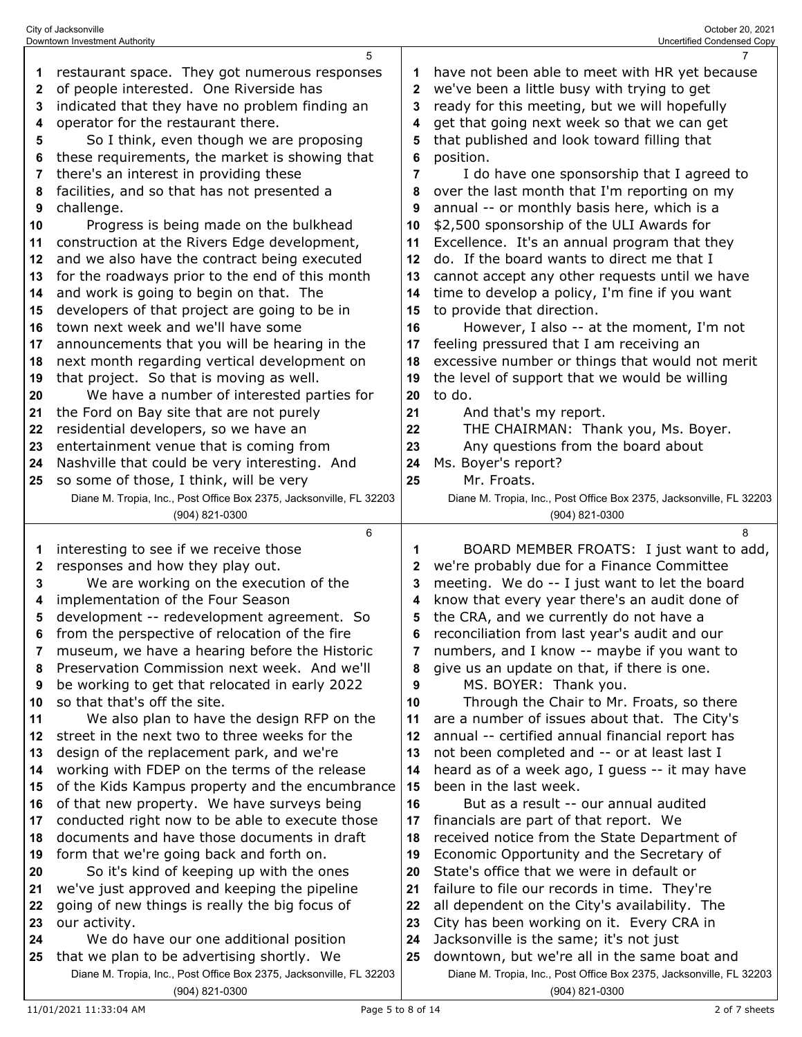|                                                       | City of Jacksonville<br>Downtown Investment Authority                                          |          | October 20, 2021<br><b>Uncertified Condensed Copy</b>                                     |  |  |
|-------------------------------------------------------|------------------------------------------------------------------------------------------------|----------|-------------------------------------------------------------------------------------------|--|--|
|                                                       | 5                                                                                              |          | $\overline{7}$                                                                            |  |  |
| 1                                                     | restaurant space. They got numerous responses                                                  | 1        | have not been able to meet with HR yet because                                            |  |  |
| 2                                                     | of people interested. One Riverside has                                                        | 2        | we've been a little busy with trying to get                                               |  |  |
| 3                                                     | indicated that they have no problem finding an                                                 | 3        | ready for this meeting, but we will hopefully                                             |  |  |
| 4                                                     | operator for the restaurant there.                                                             | 4        | get that going next week so that we can get                                               |  |  |
| 5                                                     | So I think, even though we are proposing                                                       | 5        | that published and look toward filling that                                               |  |  |
| 6                                                     | these requirements, the market is showing that                                                 | 6        | position.                                                                                 |  |  |
| 7                                                     | there's an interest in providing these                                                         | 7        | I do have one sponsorship that I agreed to                                                |  |  |
| 8                                                     | facilities, and so that has not presented a                                                    | 8        | over the last month that I'm reporting on my                                              |  |  |
| 9                                                     | challenge.                                                                                     | 9        | annual -- or monthly basis here, which is a                                               |  |  |
| 10<br>11                                              | Progress is being made on the bulkhead<br>construction at the Rivers Edge development,         | 10<br>11 | \$2,500 sponsorship of the ULI Awards for<br>Excellence. It's an annual program that they |  |  |
| 12                                                    | and we also have the contract being executed                                                   | 12       | do. If the board wants to direct me that I                                                |  |  |
| for the roadways prior to the end of this month<br>13 |                                                                                                | 13       | cannot accept any other requests until we have                                            |  |  |
| 14                                                    | and work is going to begin on that. The<br>14<br>developers of that project are going to be in |          | time to develop a policy, I'm fine if you want                                            |  |  |
| 15                                                    |                                                                                                |          | to provide that direction.                                                                |  |  |
| 16                                                    | town next week and we'll have some                                                             | 15<br>16 | However, I also -- at the moment, I'm not                                                 |  |  |
| 17                                                    | announcements that you will be hearing in the                                                  | 17       | feeling pressured that I am receiving an                                                  |  |  |
| 18                                                    | next month regarding vertical development on                                                   | 18       | excessive number or things that would not merit                                           |  |  |
| 19                                                    | that project. So that is moving as well.                                                       | 19       | the level of support that we would be willing                                             |  |  |
| 20                                                    | We have a number of interested parties for                                                     | 20       | to do.                                                                                    |  |  |
| 21                                                    | the Ford on Bay site that are not purely                                                       | 21       | And that's my report.                                                                     |  |  |
| 22                                                    | residential developers, so we have an                                                          | 22       | THE CHAIRMAN: Thank you, Ms. Boyer.                                                       |  |  |
| 23                                                    | entertainment venue that is coming from                                                        | 23       | Any questions from the board about                                                        |  |  |
| 24                                                    | Nashville that could be very interesting. And                                                  | 24       | Ms. Boyer's report?                                                                       |  |  |
| 25                                                    | so some of those, I think, will be very                                                        | 25       | Mr. Froats.                                                                               |  |  |
|                                                       | Diane M. Tropia, Inc., Post Office Box 2375, Jacksonville, FL 32203                            |          | Diane M. Tropia, Inc., Post Office Box 2375, Jacksonville, FL 32203                       |  |  |
|                                                       | (904) 821-0300                                                                                 |          | (904) 821-0300                                                                            |  |  |
| 1                                                     | 6<br>interesting to see if we receive those                                                    | 1        | 8<br>BOARD MEMBER FROATS: I just want to add,                                             |  |  |
| 2                                                     | responses and how they play out.                                                               | 2        | we're probably due for a Finance Committee                                                |  |  |
| 3                                                     | We are working on the execution of the                                                         | 3        | meeting. We do -- I just want to let the board                                            |  |  |
| 4                                                     | implementation of the Four Season                                                              | 4        | know that every year there's an audit done of                                             |  |  |
| 5                                                     | development -- redevelopment agreement. So                                                     | 5        | the CRA, and we currently do not have a                                                   |  |  |
| 6                                                     | from the perspective of relocation of the fire                                                 | 6        | reconciliation from last year's audit and our                                             |  |  |
| 7                                                     | museum, we have a hearing before the Historic                                                  | 7        | numbers, and I know -- maybe if you want to                                               |  |  |
| 8                                                     | Preservation Commission next week. And we'll                                                   | 8        | give us an update on that, if there is one.                                               |  |  |
| 9                                                     | be working to get that relocated in early 2022                                                 | 9        | MS. BOYER: Thank you.                                                                     |  |  |
| 10                                                    | so that that's off the site.                                                                   | 10       | Through the Chair to Mr. Froats, so there                                                 |  |  |
| 11                                                    | We also plan to have the design RFP on the                                                     | 11       | are a number of issues about that. The City's                                             |  |  |
| 12                                                    |                                                                                                |          |                                                                                           |  |  |
|                                                       | street in the next two to three weeks for the                                                  | 12       | annual -- certified annual financial report has                                           |  |  |
| 13                                                    | design of the replacement park, and we're                                                      | 13       | not been completed and -- or at least last I                                              |  |  |
| 14                                                    | working with FDEP on the terms of the release                                                  | 14       | heard as of a week ago, I guess -- it may have                                            |  |  |
| 15                                                    | of the Kids Kampus property and the encumbrance                                                | 15       | been in the last week.                                                                    |  |  |
| 16                                                    | of that new property. We have surveys being                                                    | 16       | But as a result -- our annual audited                                                     |  |  |
| 17                                                    | conducted right now to be able to execute those                                                | 17       | financials are part of that report. We                                                    |  |  |
| 18<br>19                                              | documents and have those documents in draft                                                    | 18<br>19 | received notice from the State Department of                                              |  |  |
| 20                                                    | form that we're going back and forth on.<br>So it's kind of keeping up with the ones           | 20       | Economic Opportunity and the Secretary of<br>State's office that we were in default or    |  |  |
| 21                                                    | we've just approved and keeping the pipeline                                                   | 21       | failure to file our records in time. They're                                              |  |  |
| 22                                                    | going of new things is really the big focus of                                                 | 22       | all dependent on the City's availability. The                                             |  |  |
| 23                                                    | our activity.                                                                                  | 23       | City has been working on it. Every CRA in                                                 |  |  |
| 24                                                    | We do have our one additional position                                                         | 24       | Jacksonville is the same; it's not just                                                   |  |  |
| 25                                                    | that we plan to be advertising shortly. We                                                     | 25       | downtown, but we're all in the same boat and                                              |  |  |
|                                                       | Diane M. Tropia, Inc., Post Office Box 2375, Jacksonville, FL 32203<br>(904) 821-0300          |          | Diane M. Tropia, Inc., Post Office Box 2375, Jacksonville, FL 32203<br>(904) 821-0300     |  |  |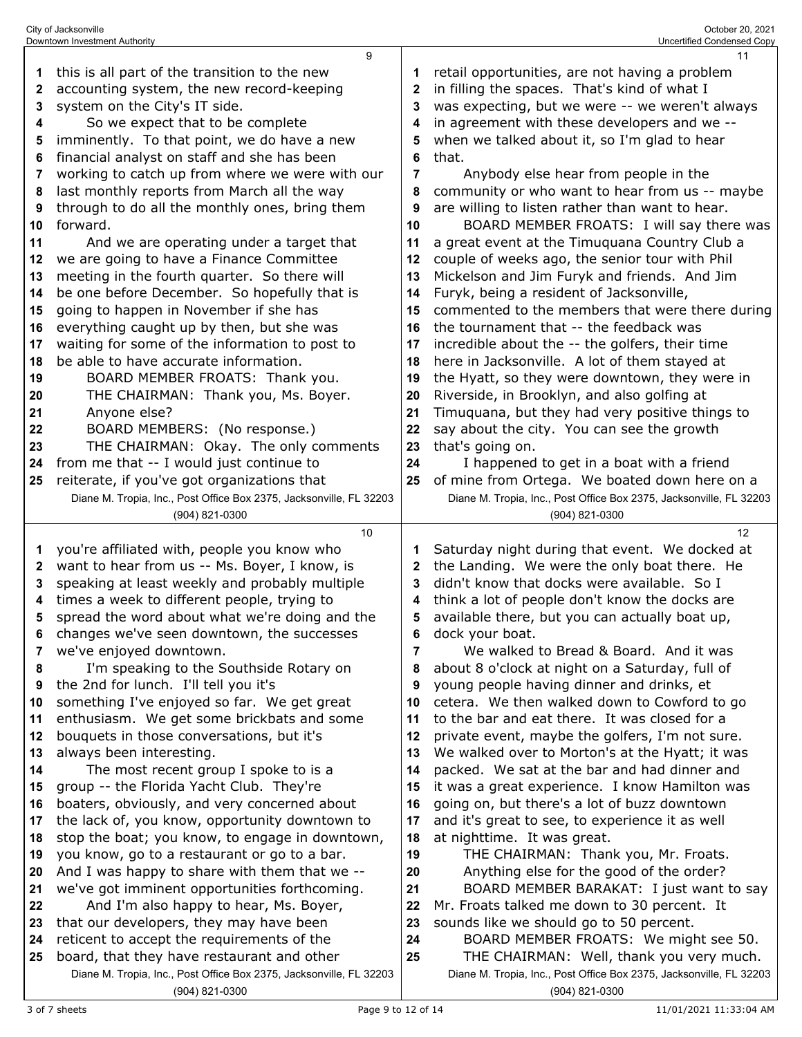|    | City of Jacksonville<br>Downtown Investment Authority                                                             |              | October 20, 2021<br>Uncertified Condensed Copy                                                                  |
|----|-------------------------------------------------------------------------------------------------------------------|--------------|-----------------------------------------------------------------------------------------------------------------|
|    | 9                                                                                                                 |              | 11                                                                                                              |
| 1  | this is all part of the transition to the new                                                                     | 1            | retail opportunities, are not having a problem                                                                  |
| 2  | accounting system, the new record-keeping                                                                         | 2            | in filling the spaces. That's kind of what I                                                                    |
| 3  | system on the City's IT side.                                                                                     | 3            | was expecting, but we were -- we weren't always                                                                 |
| 4  | So we expect that to be complete                                                                                  | 4            | in agreement with these developers and we --                                                                    |
| 5  | imminently. To that point, we do have a new                                                                       | 5            | when we talked about it, so I'm glad to hear                                                                    |
| 6  | financial analyst on staff and she has been                                                                       | 6            | that.                                                                                                           |
| 7  | working to catch up from where we were with our                                                                   | 7            | Anybody else hear from people in the                                                                            |
|    |                                                                                                                   |              |                                                                                                                 |
| 8  | last monthly reports from March all the way                                                                       | 8<br>9       | community or who want to hear from us -- maybe                                                                  |
| 9  | through to do all the monthly ones, bring them<br>forward.                                                        |              | are willing to listen rather than want to hear.                                                                 |
| 10 |                                                                                                                   | 10           | BOARD MEMBER FROATS: I will say there was                                                                       |
| 11 | And we are operating under a target that                                                                          | 11           | a great event at the Timuquana Country Club a                                                                   |
| 12 | we are going to have a Finance Committee                                                                          | 12           | couple of weeks ago, the senior tour with Phil                                                                  |
| 13 | meeting in the fourth quarter. So there will                                                                      | 13           | Mickelson and Jim Furyk and friends. And Jim                                                                    |
| 14 | be one before December. So hopefully that is                                                                      | 14           | Furyk, being a resident of Jacksonville,                                                                        |
| 15 | going to happen in November if she has                                                                            | 15           | commented to the members that were there during                                                                 |
| 16 | everything caught up by then, but she was                                                                         | 16           | the tournament that -- the feedback was                                                                         |
| 17 | waiting for some of the information to post to                                                                    | 17           | incredible about the -- the golfers, their time                                                                 |
| 18 | be able to have accurate information.                                                                             | 18           | here in Jacksonville. A lot of them stayed at                                                                   |
| 19 | BOARD MEMBER FROATS: Thank you.                                                                                   | 19           | the Hyatt, so they were downtown, they were in                                                                  |
| 20 | THE CHAIRMAN: Thank you, Ms. Boyer.                                                                               | 20           | Riverside, in Brooklyn, and also golfing at                                                                     |
| 21 | Anyone else?                                                                                                      | 21           | Timuquana, but they had very positive things to                                                                 |
| 22 | BOARD MEMBERS: (No response.)                                                                                     | 22           | say about the city. You can see the growth                                                                      |
| 23 | THE CHAIRMAN: Okay. The only comments                                                                             | 23           | that's going on.                                                                                                |
| 24 | from me that -- I would just continue to                                                                          | 24           | I happened to get in a boat with a friend                                                                       |
| 25 | reiterate, if you've got organizations that                                                                       | 25           | of mine from Ortega. We boated down here on a                                                                   |
|    | Diane M. Tropia, Inc., Post Office Box 2375, Jacksonville, FL 32203                                               |              | Diane M. Tropia, Inc., Post Office Box 2375, Jacksonville, FL 32203                                             |
|    |                                                                                                                   |              |                                                                                                                 |
|    | (904) 821-0300                                                                                                    |              | (904) 821-0300                                                                                                  |
|    | 10                                                                                                                |              | 12                                                                                                              |
| 1  | you're affiliated with, people you know who                                                                       |              | Saturday night during that event. We docked at                                                                  |
| 2  | want to hear from us -- Ms. Boyer, I know, is                                                                     | $\mathbf{2}$ | the Landing. We were the only boat there. He                                                                    |
| 3  | speaking at least weekly and probably multiple                                                                    | 3            | didn't know that docks were available. So I                                                                     |
| 4  | times a week to different people, trying to                                                                       | 4            | think a lot of people don't know the docks are                                                                  |
| 5  | spread the word about what we're doing and the                                                                    | 5            | available there, but you can actually boat up,                                                                  |
| 6  | changes we've seen downtown, the successes                                                                        | 6            | dock your boat.                                                                                                 |
| 7  | we've enjoyed downtown.                                                                                           | 7            | We walked to Bread & Board. And it was                                                                          |
| 8  | I'm speaking to the Southside Rotary on                                                                           | 8            | about 8 o'clock at night on a Saturday, full of                                                                 |
| 9  | the 2nd for lunch. I'll tell you it's                                                                             | 9            | young people having dinner and drinks, et                                                                       |
| 10 | something I've enjoyed so far. We get great                                                                       | 10           | cetera. We then walked down to Cowford to go                                                                    |
| 11 | enthusiasm. We get some brickbats and some                                                                        | 11           | to the bar and eat there. It was closed for a                                                                   |
| 12 | bouquets in those conversations, but it's                                                                         | 12           | private event, maybe the golfers, I'm not sure.                                                                 |
| 13 | always been interesting.                                                                                          | 13           | We walked over to Morton's at the Hyatt; it was                                                                 |
| 14 | The most recent group I spoke to is a                                                                             | 14           | packed. We sat at the bar and had dinner and                                                                    |
| 15 | group -- the Florida Yacht Club. They're                                                                          | 15           | it was a great experience. I know Hamilton was                                                                  |
| 16 | boaters, obviously, and very concerned about                                                                      | 16           | going on, but there's a lot of buzz downtown                                                                    |
| 17 | the lack of, you know, opportunity downtown to                                                                    | 17           | and it's great to see, to experience it as well                                                                 |
| 18 | stop the boat; you know, to engage in downtown,                                                                   | 18           | at nighttime. It was great.                                                                                     |
| 19 | you know, go to a restaurant or go to a bar.                                                                      | 19           | THE CHAIRMAN: Thank you, Mr. Froats.                                                                            |
| 20 | And I was happy to share with them that we --                                                                     | 20           | Anything else for the good of the order?                                                                        |
| 21 | we've got imminent opportunities forthcoming.                                                                     | 21           | BOARD MEMBER BARAKAT: I just want to say                                                                        |
| 22 | And I'm also happy to hear, Ms. Boyer,                                                                            | 22           | Mr. Froats talked me down to 30 percent. It                                                                     |
| 23 | that our developers, they may have been                                                                           | 23           | sounds like we should go to 50 percent.                                                                         |
| 24 | reticent to accept the requirements of the                                                                        | 24           | BOARD MEMBER FROATS: We might see 50.                                                                           |
| 25 | board, that they have restaurant and other<br>Diane M. Tropia, Inc., Post Office Box 2375, Jacksonville, FL 32203 | 25           | THE CHAIRMAN: Well, thank you very much.<br>Diane M. Tropia, Inc., Post Office Box 2375, Jacksonville, FL 32203 |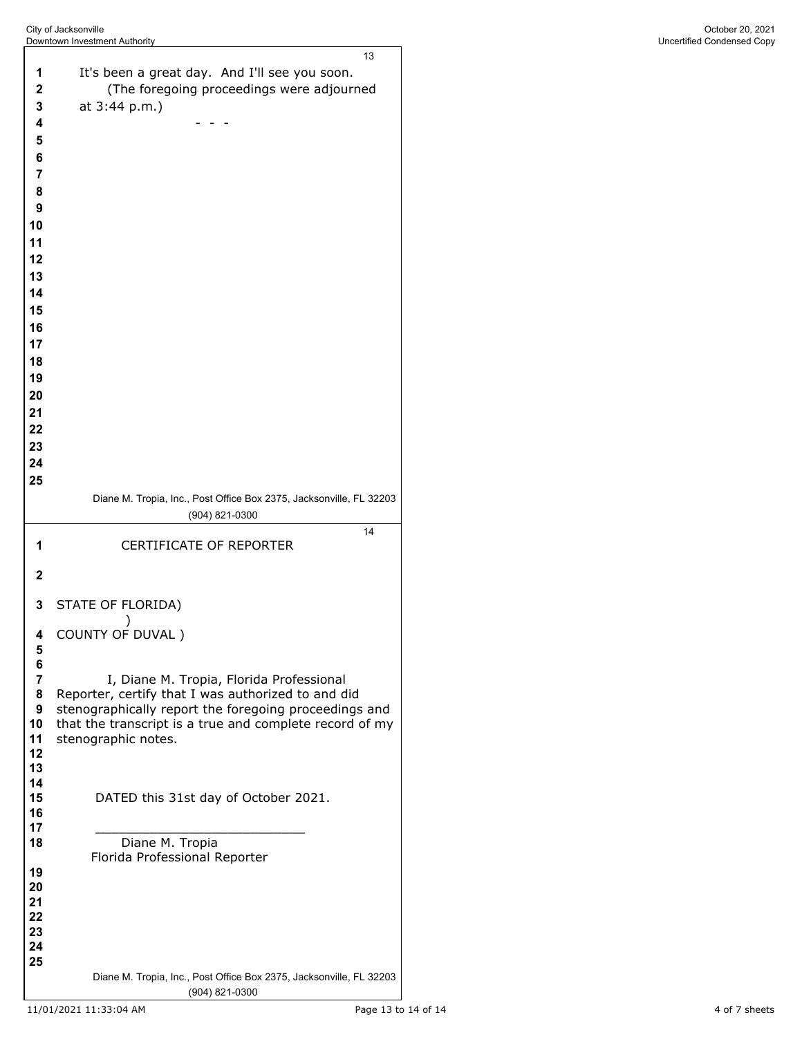| 1                            | 13                                                                                             |
|------------------------------|------------------------------------------------------------------------------------------------|
|                              | It's been a great day. And I'll see you soon.                                                  |
| 2                            | (The foregoing proceedings were adjourned                                                      |
| 3                            | at 3:44 p.m.)                                                                                  |
| 4                            |                                                                                                |
| 5                            |                                                                                                |
| 6                            |                                                                                                |
| $\overline{7}$               |                                                                                                |
| 8                            |                                                                                                |
| 9                            |                                                                                                |
| 10                           |                                                                                                |
| 11                           |                                                                                                |
| 12                           |                                                                                                |
| 13                           |                                                                                                |
| 14                           |                                                                                                |
| 15                           |                                                                                                |
| 16                           |                                                                                                |
| 17                           |                                                                                                |
| 18                           |                                                                                                |
| 19                           |                                                                                                |
| 20                           |                                                                                                |
| 21                           |                                                                                                |
| 22                           |                                                                                                |
| 23                           |                                                                                                |
| 24                           |                                                                                                |
| 25                           |                                                                                                |
|                              | Diane M. Tropia, Inc., Post Office Box 2375, Jacksonville, FL 32203                            |
|                              | (904) 821-0300<br>14                                                                           |
| 1                            | CERTIFICATE OF REPORTER                                                                        |
|                              |                                                                                                |
| $\mathbf{2}$                 |                                                                                                |
| 3                            | STATE OF FLORIDA)                                                                              |
|                              |                                                                                                |
|                              |                                                                                                |
| 4                            | COUNTY OF DUVAL)                                                                               |
| 5                            |                                                                                                |
| 6                            |                                                                                                |
| $\overline{\mathbf{r}}$<br>8 | I, Diane M. Tropia, Florida Professional<br>Reporter, certify that I was authorized to and did |
| 9                            | stenographically report the foregoing proceedings and                                          |
| 10                           | that the transcript is a true and complete record of my                                        |
| 11                           | stenographic notes.                                                                            |
| 12<br>13                     |                                                                                                |
| 14                           |                                                                                                |
| 15                           | DATED this 31st day of October 2021.                                                           |
| 16                           |                                                                                                |
| 17<br>18                     | Diane M. Tropia                                                                                |
|                              | Florida Professional Reporter                                                                  |
| 19                           |                                                                                                |
| 20                           |                                                                                                |
| 21<br>22                     |                                                                                                |
| 23                           |                                                                                                |
| 24                           |                                                                                                |
| 25                           | Diane M. Tropia, Inc., Post Office Box 2375, Jacksonville, FL 32203                            |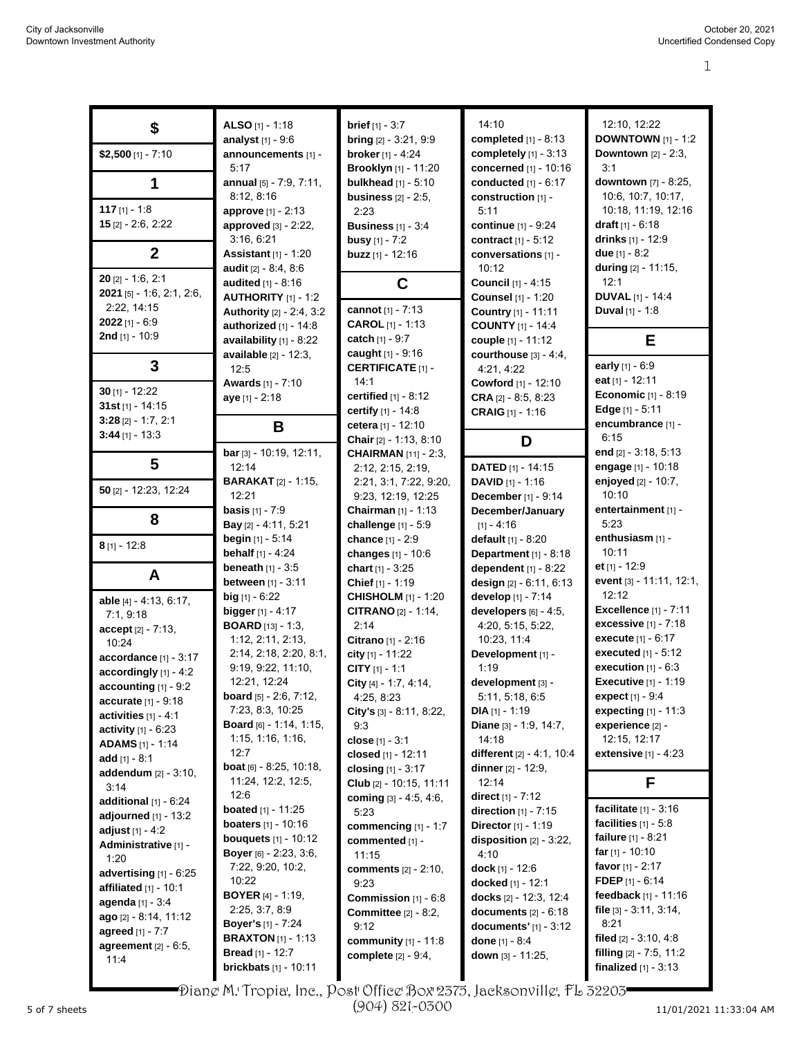| \$                           | ALSO $[1] - 1:18$                | <b>brief</b> $[1] - 3:7$        | 14:10                        | 12:10, 12:22                   |
|------------------------------|----------------------------------|---------------------------------|------------------------------|--------------------------------|
|                              | analyst $[1] - 9:6$              | <b>bring</b> [2] - 3:21, 9:9    | completed [1] - 8:13         | <b>DOWNTOWN</b> $[1] - 1:2$    |
| $$2,500$ [1] - 7:10          | announcements [1] -              | <b>broker</b> [1] - 4:24        | completely [1] - 3:13        | <b>Downtown</b> $[2] - 2:3$ ,  |
|                              | 5:17                             | Brooklyn [1] - 11:20            | concerned [1] - 10:16        | 3:1                            |
| 1                            | annual [5] - 7:9, 7:11,          | bulkhead $[1] - 5:10$           | conducted [1] - 6:17         | downtown [7] - 8:25,           |
|                              | 8:12, 8:16                       | business $[2] - 2:5$ ,          | construction [1] -           | 10:6, 10:7, 10:17,             |
| 117 $[1] - 1:8$              | approve [1] - 2:13               | 2:23                            | 5:11                         | 10:18, 11:19, 12:16            |
| $15$ [2] - 2:6, 2:22         |                                  |                                 |                              | draft $[1] - 6:18$             |
|                              | approved [3] - 2:22,             | <b>Business</b> [1] - 3:4       | <b>continue</b> [1] - 9:24   |                                |
|                              | 3:16, 6:21                       | <b>busy</b> $[1] - 7:2$         | contract $[1] - 5:12$        | drinks [1] - 12:9              |
| $\boldsymbol{2}$             | <b>Assistant</b> $[1] - 1:20$    | buzz [1] - 12:16                | conversations [1] -          | due $[1] - 8:2$                |
|                              | audit [2] - 8:4, 8:6             |                                 | 10:12                        | during [2] - 11:15,            |
| $20$ [2] - 1:6, 2:1          | <b>audited</b> $[1] - 8:16$      | C                               | Council [1] - 4:15           | 12:1                           |
| 2021 [5] - 1:6, 2:1, 2:6,    | <b>AUTHORITY</b> $[1] - 1:2$     |                                 | <b>Counsel</b> [1] - 1:20    | <b>DUVAL</b> [1] - 14:4        |
| 2:22, 14:15                  | Authority [2] - 2:4, 3:2         | cannot [1] - 7:13               | Country [1] - 11:11          | Duval [1] - 1:8                |
| $2022$ [1] - 6:9             | authorized $[1]$ - 14:8          | <b>CAROL</b> $[1] - 1:13$       | <b>COUNTY</b> [1] - 14:4     |                                |
| <b>2nd</b> [1] - 10:9        | availability [1] - 8:22          | <b>catch</b> [1] - 9:7          | couple [1] - 11:12           | E                              |
|                              |                                  | <b>caught</b> $[1]$ - 9:16      | courthouse $[3] - 4.4$ ,     |                                |
| 3                            | <b>available</b> [2] - 12:3,     | <b>CERTIFICATE [1] -</b>        |                              | early [1] - 6:9                |
|                              | 12:5                             |                                 | 4:21, 4:22                   | eat $[1] - 12:11$              |
| $30$ [1] - 12:22             | Awards [1] - 7:10                | 14:1                            | Cowford [1] - 12:10          |                                |
| 31st $[1]$ - 14:15           | aye [1] - 2:18                   | certified $[1]$ - $8:12$        | <b>CRA</b> $[2] - 8.5, 8.23$ | <b>Economic</b> [1] - 8:19     |
|                              |                                  | certify $[1] - 14.8$            | <b>CRAIG</b> [1] - 1:16      | Edge $[1] - 5:11$              |
| $3:28$ [2] - 1:7, 2:1        | B                                | cetera [1] - 12:10              |                              | encumbrance [1] -              |
| $3:44$ [1] - 13:3            |                                  | <b>Chair</b> $[2] - 1:13, 8:10$ | D                            | 6:15                           |
|                              | bar [3] - 10:19, 12:11,          | <b>CHAIRMAN</b> [11] - 2:3,     |                              | end $[2] - 3.18, 5.13$         |
| 5                            | 12:14                            | 2:12, 2:15, 2:19,               | <b>DATED</b> $[1]$ - 14:15   | engage [1] - 10:18             |
|                              | <b>BARAKAT</b> [2] - 1:15,       | 2:21, 3:1, 7:22, 9:20,          | <b>DAVID</b> $[1] - 1:16$    | enjoyed $[2] - 10:7$ ,         |
| 50 [2] - 12:23, 12:24        | 12:21                            | 9:23, 12:19, 12:25              | December [1] - 9:14          | 10:10                          |
|                              | <b>basis</b> $[1] - 7:9$         | <b>Chairman</b> $[1]$ - 1:13    | December/January             | entertainment [1] -            |
| 8                            |                                  |                                 |                              | 5:23                           |
|                              | Bay [2] - 4:11, 5:21             | challenge [1] - 5:9             | $[1] - 4:16$                 |                                |
| $8$ [1] - 12:8               | <b>begin</b> $[1]$ - 5:14        | chance [1] - 2:9                | default $[1] - 8:20$         | enthusiasm [1] -               |
|                              | <b>behalf</b> $[1] - 4:24$       | changes [1] - 10:6              | Department [1] - 8:18        | 10:11                          |
| A                            | <b>beneath</b> $[1] - 3:5$       | chart $[1] - 3.25$              | dependent $[1]$ - 8:22       | et $[1] - 12:9$                |
|                              | between [1] - 3:11               | Chief [1] - 1:19                | design [2] - 6:11, 6:13      | event [3] - 11:11, 12:1,       |
| able [4] - 4:13, 6:17,       | big $[1] - 6:22$                 | <b>CHISHOLM</b> [1] - 1:20      | develop [1] - 7:14           | 12:12                          |
| 7:1, 9:18                    | <b>bigger</b> $[1] - 4:17$       | <b>CITRANO</b> $[2] - 1:14$ ,   | developers $[6] - 4:5$ ,     | <b>Excellence [1] - 7:11</b>   |
|                              | <b>BOARD</b> [13] - 1:3,         | 2:14                            | 4:20, 5:15, 5:22,            | excessive [1] - 7:18           |
| $accept [2] - 7:13,$         | 1:12, 2:11, 2:13,                | Citrano [1] - 2:16              | 10:23, 11:4                  | <b>execute</b> [1] - 6:17      |
| 10:24                        | 2:14, 2:18, 2:20, 8:1,           | city [1] - 11:22                | Development [1] -            | executed [1] - 5:12            |
| accordance [1] - 3:17        | 9:19, 9:22, 11:10,               |                                 | 1:19                         | execution $[1] - 6.3$          |
| accordingly $[1] - 4.2$      |                                  | CITY $[1] - 1:1$                |                              |                                |
| accounting [1] - 9:2         | 12:21, 12:24                     | City [4] - 1:7, 4:14,           | development [3] -            | <b>Executive [1] - 1:19</b>    |
| accurate [1] - 9:18          | <b>board</b> $[5] - 2:6, 7:12,$  | 4:25, 8:23                      | 5:11, 5:18, 6:5              | <b>expect</b> $[1] - 9:4$      |
| activities $[1] - 4.1$       | 7:23, 8:3, 10:25                 | City's [3] - 8:11, 8:22,        | $DIA [1] - 1:19$             | expecting [1] - 11:3           |
| <b>activity</b> $[1] - 6:23$ | <b>Board</b> [6] - 1:14, 1:15,   | 9:3                             | Diane [3] - 1:9, 14:7,       | experience [2] -               |
| <b>ADAMS</b> [1] - 1:14      | 1:15, 1:16, 1:16,                | close [1] - 3:1                 | 14:18                        | 12:15, 12:17                   |
| add $[1] - 8.1$              | 12:7                             | closed [1] - 12:11              | different [2] - 4:1, 10:4    | <b>extensive</b> $[1] - 4:23$  |
| addendum [2] - 3:10,         | <b>boat</b> $[6] - 8.25, 10.18,$ | closing $[1] - 3:17$            | <b>dinner</b> [2] - 12:9,    |                                |
| 3:14                         | 11:24, 12:2, 12:5,               | Club [2] - 10:15, 11:11         | 12:14                        | F                              |
| additional $[1]$ - $6:24$    | 12:6                             | coming $[3] - 4.5, 4.6,$        | direct $[1] - 7:12$          |                                |
|                              | <b>boated</b> [1] - 11:25        | 5:23                            | direction $[1]$ - 7:15       | <b>facilitate</b> $[1] - 3:16$ |
| adjourned $[1]$ - 13:2       | <b>boaters</b> $[1] - 10:16$     | commencing [1] - 1:7            | <b>Director</b> [1] - 1:19   | facilities $[1] - 5.8$         |
| adjust $[1] - 4:2$           | <b>bouquets</b> $[1] - 10:12$    | commented [1] -                 | disposition [2] - 3:22,      | <b>failure</b> $[1] - 8:21$    |
| Administrative [1] -         | Boyer [6] - 2:23, 3:6,           | 11:15                           | 4:10                         | far $[1] - 10:10$              |
| 1:20                         | 7:22, 9:20, 10:2,                |                                 | dock [1] - 12:6              | favor $[1] - 2:17$             |
| advertising $[1]$ - $6:25$   | 10:22                            | <b>comments</b> $[2] - 2:10$ ,  |                              | <b>FDEP</b> $[1] - 6:14$       |
| affiliated $[1]$ - 10:1      |                                  | 9.23                            | docked [1] - 12:1            |                                |
| agenda [1] - 3:4             | <b>BOYER</b> $[4] - 1:19$ ,      | <b>Commission</b> $[1] - 6.8$   | docks $[2] - 12:3, 12:4$     | feedback $[1] - 11:16$         |
| ago [2] - 8:14, 11:12        | 2:25, 3:7, 8:9                   | <b>Committee</b> $[2] - 8:2$ ,  | documents $[2] - 6:18$       | file $[3]$ - 3:11, 3:14,       |
| <b>agreed</b> [1] - 7:7      | <b>Boyer's</b> [1] - 7:24        | 9:12                            | documents' $[1] - 3:12$      | 8:21                           |
| agreement $[2] - 6.5$ ,      | <b>BRAXTON</b> $[1]$ - 1:13      | community $[1] - 11.8$          | done $[1] - 8:4$             | filed $[2] - 3.10, 4.8$        |
| 11.4                         | <b>Bread</b> [1] - 12:7          | complete [2] - 9:4,             | down [3] - 11:25,            | filling $[2] - 7.5, 11.2$      |
|                              | <b>brickbats</b> [1] - 10:11     |                                 |                              | <b>finalized</b> $[1] - 3:13$  |

Diane M. Tropia, Inc., Post Office Box 2375, Jacksonville, FL 32203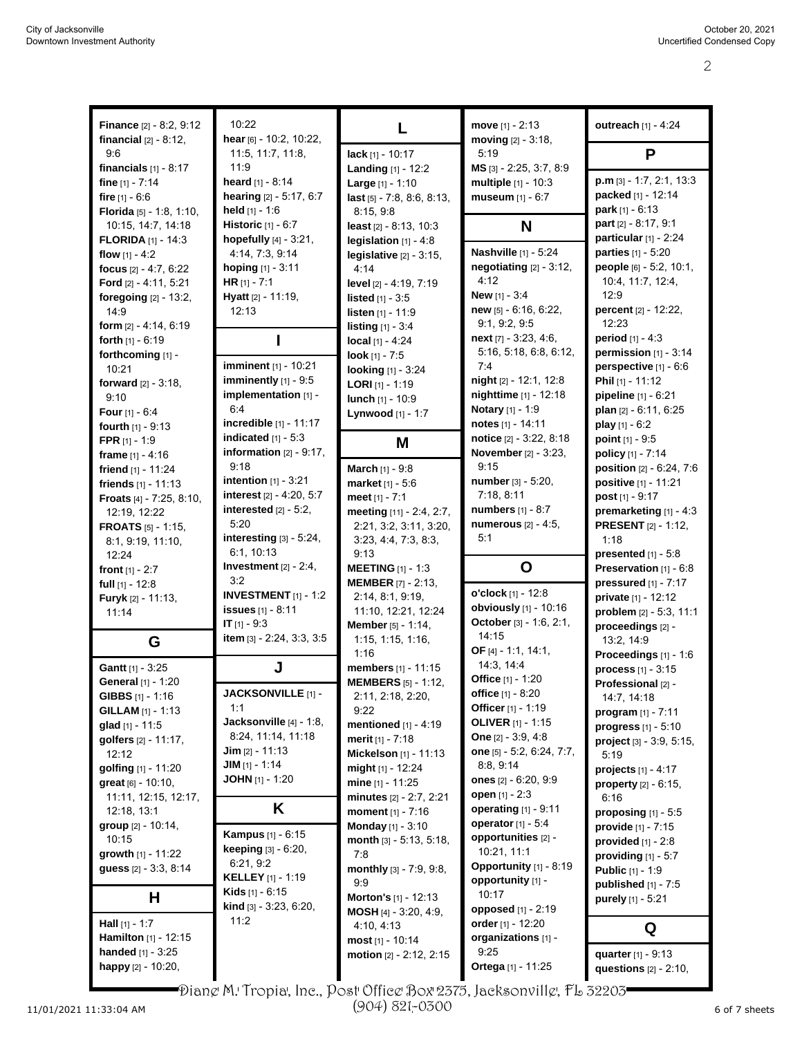| <b>Finance</b> [2] - 8:2, 9:12<br><b>financial</b> $[2] - 8:12$ , | 10:22<br>hear [6] - 10:2, 10:22,                          | L                                                  | move $[1] - 2:13$<br>moving $[2] - 3:18$ ,            | outreach [1] - 4:24                                    |
|-------------------------------------------------------------------|-----------------------------------------------------------|----------------------------------------------------|-------------------------------------------------------|--------------------------------------------------------|
| 9:6                                                               | 11:5, 11:7, 11:8,                                         | lack [1] - 10:17                                   | 5:19                                                  | P                                                      |
| financials $[1] - 8.17$<br>fine [1] - 7:14                        | 11:9<br>heard $[1] - 8:14$                                | Landing [1] - 12:2<br>Large [1] - 1:10             | $MS$ [3] - 2:25, 3:7, 8:9<br>multiple $[1] - 10:3$    | $p.m$ [3] - 1:7, 2:1, 13:3                             |
| fire $[1] - 6.6$                                                  | hearing [2] - 5:17, 6:7                                   | last [5] - 7:8, 8:6, 8:13,                         | museum [1] - 6:7                                      | packed [1] - 12:14                                     |
| Florida [5] - 1:8, 1:10,                                          | held $[1] - 1:6$                                          | 8:15, 9:8                                          |                                                       | park $[1] - 6:13$                                      |
| 10:15, 14:7, 14:18<br><b>FLORIDA</b> $[1]$ - 14:3                 | <b>Historic</b> [1] - 6:7<br>hopefully [4] - 3:21,        | least [2] - 8:13, 10:3<br>legislation $[1] - 4.8$  | N                                                     | part [2] - 8:17, 9:1<br>particular [1] - 2:24          |
| flow $[1] - 4:2$                                                  | 4:14, 7:3, 9:14                                           | legislative $[2] - 3:15$ ,                         | <b>Nashville</b> [1] - 5:24                           | parties [1] - 5:20                                     |
| focus [2] - 4:7, 6:22                                             | hoping [1] - 3:11                                         | 4:14                                               | negotiating $[2] - 3:12$ ,                            | people [6] - 5:2, 10:1,                                |
| Ford [2] - 4:11, 5:21                                             | HR $[1] - 7:1$                                            | level [2] - 4:19, 7:19                             | 4:12                                                  | 10:4, 11:7, 12:4,                                      |
| foregoing $[2] - 13:2$ ,<br>14:9                                  | Hyatt [2] - 11:19,<br>12:13                               | <b>listed</b> $[1] - 3.5$<br>listen [1] - 11:9     | <b>New</b> $[1] - 3.4$<br>new [5] - 6:16, 6:22,       | 12:9<br>percent [2] - 12:22,                           |
| form $[2] - 4.14, 6.19$                                           |                                                           | listing [1] - 3:4                                  | 9.1, 9.2, 9.5                                         | 12:23                                                  |
| forth $[1] - 6:19$                                                | I                                                         | local $[1] - 4:24$                                 | $next$ [7] - 3:23, 4:6,                               | <b>period</b> $[1] - 4:3$                              |
| forthcoming [1] -                                                 | <b>imminent</b> [1] - 10:21                               | look $[1] - 7:5$                                   | 5:16, 5:18, 6:8, 6:12,<br>7:4                         | permission $[1]$ - 3:14                                |
| 10:21<br>forward [2] - 3:18,                                      | imminently [1] - 9:5                                      | <b>looking</b> [1] - 3:24                          | night [2] - 12:1, 12:8                                | perspective [1] - 6:6<br>Phil [1] - 11:12              |
| 9.10                                                              | implementation [1] -                                      | <b>LORI</b> $[1]$ - 1:19<br>lunch [1] - 10:9       | nighttime [1] - 12:18                                 | pipeline [1] - 6:21                                    |
| <b>Four</b> $[1] - 6.4$                                           | 6:4                                                       | Lynwood [1] - 1:7                                  | <b>Notary</b> [1] - 1:9                               | plan [2] - 6:11, 6:25                                  |
| <b>fourth</b> $[1] - 9.13$                                        | incredible [1] - 11:17<br>indicated $[1] - 5.3$           |                                                    | notes [1] - 14:11<br>notice [2] - 3:22, 8:18          | play $[1] - 6.2$                                       |
| <b>FPR</b> $[1] - 1:9$<br>frame $[1] - 4:16$                      | information $[2] - 9:17$ ,                                | M                                                  | <b>November</b> [2] - 3:23,                           | point $[1] - 9:5$<br>policy [1] - 7:14                 |
| friend $[1] - 11:24$                                              | 9.18                                                      | March [1] - 9:8                                    | 9:15                                                  | position [2] - 6:24, 7:6                               |
| friends $[1] - 11:13$                                             | intention $[1]$ - 3:21                                    | market [1] - 5:6                                   | number [3] - 5:20,                                    | positive [1] - 11:21                                   |
| Froats [4] - 7:25, 8:10,                                          | interest [2] - 4:20, 5:7                                  | meet [1] - 7:1                                     | 7:18, 8:11<br><b>numbers</b> [1] - 8:7                | post $[1] - 9:17$                                      |
| 12:19, 12:22<br><b>FROATS</b> $[5]$ - 1:15,                       | interested $[2] - 5:2$ ,<br>5:20                          | meeting [11] - 2:4, 2:7,<br>2:21, 3:2, 3:11, 3:20, | <b>numerous</b> [2] - 4:5,                            | premarketing $[1] - 4:3$<br><b>PRESENT</b> [2] - 1:12, |
| 8:1, 9:19, 11:10,                                                 | interesting [3] - 5:24,                                   | 3:23, 4:4, 7:3, 8:3,                               | 5:1                                                   | 1:18                                                   |
| 12:24                                                             | 6:1, 10:13                                                | 9.13                                               |                                                       | presented $[1] - 5.8$                                  |
| <b>front</b> $[1] - 2:7$                                          | Investment $[2] - 2:4$ ,<br>3:2                           | <b>MEETING</b> [1] - 1:3                           | O                                                     | Preservation [1] - 6:8                                 |
| full $[1]$ - 12:8<br><b>Furyk</b> [2] - 11:13,                    | <b>INVESTMENT</b> $[1]$ - 1:2                             | <b>MEMBER</b> [7] - 2:13,<br>2:14, 8:1, 9:19,      | o'clock [1] - 12:8                                    | pressured $[1]$ - 7:17<br>private [1] - 12:12          |
| 11:14                                                             | <b>issues</b> [1] - 8:11                                  | 11:10, 12:21, 12:24                                | obviously [1] - 10:16                                 | problem [2] - 5:3, 11:1                                |
|                                                                   | $IT [1] - 9:3$                                            | <b>Member</b> [5] - 1:14,                          | October [3] - 1:6, 2:1,                               | proceedings [2] -                                      |
| G                                                                 | item [3] - 2:24, 3:3, 3:5                                 | 1:15, 1:15, 1:16,<br>1:16                          | 14:15<br>OF [4] - 1:1, 14:1,                          | 13:2, 14:9                                             |
| Gantt [1] - 3:25                                                  | J                                                         | members [1] - 11:15                                | 14:3, 14:4                                            | Proceedings [1] - 1:6<br>process $[1] - 3:15$          |
| General [1] - 1:20                                                |                                                           | <b>MEMBERS</b> $[5] - 1:12$                        | <b>Office</b> [1] - 1:20                              | Professional [2] -                                     |
| <b>GIBBS</b> $[1]$ - 1:16                                         | JACKSONVILLE [1] -                                        | 2:11, 2:18, 2:20,                                  | office [1] - 8:20                                     | 14:7, 14:18                                            |
| <b>GILLAM</b> $[1] - 1:13$<br>glad [1] - 11:5                     | 1:1<br>Jacksonville [4] - 1:8,                            | 9:22<br>mentioned [1] - 4:19                       | <b>Officer</b> [1] - 1:19<br><b>OLIVER</b> [1] - 1:15 | program [1] - 7:11                                     |
| golfers [2] - 11:17,                                              | 8:24, 11:14, 11:18                                        | merit $[1] - 7:18$                                 | <b>One</b> $[2] - 3.9, 4.8$                           | progress [1] - 5:10<br>project [3] - 3:9, 5:15,        |
| 12:12                                                             | <b>Jim</b> $[2] - 11:13$                                  | Mickelson [1] - 11:13                              | one [5] - 5:2, 6:24, 7:7,                             | 5:19                                                   |
| golfing [1] - 11:20                                               | $JIM$ [1] - 1:14                                          | might $[1] - 12:24$                                | 8.8, 9.14                                             | projects $[1] - 4:17$                                  |
| great [6] - 10:10,<br>11:11, 12:15, 12:17,                        | <b>JOHN</b> $[1]$ - 1:20                                  | mine [1] - 11:25<br>minutes [2] - 2.7, 2.21        | ones $[2] - 6:20, 9:9$<br>open $[1] - 2:3$            | <b>property</b> $[2] - 6:15$ ,                         |
| 12:18, 13:1                                                       | Κ                                                         | moment [1] - 7:16                                  | operating [1] - 9:11                                  | 6:16<br>proposing $[1] - 5.5$                          |
| group [2] - 10:14,                                                |                                                           | <b>Monday</b> [1] - 3:10                           | operator $[1] - 5:4$                                  | provide [1] - 7:15                                     |
| 10:15                                                             | <b>Kampus</b> [1] - 6:15<br><b>keeping</b> $[3] - 6:20$ , | month [3] - 5:13, 5:18,                            | opportunities [2] -                                   | provided $[1]$ - 2:8                                   |
| growth [1] - 11:22<br>guess $[2] - 3:3, 8:14$                     | 6:21, 9:2                                                 | 7:8<br>monthly $[3] - 7.9, 9.8$ ,                  | 10:21, 11:1<br>Opportunity [1] - 8:19                 | providing $[1]$ - 5:7                                  |
|                                                                   | <b>KELLEY</b> $[1] - 1.19$                                | 9.9                                                | opportunity [1] -                                     | <b>Public</b> [1] - 1:9<br>published $[1] - 7.5$       |
| H                                                                 | <b>Kids</b> $[1] - 6:15$                                  | Morton's [1] - 12:13                               | 10:17                                                 | purely [1] - 5:21                                      |
| <b>Hall</b> $[1] - 1:7$                                           | kind [3] - 3:23, 6:20,<br>11:2                            | <b>MOSH</b> [4] - 3:20, 4:9,                       | opposed [1] - 2:19                                    |                                                        |
| Hamilton [1] - 12:15                                              |                                                           | 4:10, 4:13<br>most [1] - 10:14                     | order $[1]$ - 12:20<br>organizations [1] -            | Q                                                      |
| <b>handed</b> $[1] - 3:25$                                        |                                                           | motion [2] - 2:12, 2:15                            | 9:25                                                  | quarter [1] - 9:13                                     |
| happy [2] - 10:20,                                                |                                                           |                                                    | Ortega [1] - 11:25                                    | questions [2] - 2:10,                                  |

Diane M. Tropia, Inc., Post Office Box 2375, Jacksonville, FL 32203